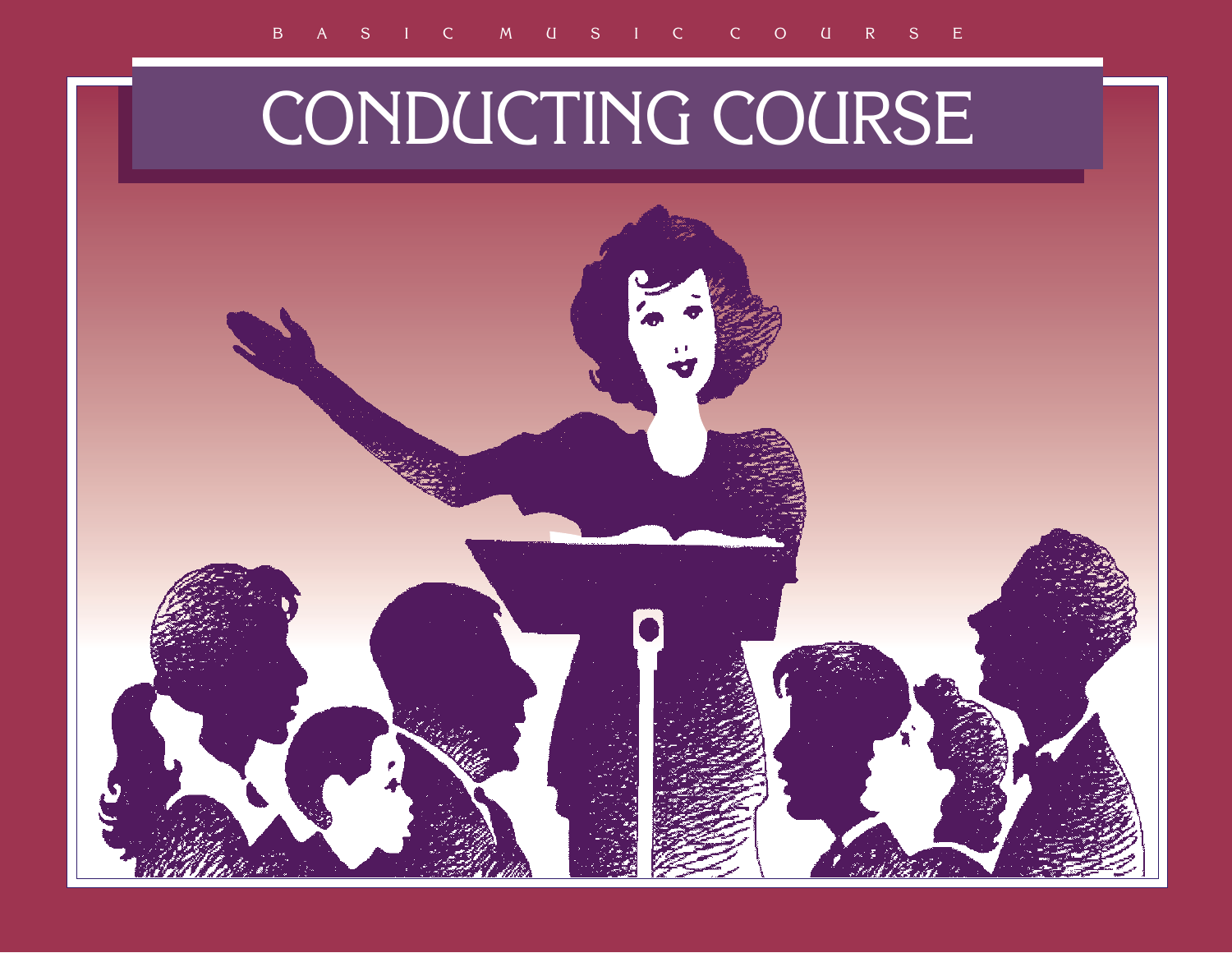# CONDUCTING COURSE

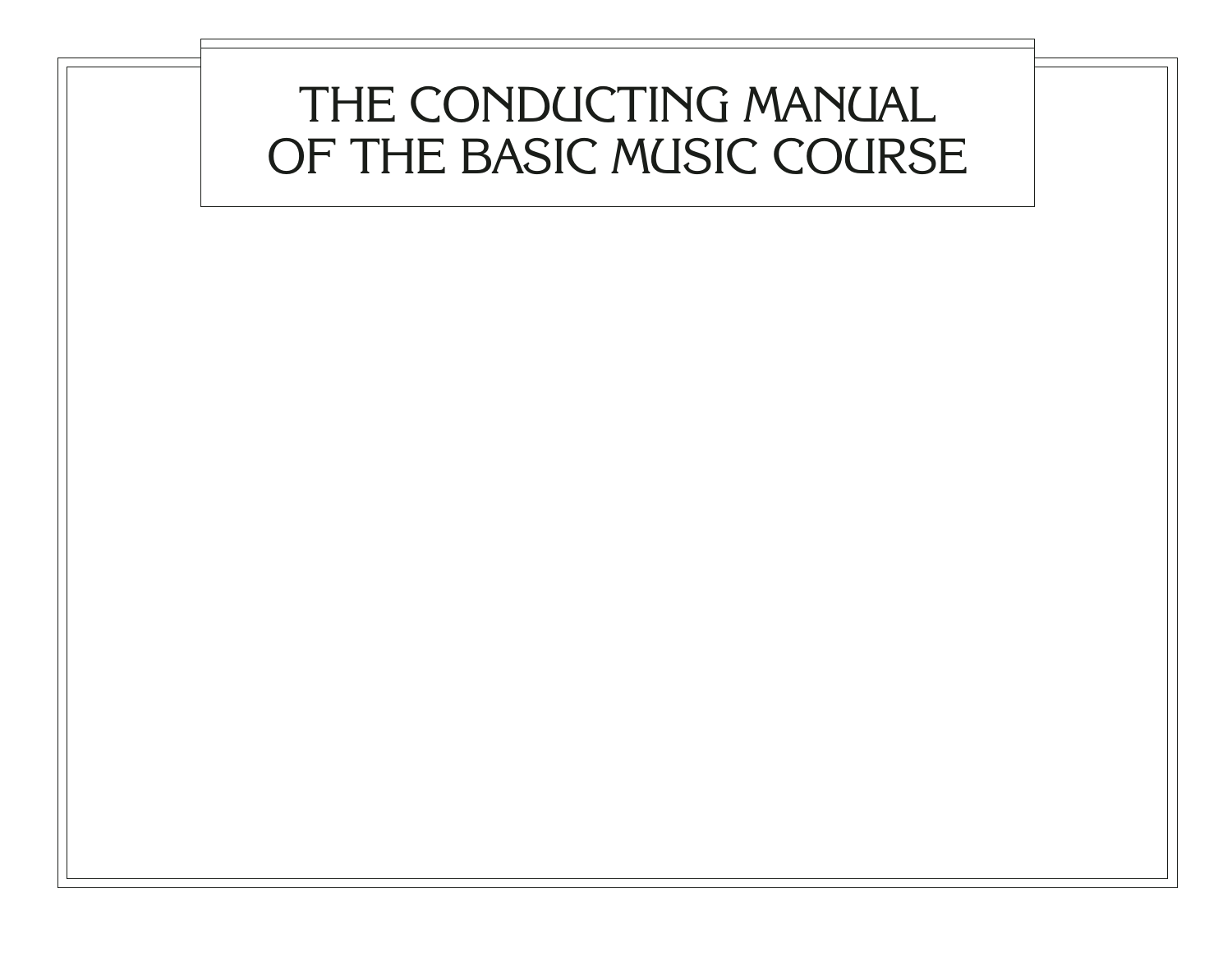## THE CONDUCTING MANUAL OF THE BASIC MUSIC COURSE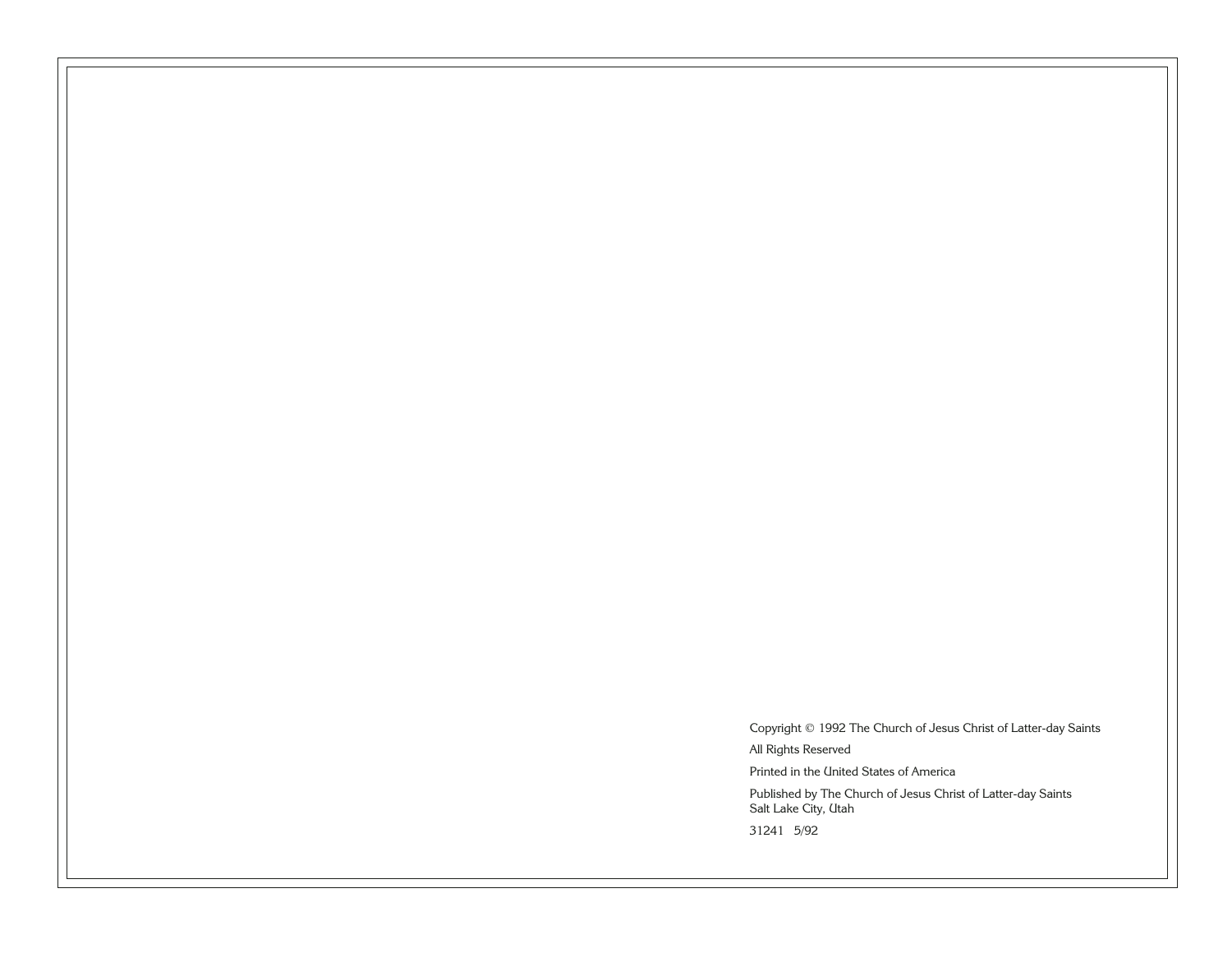Copyright © 1992 The Church of Jesus Christ of Latter-day Saints All Rights Reserved Printed in the United States of America Published by The Church of Jesus Christ of Latter-day Saints Salt Lake City, Utah

31241 5/92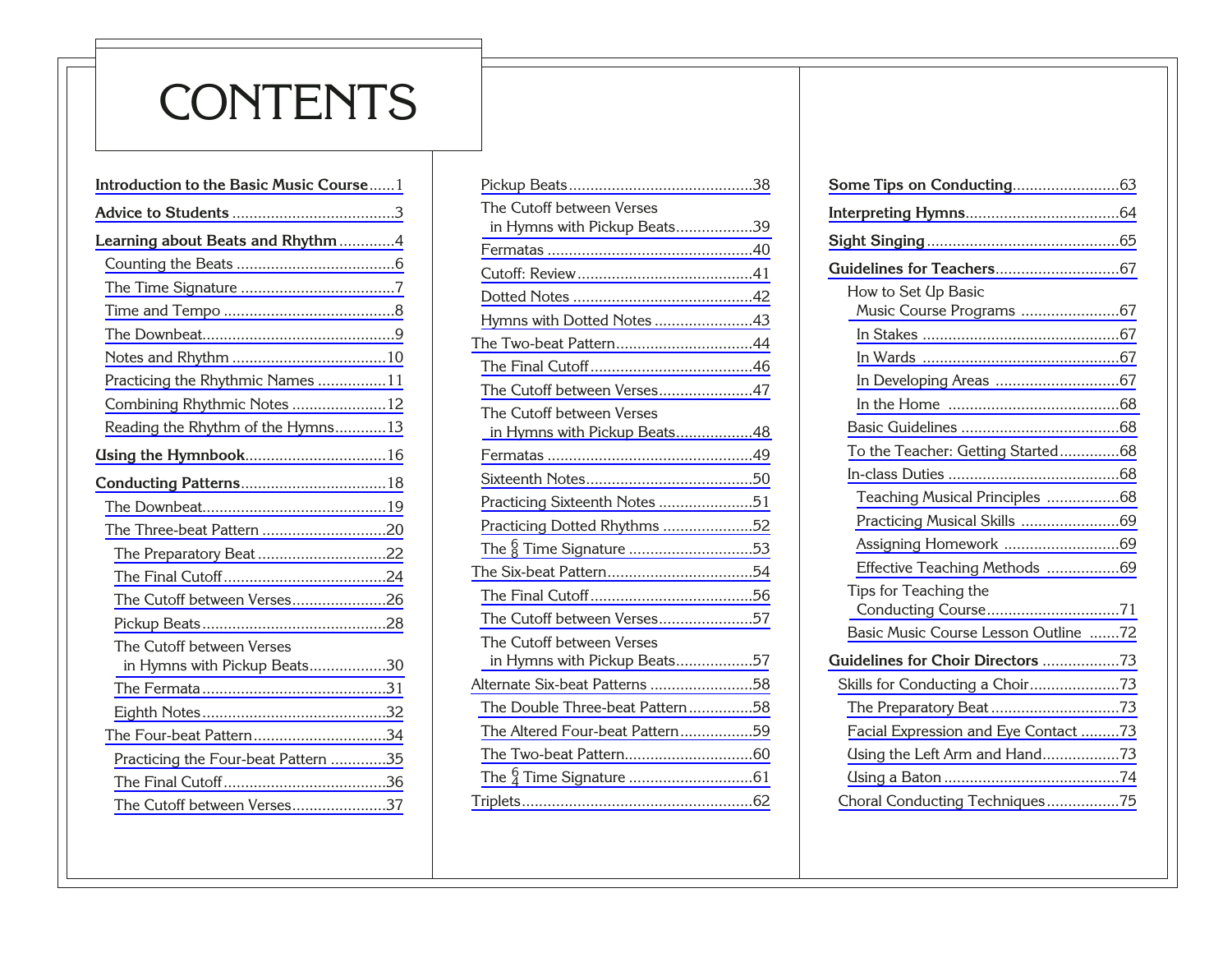## **CONTENTS**

| Introduction to the Basic Music Course1                   |  |  |  |
|-----------------------------------------------------------|--|--|--|
|                                                           |  |  |  |
| Learning about Beats and Rhythm 4                         |  |  |  |
|                                                           |  |  |  |
|                                                           |  |  |  |
|                                                           |  |  |  |
|                                                           |  |  |  |
|                                                           |  |  |  |
| Practicing the Rhythmic Names 11                          |  |  |  |
| Combining Rhythmic Notes 12                               |  |  |  |
| Reading the Rhythm of the Hymns13                         |  |  |  |
|                                                           |  |  |  |
|                                                           |  |  |  |
|                                                           |  |  |  |
| The Three-beat Pattern 20                                 |  |  |  |
| The Preparatory Beat 22                                   |  |  |  |
|                                                           |  |  |  |
| The Cutoff between Verses26                               |  |  |  |
|                                                           |  |  |  |
| The Cutoff between Verses<br>in Hymns with Pickup Beats30 |  |  |  |
|                                                           |  |  |  |
|                                                           |  |  |  |
| The Four-beat Pattern34                                   |  |  |  |
| Practicing the Four-beat Pattern 35                       |  |  |  |
|                                                           |  |  |  |
| The Cutoff between Verses37                               |  |  |  |
|                                                           |  |  |  |

| The Cutoff between Verses<br>in Hymns with Pickup Beats39 |  |
|-----------------------------------------------------------|--|
|                                                           |  |
|                                                           |  |
|                                                           |  |
| Hymns with Dotted Notes 43                                |  |
| The Two-beat Pattern44                                    |  |
|                                                           |  |
| The Cutoff between Verses47                               |  |
| The Cutoff between Verses<br>in Hymns with Pickup Beats48 |  |
|                                                           |  |
|                                                           |  |
| Practicing Sixteenth Notes 51                             |  |
| Practicing Dotted Rhythms 52                              |  |
|                                                           |  |
|                                                           |  |
|                                                           |  |
| The Cutoff between Verses57                               |  |
| The Cutoff between Verses<br>in Hymns with Pickup Beats57 |  |
| Alternate Six-beat Patterns 58                            |  |
| The Double Three-beat Pattern58                           |  |
| The Altered Four-beat Pattern59                           |  |
|                                                           |  |
|                                                           |  |
|                                                           |  |
|                                                           |  |

| How to Set Up Basic                  |
|--------------------------------------|
| Music Course Programs 67             |
|                                      |
|                                      |
|                                      |
|                                      |
|                                      |
| To the Teacher: Getting Started68    |
|                                      |
| Teaching Musical Principles 68       |
| Practicing Musical Skills 69         |
|                                      |
| Effective Teaching Methods 69        |
| Tips for Teaching the                |
| Conducting Course71                  |
| Basic Music Course Lesson Outline 72 |
| Guidelines for Choir Directors 73    |
| Skills for Conducting a Choir73      |
|                                      |
| Facial Expression and Eye Contact 73 |
| Using the Left Arm and Hand73        |
|                                      |
| Choral Conducting Techniques75       |
|                                      |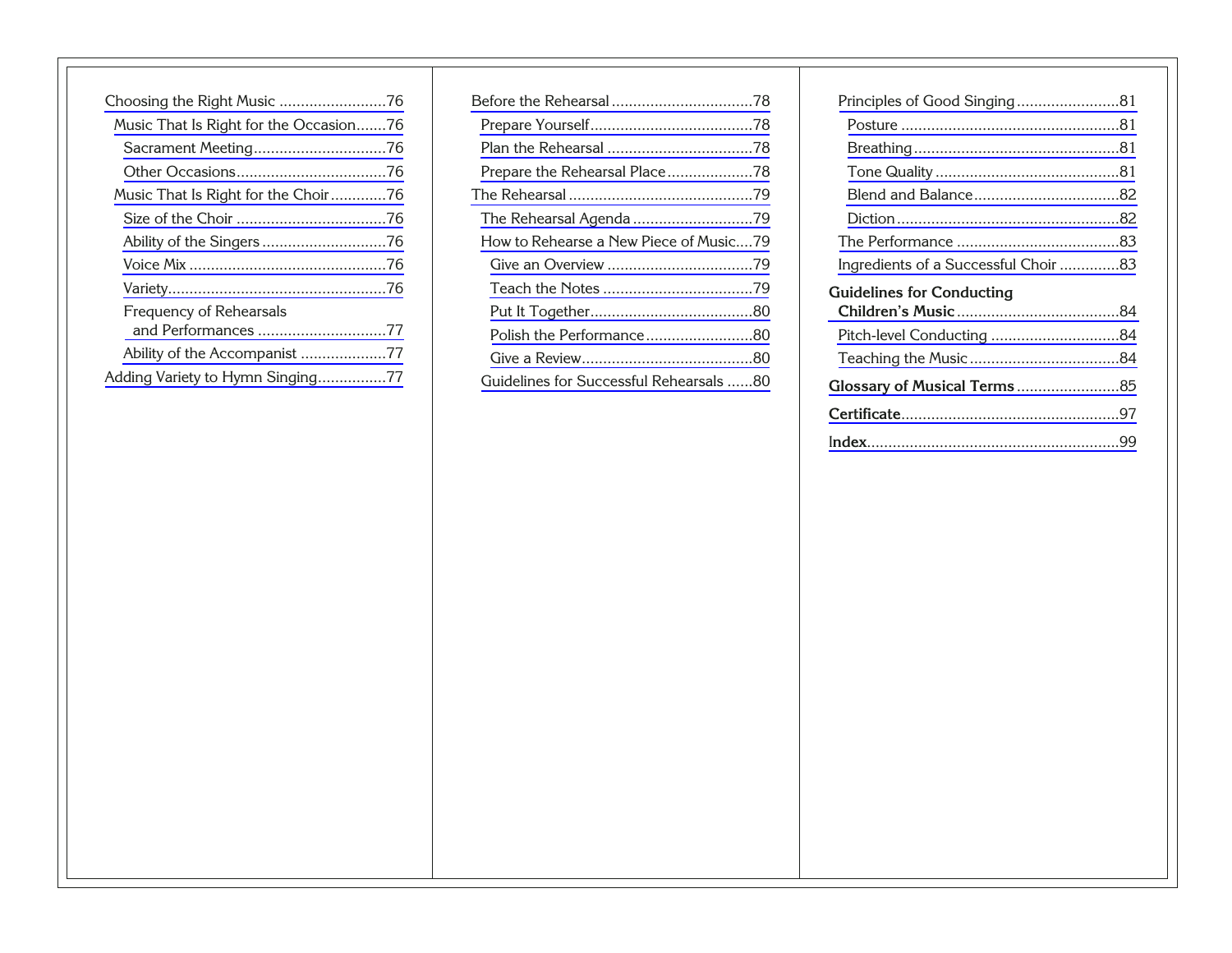| Choosing the Right Music 76            |
|----------------------------------------|
| Music That Is Right for the Occasion76 |
| Sacrament Meeting76                    |
|                                        |
| Music That Is Right for the Choir76    |
|                                        |
|                                        |
|                                        |
|                                        |
| <b>Frequency of Rehearsals</b>         |
| and Performances 77                    |
| Ability of the Accompanist 77          |
| Adding Variety to Hymn Singing77       |

| The Rehearsal Agenda 79                 |  |
|-----------------------------------------|--|
| How to Rehearse a New Piece of Music79  |  |
|                                         |  |
|                                         |  |
|                                         |  |
| Polish the Performance80                |  |
|                                         |  |
| Guidelines for Successful Rehearsals 80 |  |

| Principles of Good Singing81         |  |
|--------------------------------------|--|
|                                      |  |
|                                      |  |
|                                      |  |
|                                      |  |
|                                      |  |
|                                      |  |
| Ingredients of a Successful Choir 83 |  |
| <b>Guidelines for Conducting</b>     |  |
|                                      |  |
|                                      |  |
|                                      |  |
|                                      |  |
|                                      |  |
|                                      |  |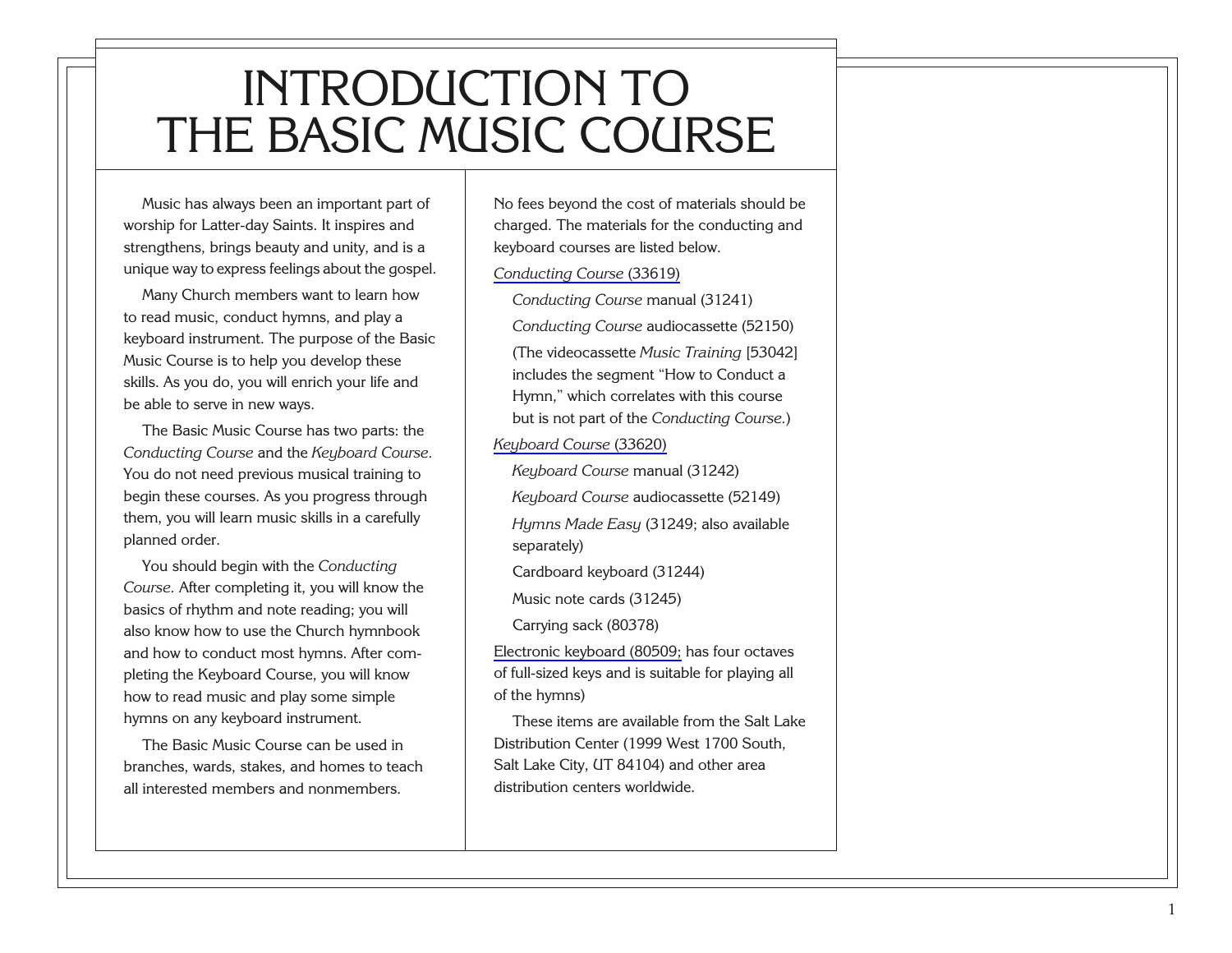### <span id="page-5-0"></span>INTRODUCTION TO THE BASIC MUSIC COURSE

Music has always been an important part of worship for Latter-day Saints. It inspires and strengthens, brings beauty and unity, and is a unique way to express feelings about the gospel.

Many Church members want to learn how to read music, conduct hymns, and play a keyboard instrument. The purpose of the Basic Music Course is to help you develop these skills. As you do, you will enrich your life and be able to serve in new ways.

The Basic Music Course has two parts: the *Conducting Course* and the *Keyboard Course.* You do not need previous musical training to begin these courses. As you progress through them, you will learn music skills in a carefully planned order.

You should begin with the *Conducting Course.* After completing it, you will know the basics of rhythm and note reading; you will also know how to use the Church hymnbook and how to conduct most hymns. After completing the Keyboard Course, you will know how to read music and play some simple hymns on any keyboard instrument.

The Basic Music Course can be used in branches, wards, stakes, and homes to teach all interested members and nonmembers.

No fees beyond the cost of materials should be charged. The materials for the conducting and keyboard courses are listed below.

*[Conducting Course](http://www.ldscatalog.com/webapp/wcs/stores/servlet/CategoryDisplay?catalogId=10001&storeId=10001&categoryId=100188&langId=-1&parent_category_rn=100184&bcname=Music%20Training&top=&resetCat=N&initBC=Y&level=2&replBC=subcatlist100184)* (33619)

*Conducting Course* manual (31241)

*Conducting Course* audiocassette (52150)

(The videocassette *Music Training* [53042] includes the segment "How to Conduct a Hymn," which correlates with this course but is not part of the *Conducting Course.* )

*[Keyboard Course](http://www.ldscatalog.com/webapp/wcs/stores/servlet/CategoryDisplay?catalogId=10001&storeId=10001&categoryId=100188&langId=-1&parent_category_rn=100184&bcname=Music%20Training&top=&resetCat=N&initBC=Y&level=2&replBC=subcatlist100184)* (33620)

*Keyboard Course* manual (31242)

*Keyboard Course* audiocassette (52149)

*Hymns Made Easy* (31249; also available separately)

Cardboard keyboard (31244)

Music note cards (31245)

Carrying sack (80378)

[Electronic keyboard \(80509;](http://www.ldscatalog.com/webapp/wcs/stores/servlet/CategoryDisplay?catalogId=10001&storeId=10001&categoryId=100188&langId=-1&parent_category_rn=100184&bcname=Music%20Training&top=&resetCat=N&initBC=Y&level=2&replBC=subcatlist100184) has four octaves of full-sized keys and is suitable for playing all of the hymns)

These items are available from the Salt Lake Distribution Center (1999 West 1700 South, Salt Lake City, UT 84104) and other area distribution centers worldwide.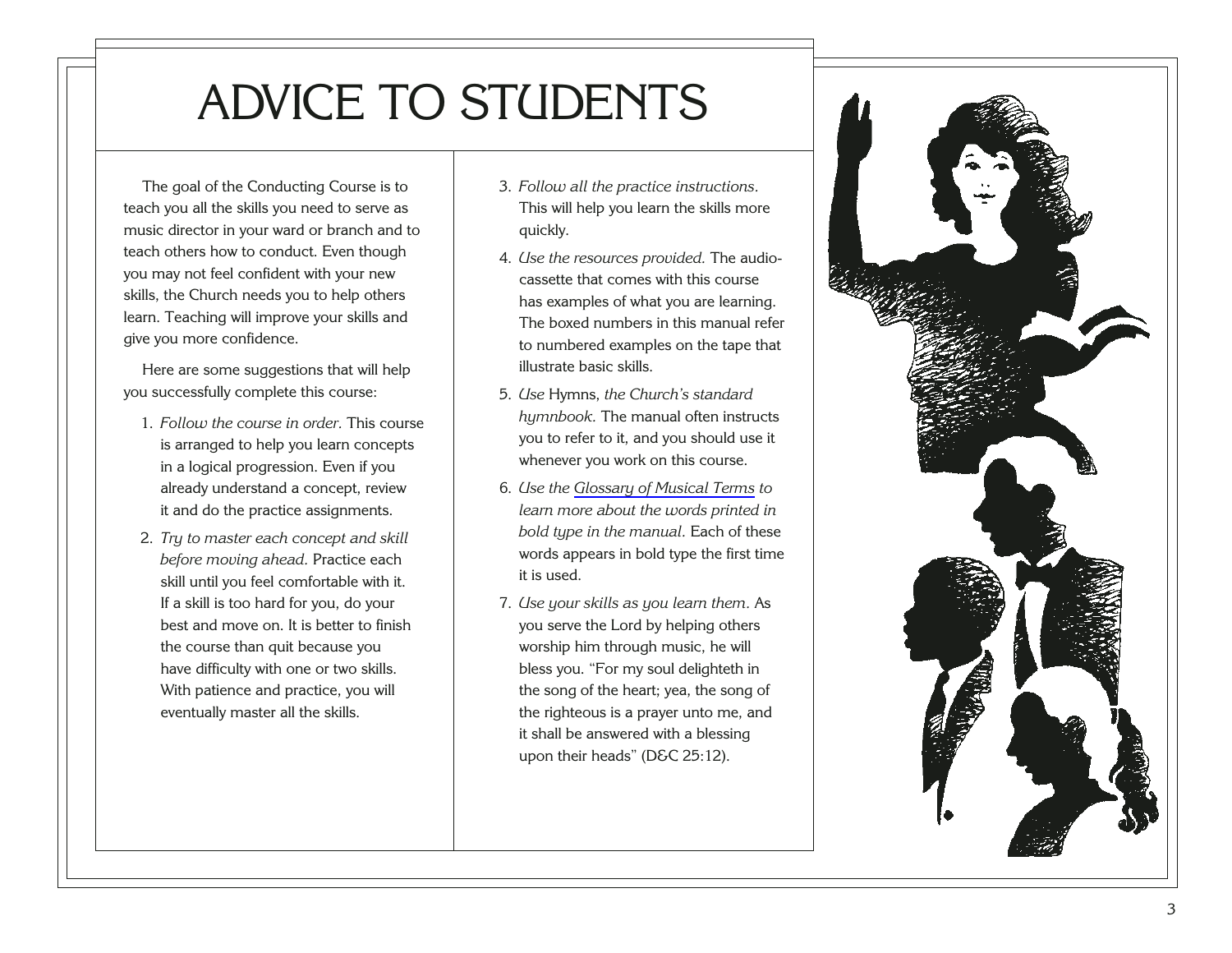## <span id="page-7-0"></span>ADVICE TO STUDENTS

The goal of the Conducting Course is to teach you all the skills you need to serve as music director in your ward or branch and to teach others how to conduct. Even though you may not feel confident with your new skills, the Church needs you to help others learn. Teaching will improve your skills and give you more confidence.

Here are some suggestions that will help you successfully complete this course:

- 1. *Follow the course in order.* This course is arranged to help you learn concepts in a logical progression. Even if you already understand a concept, review it and do the practice assignments.
- 2. *Try to master each concept and skill before moving ahead.* Practice each skill until you feel comfortable with it. If a skill is too hard for you, do your best and move on. It is better to finish the course than quit because you have difficulty with one or two skills. With patience and practice, you will eventually master all the skills.
- 3. *Follow all the practice instructions.* This will help you learn the skills more quickly.
- 4. *Use the resources provided.* The audiocassette that comes with this course has examples of what you are learning. The boxed numbers in this manual refer to numbered examples on the tape that illustrate basic skills.
- 5. *Use* Hymns, *the Church's standard hymnbook.* The manual often instructs you to refer to it, and you should use it whenever you work on this course.
- 6. *Use the [Glossary of Musical Terms](#page-89-0) to learn more about the words printed in bold type in the manual.* Each of these words appears in bold type the first time it is used.
- 7. *Use your skills as you learn them.* As you serve the Lord by helping others worship him through music, he will bless you. "For my soul delighteth in the song of the heart; yea, the song of the righteous is a prayer unto me, and it shall be answered with a blessing upon their heads" (D&C 25:12).

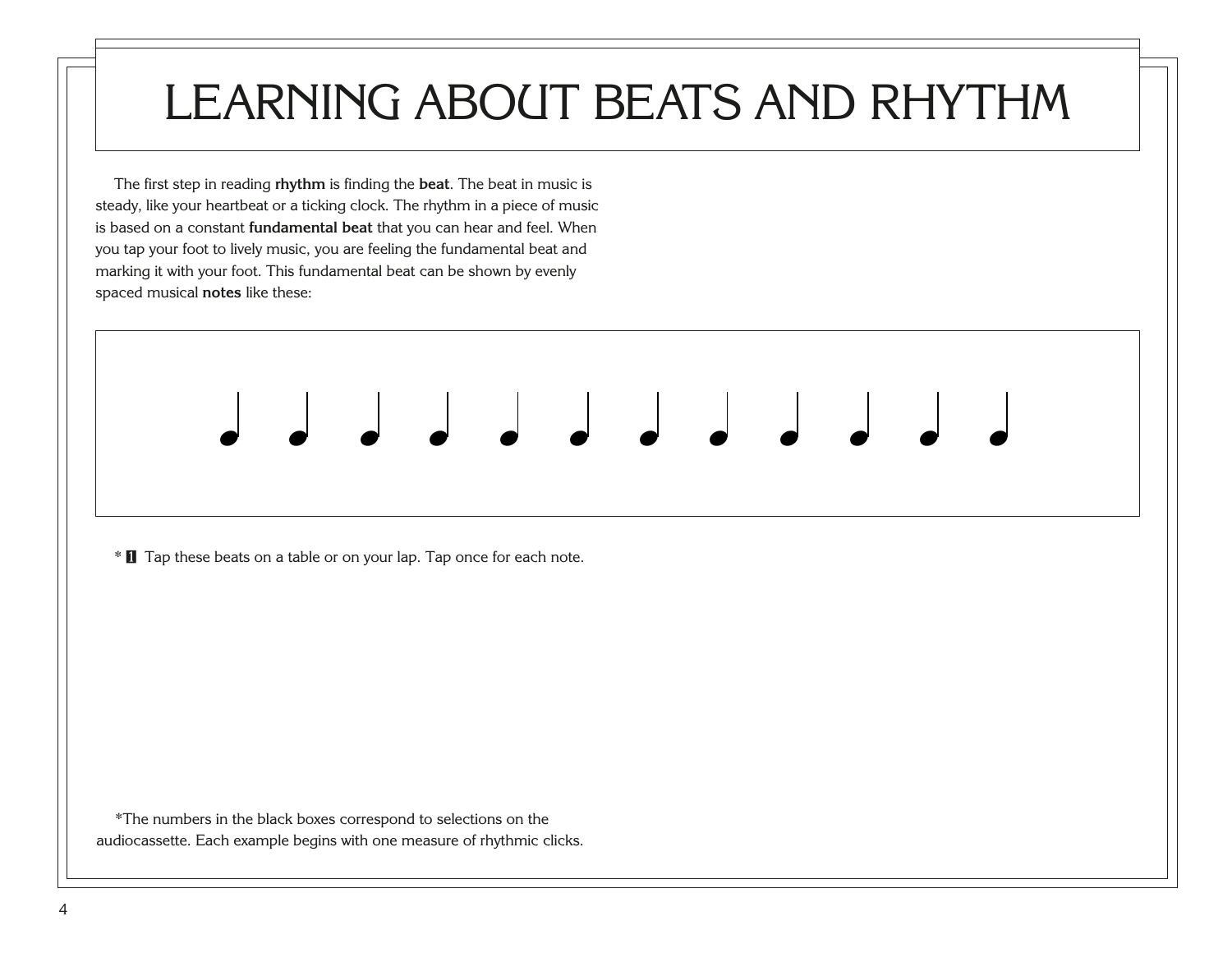## <span id="page-8-0"></span>LEARNING ABOUT BEATS AND RHYTHM

œ œ œ œ œ œ œ œ œ œ œ œ

The first step in reading **rhythm** is finding the **beat**. The beat in music is steady, like your heartbeat or a ticking clock. The rhythm in a piece of music is based on a constant **fundamental beat** that you can hear and feel. When you tap your foot to lively music, you are feeling the fundamental beat and marking it with your foot. This fundamental beat can be shown by evenly spaced musical **notes** like these:

\* [1](http://broadcast.lds.org/churchmusic/MP3/eng/course/Conducting_01_eng.mp3) Tap these beats on a table or on your lap. Tap once for each note.

\*The numbers in the black boxes correspond to selections on the audiocassette. Each example begins with one measure of rhythmic clicks.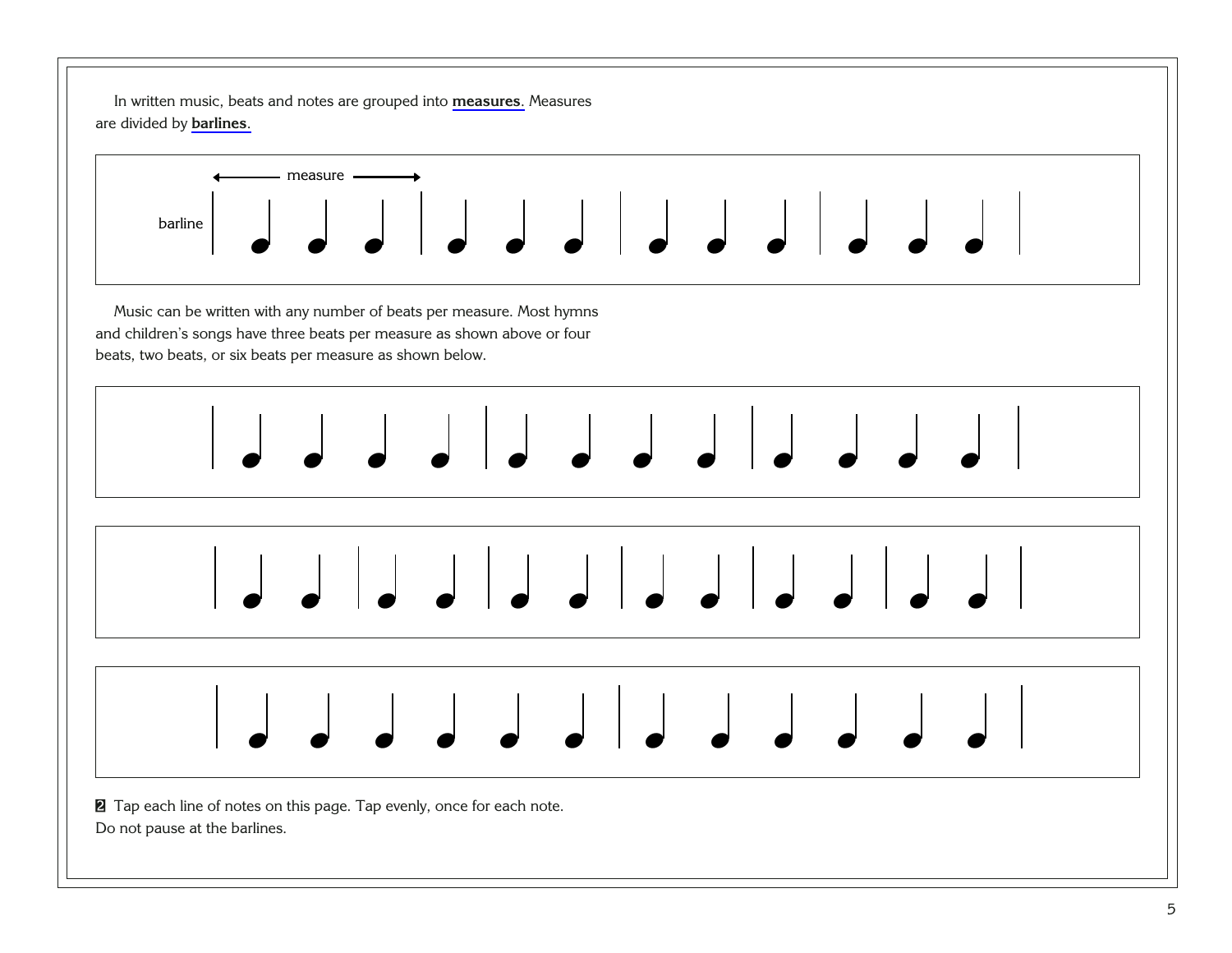In written music, beats and notes are grouped into **[measures](#page-94-0)**. Measures are divided by **[barlines](#page-89-0)**.



Music can be written with any number of beats per measure. Most hymns and children's songs have three beats per measure as shown above or four beats, two beats, or six beats per measure as shown below.





œ œ œ œ œ œ œ œ œ œ œ œ

<sup>[2](http://broadcast.lds.org/churchmusic/MP3/eng/course/Conducting_02_eng.mp3)</sup> Tap each line of notes on this page. Tap evenly, once for each note. Do not pause at the barlines.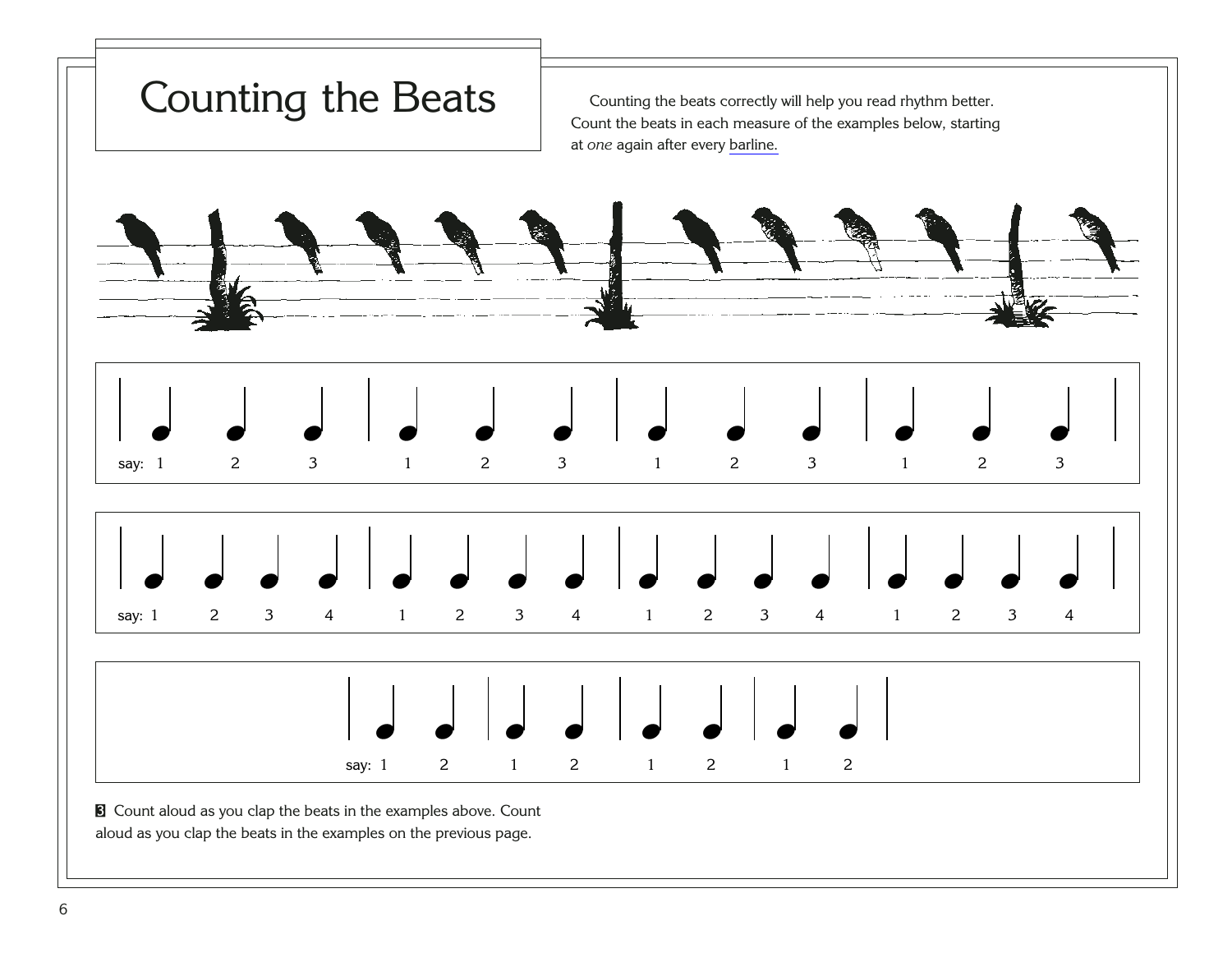<span id="page-10-0"></span>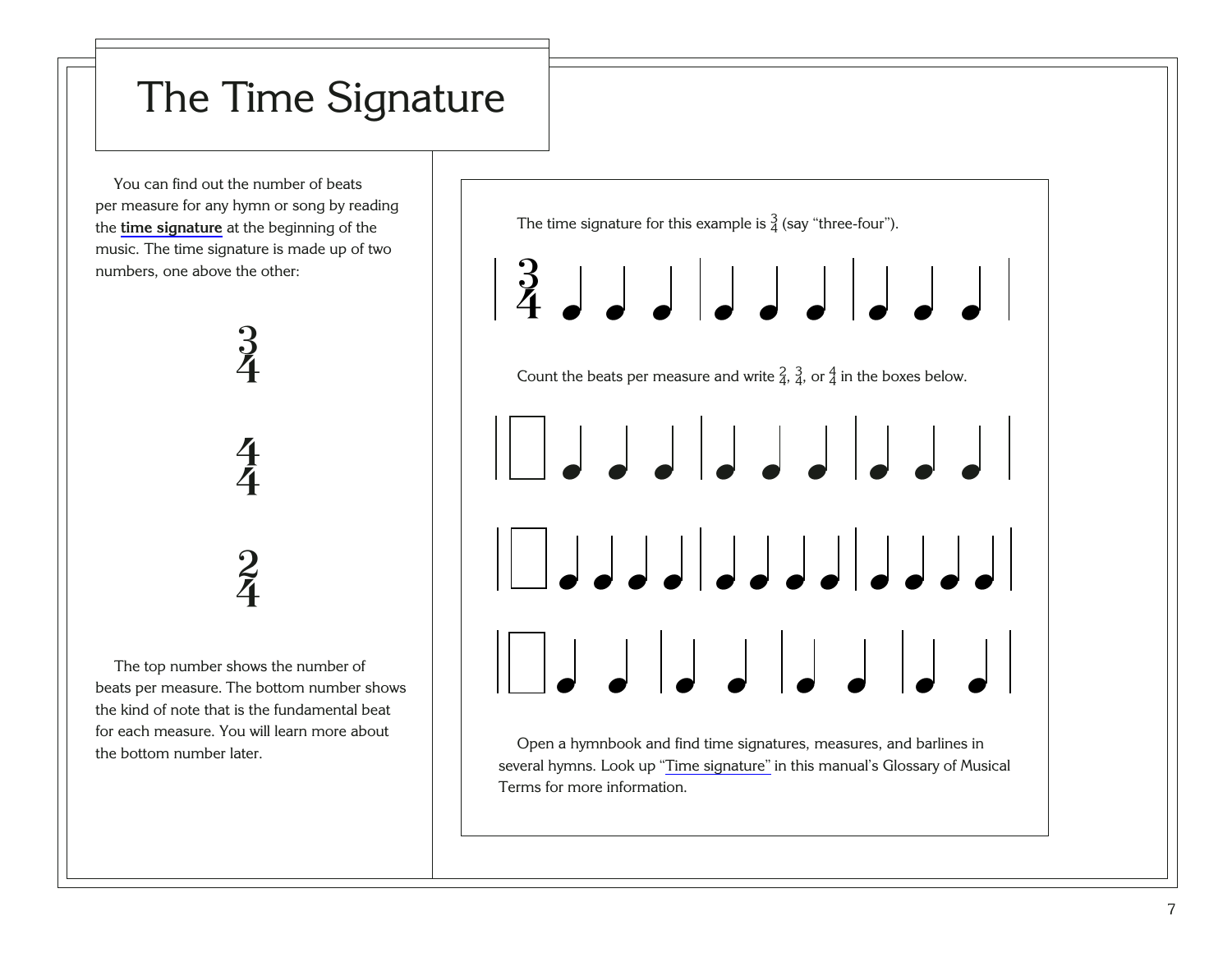### <span id="page-11-0"></span>The Time Signature

You can find out the number of beats per measure for any hymn or song by reading the **[time signature](#page-99-0)** at the beginning of the music. The time signature is made up of two numbers, one above the other:



The top number shows the number of beats per measure. The bottom number shows the kind of note that is the fundamental beat for each measure. You will learn more about the bottom number later.



several hymns. Look up "[Time signature"](#page-99-0) in this manual's Glossary of Musical Terms for more information.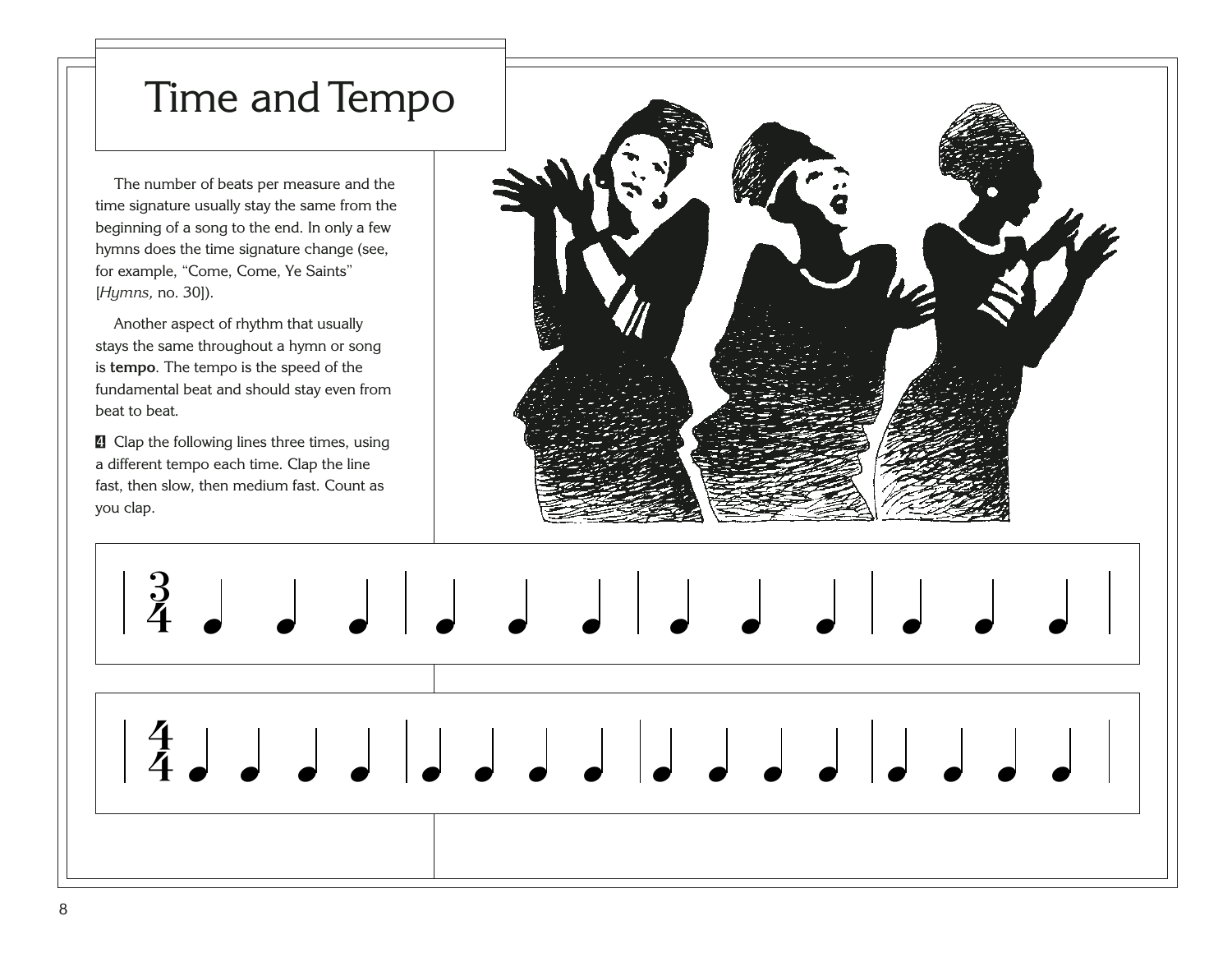### <span id="page-12-0"></span>Time and Tempo

The number of beats per measure and the time signature usually stay the same from the beginning of a song to the end. In only a few hymns does the time signature change (see, for example, "Come, Come, Ye Saints" [*Hymns,* no. 30]).

Another aspect of rhythm that usually stays the same throughout a hymn or song is **tempo**. The tempo is the speed of the fundamental beat and should stay even from beat to beat.

[4](http://broadcast.lds.org/churchmusic/MP3/eng/course/Conducting_04_eng.mp3) Clap the following lines three times, using a different tempo each time. Clap the line fast, then slow, then medium fast. Count as you clap.



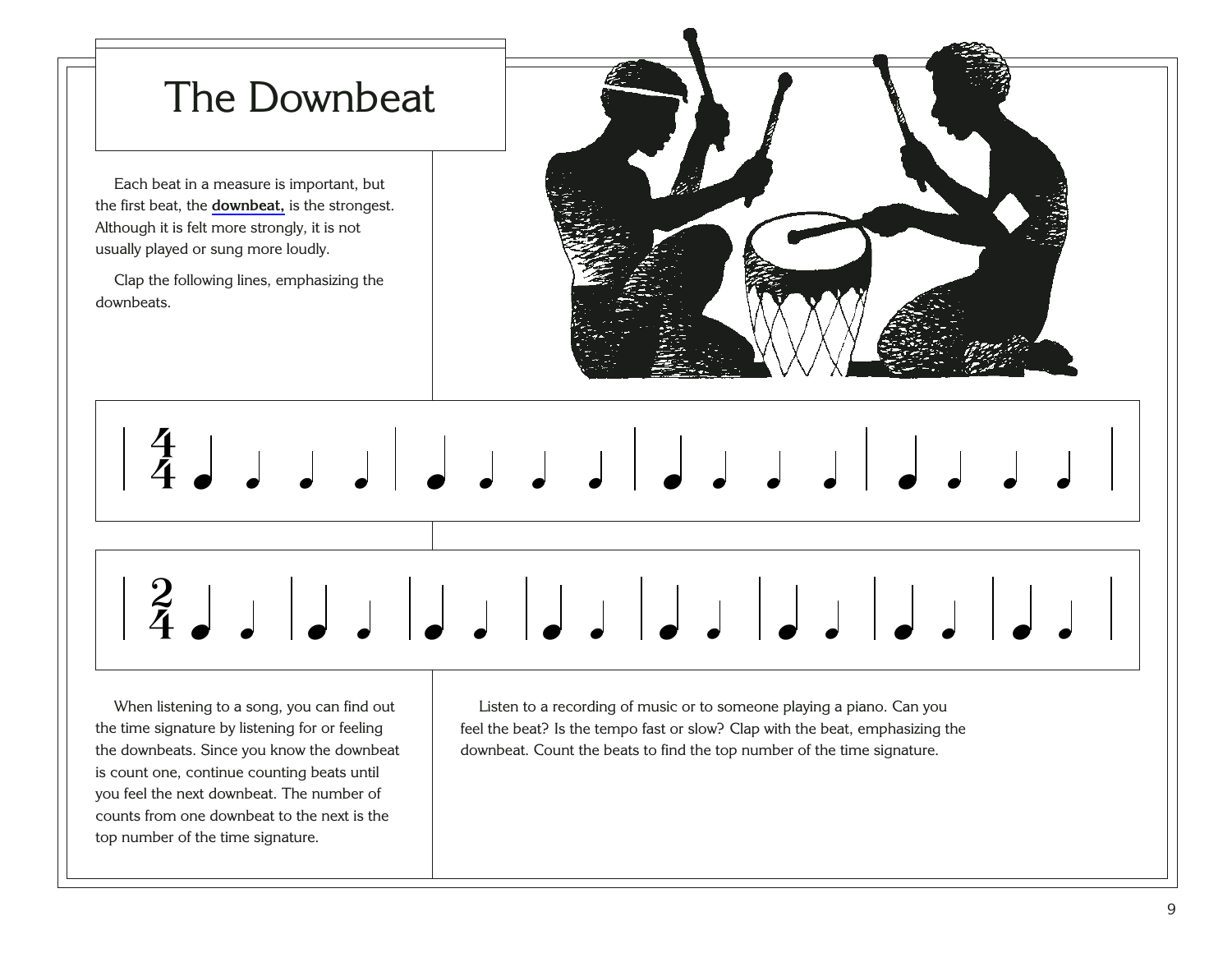<span id="page-13-0"></span>

When listening to a song, you can find out the time signature by listening for or feeling the downbeats. Since you know the downbeat is count one, continue counting beats until you feel the next downbeat. The number of counts from one downbeat to the next is the top number of the time signature.

Listen to a recording of music or to someone playing a piano. Can you feel the beat? Is the tempo fast or slow? Clap with the beat, emphasizing the downbeat. Count the beats to find the top number of the time signature.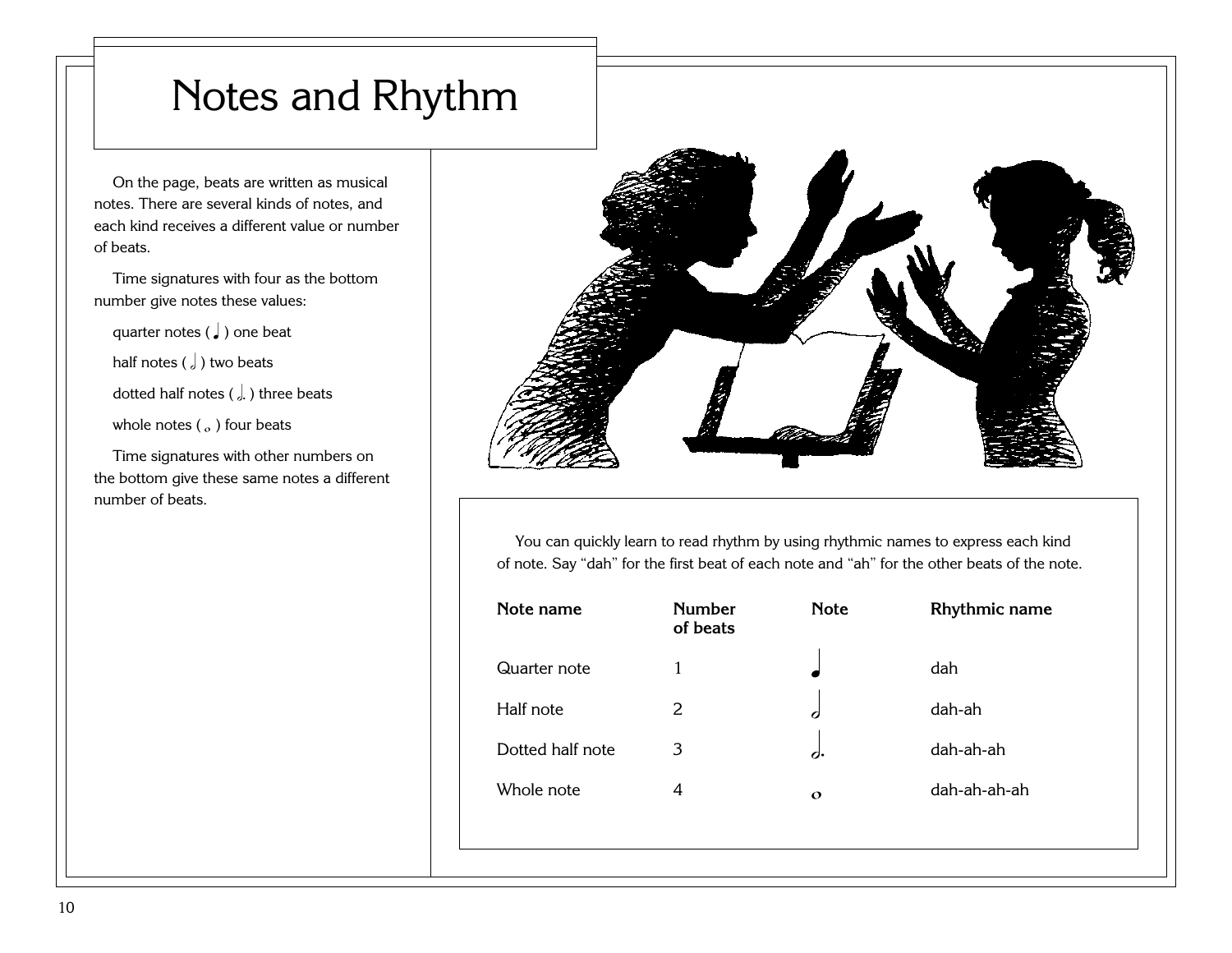### <span id="page-14-0"></span>Notes and Rhythm

On the page, beats are written as musical notes. There are several kinds of notes, and each kind receives a different value or number of beats.

Time signatures with four as the bottom number give notes these values:

quarter notes  $\left(\int\right)$  one beat half notes  $\left( \int \right)$  two beats

dotted half notes ( $\int$ ) three beats

whole notes  $(a)$  four beats

Time signatures with other numbers on the bottom give these same notes a different number of beats.



You can quickly learn to read rhythm by using rhythmic names to express each kind of note. Say "dah" for the first beat of each note and "ah" for the other beats of the note.

| Note name        | <b>Number</b><br>of beats | <b>Note</b> | Rhythmic name |
|------------------|---------------------------|-------------|---------------|
| Quarter note     | 1                         |             | dah           |
| Half note        | 2                         | C           | dah-ah        |
| Dotted half note | 3                         | d.          | dah-ah-ah     |
| Whole note       | 4                         | $\Omega$    | dah-ah-ah-ah  |
|                  |                           |             |               |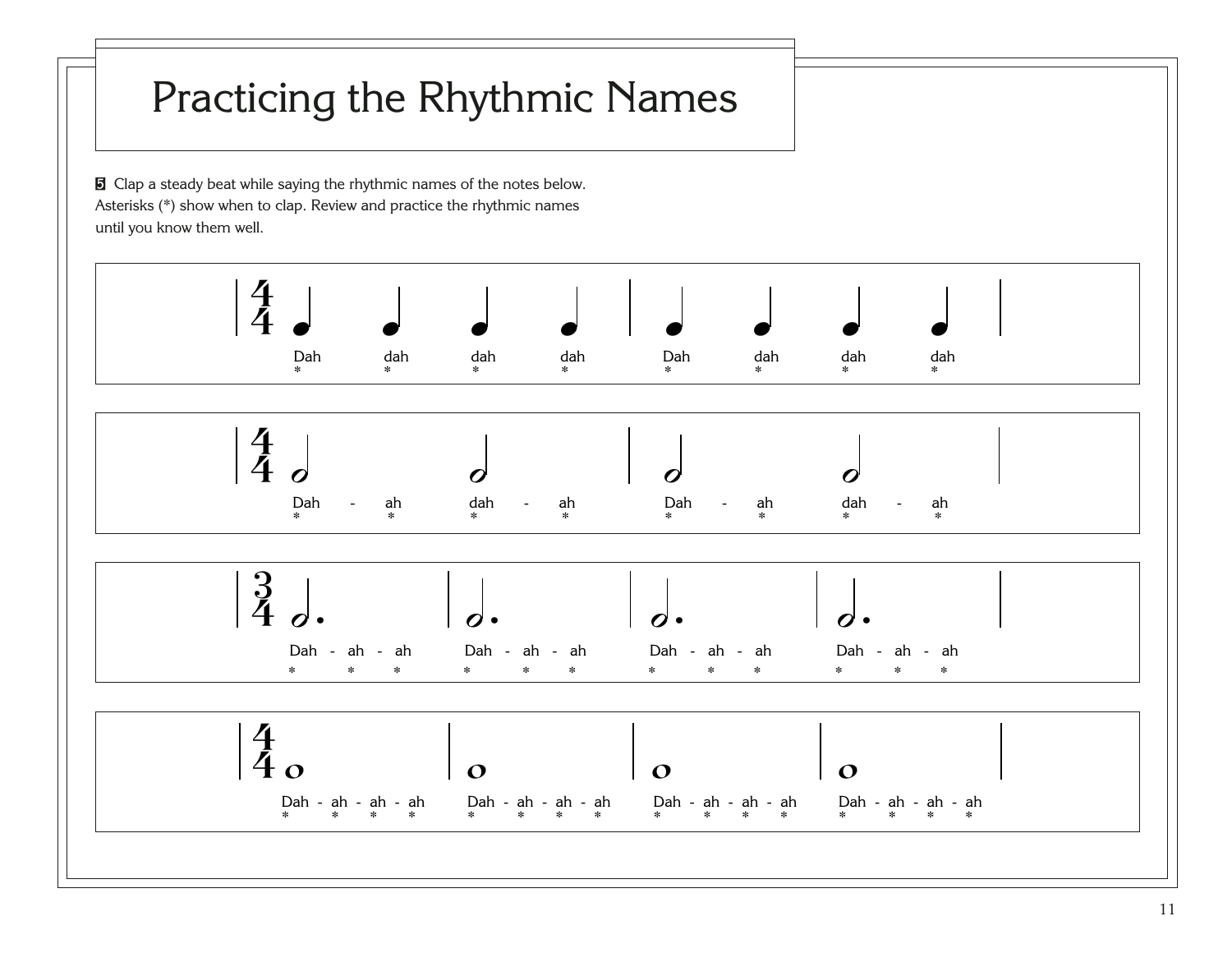## <span id="page-15-0"></span>Practicing the Rhythmic Names

**[5](http://broadcast.lds.org/churchmusic/MP3/eng/course/Conducting_05_eng.mp3)** Clap a steady beat while saying the rhythmic names of the notes below. Asterisks (\*) show when to clap. Review and practice the rhythmic names until you know them well.

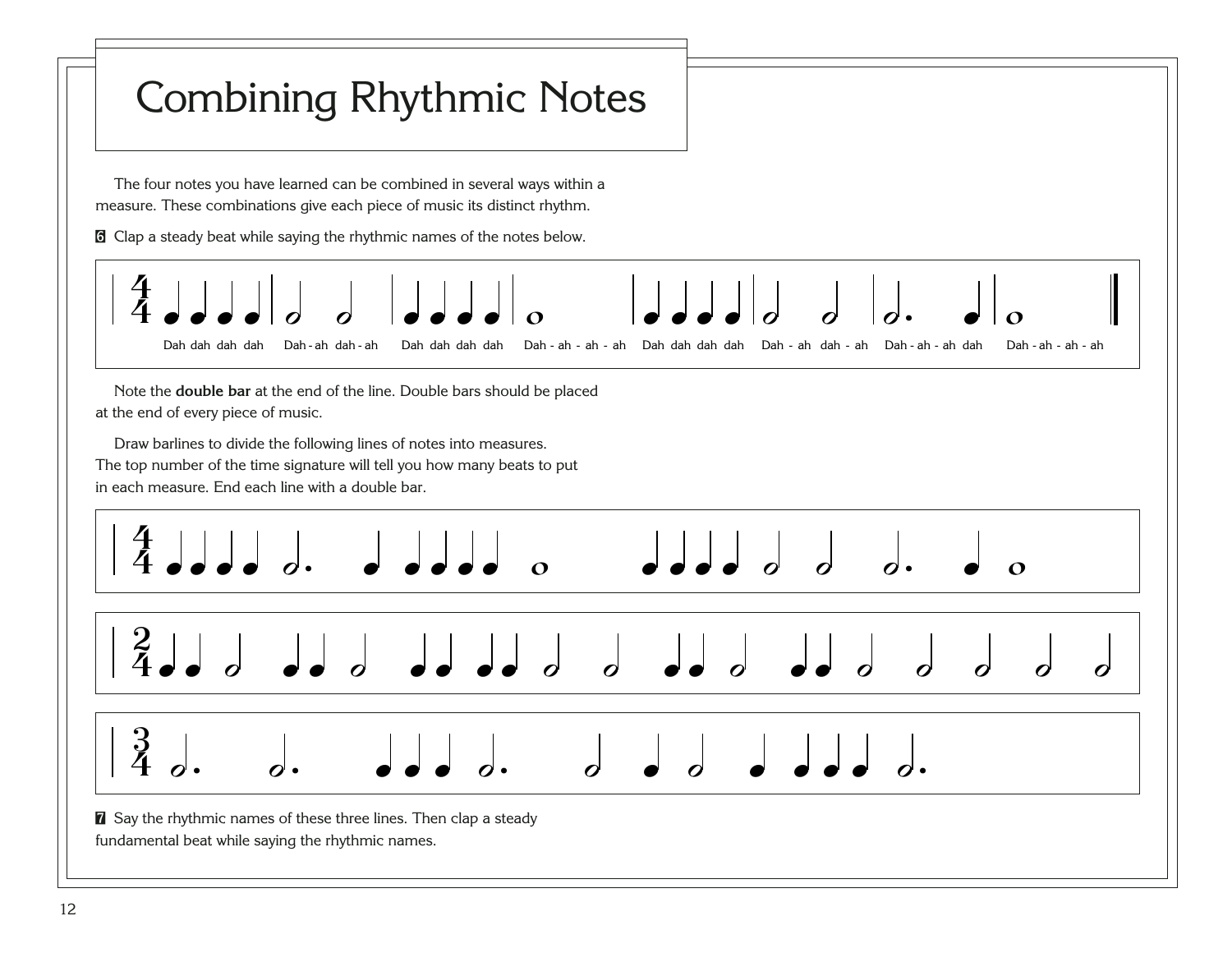<span id="page-16-0"></span>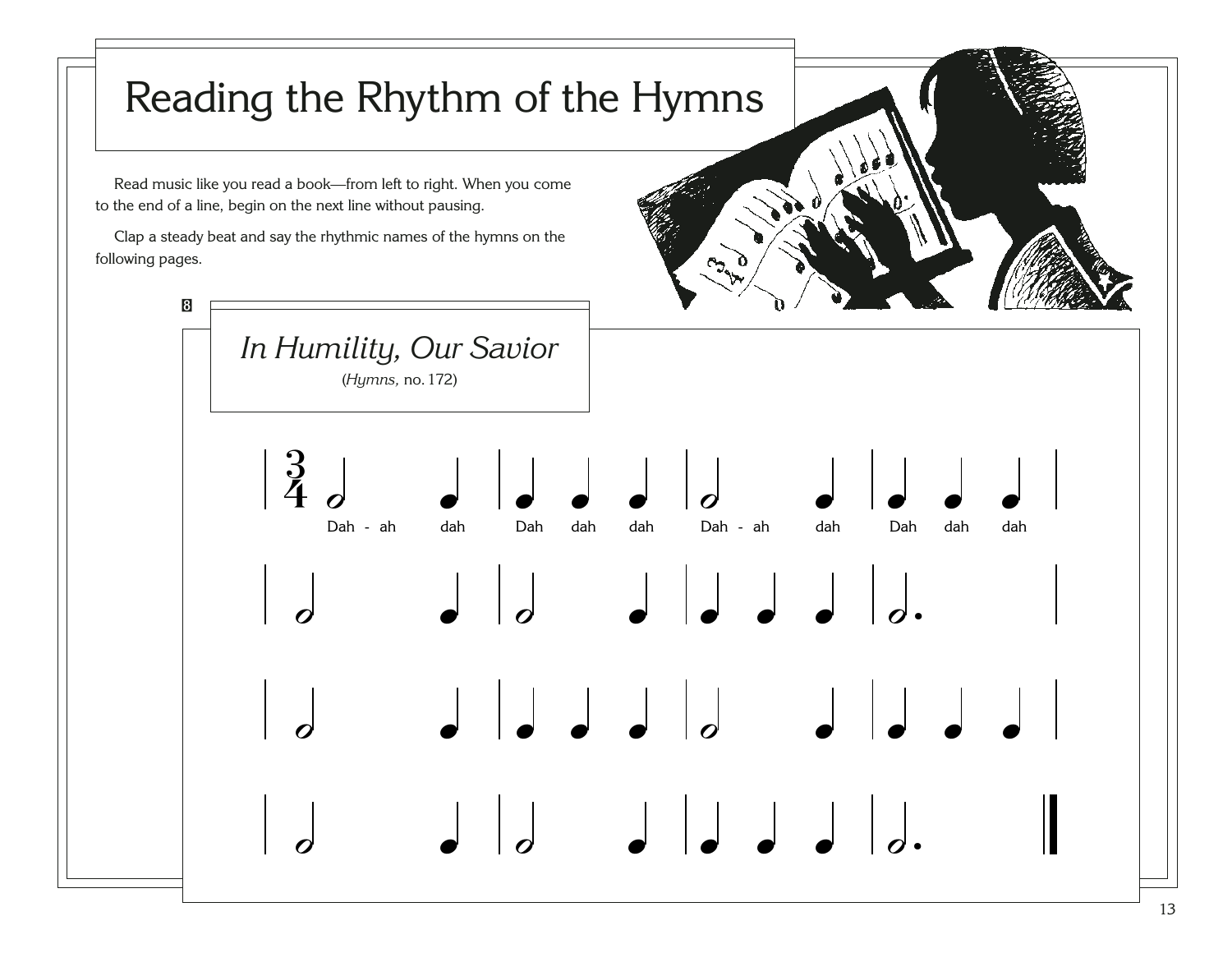<span id="page-17-0"></span>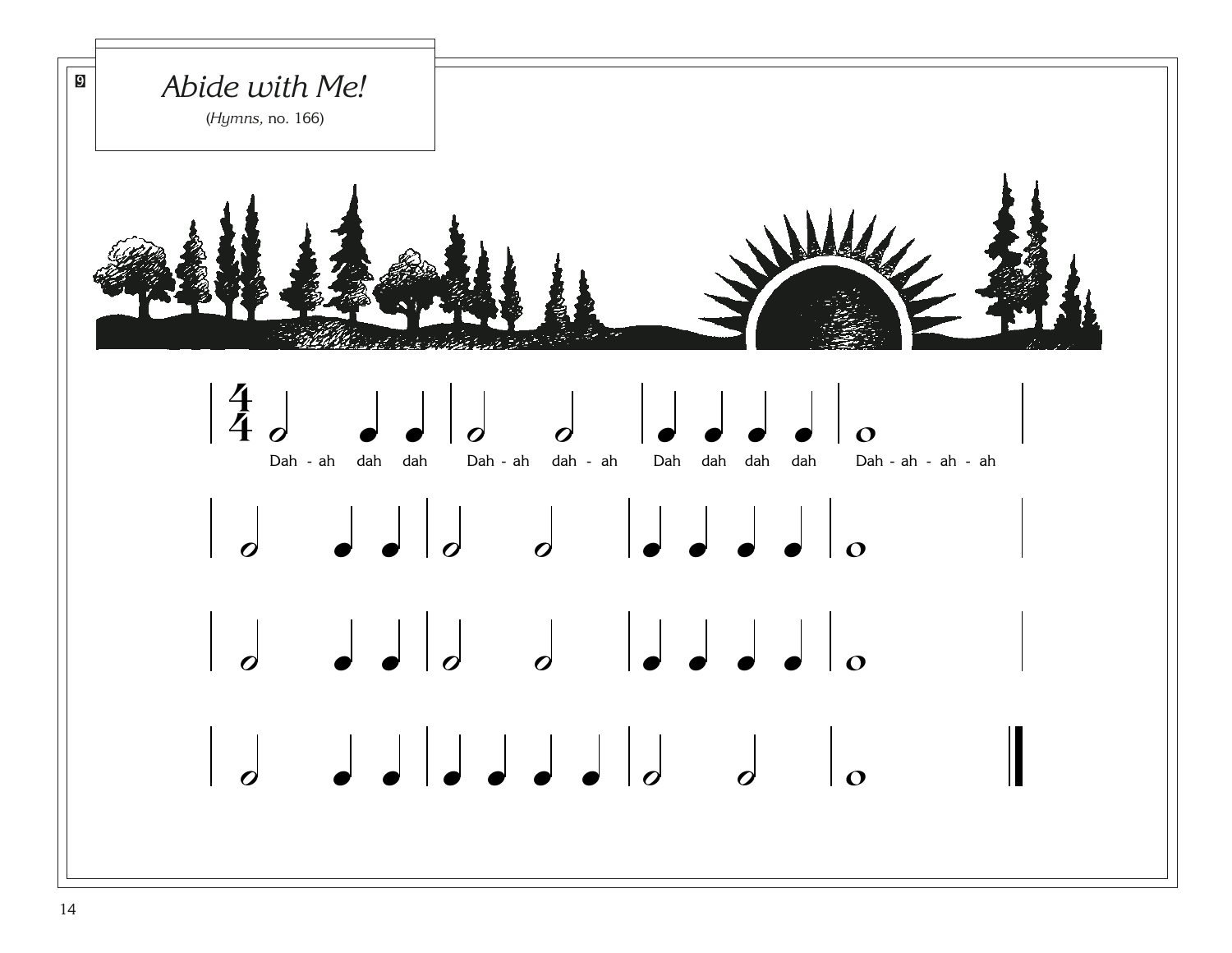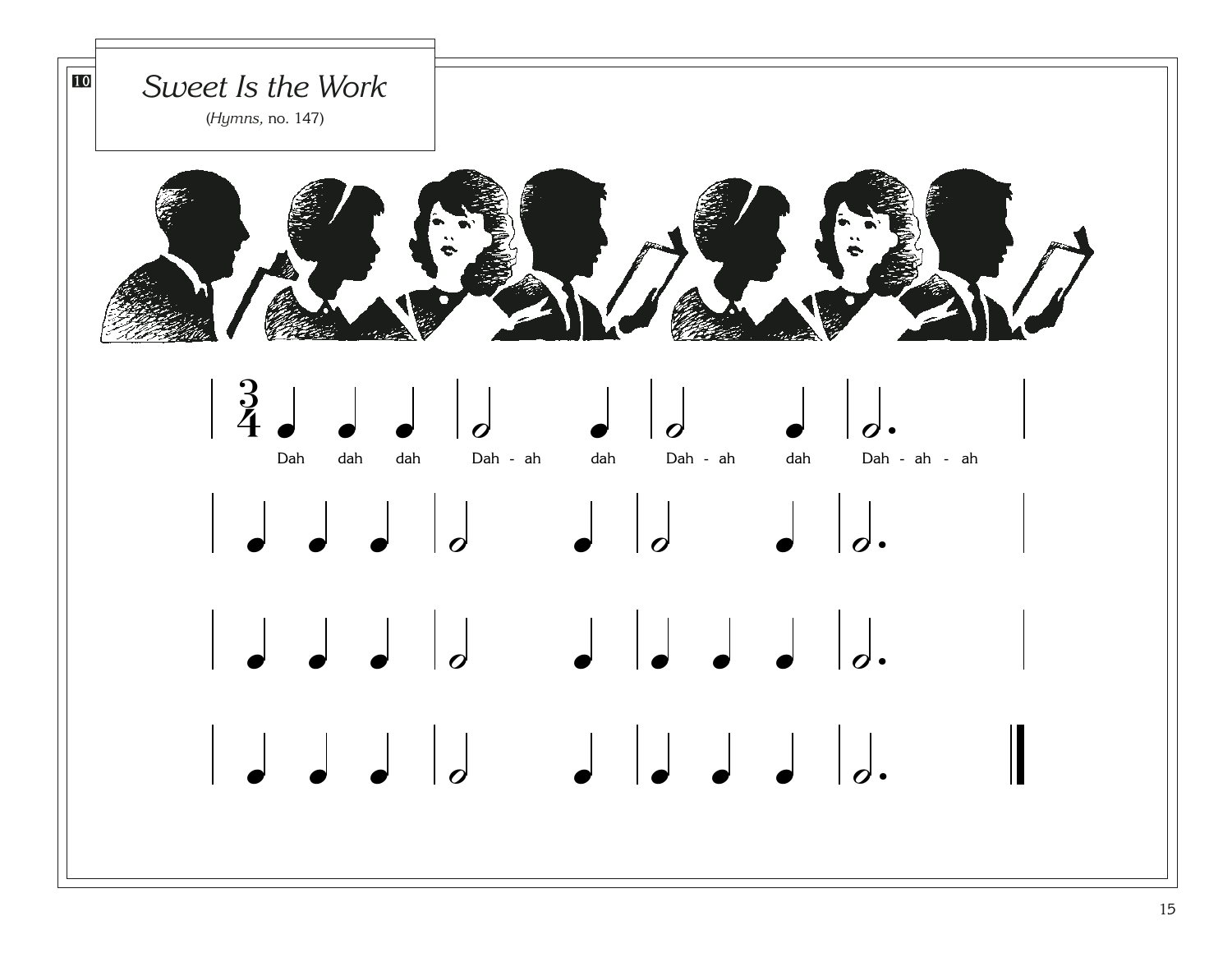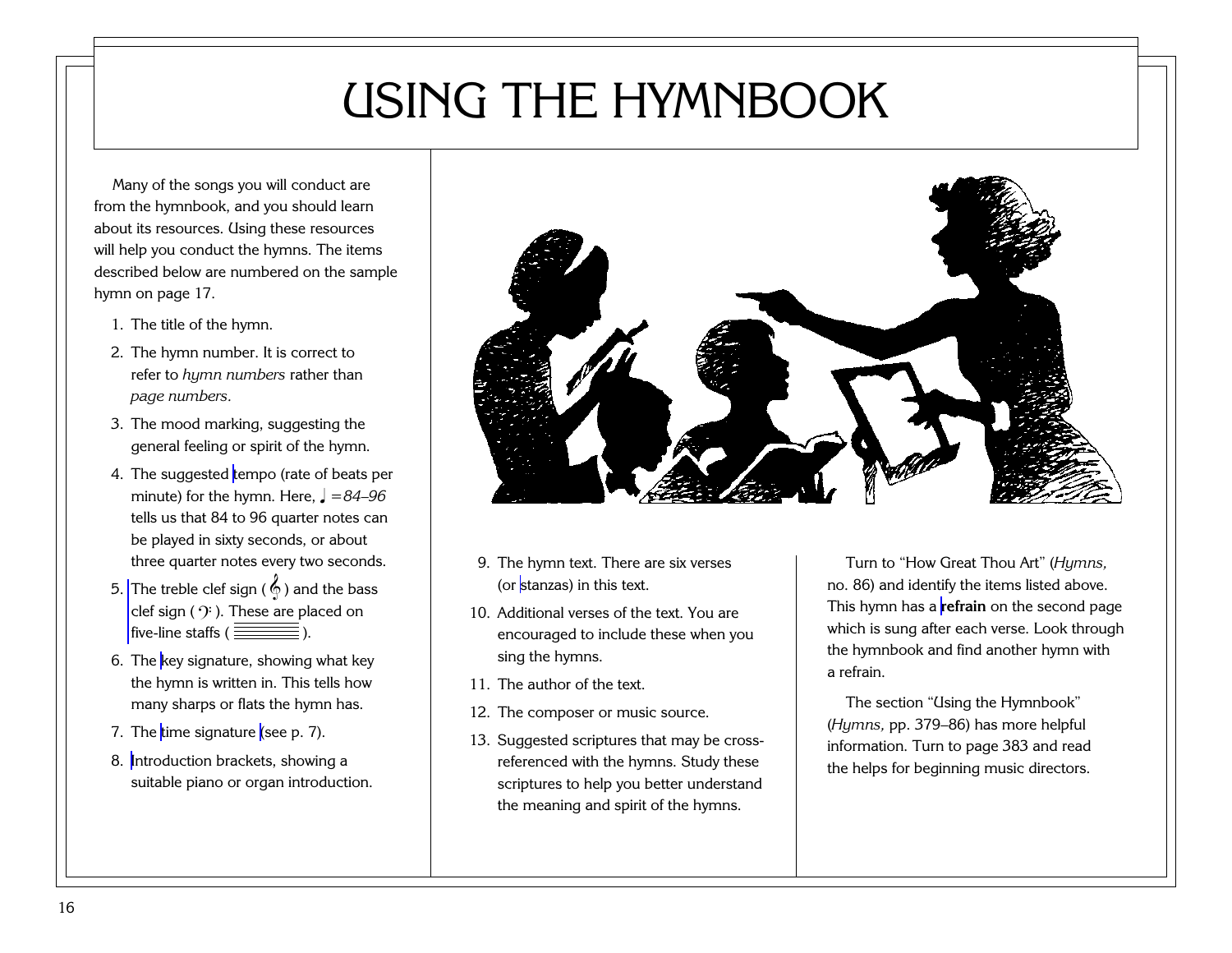## USING THE HYMNBOOK

<span id="page-20-0"></span>Many of the songs you will conduct are from the hymnbook, and you should learn about its resources. Using these resources will help you conduct the hymns. The items described below are numbered on the sample hymn on page 17.

- 1. The title of the hymn.
- 2. The hymn number. It is correct to refer to *hymn numbers* rather than *page numbers.*
- 3. The mood marking, suggesting the general feeling or spirit of the hymn.
- 4. The suggested [tempo](#page-98-0) (rate of beats per minute) for the hymn. Here,  $\sqrt{ } = 84 - 96$ tells us that 84 to 96 quarter notes can be played in sixty seconds, or about three quarter notes every two seconds.
- 5. The treble clef sign ( $\overset{\wedge}{\Phi}$ ) and the bass clef sign (  $\mathcal{Y}$  ). These are placed on five-line staffs  $(\frac{\frac{1}{2}}{\frac{1}{2}})$ .
- 6. The [key signature,](#page-94-0) showing what key the hymn is written in. This tells how many sharps or flats the hymn has.
- 7. The [time signature](#page-99-0) [\(see p. 7\).](#page-11-0)
- 8. [Introduction brackets,](#page-93-0) showing a suitable piano or organ introduction.



- 9. The hymn text. There are six verses (or [stanzas\)](#page-98-0) in this text.
- 10. Additional verses of the text. You areencouraged to include these when you sing the hymns.
- 11. The author of the text.
- 12. The composer or music source.
- 13. Suggested scriptures that may be crossreferenced with the hymns. Study these scriptures to help you better understand the meaning and spirit of the hymns.

Turn to "How Great Thou Art" (*Hymns,* no. 86) and identify the items listed above. This hymn has a **[refrain](#page-96-0)** on the second page which is sung after each verse. Look through the hymnbook and find another hymn with a refrain.

The section "Using the Hymnbook" (*Hymns,* pp. 379–86) has more helpful information. Turn to page 383 and read the helps for beginning music directors.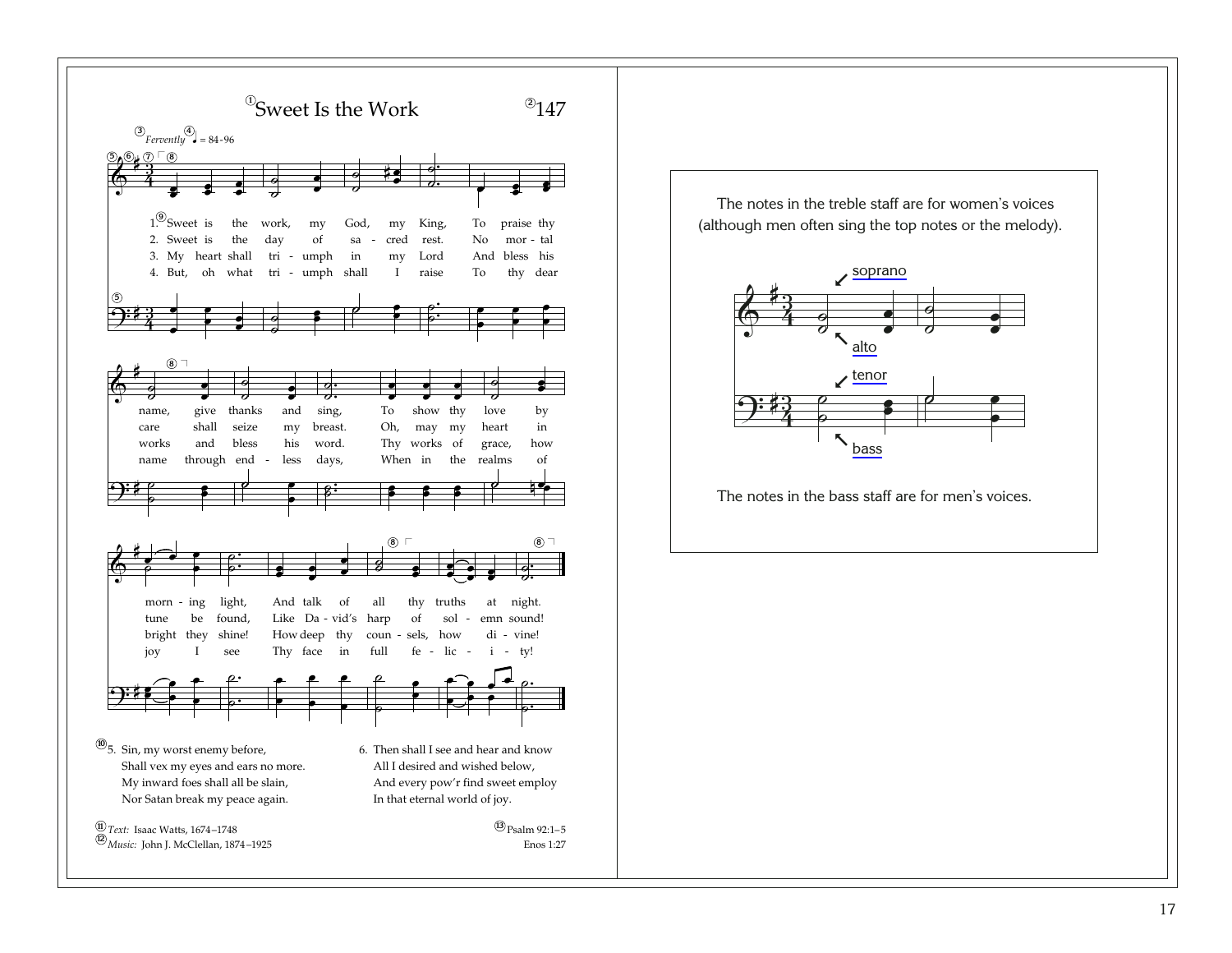

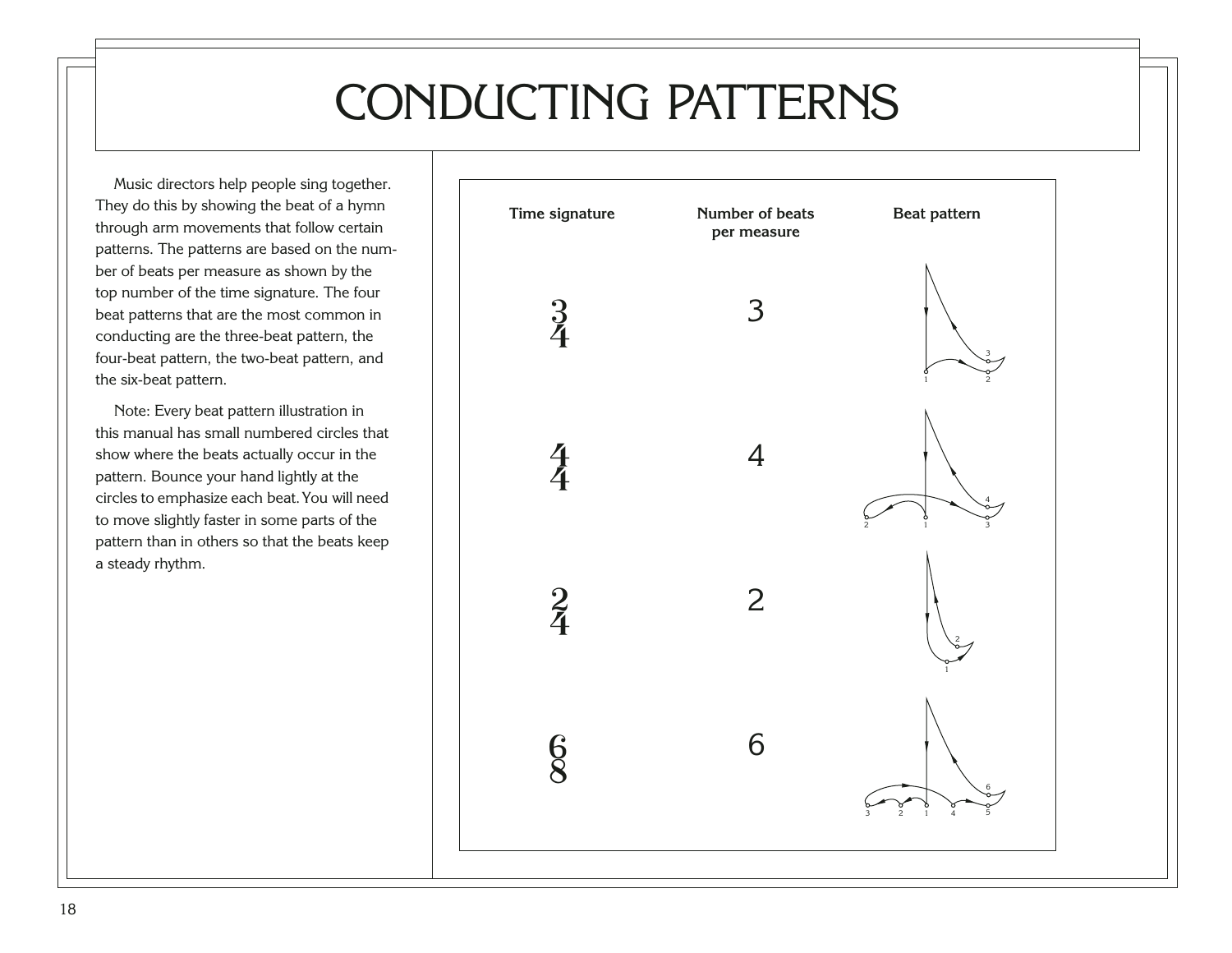## CONDUCTING PATTERNS

<span id="page-22-0"></span>Music directors help people sing together. They do this by showing the beat of a hymn through arm movements that follow certain patterns. The patterns are based on the number of beats per measure as shown by the top number of the time signature. The four beat patterns that are the most common in conducting are the three-beat pattern, the four-beat pattern, the two-beat pattern, and the six-beat pattern.

Note: Every beat pattern illustration in this manual has small numbered circles that show where the beats actually occur in the pattern. Bounce your hand lightly at the circles to emphasize each beat. You will need to move slightly faster in some parts of the pattern than in others so that the beats keep a steady rhythm.

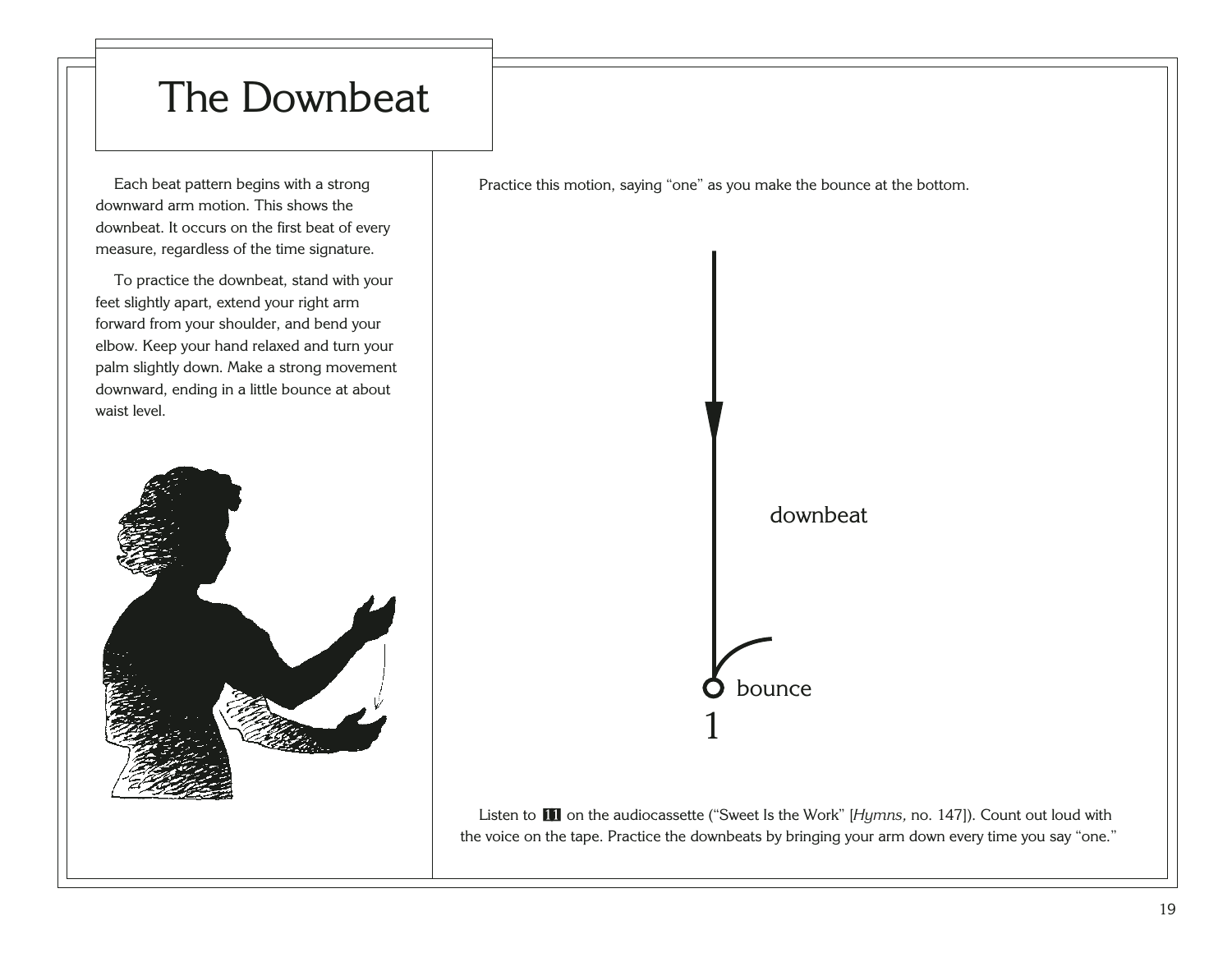### <span id="page-23-0"></span>The Downbeat

Each beat pattern begins with a strong downward arm motion. This shows the downbeat. It occurs on the first beat of every measure, regardless of the time signature.

To practice the downbeat, stand with your feet slightly apart, extend your right arm forward from your shoulder, and bend your elbow. Keep your hand relaxed and turn your palm slightly down. Make a strong movement downward, ending in a little bounce at about waist level.



Practice this motion, saying "one" as you make the bounce at the bottom.

downbeat

1 bounce

Listen to [11](http://broadcast.lds.org/churchmusic/MP3/eng/course/Conducting_11_eng.mp3) on the audiocassette ("Sweet Is the Work" [Hymns, no. 147]). Count out loud with the voice on the tape. Practice the downbeats by bringing your arm down every time you say "one."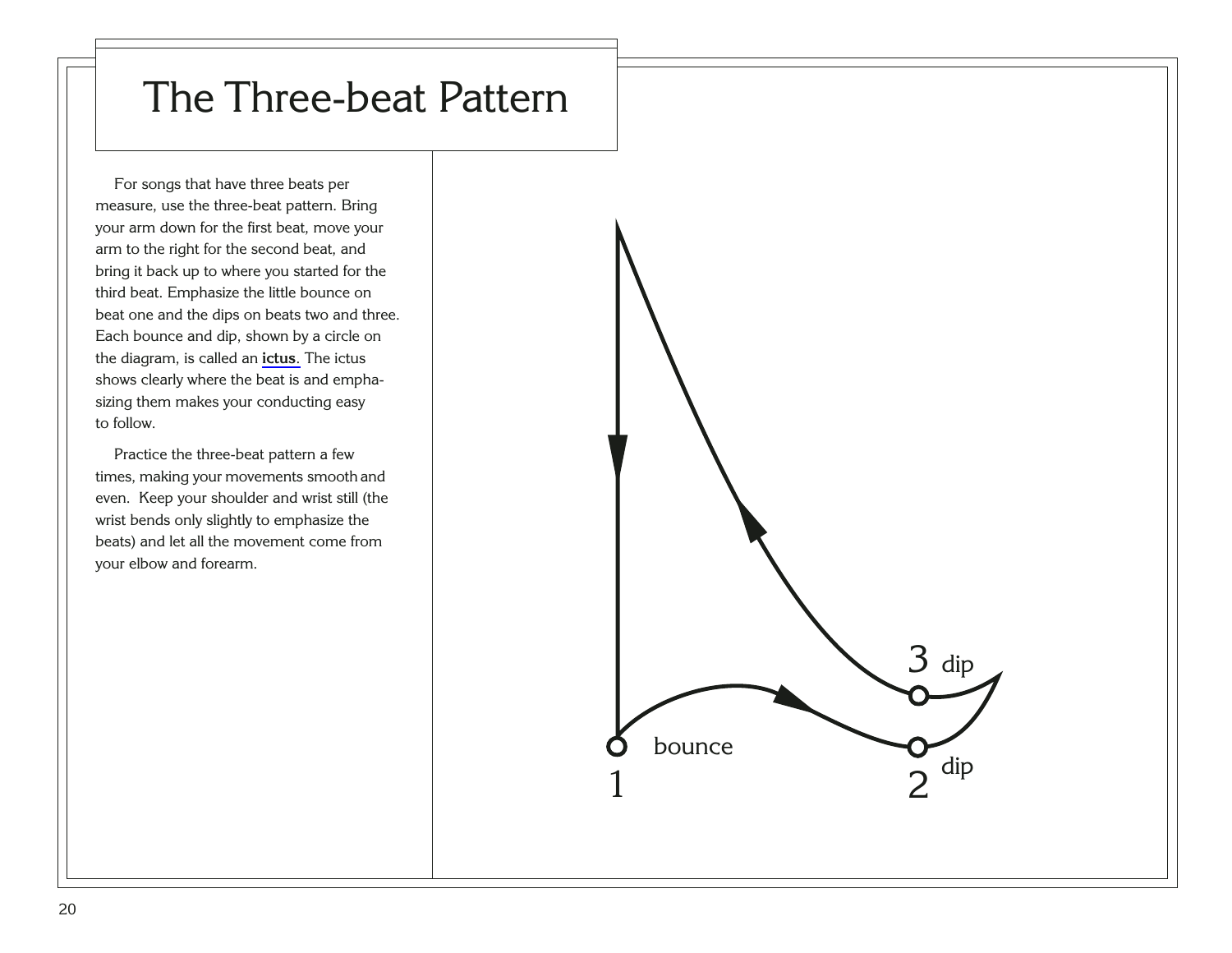### <span id="page-24-0"></span>The Three-beat Pattern

For songs that have three beats per measure, use the three-beat pattern. Bring your arm down for the first beat, move your arm to the right for the second beat, and bring it back up to where you started for the third beat. Emphasize the little bounce on beat one and the dips on beats two and three. Each bounce and dip, shown by a circle on the diagram, is called an **[ictus](#page-93-0)**. The ictus shows clearly where the beat is and emphasizing them makes your conducting easy to follow.

Practice the three-beat pattern a few times, making your movements smooth and even. Keep your shoulder and wrist still (the wrist bends only slightly to emphasize the beats) and let all the movement come from your elbow and forearm.

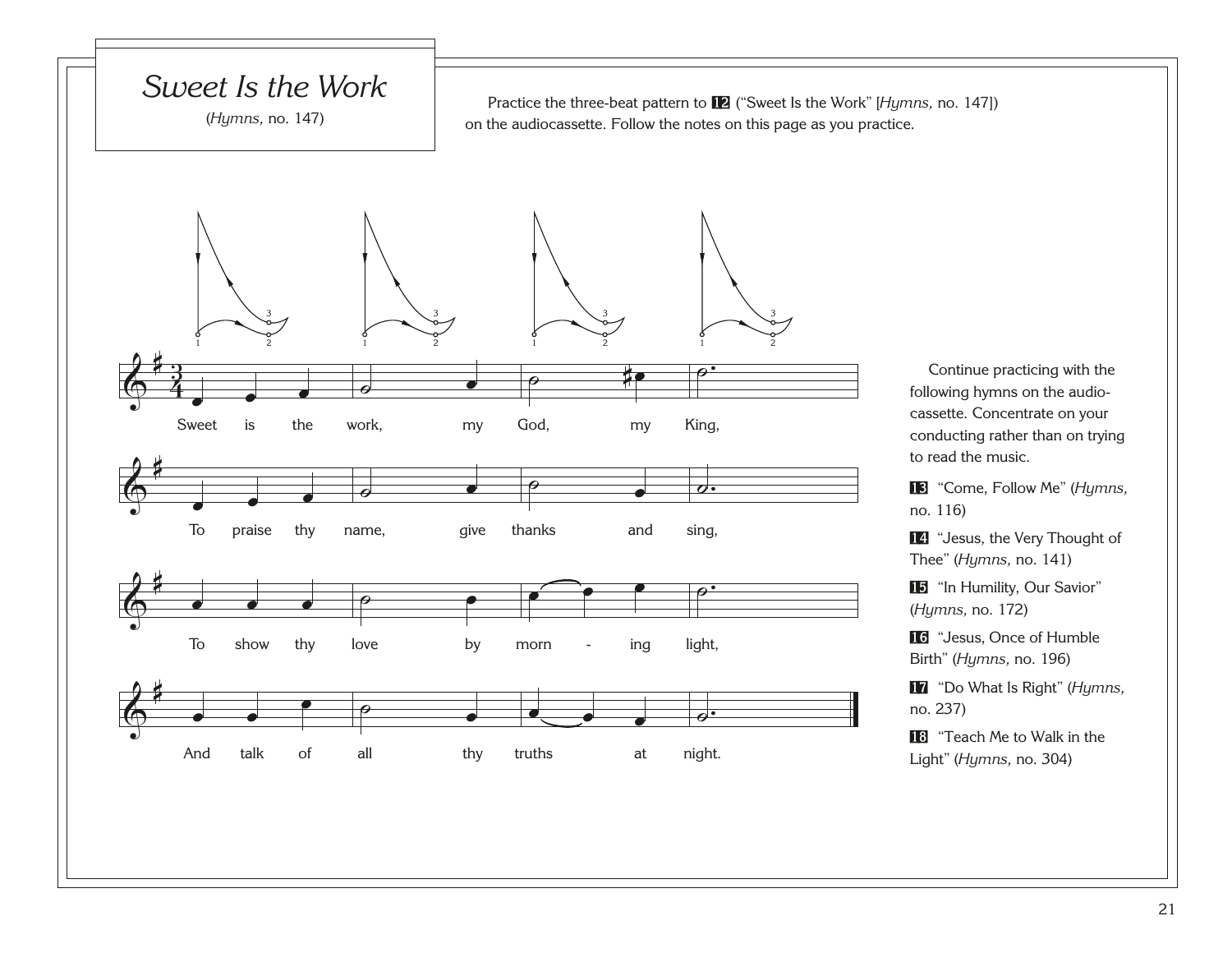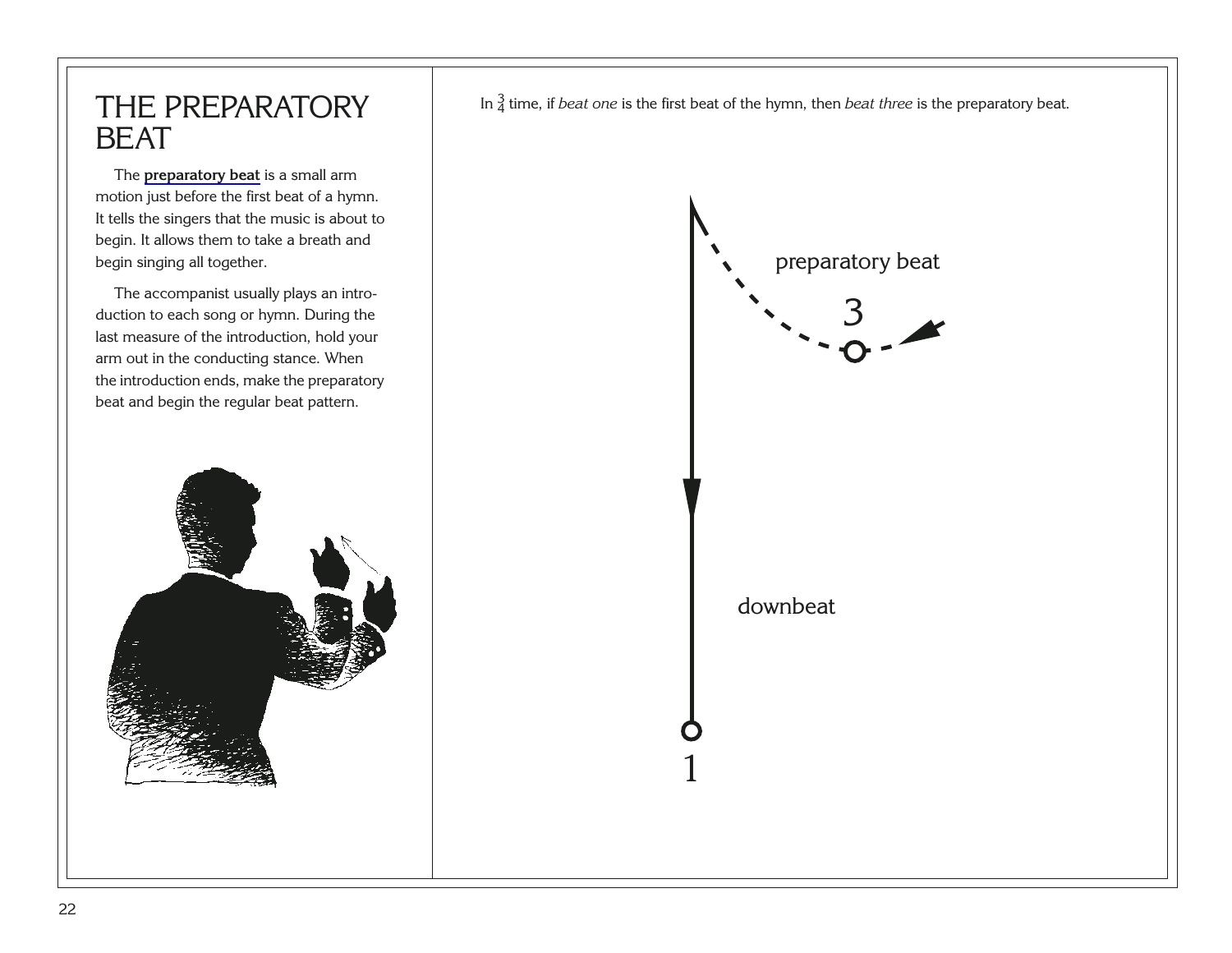#### <span id="page-26-0"></span>THE PREPARATORY BEAT

The **[preparatory beat](#page-96-0)** is a small arm motion just before the first beat of a hymn. It tells the singers that the music is about to begin. It allows them to take a breath and begin singing all together.

The accompanist usually plays an introduction to each song or hymn. During the last measure of the introduction, hold your arm out in the conducting stance. When the introduction ends, make the preparatory beat and begin the regular beat pattern.



 $\frac{3}{2}$ 1 downbeat preparatory beat In  $\frac{3}{4}$  time, if *beat one* is the first beat of the hymn, then *beat three* is the preparatory beat.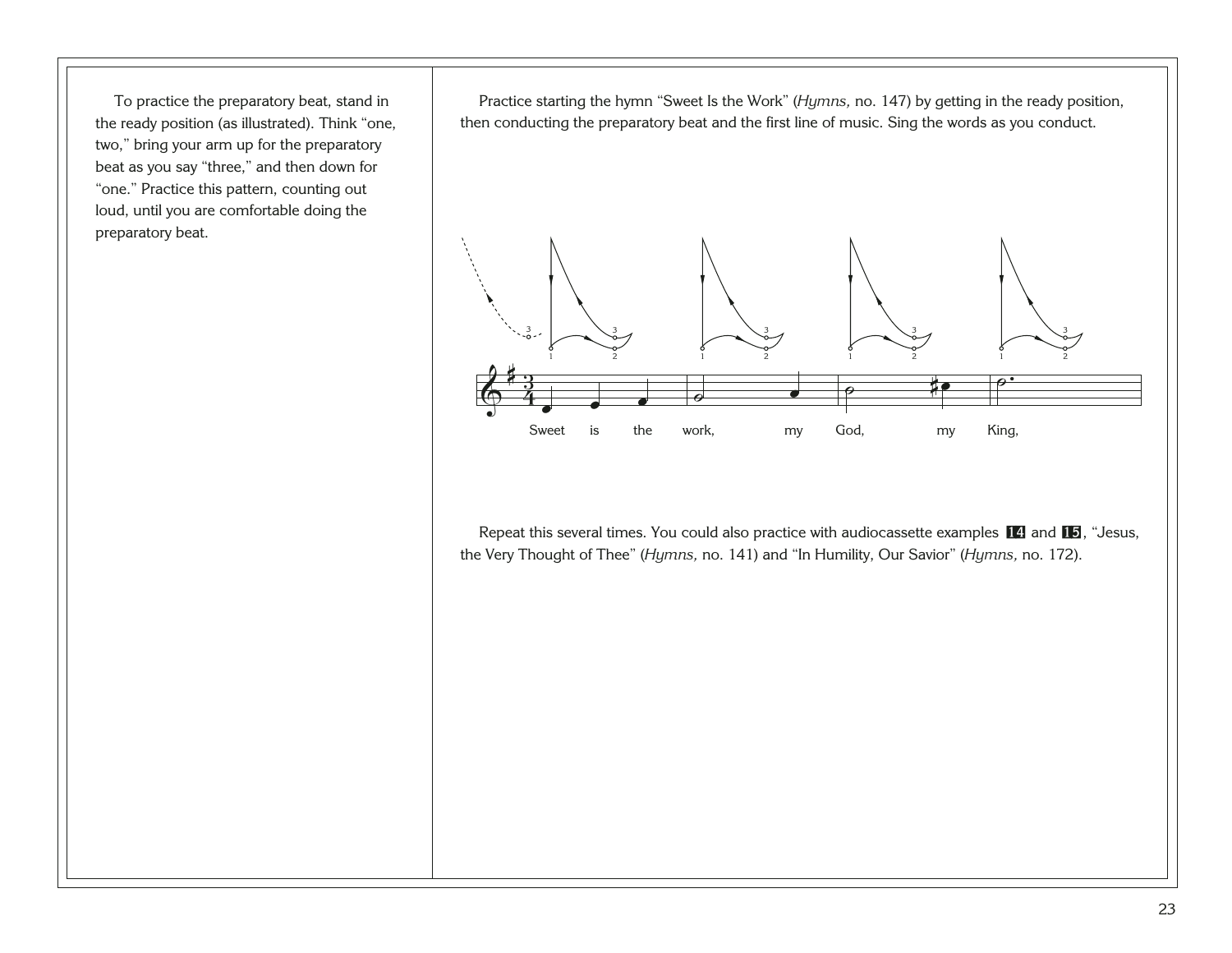To practice the preparatory beat, stand in the ready position (as illustrated). Think "one, two," bring your arm up for the preparatory beat as you say "three," and then down for "one." Practice this pattern, counting out loud, until you are comfortable doing the preparatory beat.

Practice starting the hymn "Sweet Is the Work" (*Hymns,* no. 147) by getting in the ready position, then conducting the preparatory beat and the first line of music. Sing the words as you conduct.



Repeat this several times. You could also practice with audiocassette examples [14](http://broadcast.lds.org/churchmusic/MP3/eng/course/Conducting_14_eng.mp3) and [15](http://broadcast.lds.org/churchmusic/MP3/eng/course/Conducting_15_eng.mp3), "Jesus, the Very Thought of Thee" (*Hymns,* no. 141) and "In Humility, Our Savior" (*Hymns,* no. 172).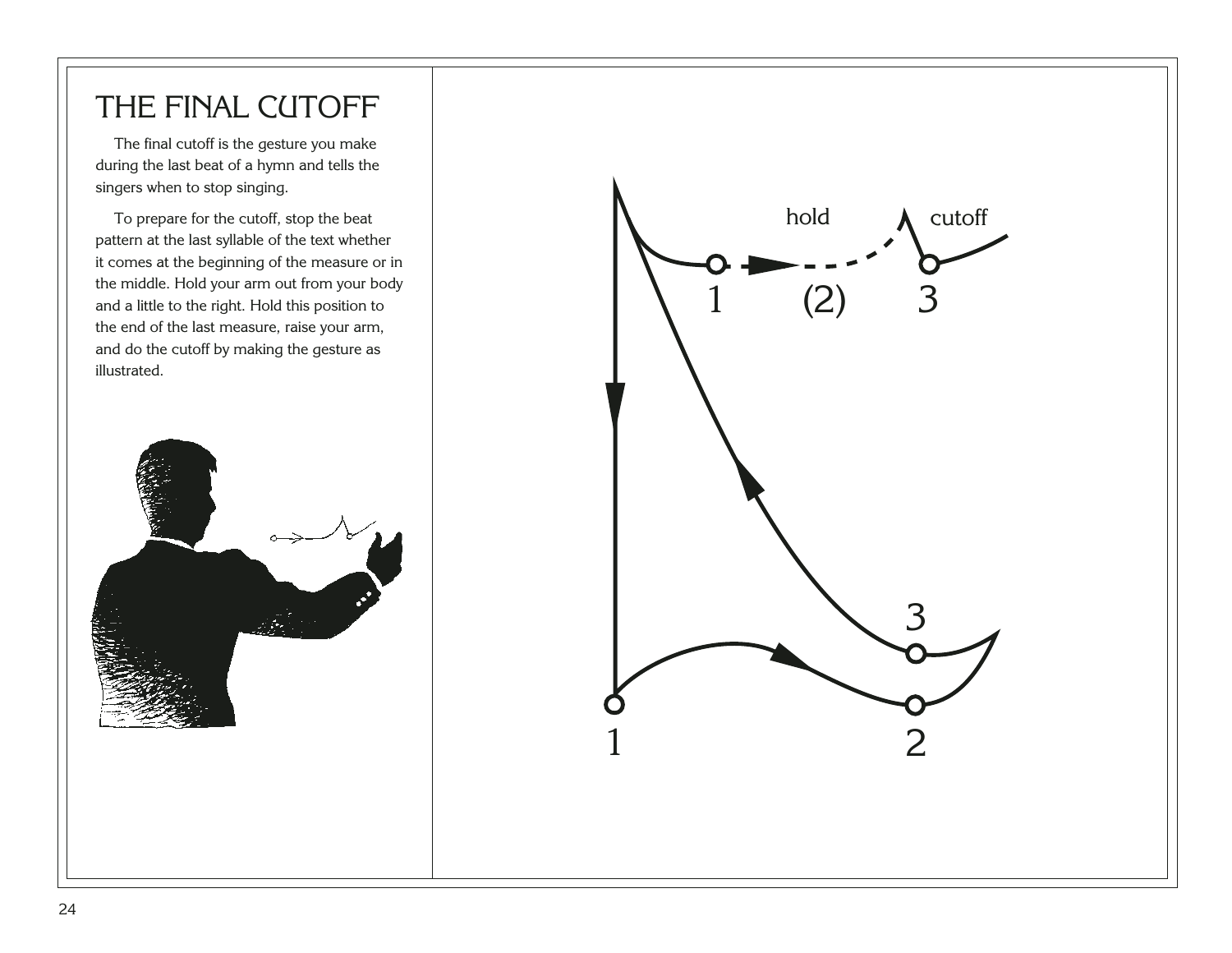#### <span id="page-28-0"></span>THE FINAL CUTOFF

The final cutoff is the gesture you make during the last beat of a hymn and tells the singers when to stop singing.

To prepare for the cutoff, stop the beat pattern at the last syllable of the text whether it comes at the beginning of the measure or in the middle. Hold your arm out from your body and a little to the right. Hold this position to the end of the last measure, raise your arm, and do the cutoff by making the gesture as illustrated.



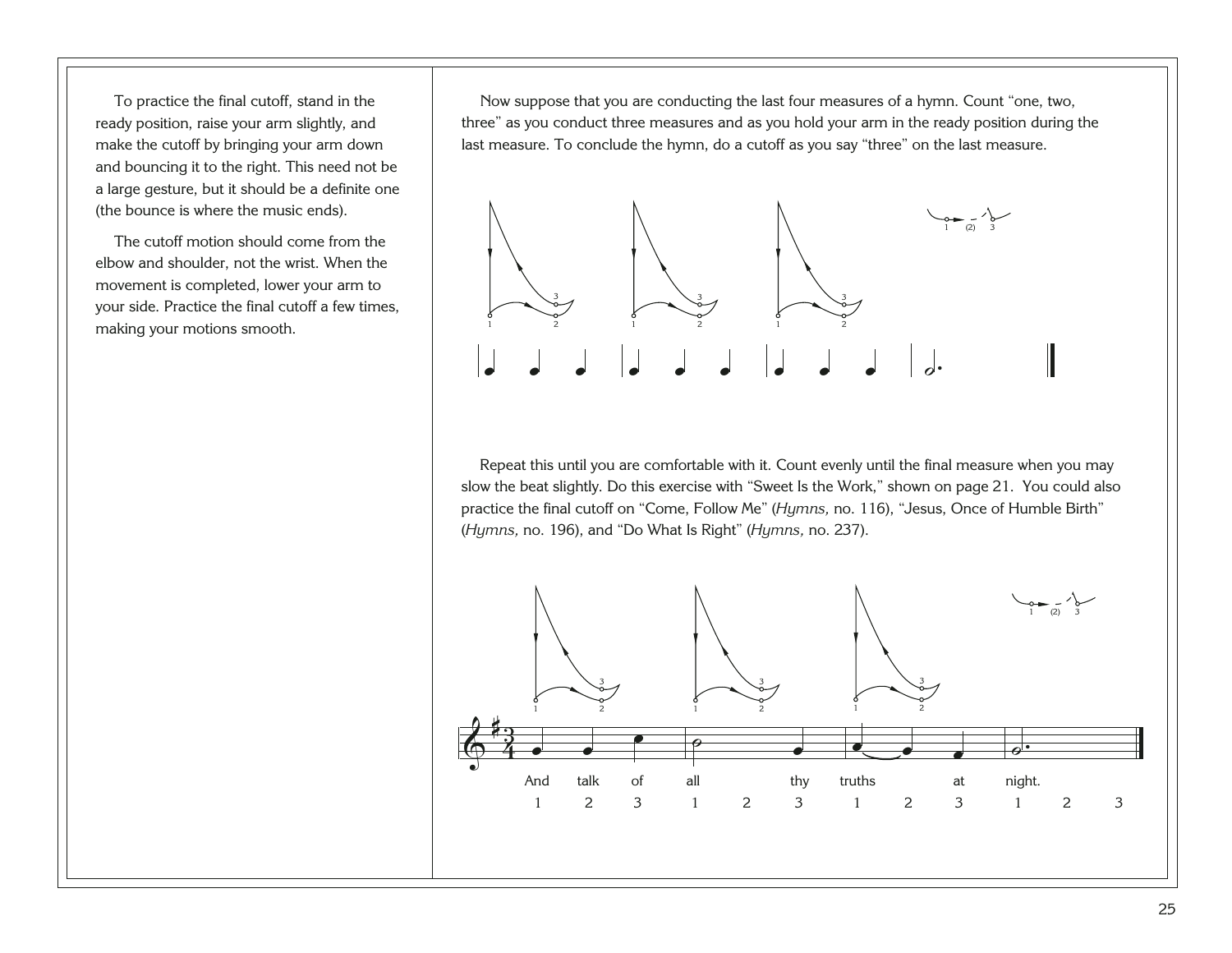To practice the final cutoff, stand in the ready position, raise your arm slightly, and make the cutoff by bringing your arm down and bouncing it to the right. This need not be a large gesture, but it should be a definite one (the bounce is where the music ends).

The cutoff motion should come from the elbow and shoulder, not the wrist. When the movement is completed, lower your arm to your side. Practice the final cutoff a few times, making your motions smooth.

Now suppose that you are conducting the last four measures of a hymn. Count "one, two, three" as you conduct three measures and as you hold your arm in the ready position during the last measure. To conclude the hymn, do a cutoff as you say "three" on the last measure.



Repeat this until you are comfortable with it. Count evenly until the final measure when you may slow the beat slightly. Do this exercise with "Sweet Is the Work," shown on page 21. You could also practice the final cutoff on "Come, Follow Me" (*Hymns,* no. 116), "Jesus, Once of Humble Birth" (*Hymns,* no. 196), and "Do What Is Right" (*Hymns,* no. 237).

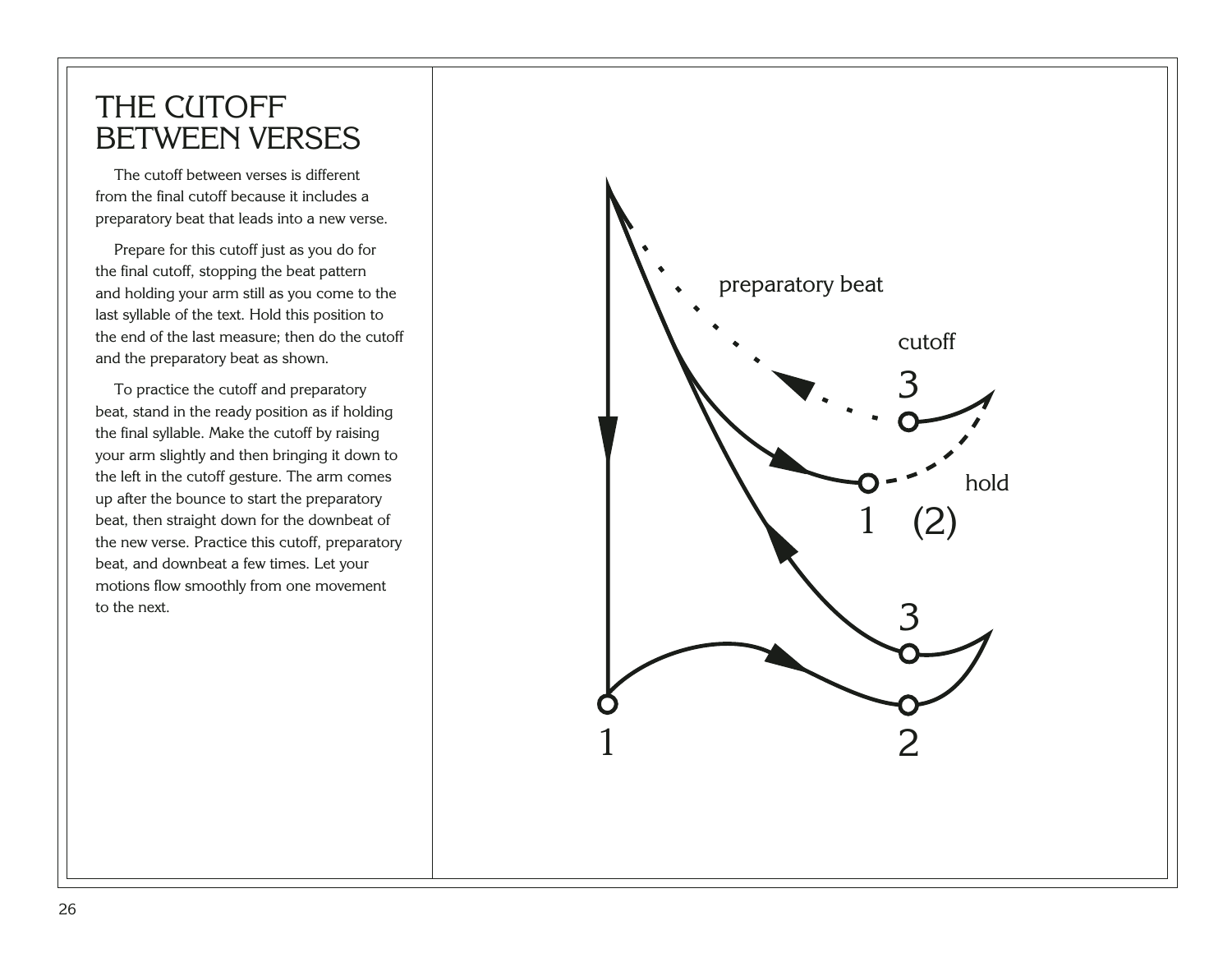#### <span id="page-30-0"></span>THE CUTOFF BETWEEN VERSES

The cutoff between verses is different from the final cutoff because it includes a preparatory beat that leads into a new verse.

Prepare for this cutoff just as you do for the final cutoff, stopping the beat pattern and holding your arm still as you come to the last syllable of the text. Hold this position to the end of the last measure; then do the cutoff and the preparatory beat as shown.

To practice the cutoff and preparatory beat, stand in the ready position as if holding the final syllable. Make the cutoff by raising your arm slightly and then bringing it down to the left in the cutoff gesture. The arm comes up after the bounce to start the preparatory beat, then straight down for the downbeat of the new verse. Practice this cutoff, preparatory beat, and downbeat a few times. Let your motions flow smoothly from one movement to the next.

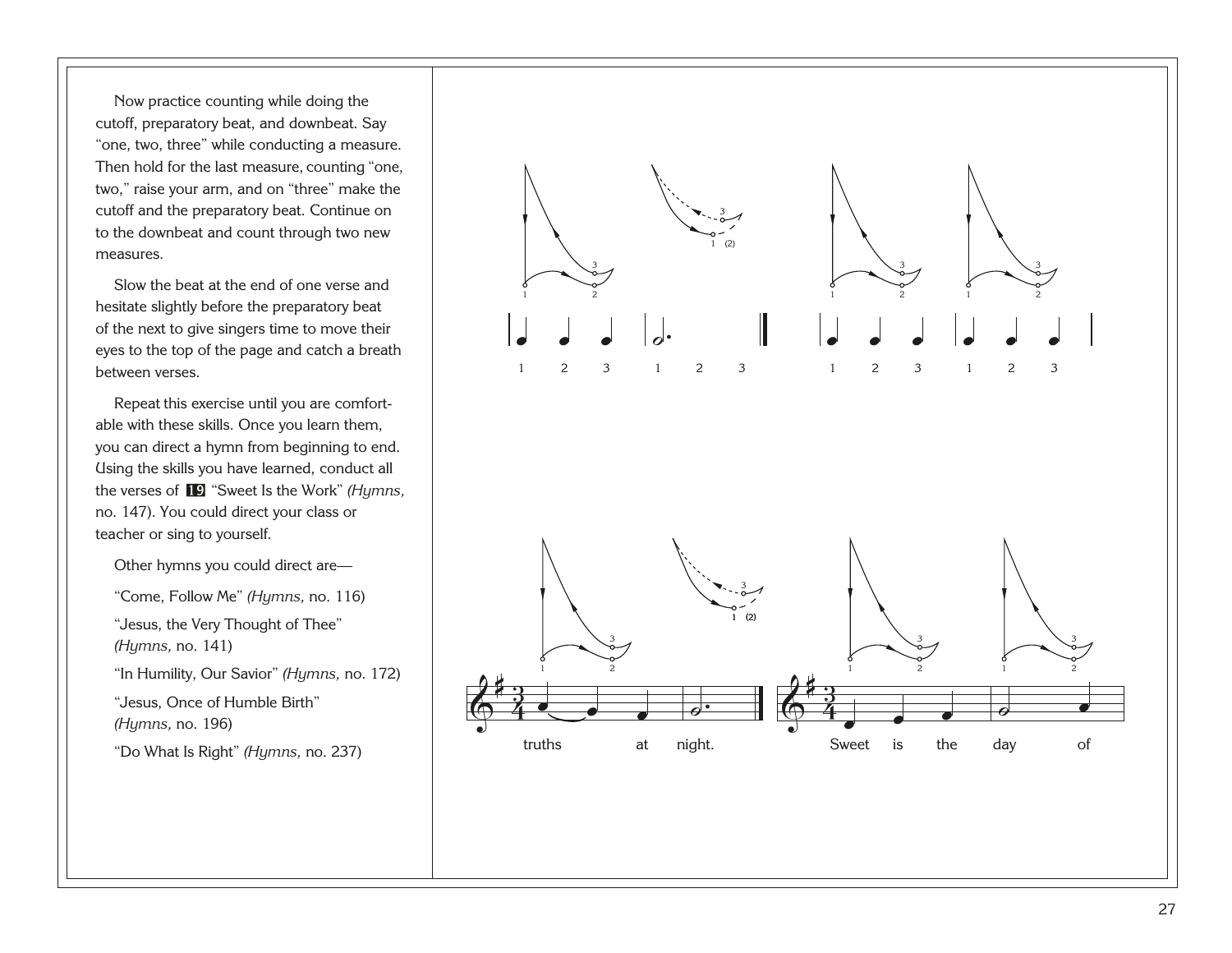Now practice counting while doing the cutoff, preparatory beat, and downbeat. Say "one, two, three" while conducting a measure. Then hold for the last measure, counting "one, two," raise your arm, and on "three" make the cutoff and the preparatory beat. Continue on to the downbeat and count through two new measures.

Slow the beat at the end of one verse and hesitate slightly before the preparatory beat of the next to give singers time to move their eyes to the top of the page and catch a breath between verses.

Repeat this exercise until you are comfortable with these skills. Once you learn them, you can direct a hymn from beginning to end. Using the skills you have learned, conduct all the verses of [19](http://broadcast.lds.org/churchmusic/MP3/eng/course/Conducting_19_eng.mp3) "Sweet Is the Work" *(Hymns,* no. 147). You could direct your class or teacher or sing to yourself.

Other hymns you could direct are—

"Come, Follow Me" *(Hymns,* no. 116)

"Jesus, the Very Thought of Thee" *(Hymns,* no. 141)

"In Humility, Our Savior" *(Hymns,* no. 172)

"Jesus, Once of Humble Birth" *(Hymns,* no. 196)

"Do What Is Right" *(Hymns,* no. 237)

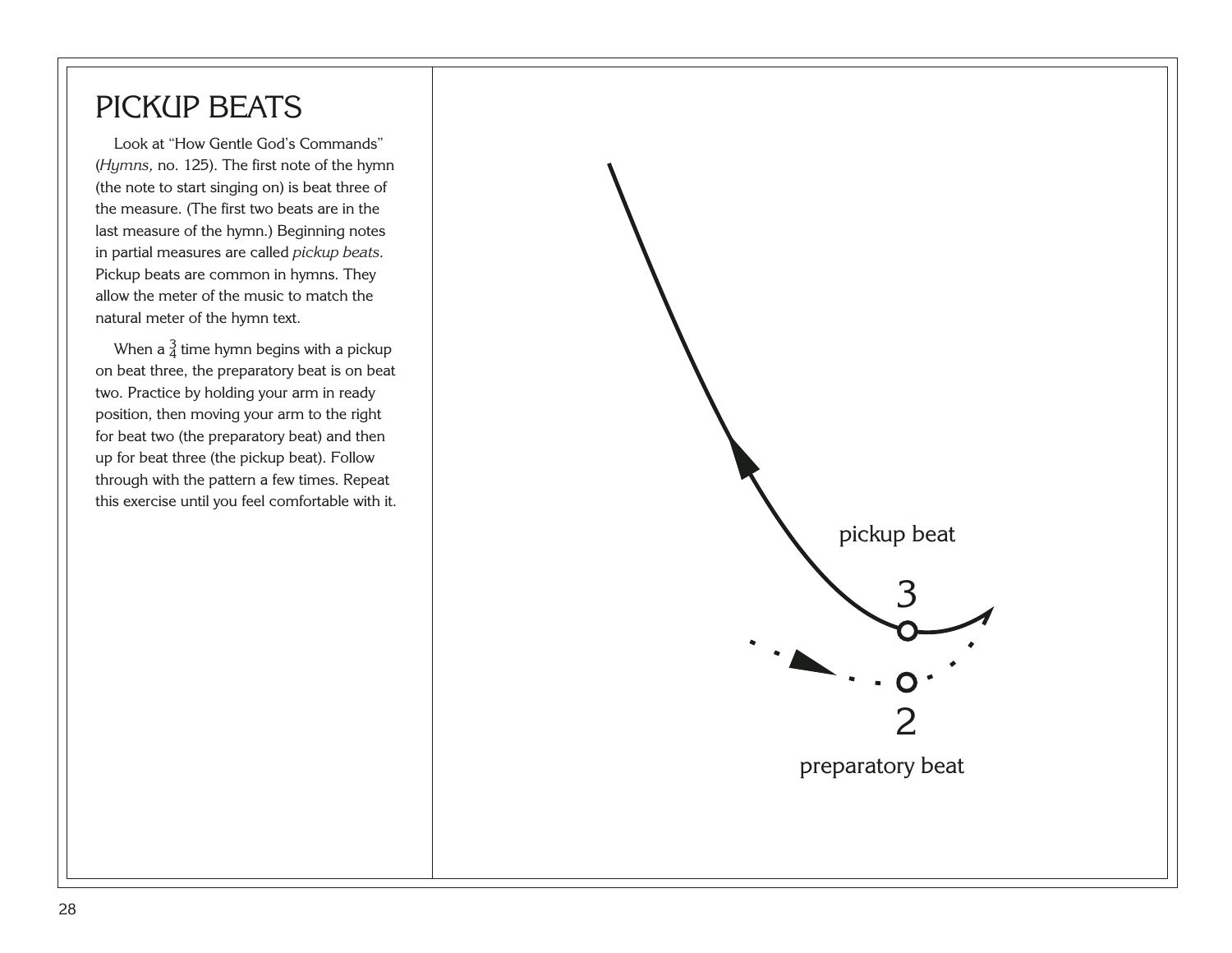#### <span id="page-32-0"></span>PICKUP BEATS

Look at "How Gentle God's Commands" (*Hymns,* no. 125). The first note of the hymn (the note to start singing on) is beat three of the measure. (The first two beats are in the last measure of the hymn.) Beginning notes in partial measures are called *pickup beats.* Pickup beats are common in hymns. They allow the meter of the music to match the natural meter of the hymn text.

When a  $\frac{3}{4}$  time hymn begins with a pickup on beat three, the preparatory beat is on beat two. Practice by holding your arm in ready position, then moving your arm to the right for beat two (the preparatory beat) and then up for beat three (the pickup beat). Follow through with the pattern a few times. Repeat this exercise until you feel comfortable with it.

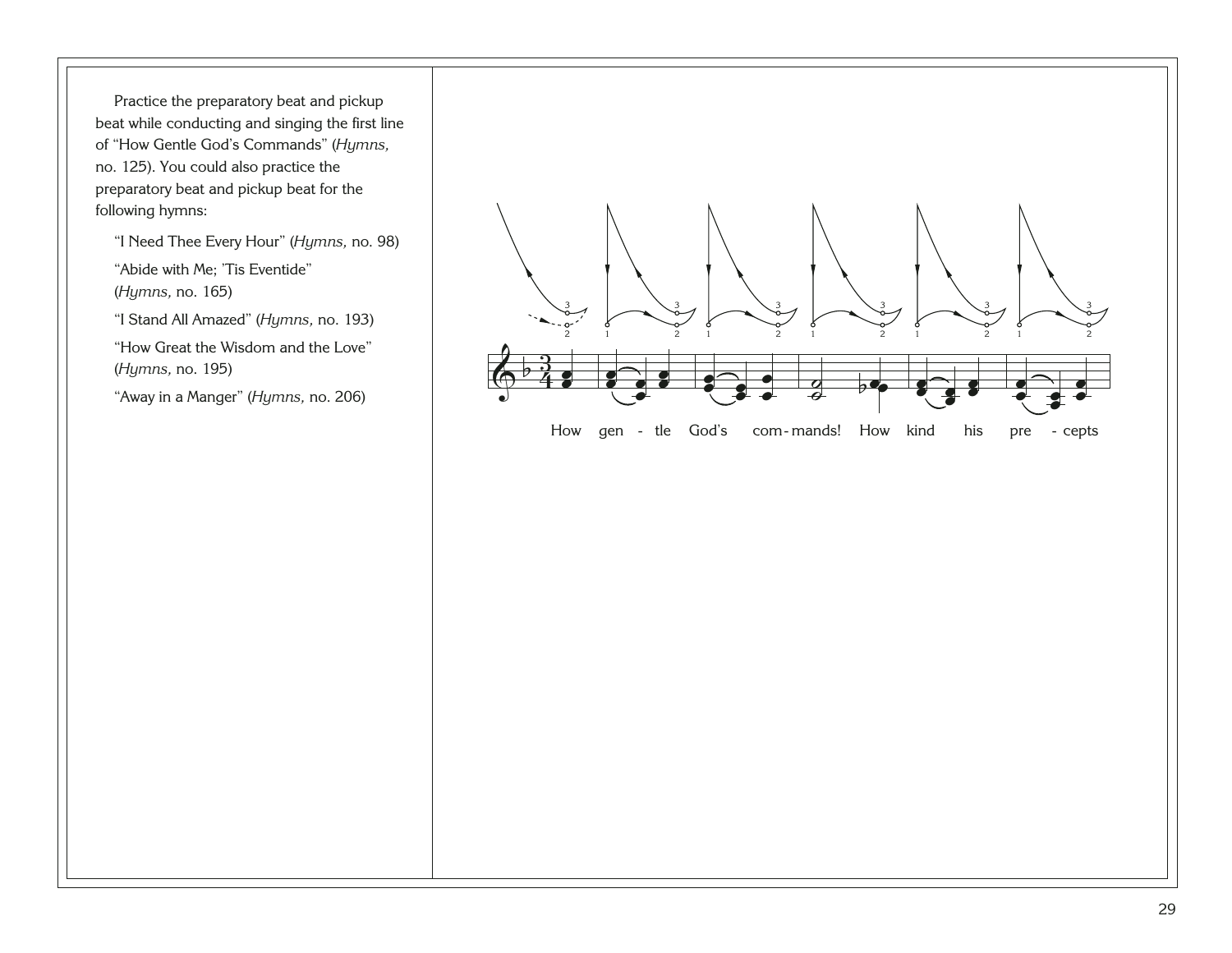Practice the preparatory beat and pickup beat while conducting and singing the first line of "How Gentle God's Commands" (*Hymns,* no. 125). You could also practice the preparatory beat and pickup beat for the following hymns:

"I Need Thee Every Hour" (*Hymns,* no. 98)

"Abide with Me; 'Tis Eventide" (*Hymns,* no. 165)

"I Stand All Amazed" (*Hymns,* no. 193)

"How Great the Wisdom and the Love" (*Hymns,* no. 195)

"Away in a Manger" (*Hymns,* no. 206)

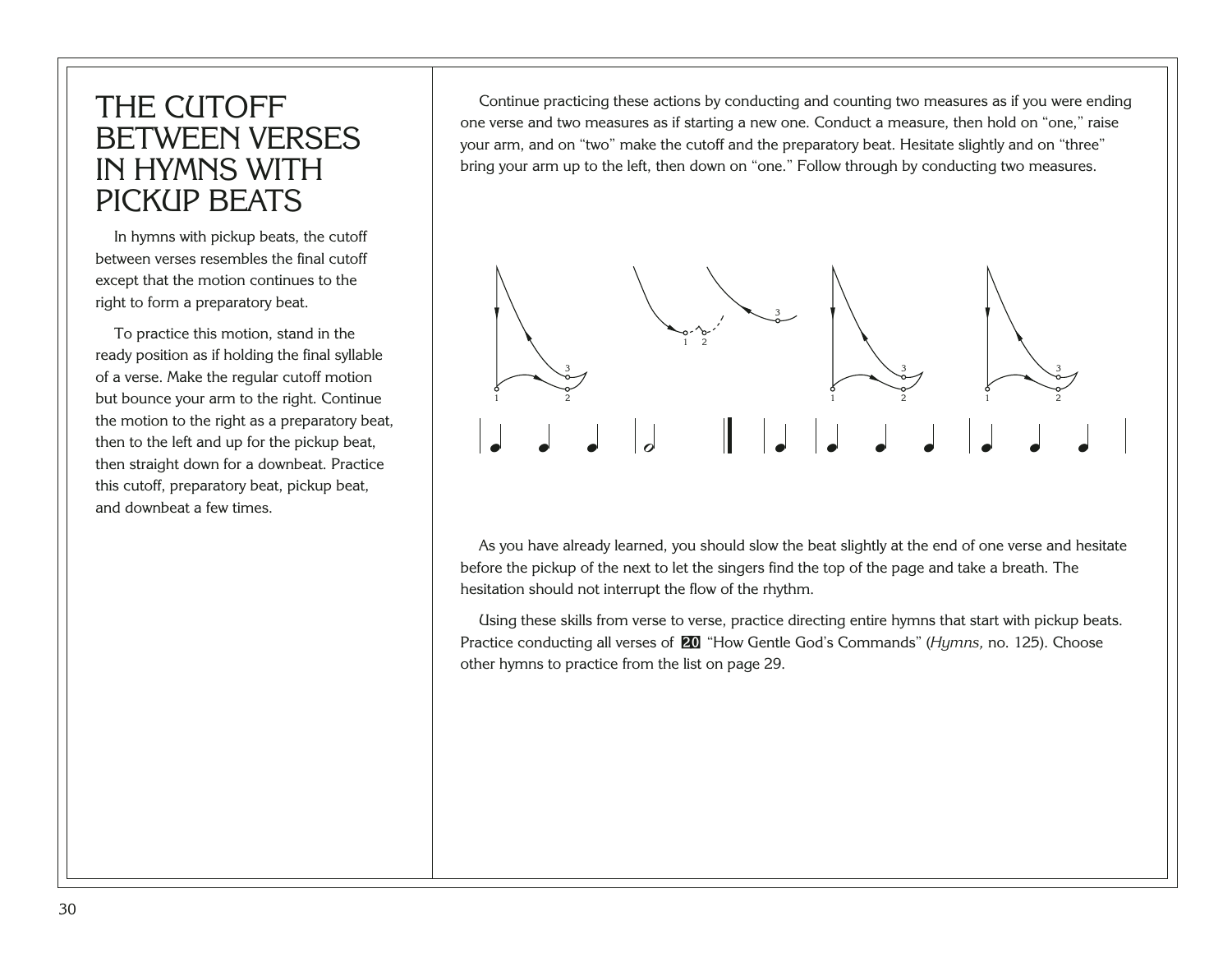#### <span id="page-34-0"></span>THE CUTOFF BETWEEN VERSES IN HYMNS WITH PICKUP BEATS

In hymns with pickup beats, the cutoff between verses resembles the final cutoff except that the motion continues to the right to form a preparatory beat.

To practice this motion, stand in the ready position as if holding the final syllable of a verse. Make the regular cutoff motion but bounce your arm to the right. Continue the motion to the right as a preparatory beat, then to the left and up for the pickup beat, then straight down for a downbeat. Practice this cutoff, preparatory beat, pickup beat, and downbeat a few times.

Continue practicing these actions by conducting and counting two measures as if you were ending one verse and two measures as if starting a new one. Conduct a measure, then hold on "one," raise your arm, and on "two" make the cutoff and the preparatory beat. Hesitate slightly and on "three" bring your arm up to the left, then down on "one." Follow through by conducting two measures.



As you have already learned, you should slow the beat slightly at the end of one verse and hesitate before the pickup of the next to let the singers find the top of the page and take a breath. The hesitation should not interrupt the flow of the rhythm.

Using these skills from verse to verse, practice directing entire hymns that start with pickup beats. Practice conducting all verses of [20](http://broadcast.lds.org/churchmusic/MP3/eng/course/Conducting_20_eng.mp3) "How Gentle God's Commands" (*Hymns,* no. 125). Choose other hymns to practice from the list on page 29.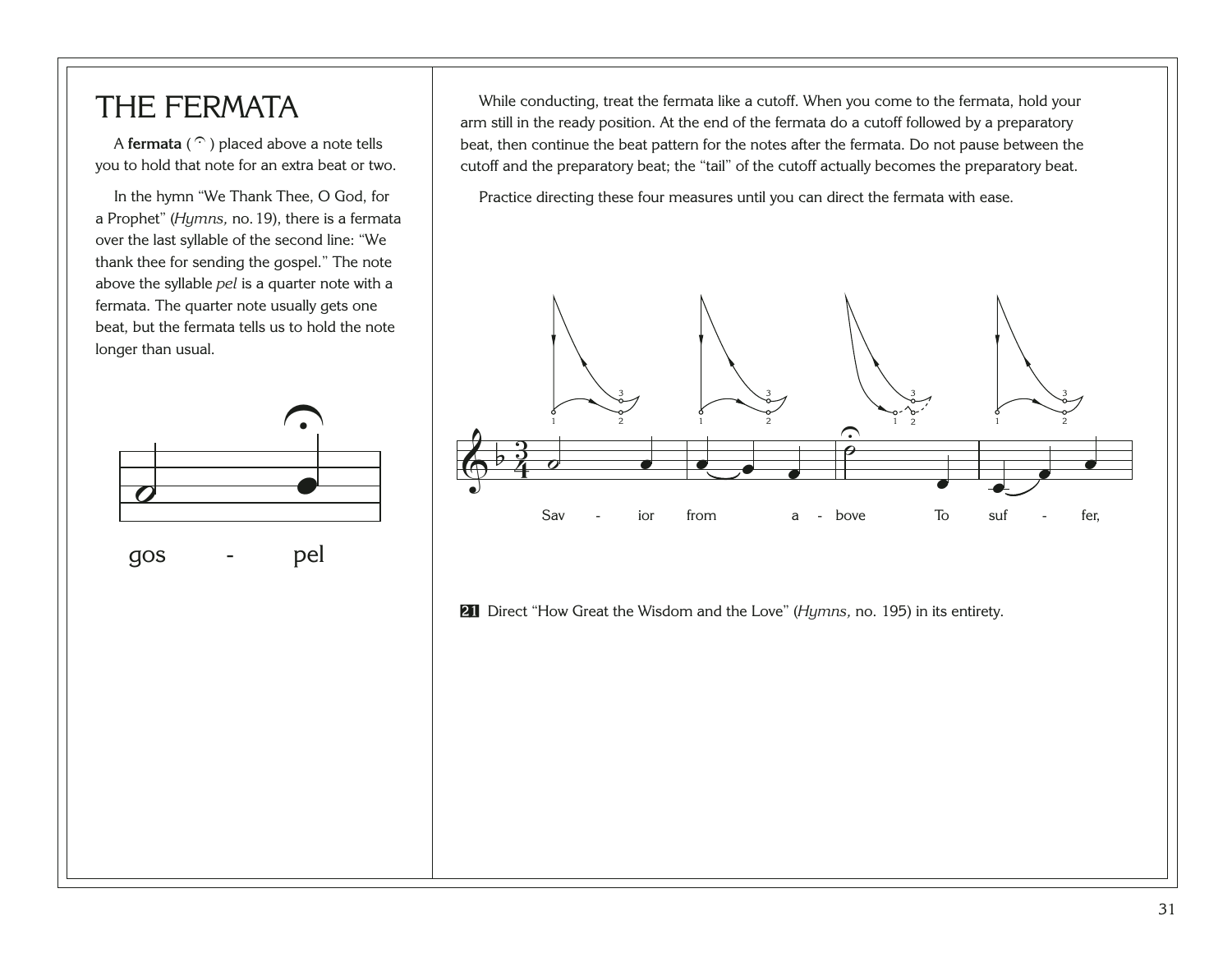#### <span id="page-35-0"></span>THE FERMATA

A **fermata** ( $\widehat{\cdot}$ ) placed above a note tells you to hold that note for an extra beat or two.

In the hymn "We Thank Thee, O God, for a Prophet" (*Hymns,* no.19), there is a fermata over the last syllable of the second line: "We thank thee for sending the gospel." The note above the syllable *pel* is a quarter note with a fermata. The quarter note usually gets one beat, but the fermata tells us to hold the note longer than usual.

 $\frac{1}{\bullet}$ 

gos - pel

*o*<br>10s - pe

While conducting, treat the fermata like a cutoff. When you come to the fermata, hold your arm still in the ready position. At the end of the fermata do a cutoff followed by a preparatory beat, then continue the beat pattern for the notes after the fermata. Do not pause between the cutoff and the preparatory beat; the "tail" of the cutoff actually becomes the preparatory beat.

Practice directing these four measures until you can direct the fermata with ease.



[21](http://broadcast.lds.org/churchmusic/MP3/eng/course/Conducting_21_eng.mp3) Direct "How Great the Wisdom and the Love" (*Hymns,* no. 195) in its entirety.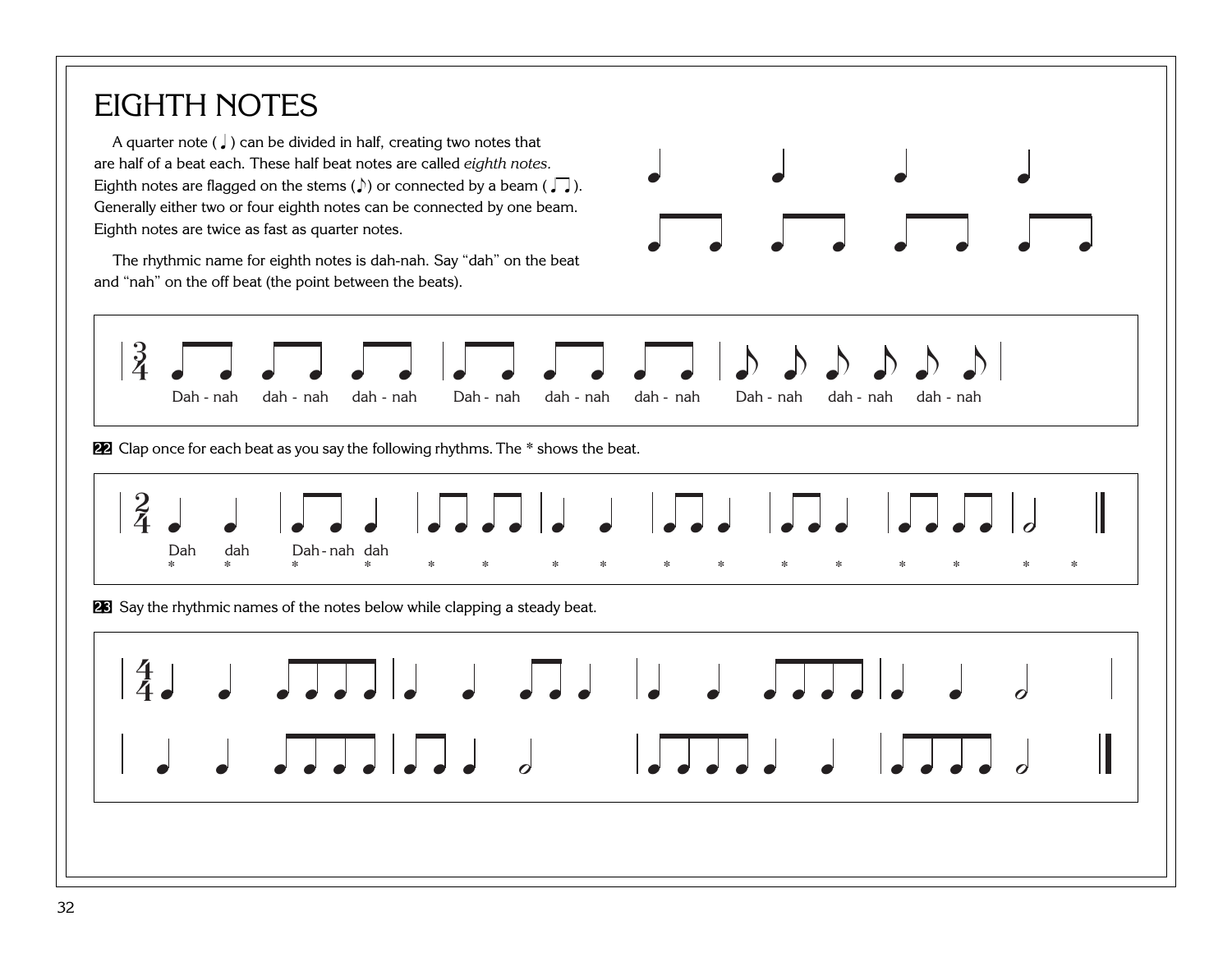### EIGHTH NOTES

A quarter note ( $\downarrow$ ) can be divided in half, creating two notes that are half of a beat each. These half beat notes are called *eighth notes.* Eighth notes are flagged on the stems ( $\downarrow$ ) or connected by a beam ( $\Box$ ). Generally either two or four eighth notes can be connected by one beam. Eighth notes are twice as fast as quarter notes.

The rhythmic name for eighth notes is dah-nah. Say "dah" on the beat and "nah" on the off beat (the point between the beats).





[22](http://broadcast.lds.org/churchmusic/MP3/eng/course/Conducting_22_eng.mp3) Clap once for each beat as you say the following rhythms. The \* shows the beat.



[23](http://broadcast.lds.org/churchmusic/MP3/eng/course/Conducting_23_eng.mp3) Say the rhythmic names of the notes below while clapping a steady beat.

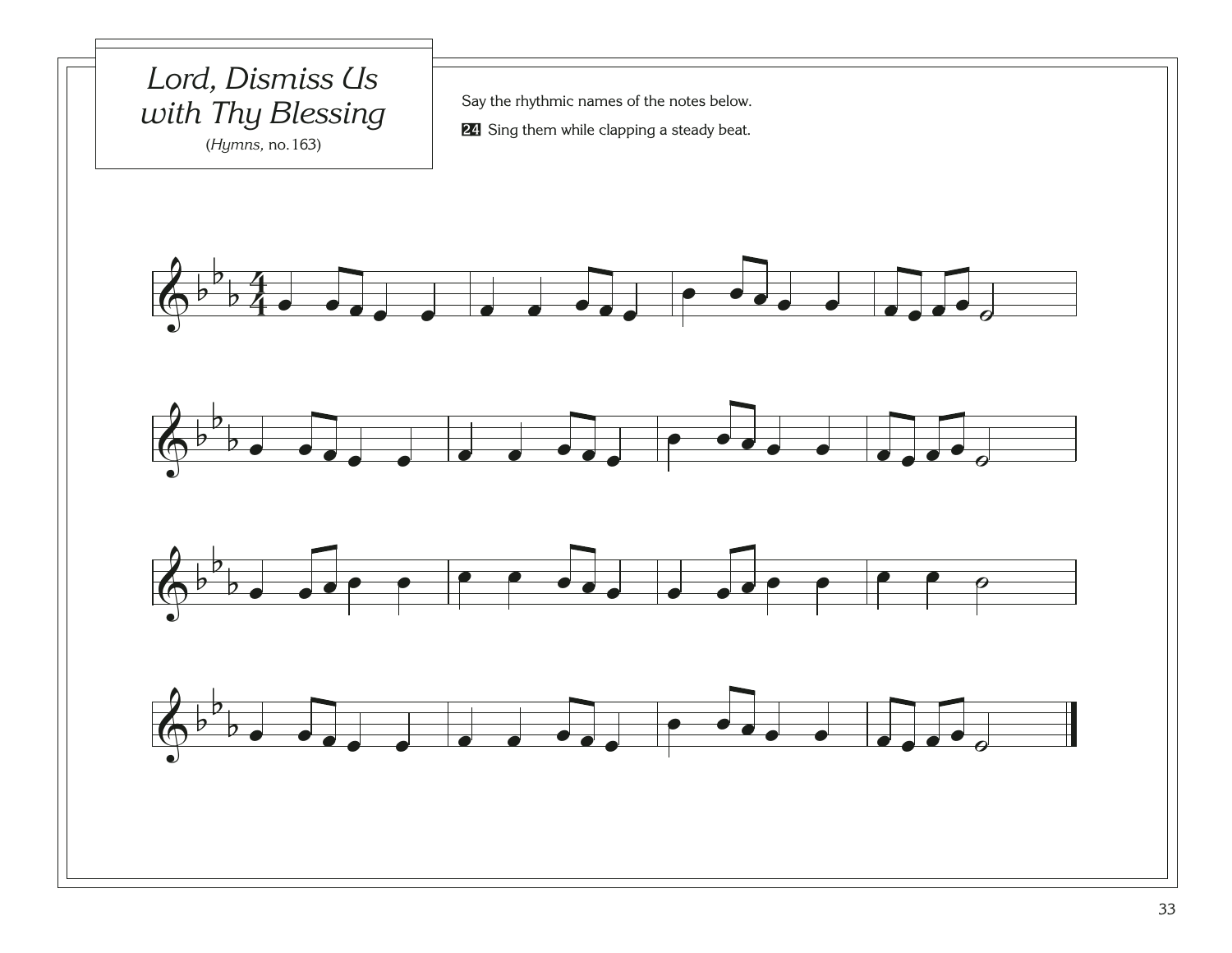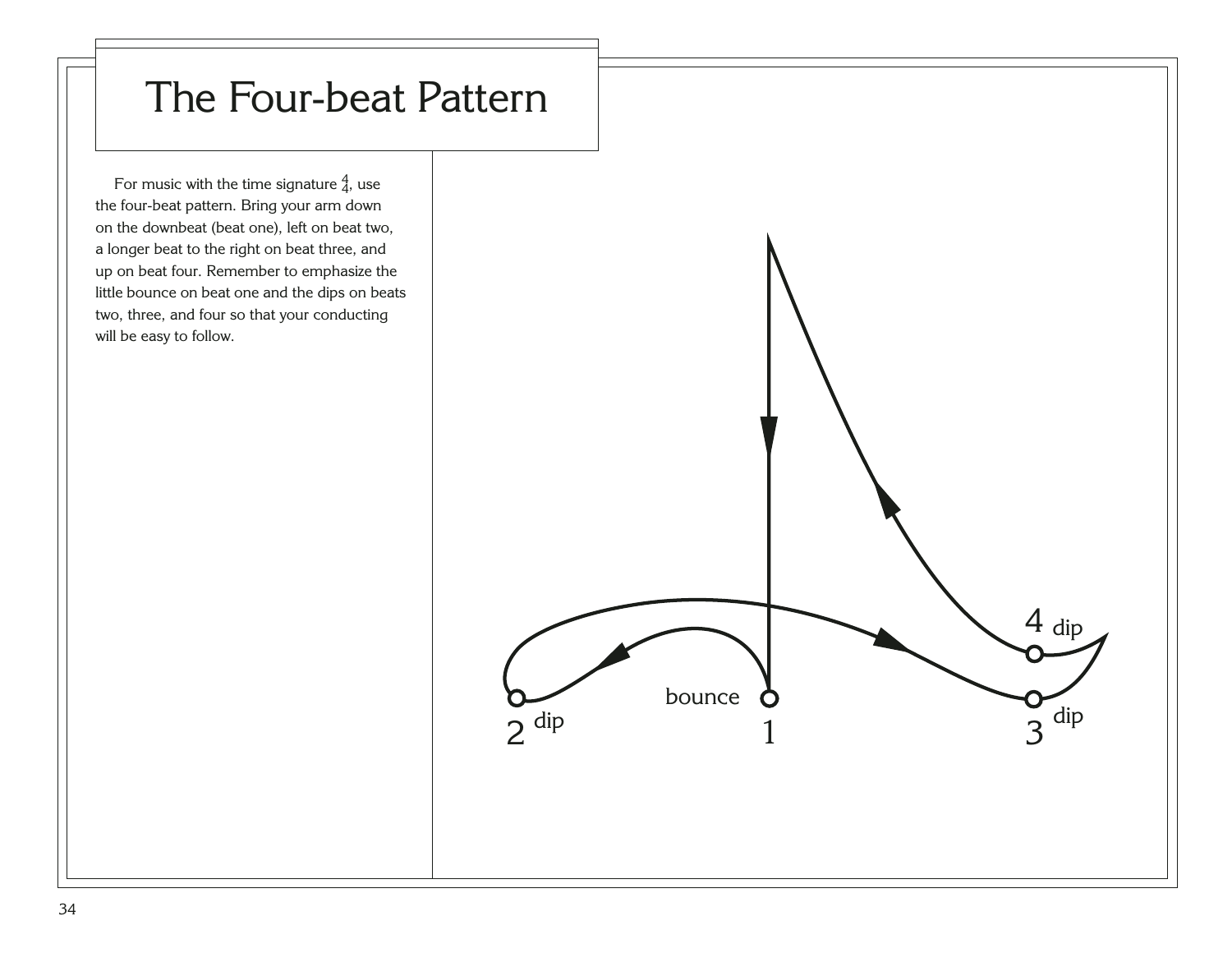## The Four-beat Pattern

For music with the time signature  $\frac{4}{4}$ , use the four-beat pattern. Bring your arm down on the downbeat (beat one), left on beat two, a longer beat to the right on beat three, and up on beat four. Remember to emphasize the little bounce on beat one and the dips on beats two, three, and four so that your conducting will be easy to follow.

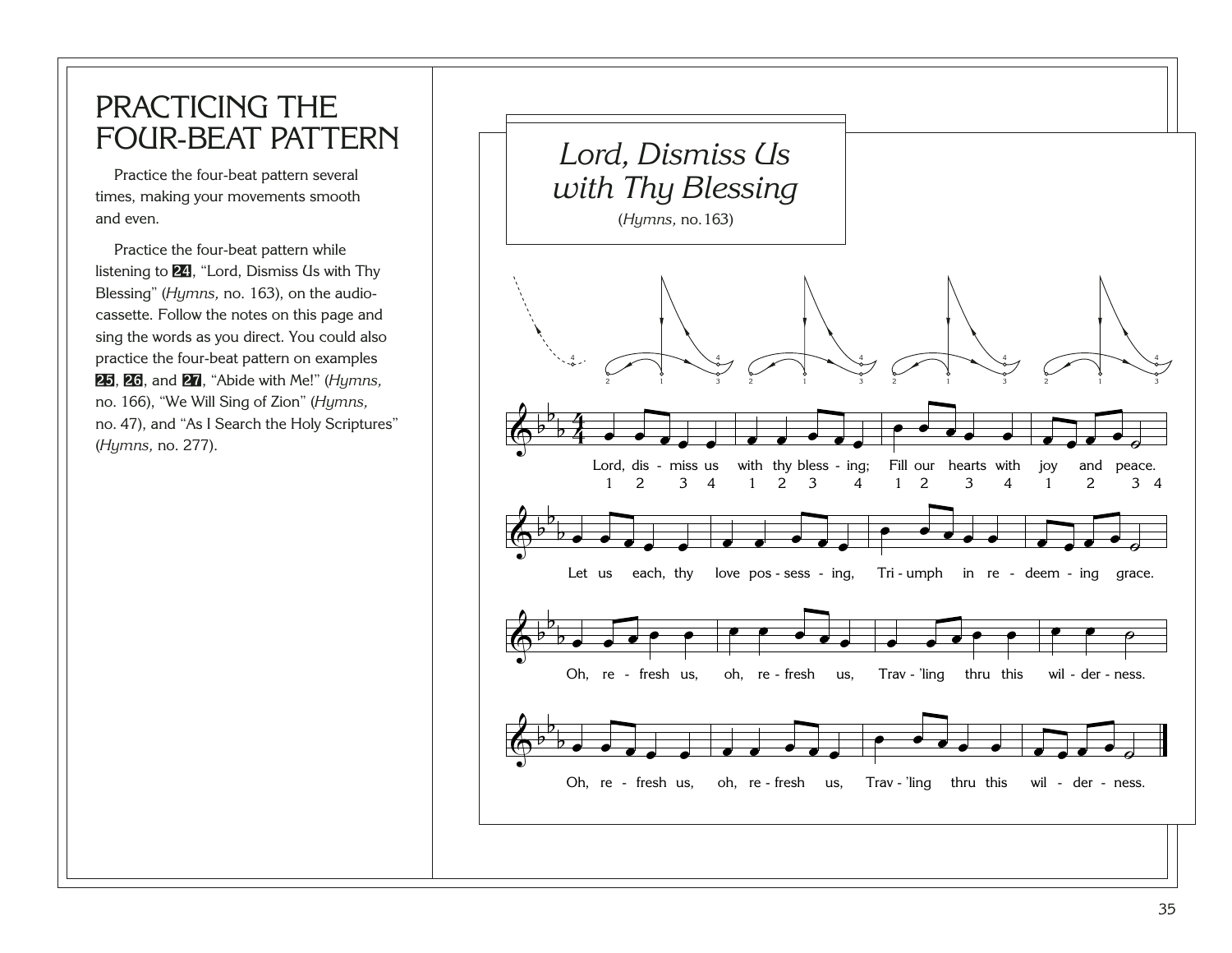#### <span id="page-39-0"></span>PRACTICING THE FOUR-BEAT PATTERN

Practice the four-beat pattern several times, making your movements smooth and even.

Practice the four-beat pattern while listening to [24](http://broadcast.lds.org/churchmusic/MP3/eng/course/Conducting_24_eng.mp3), "Lord, Dismiss Us with Thy Blessing" (*Hymns,* no. 163), on the audiocassette. Follow the notes on this page and sing the words as you direct. You could also practice the four-beat pattern on examples [25](http://broadcast.lds.org/churchmusic/MP3/eng/course/Conducting_25_eng.mp3), [26](http://broadcast.lds.org/churchmusic/MP3/eng/course/Conducting_26_eng.mp3), and [27](http://broadcast.lds.org/churchmusic/MP3/eng/course/Conducting_27_eng.mp3), "Abide with Me!" (*Hymns,*  no. 166), "We Will Sing of Zion" (*Hymns,*  no. 47), and "As I Search the Holy Scriptures" (*Hymns,* no. 277).

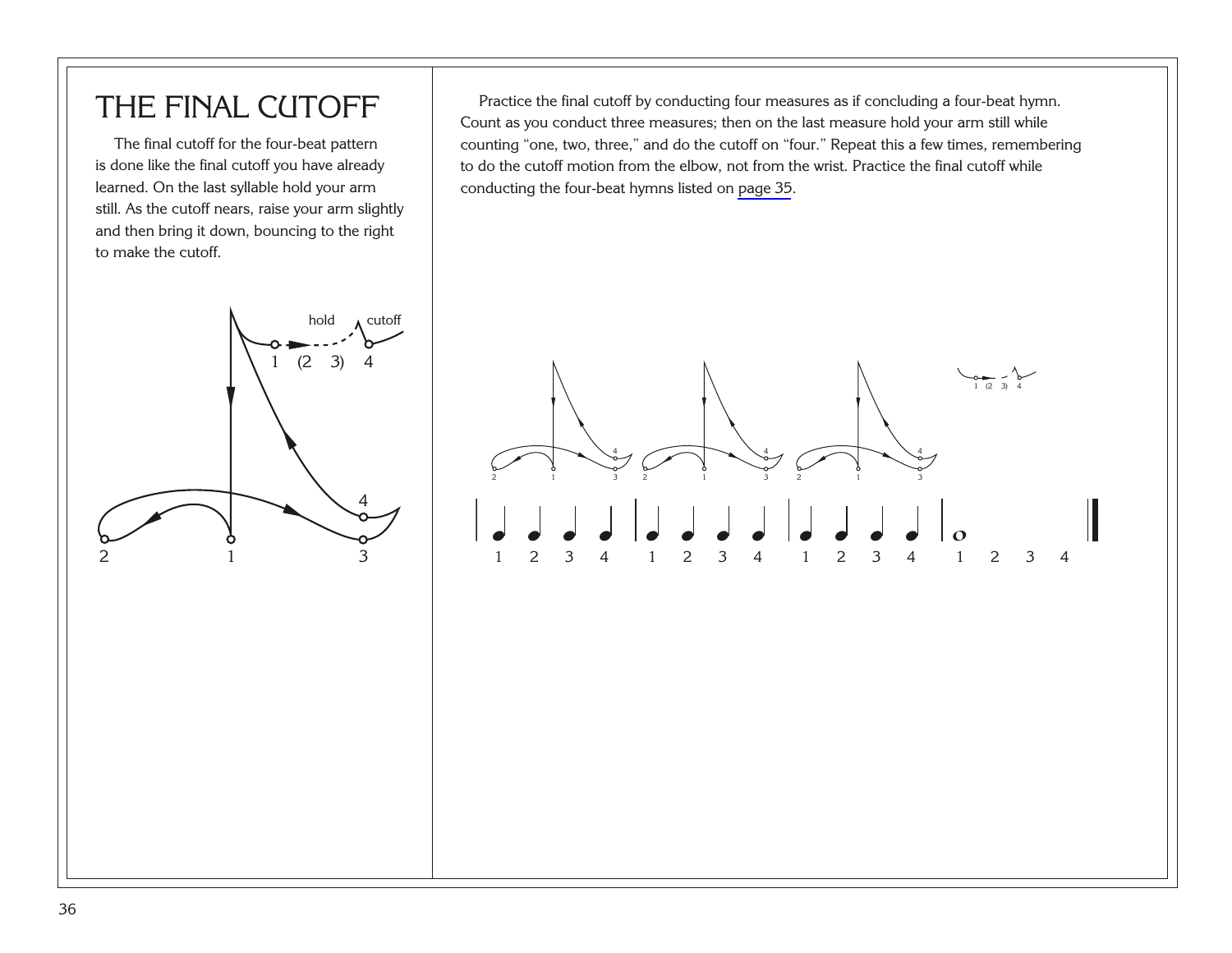### THE FINAL CUTOFF

The final cutoff for the four-beat pattern is done like the final cutoff you have already learned. On the last syllable hold your arm still. As the cutoff nears, raise your arm slightly and then bring it down, bouncing to the right to make the cutoff.

Practice the final cutoff by conducting four measures as if concluding a four-beat hymn. Count as you conduct three measures; then on the last measure hold your arm still while counting "one, two, three," and do the cutoff on "four." Repeat this a few times, remembering to do the cutoff motion from the elbow, not from the wrist. Practice the final cutoff while conducting the four-beat hymns listed on [page 35](#page-39-0).



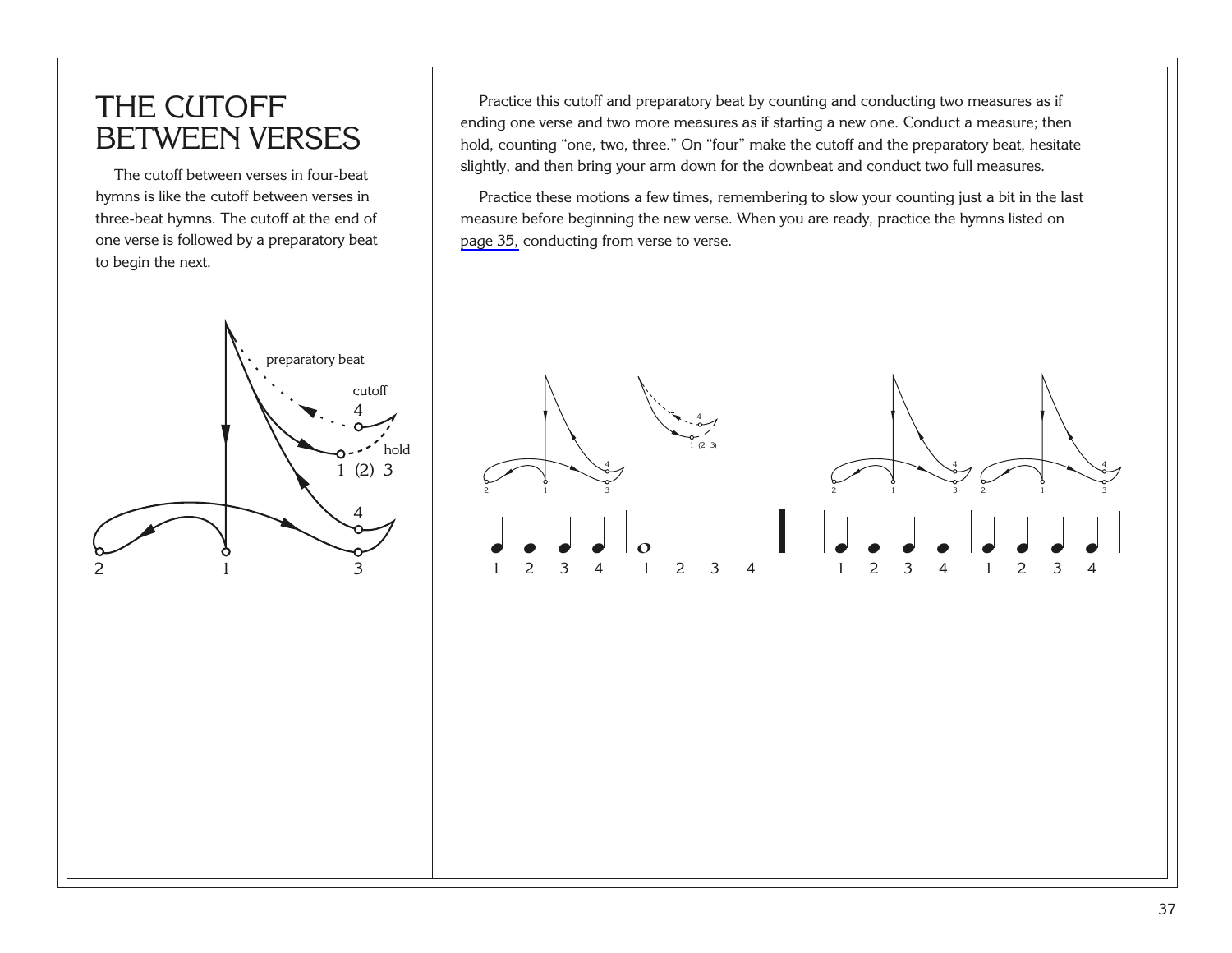#### THE CUTOFF BETWEEN VERSES

The cutoff between verses in four-beat hymns is like the cutoff between verses in three-beat hymns. The cutoff at the end of one verse is followed by a preparatory beat to begin the next.

Practice this cutoff and preparatory beat by counting and conducting two measures as if ending one verse and two more measures as if starting a new one. Conduct a measure; then hold, counting "one, two, three." On "four" make the cutoff and the preparatory beat, hesitate slightly, and then bring your arm down for the downbeat and conduct two full measures.

Practice these motions a few times, remembering to slow your counting just a bit in the last measure before beginning the new verse. When you are ready, practice the hymns listed on [page 35,](#page-39-0) conducting from verse to verse.



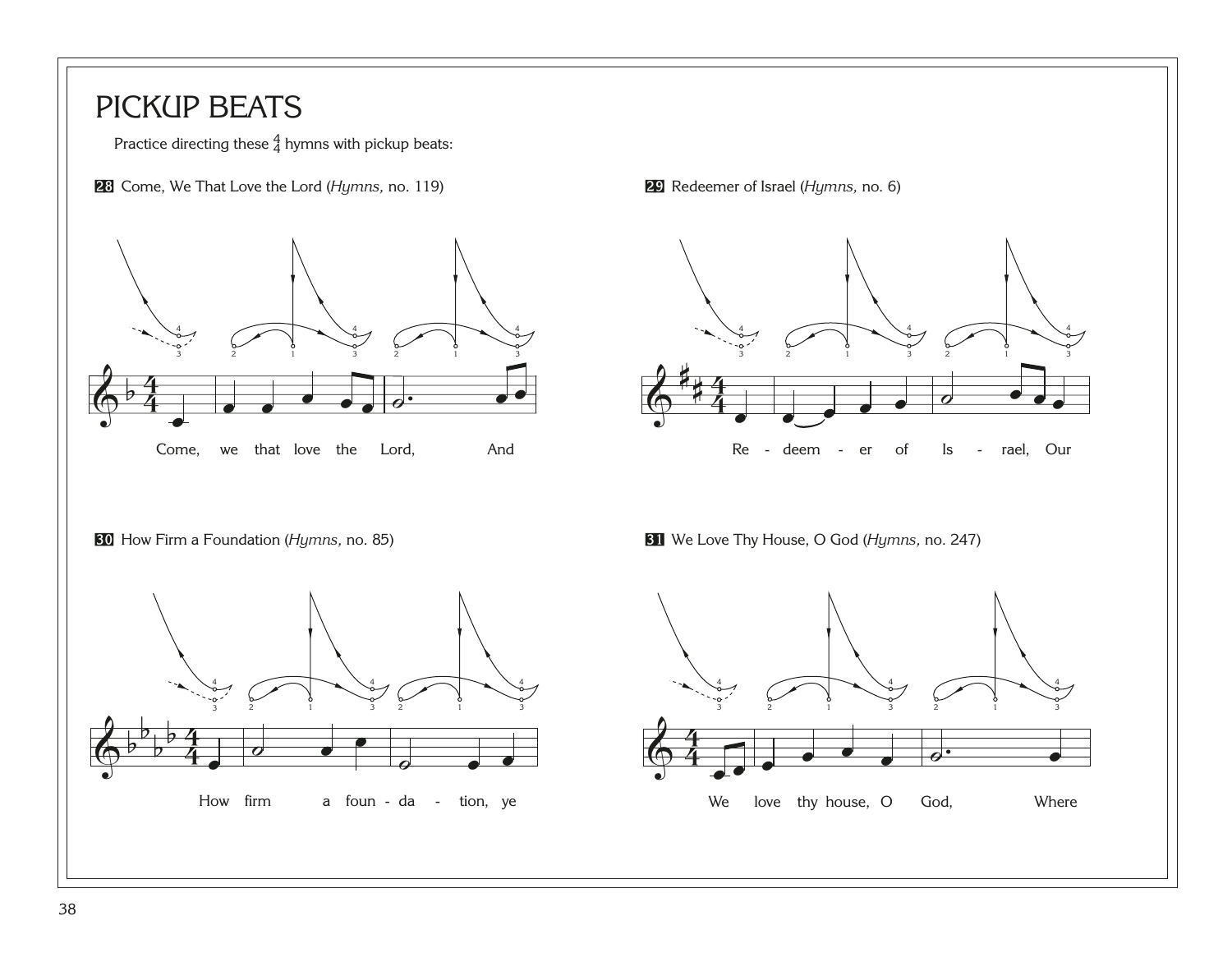#### <span id="page-42-0"></span>PICKUP BEATS

Practice directing these  $\frac{4}{4}$  hymns with pickup beats:

Come, We That Love the Lord (*Hymns,* no. 119) [29](http://broadcast.lds.org/churchmusic/MP3/eng/course/Conducting_29_eng.mp3) Redeemer of Israel (*Hymns,* no. 6)





How Firm a Foundation (Hymns, no. 85)

**H** We Love Thy House, O God (*Hymns, no.* 247)

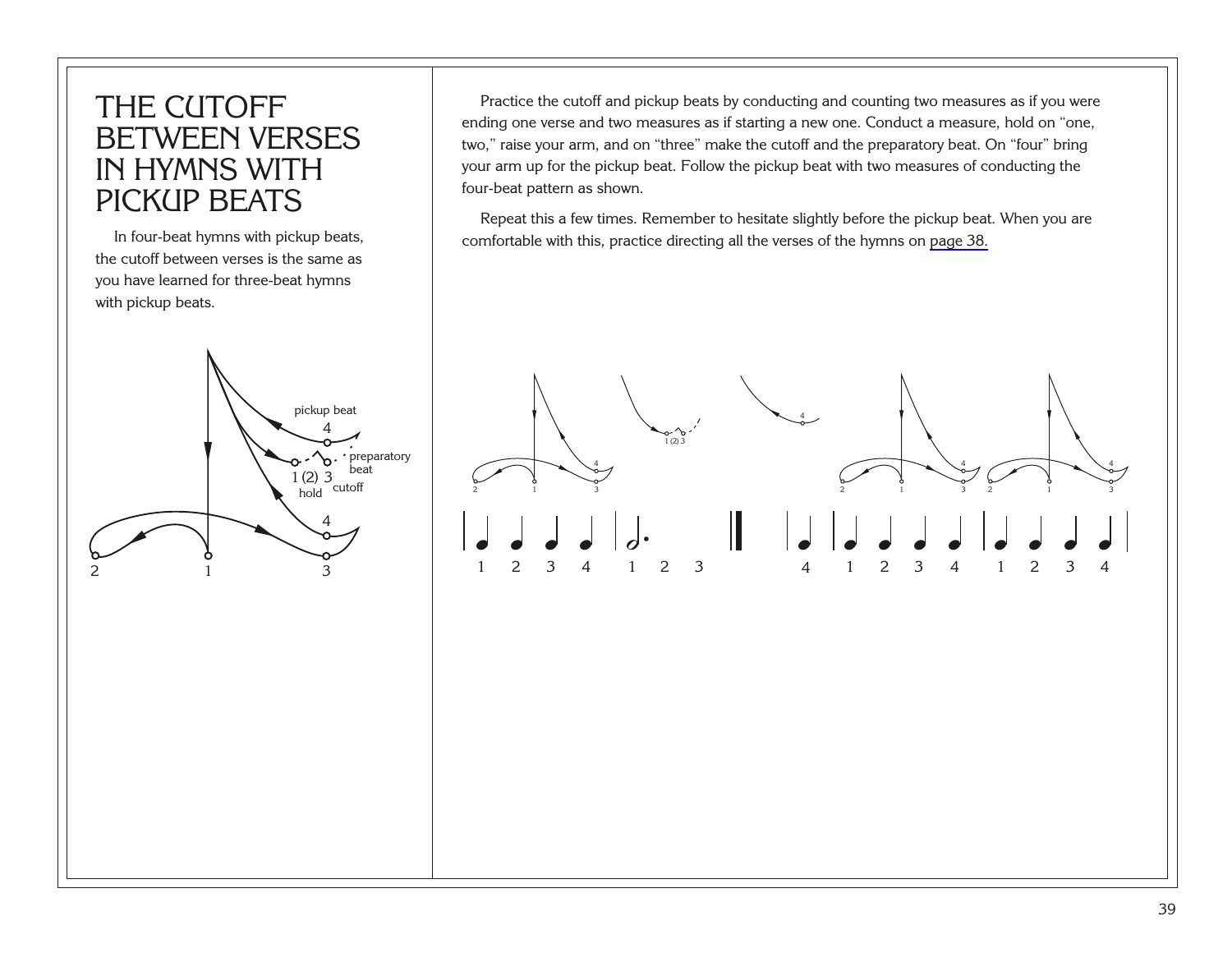#### THE CUTOFF BETWEEN VERSES IN HYMNS WITH PICKUP BEATS

In four-beat hymns with pickup beats, the cutoff between verses is the same as you have learned for three-beat hymns with pickup beats.

Practice the cutoff and pickup beats by conducting and counting two measures as if you were ending one verse and two measures as if starting a new one. Conduct a measure, hold on "one, two," raise your arm, and on "three" make the cutoff and the preparatory beat. On "four" bring your arm up for the pickup beat. Follow the pickup beat with two measures of conducting the four-beat pattern as shown.

Repeat this a few times. Remember to hesitate slightly before the pickup beat. When you are comfortable with this, practice directing all the verses of the hymns on [page 38.](#page-42-0)



4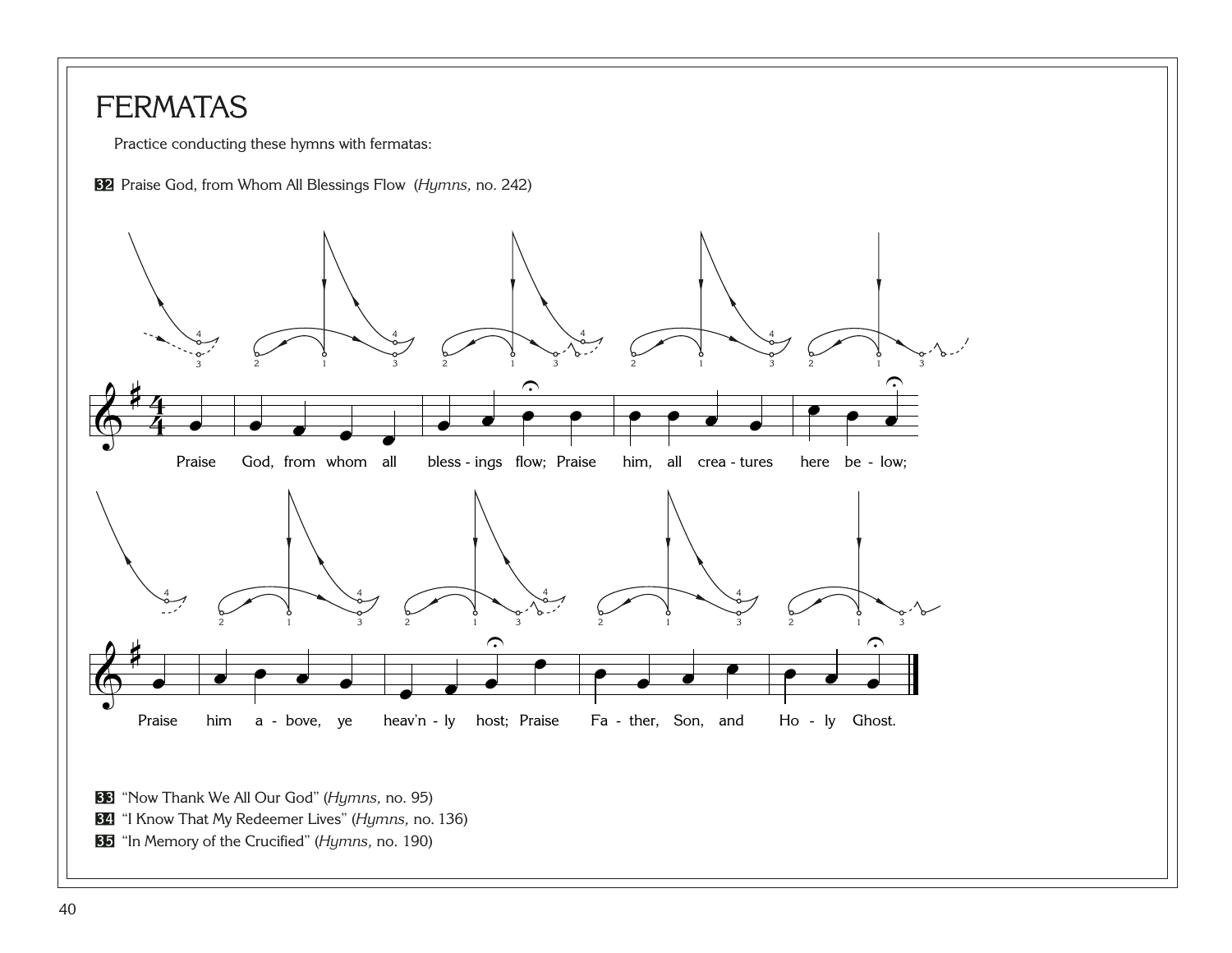#### <span id="page-44-0"></span>**FERMATAS**

Practice conducting these hymns with fermatas:





"In Memory of the Crucified" (*Hymns,* no. 190)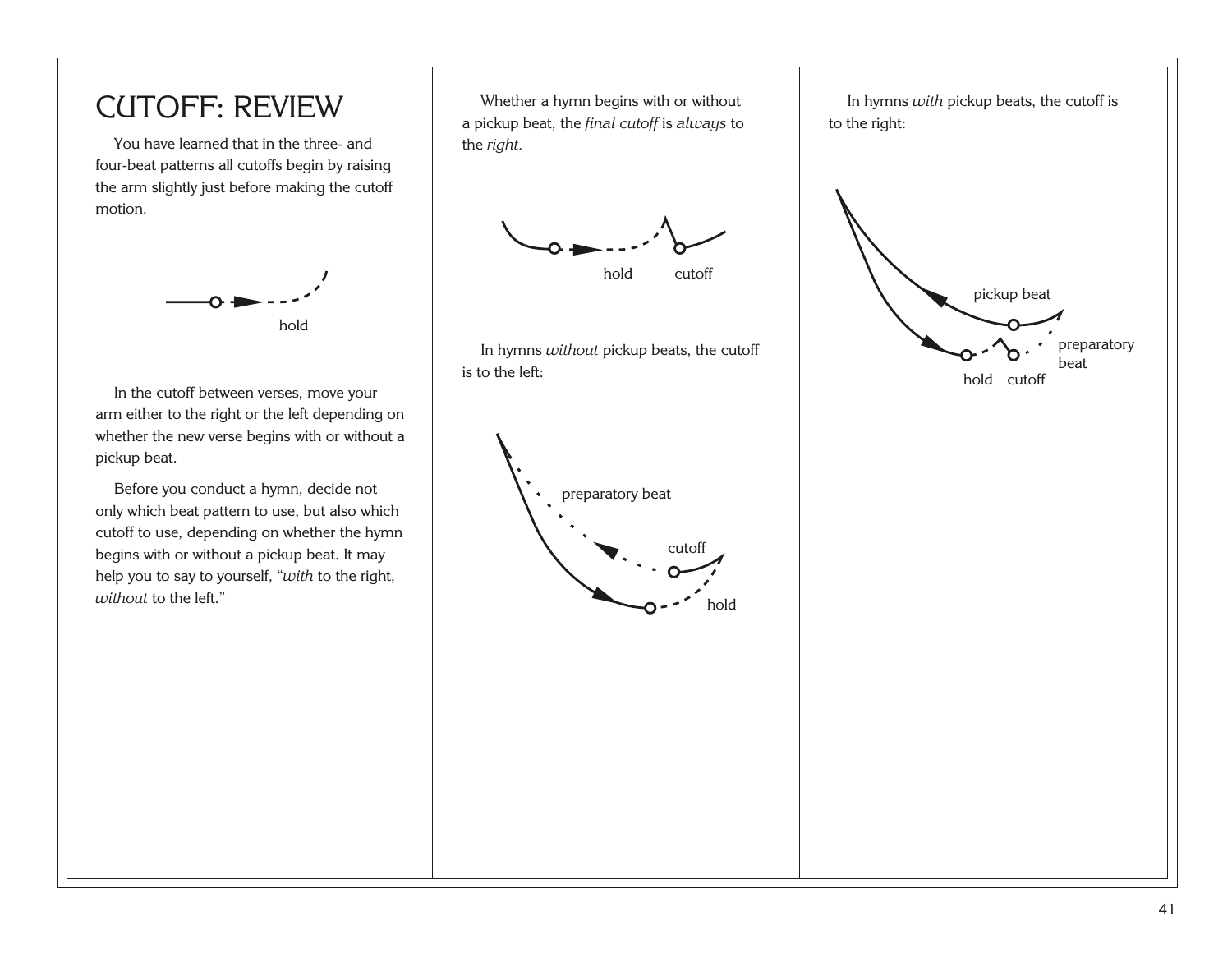#### CUTOFF: REVIEW

You have learned that in the three- and four-beat patterns all cutoffs begin by raising the arm slightly just before making the cutoff motion.



In the cutoff between verses, move your arm either to the right or the left depending on whether the new verse begins with or without a pickup beat.

Before you conduct a hymn, decide not only which beat pattern to use, but also which cutoff to use, depending on whether the hymn begins with or without a pickup beat. It may help you to say to yourself, "*with* to the right, *without* to the left."

Whether a hymn begins with or without a pickup beat, the *final cutoff* is *always* to the *right.*



In hymns *without* pickup beats, the cutoff is to the left:



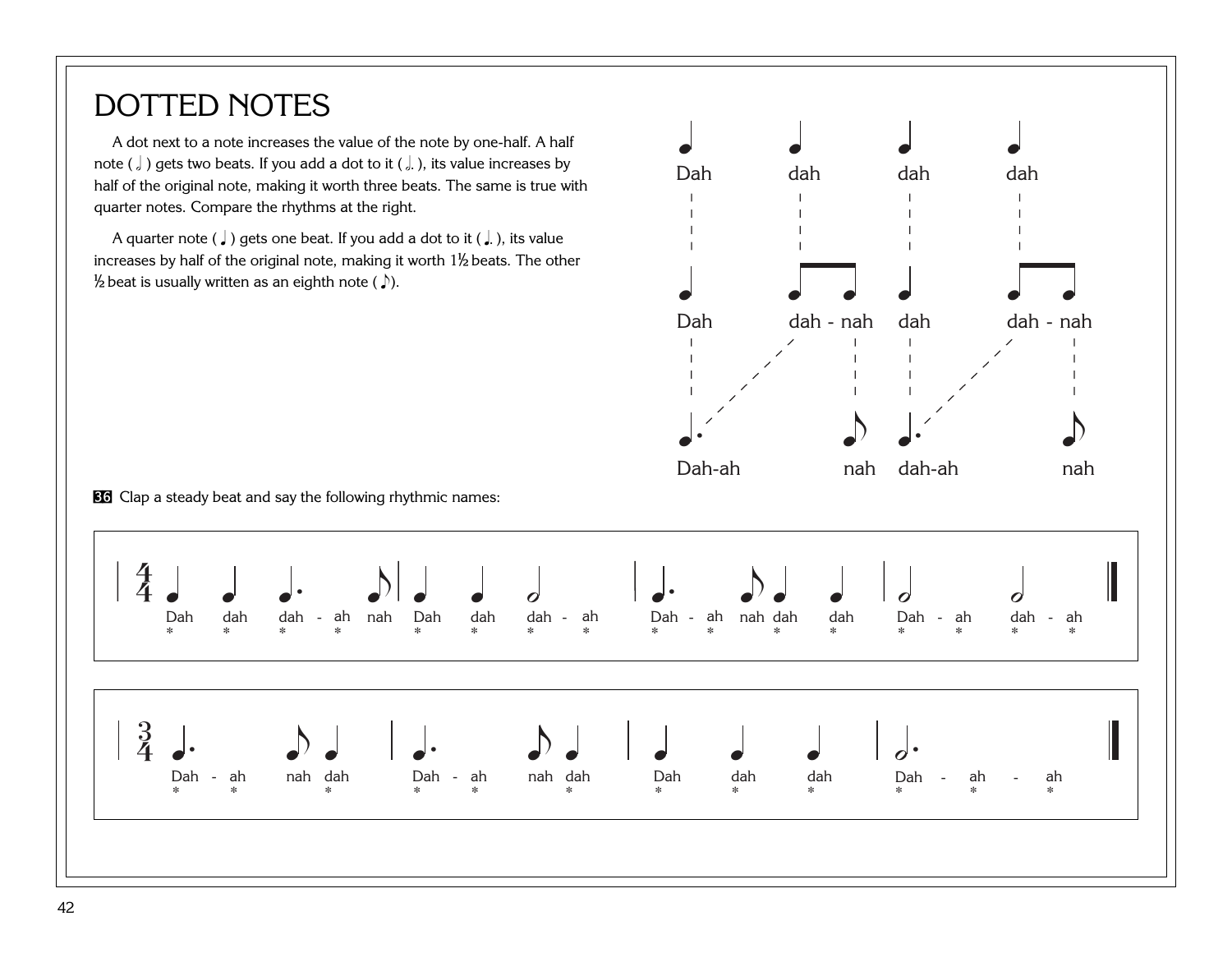### DOTTED NOTES

A dot next to a note increases the value of the note by one-half. A half note ( $\int$ ) gets two beats. If you add a dot to it ( $\int$ ), its value increases by half of the original note, making it worth three beats. The same is true with quarter notes. Compare the rhythms at the right.

A quarter note ( $\downarrow$ ) gets one beat. If you add a dot to it ( $\downarrow$ ), its value increases by half of the original note, making it worth  $1\frac{1}{2}$  beats. The other  $\frac{1}{2}$  beat is usually written as an eighth note (  $\Box$ ).



86 Clap a steady beat and say the following rhythmic names:

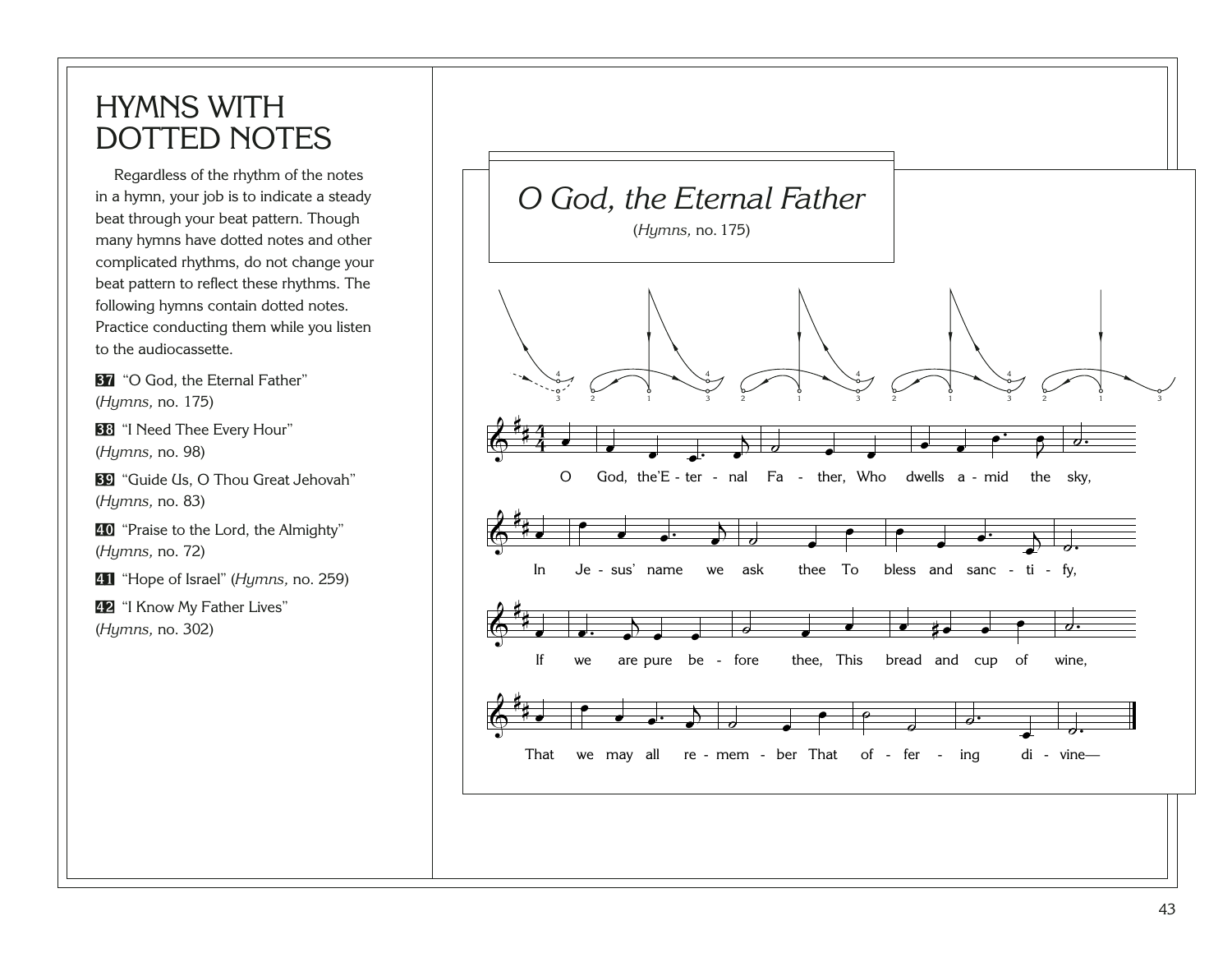### HYMNS WITH DOTTED NOTES

Regardless of the rhythm of the notes in a hymn, your job is to indicate a steady beat through your beat pattern. Though many hymns have dotted notes and other complicated rhythms, do not change your beat pattern to reflect these rhythms. The following hymns contain dotted notes. Practice conducting them while you listen to the audiocassette.

**[37](http://broadcast.lds.org/churchmusic/MP3/eng/course/Conducting_37_eng.mp3)** "O God, the Eternal Father" (*Hymns,* no. 175)

**[38](http://broadcast.lds.org/churchmusic/MP3/eng/course/Conducting_38_eng.mp3)** "I Need Thee Every Hour" (*Hymns,* no. 98)

**[39](http://broadcast.lds.org/churchmusic/MP3/eng/course/Conducting_39_eng.mp3)** "Guide Us, O Thou Great Jehovah" (*Hymns,* no. 83)

[40](http://broadcast.lds.org/churchmusic/MP3/eng/course/Conducting_40_eng.mp3) "Praise to the Lord, the Almighty" (*Hymns,* no. 72)

[41](http://broadcast.lds.org/churchmusic/MP3/eng/course/Conducting_41_eng.mp3) "Hope of Israel" (*Hymns,* no. 259)

[42](http://broadcast.lds.org/churchmusic/MP3/eng/course/Conducting_42_eng.mp3) "I Know My Father Lives" (*Hymns,* no. 302)

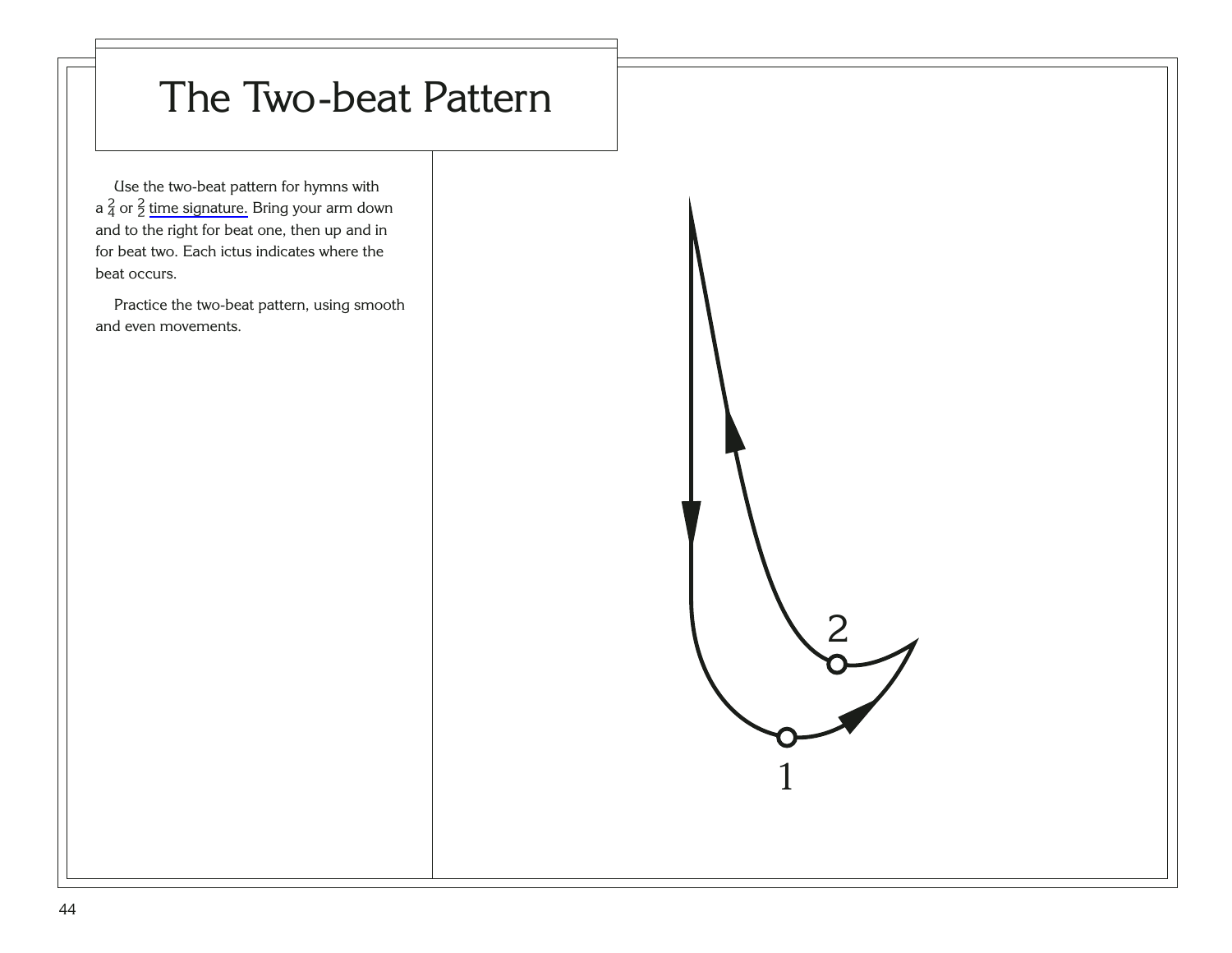# The Two-beat Pattern

2

1

Use the two-beat pattern for hymns with a  $\frac{2}{4}$  or  $\frac{2}{2}$  [time signature.](#page-99-0) Bring your arm down and to the right for beat one, then up and in for beat two. Each ictus indicates where the beat occurs.

Practice the two-beat pattern, using smooth and even movements.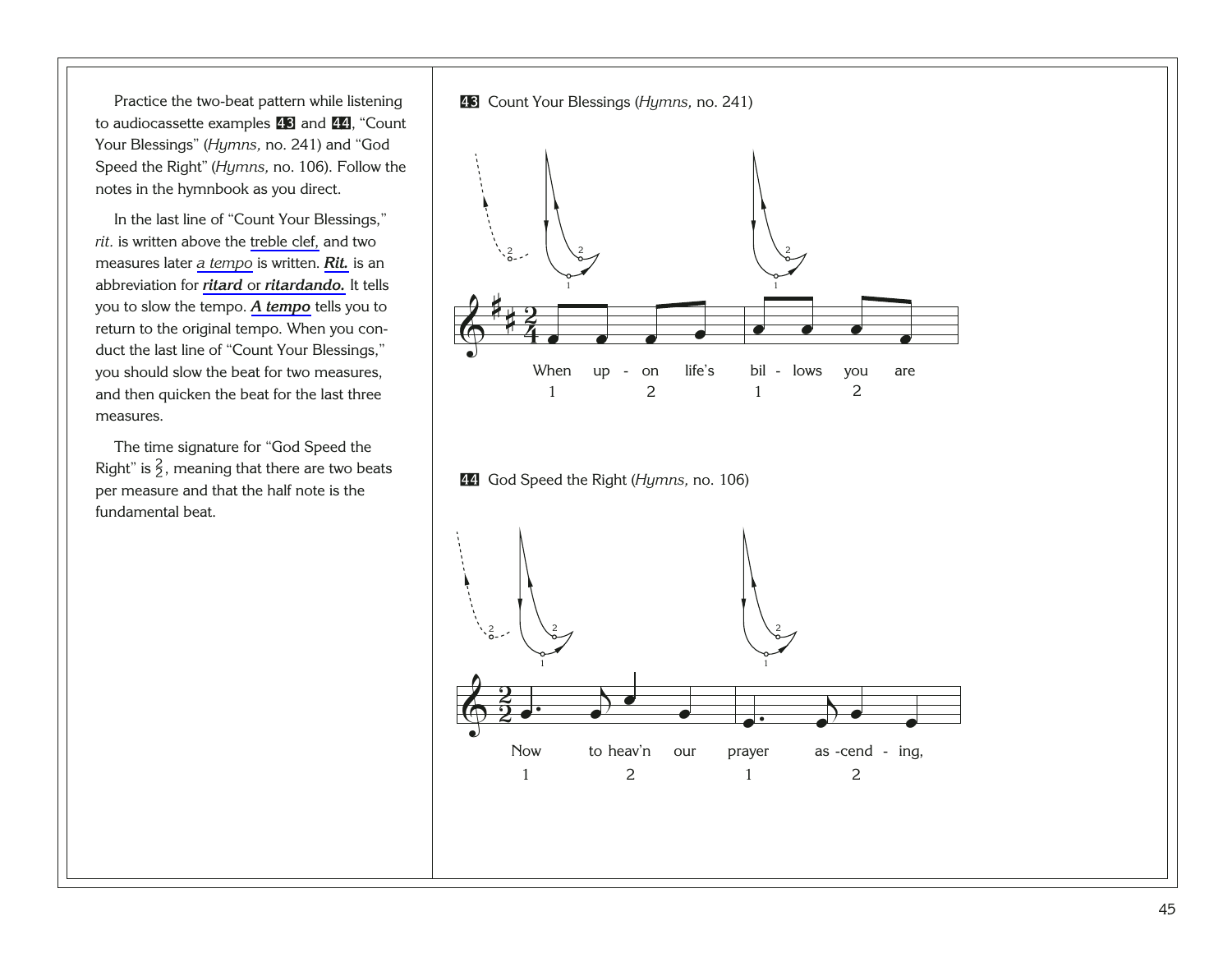<span id="page-49-0"></span>Practice the two-beat pattern while listening to audiocassette examples [43](http://broadcast.lds.org/churchmusic/MP3/eng/course/Conducting_43_eng.mp3) and [44](http://broadcast.lds.org/churchmusic/MP3/eng/course/Conducting_44_eng.mp3), "Count Your Blessings" (*Hymns,* no. 241) and "God Speed the Right" (*Hymns,* no. 106). Follow the notes in the hymnbook as you direct.

In the last line of "Count Your Blessings," *rit.* is written above the [treble clef,](#page-91-0) and two measures later *[a tempo](#page-89-0)* is written. *[Rit.](#page-97-0)* is an abbreviation for *ritard* or *[ritardando.](#page-97-0)* It tells you to slow the tempo. *[A tempo](#page-89-0)* tells you to return to the original tempo. When you conduct the last line of "Count Your Blessings," you should slow the beat for two measures, and then quicken the beat for the last three measures.

The time signature for "God Speed the Right" is  $\frac{2}{3}$ , meaning that there are two beats per measure and that the half note is the fundamental beat.



[44](http://broadcast.lds.org/churchmusic/MP3/eng/course/Conducting_44_eng.mp3) God Speed the Right (*Hymns,* no. 106)

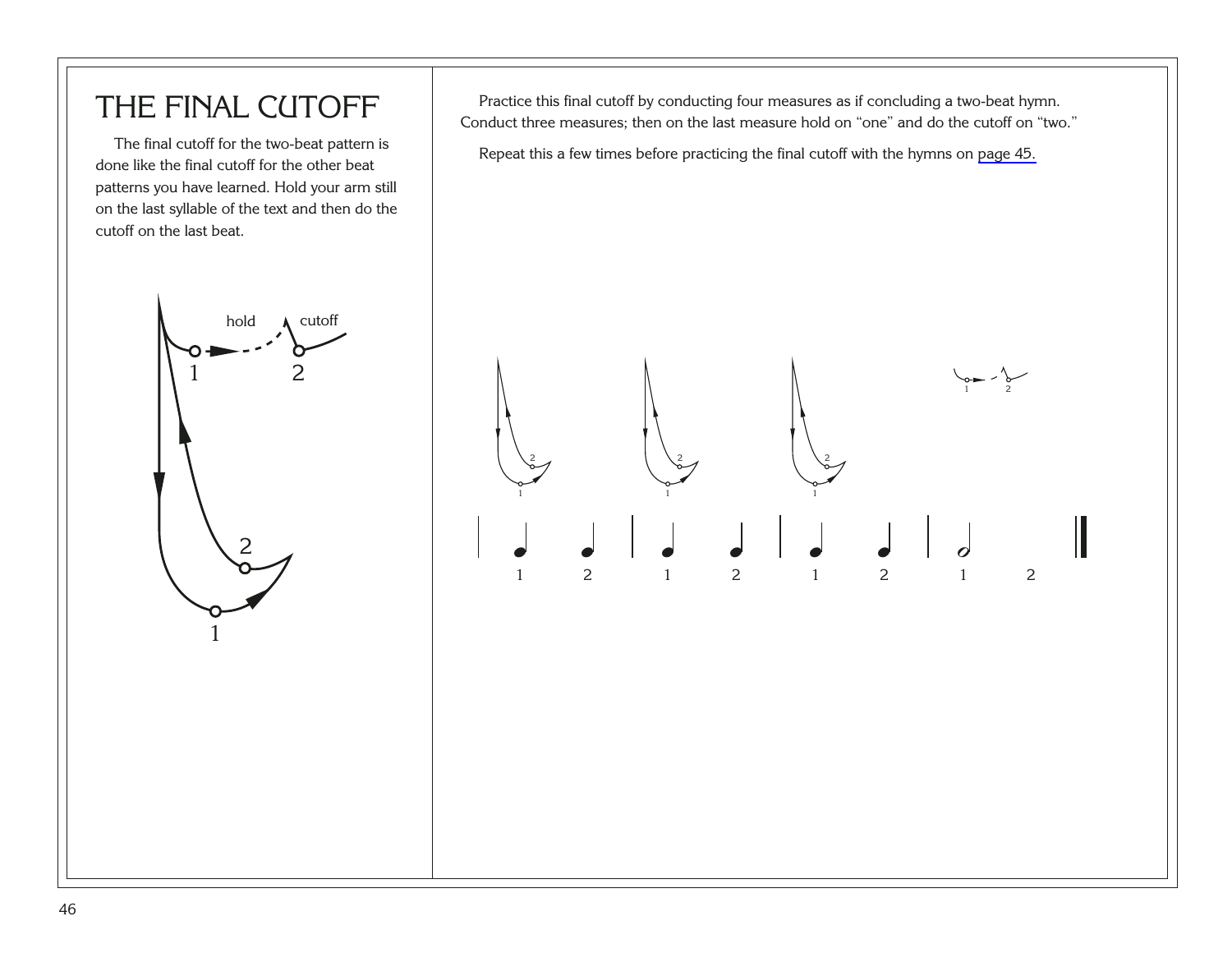### THE FINAL CUTOFF

The final cutoff for the two-beat pattern is done like the final cutoff for the other beat patterns you have learned. Hold your arm still on the last syllable of the text and then do the cutoff on the last beat.



Practice this final cutoff by conducting four measures as if concluding a two-beat hymn. Conduct three measures; then on the last measure hold on "one" and do the cutoff on "two."

Repeat this a few times before practicing the final cutoff with the hymns on [page 45.](#page-49-0)

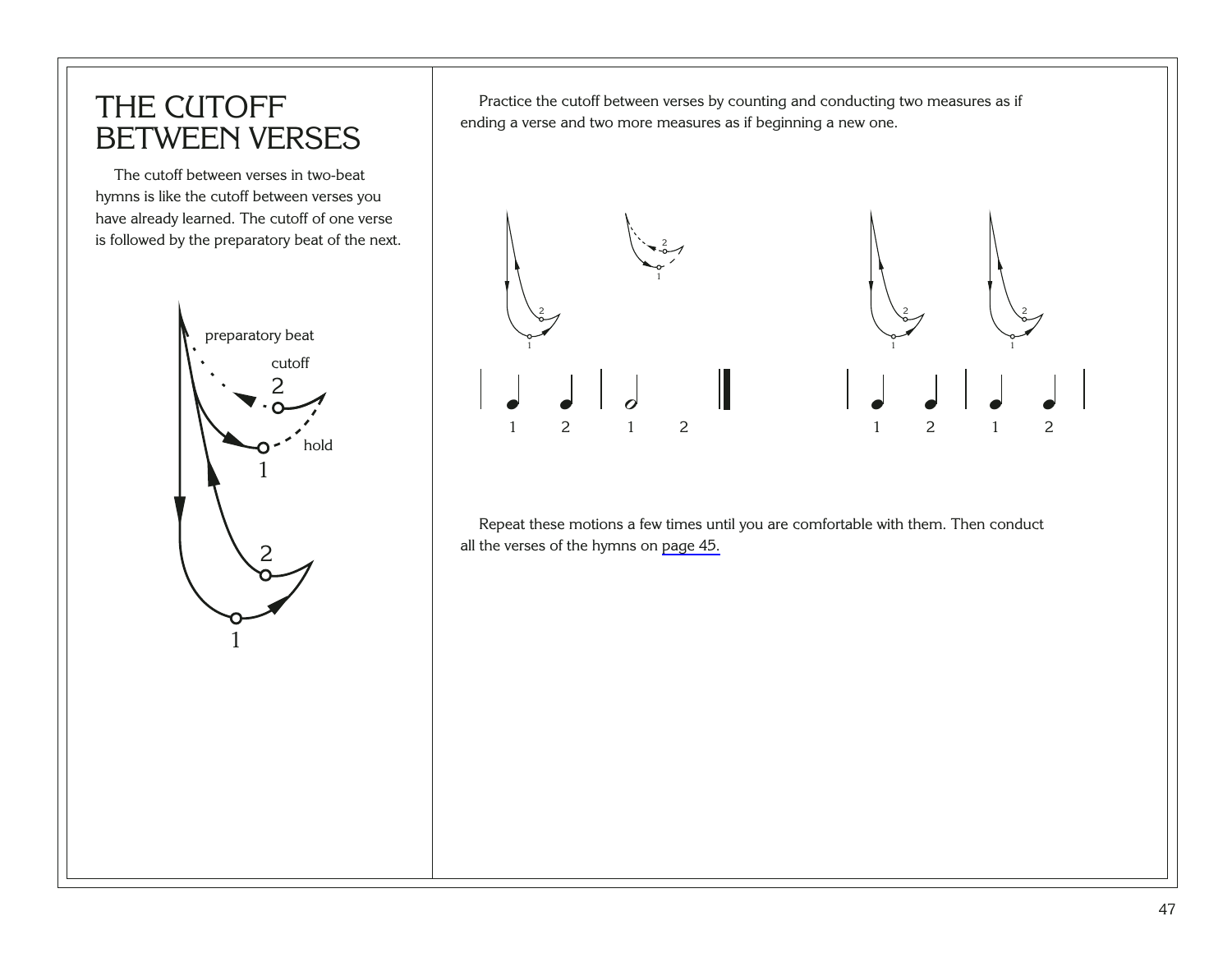#### THE CUTOFF BETWEEN VERSES

The cutoff between verses in two-beat hymns is like the cutoff between verses you have already learned. The cutoff of one verse is followed by the preparatory beat of the next.



Practice the cutoff between verses by counting and conducting two measures as if ending a verse and two more measures as if beginning a new one.



Repeat these motions a few times until you are comfortable with them. Then conduct all the verses of the hymns on [page 45.](#page-49-0)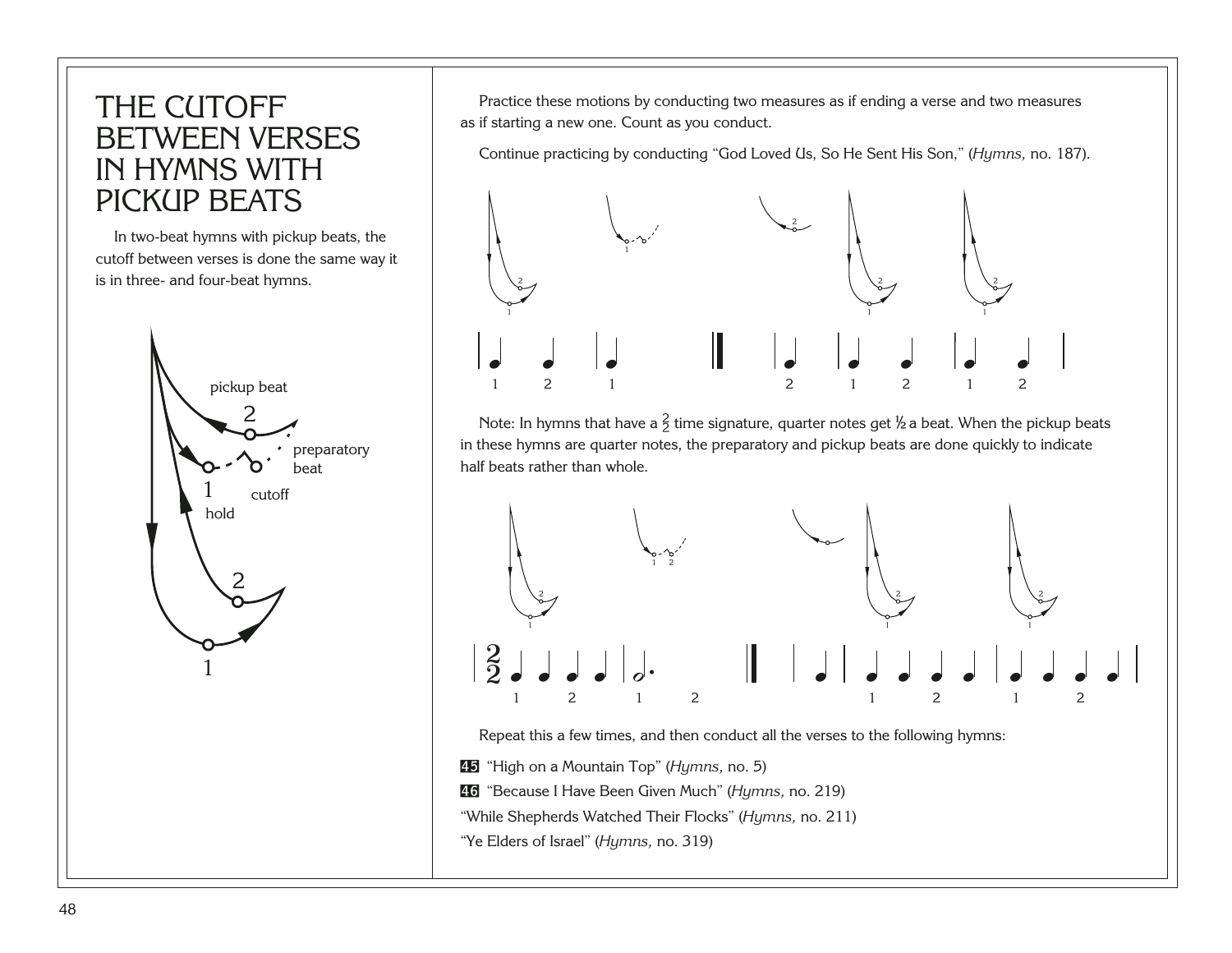#### THE CUTOFF BETWEEN VERSES IN HYMNS WITH PICKUP BEATS

In two-beat hymns with pickup beats, the cutoff between verses is done the same way it is in three- and four-beat hymns.



Practice these motions by conducting two measures as if ending a verse and two measures as if starting a new one. Count as you conduct.

Continue practicing by conducting "God Loved Us, So He Sent His Son," (*Hymns,* no. 187).



Note: In hymns that have a  $\frac{2}{3}$  time signature, quarter notes get  $\frac{1}{2}$  a beat. When the pickup beats in these hymns are quarter notes, the preparatory and pickup beats are done quickly to indicate half beats rather than whole.



Repeat this a few times, and then conduct all the verses to the following hymns:

[45](http://broadcast.lds.org/churchmusic/MP3/eng/course/Conducting_45_eng.mp3) "High on a Mountain Top" (*Hymns,* no. 5)

[46](http://broadcast.lds.org/churchmusic/MP3/eng/course/Conducting_46_eng.mp3) "Because I Have Been Given Much" (*Hymns,* no. 219)

"While Shepherds Watched Their Flocks" (*Hymns,* no. 211)

"Ye Elders of Israel" (*Hymns,* no. 319)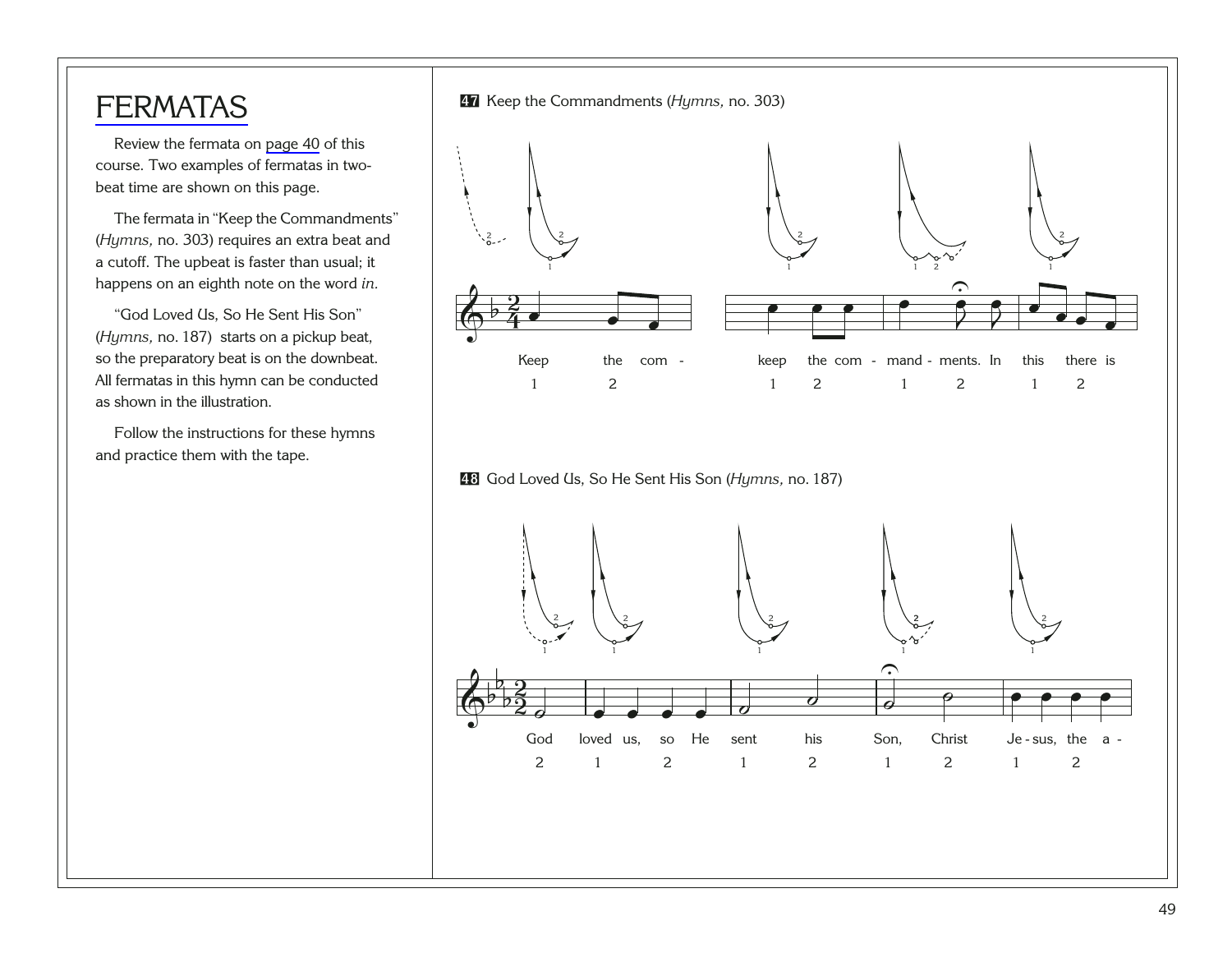#### **[FERMATAS](#page-92-0)**

Review the fermata on [page 40](#page-44-0) of this course. Two examples of fermatas in twobeat time are shown on this page.

The fermata in "Keep the Commandments" (*Hymns,* no. 303) requires an extra beat and a cutoff. The upbeat is faster than usual; it happens on an eighth note on the word *in.*

"God Loved Us, So He Sent His Son" (*Hymns,* no. 187) starts on a pickup beat, so the preparatory beat is on the downbeat. All fermatas in this hymn can be conducted as shown in the illustration.

Follow the instructions for these hymns and practice them with the tape.

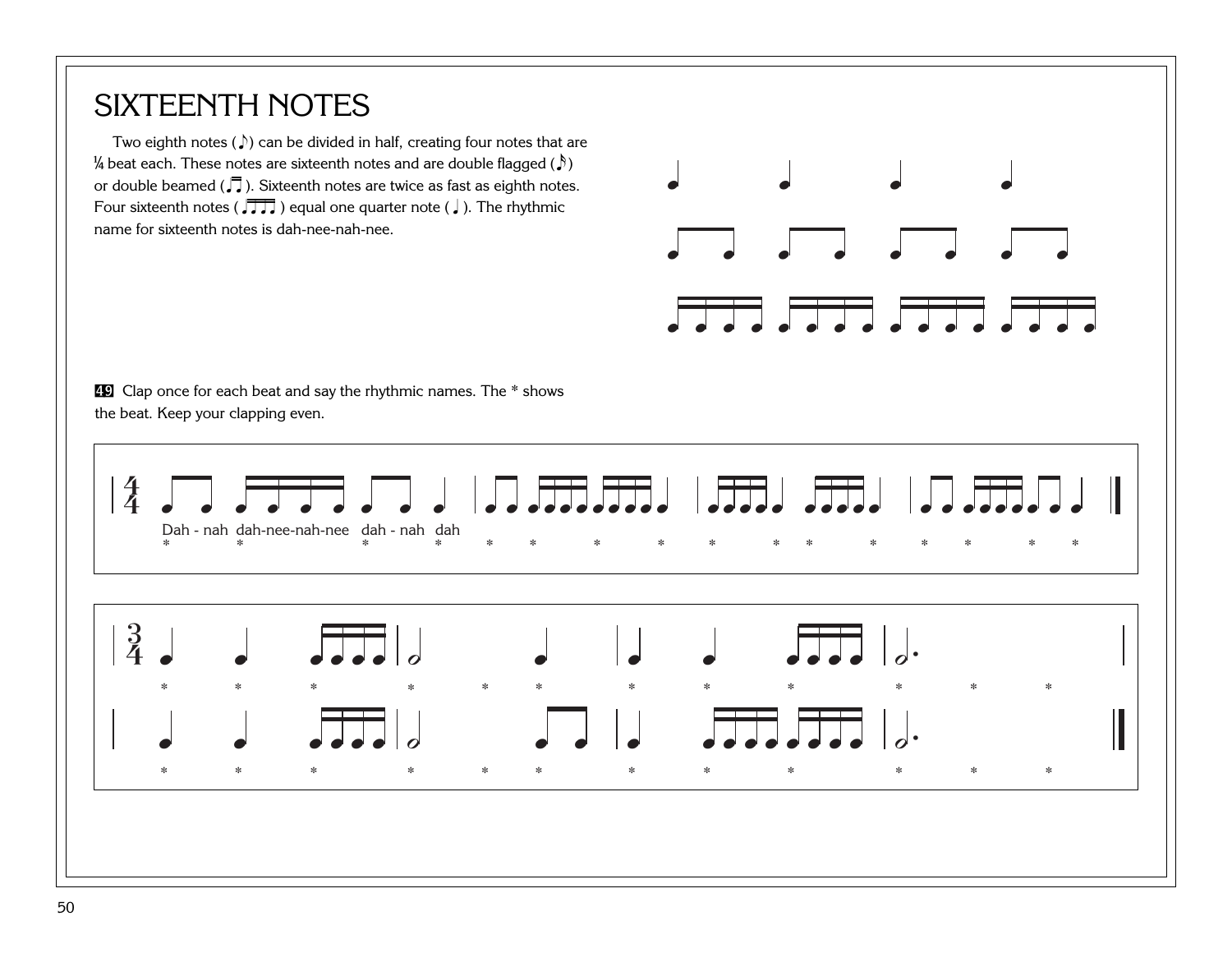### SIXTEENTH NOTES

Two eighth notes ( $\sqrt{ }$ ) can be divided in half, creating four notes that are B beat each. These notes are sixteenth notes and are double flagged (x ) or double beamed ( $\sqrt{ }$ ). Sixteenth notes are twice as fast as eighth notes. Four sixteenth notes ( $\sqrt{1}$ ) equal one quarter note ( ). The rhythmic name for sixteenth notes is dah-nee-nah-nee.

[49](http://broadcast.lds.org/churchmusic/MP3/eng/course/Conducting_49_eng.mp3) Clap once for each beat and say the rhythmic names. The \* shows the beat. Keep your clapping even.



œ œ œ œ

œ œ œ œ œ œ œ œ

 $\overline{C}$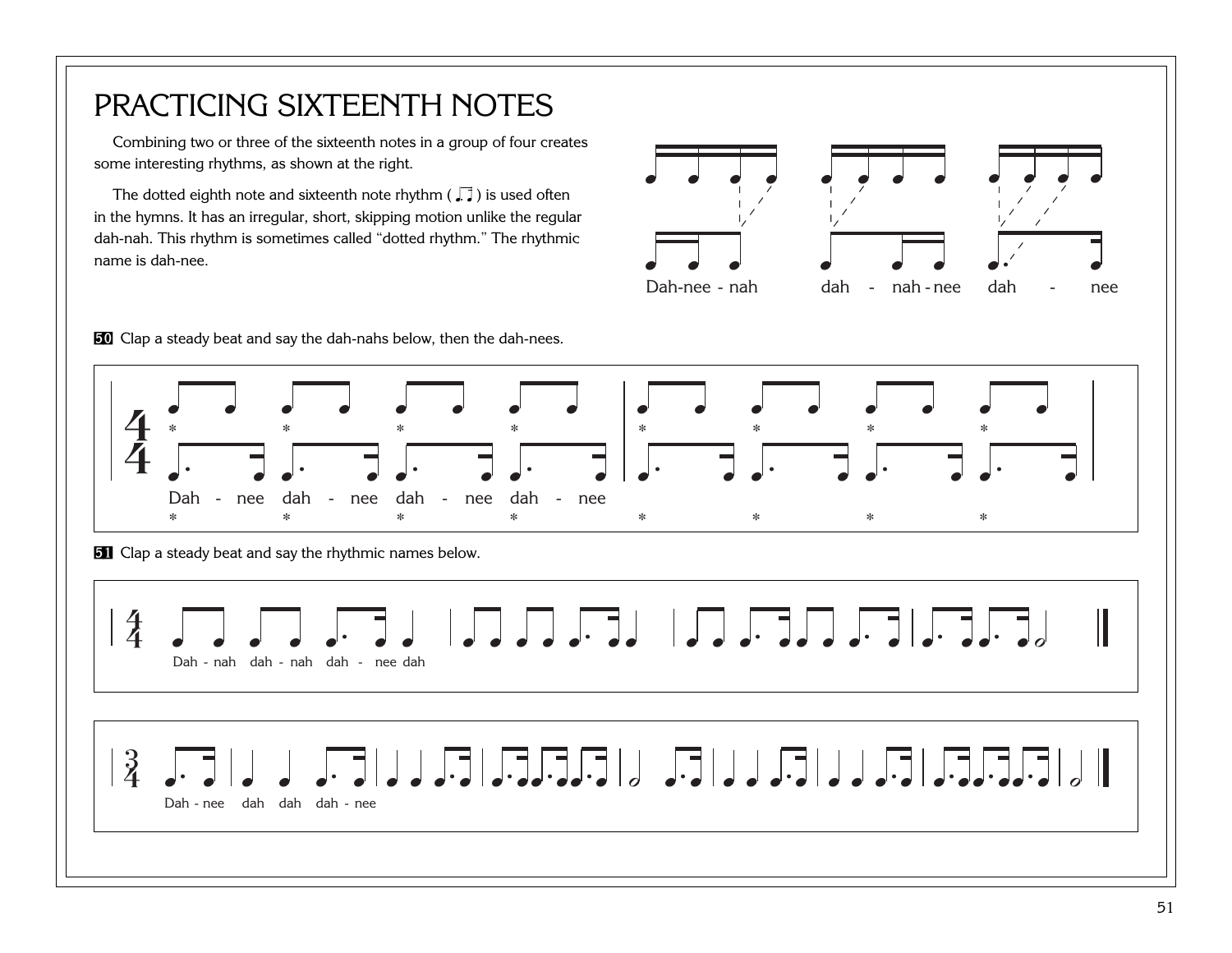### PRACTICING SIXTEENTH NOTES

Combining two or three of the sixteenth notes in a group of four creates some interesting rhythms, as shown at the right.

The dotted eighth note and sixteenth note rhythm ( $\Box$ ) is used often in the hymns. It has an irregular, short, skipping motion unlike the regular dah-nah. This rhythm is sometimes called "dotted rhythm." The rhythmic name is dah-nee.



[50](http://broadcast.lds.org/churchmusic/MP3/eng/course/Conducting_50_eng.mp3) Clap a steady beat and say the dah-nahs below, then the dah-nees.

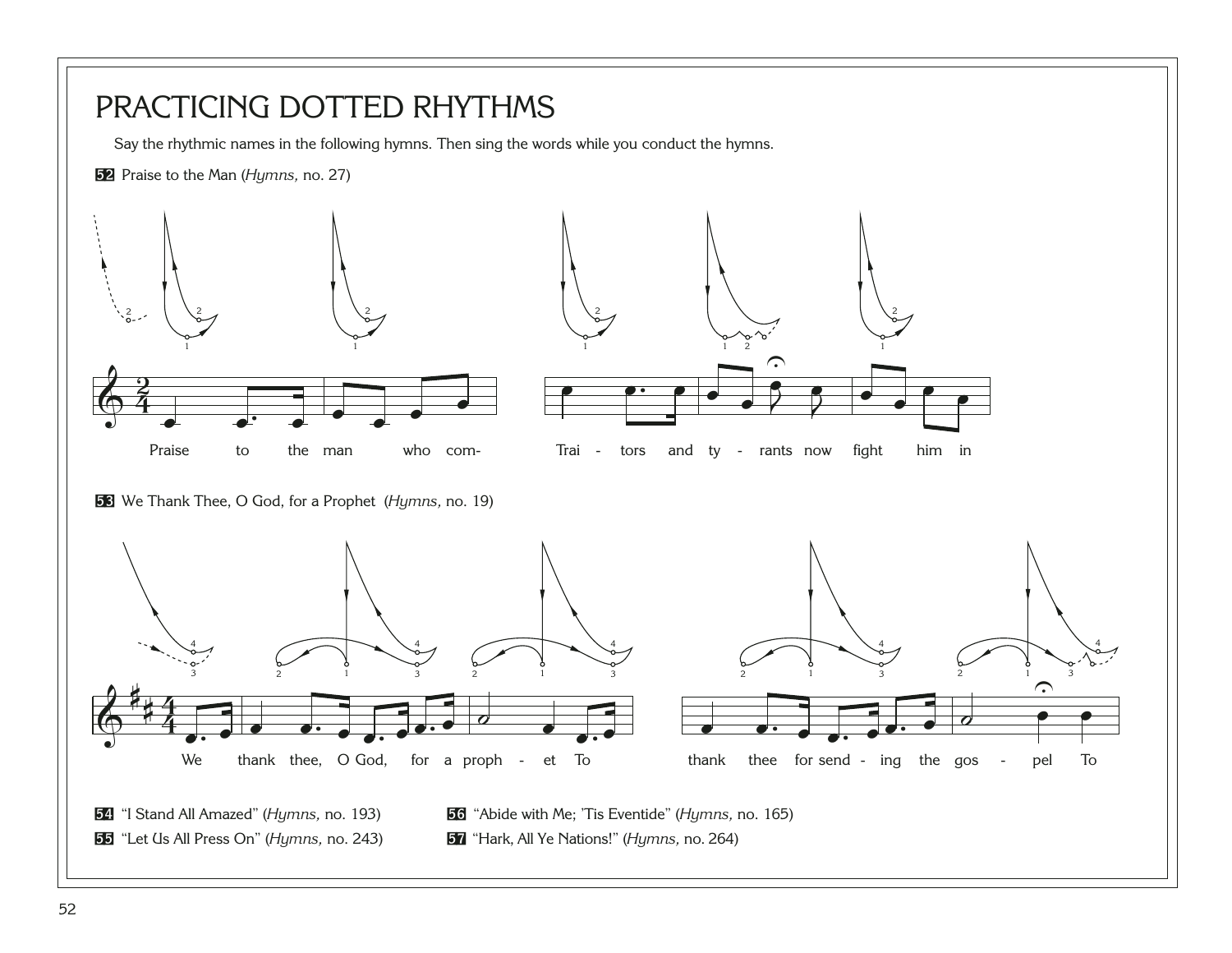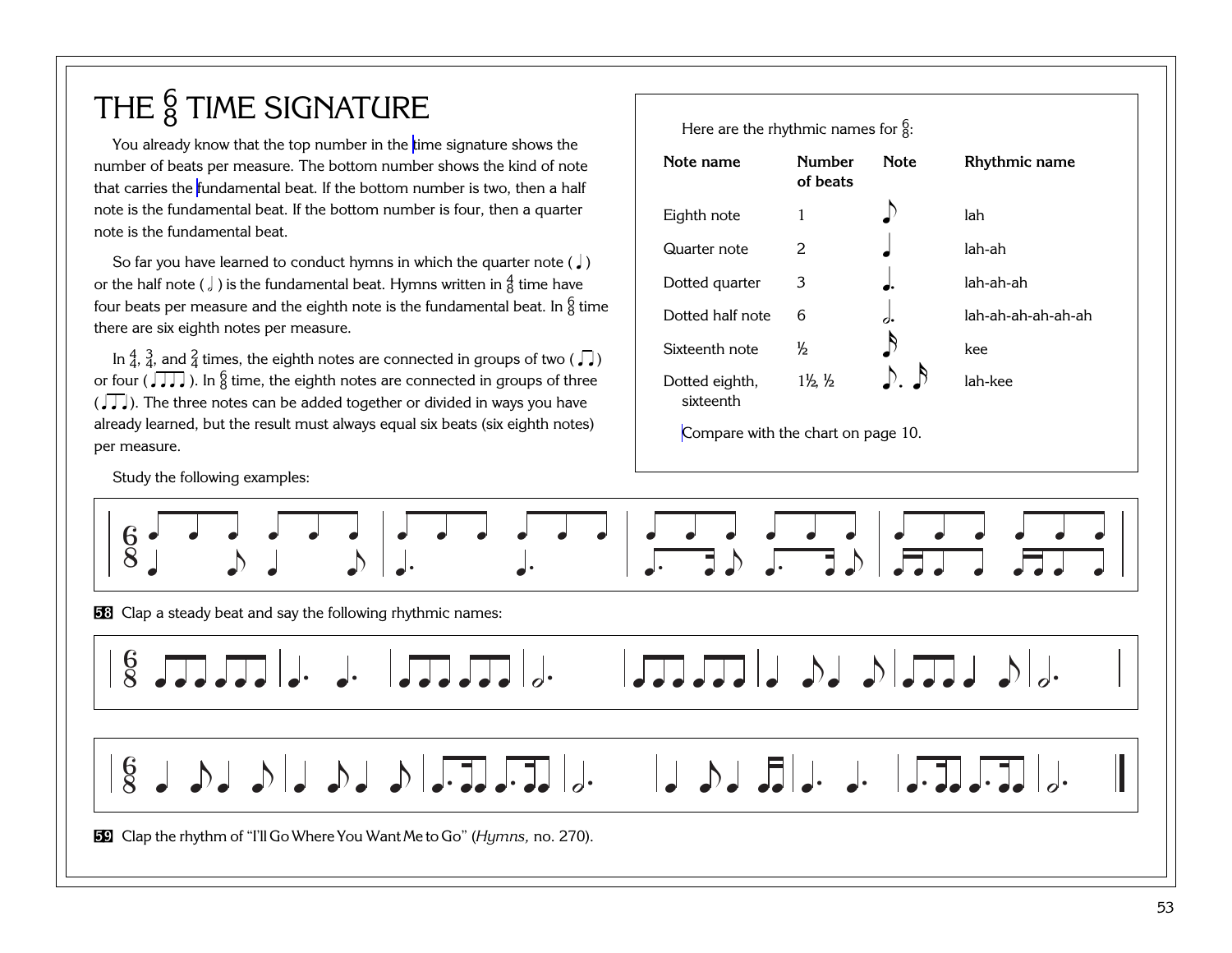## THE  $\frac{6}{8}$  TIME SIGNATURE

You already know that the top number in the [time signature](#page-99-0) shows the number of beats per measure. The bottom number shows the kind of note that carries the [fundamental beat.](#page-92-0) If the bottom number is two, then a half note is the fundamental beat. If the bottom number is four, then a quarter note is the fundamental beat.

So far you have learned to conduct hymns in which the quarter note ( $\int$ ) or the half note ( $\frac{1}{6}$ ) is the fundamental beat. Hymns written in  $\frac{4}{8}$  time have four beats per measure and the eighth note is the fundamental beat. In  $\frac{6}{8}$  time there are six eighth notes per measure.

In  $\frac{4}{4}$ ,  $\frac{3}{4}$ , and  $\frac{2}{4}$  times, the eighth notes are connected in groups of two ( $\sqrt{ }$ ) or four ( $\sqrt{q\sqrt{q}}$ ). In  $\frac{6}{8}$  time, the eighth notes are connected in groups of three  $\left(\sqrt{11}\right)$ . The three notes can be added together or divided in ways you have already learned, but the result must always equal six beats (six eighth notes) per measure.

Study the following examples:

| Here are the rhythmic names for $\frac{6}{3}$ . |                                |             |                    |  |
|-------------------------------------------------|--------------------------------|-------------|--------------------|--|
| Note name                                       | <b>Number</b><br>of beats      | <b>Note</b> | Rhythmic name      |  |
| Eighth note                                     | 1                              |             | lah                |  |
| Quarter note                                    | $\mathcal{P}_{\mathcal{E}}$    |             | lah-ah             |  |
| Dotted quarter                                  | 3                              |             | lah-ah-ah          |  |
| Dotted half note                                | 6                              |             | lah-ah-ah-ah-ah-ah |  |
| Sixteenth note                                  | $\frac{1}{2}$                  |             | kee                |  |
| Dotted eighth,<br>sixteenth                     | $1\frac{1}{2}$ , $\frac{1}{2}$ |             | lah-kee            |  |

[Compare with the chart on page 10.](#page-14-0)

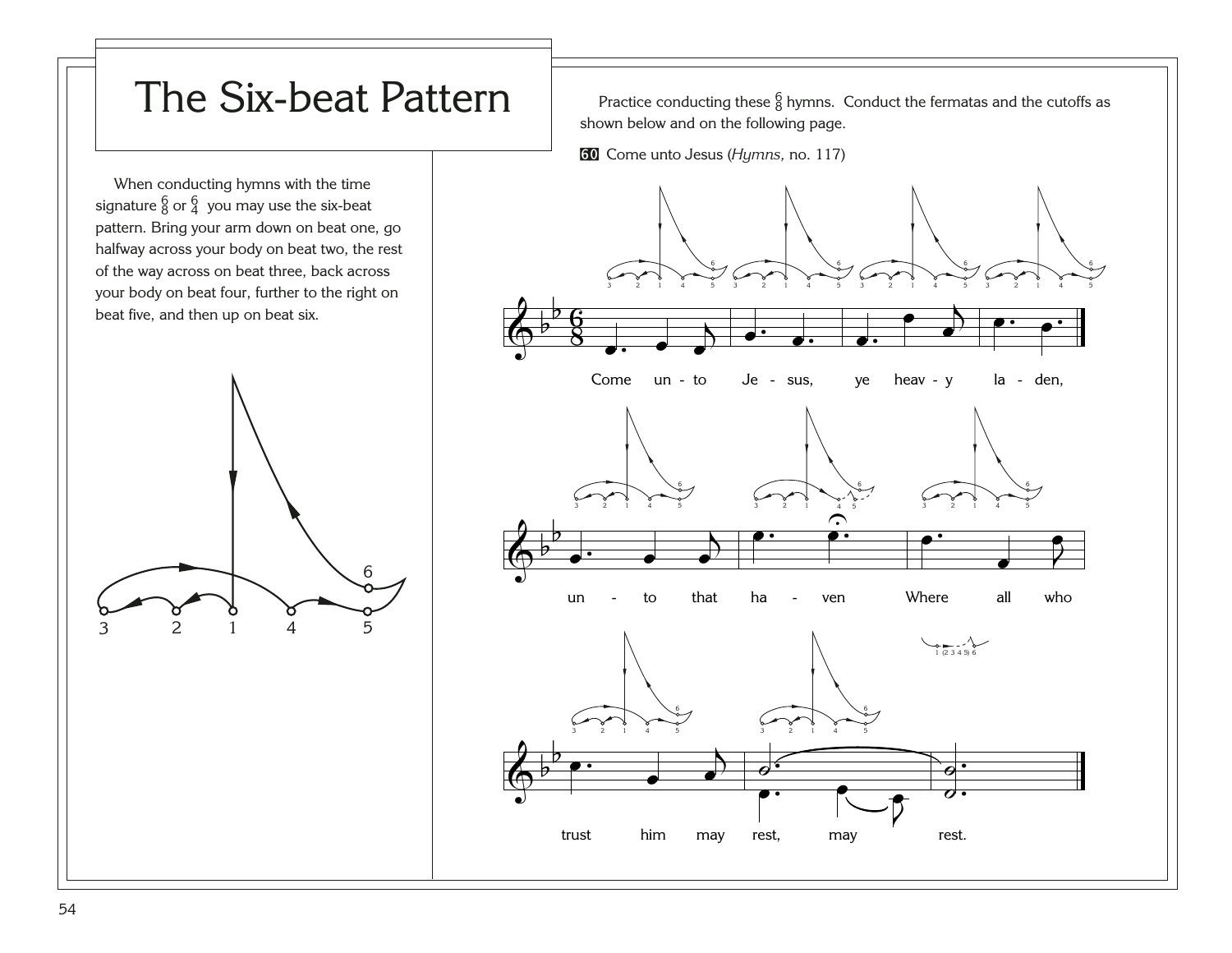## The Six-beat Pattern | Practice conducting these  $\frac{6}{8}$  hymns. Conduct the fermatas and the cutoffs as

shown below and on the following page.

[60](http://broadcast.lds.org/churchmusic/MP3/eng/course/Conducting_60_eng.mp3) Come unto Jesus (*Hymns,* no. 117)

When conducting hymns with the time signature  $^6_8$  or  $^6_4$  you may use the six-beat pattern. Bring your arm down on beat one, go halfway across your body on beat two, the rest of the way across on beat three, back across your body on beat four, further to the right on beat five, and then up on beat six.



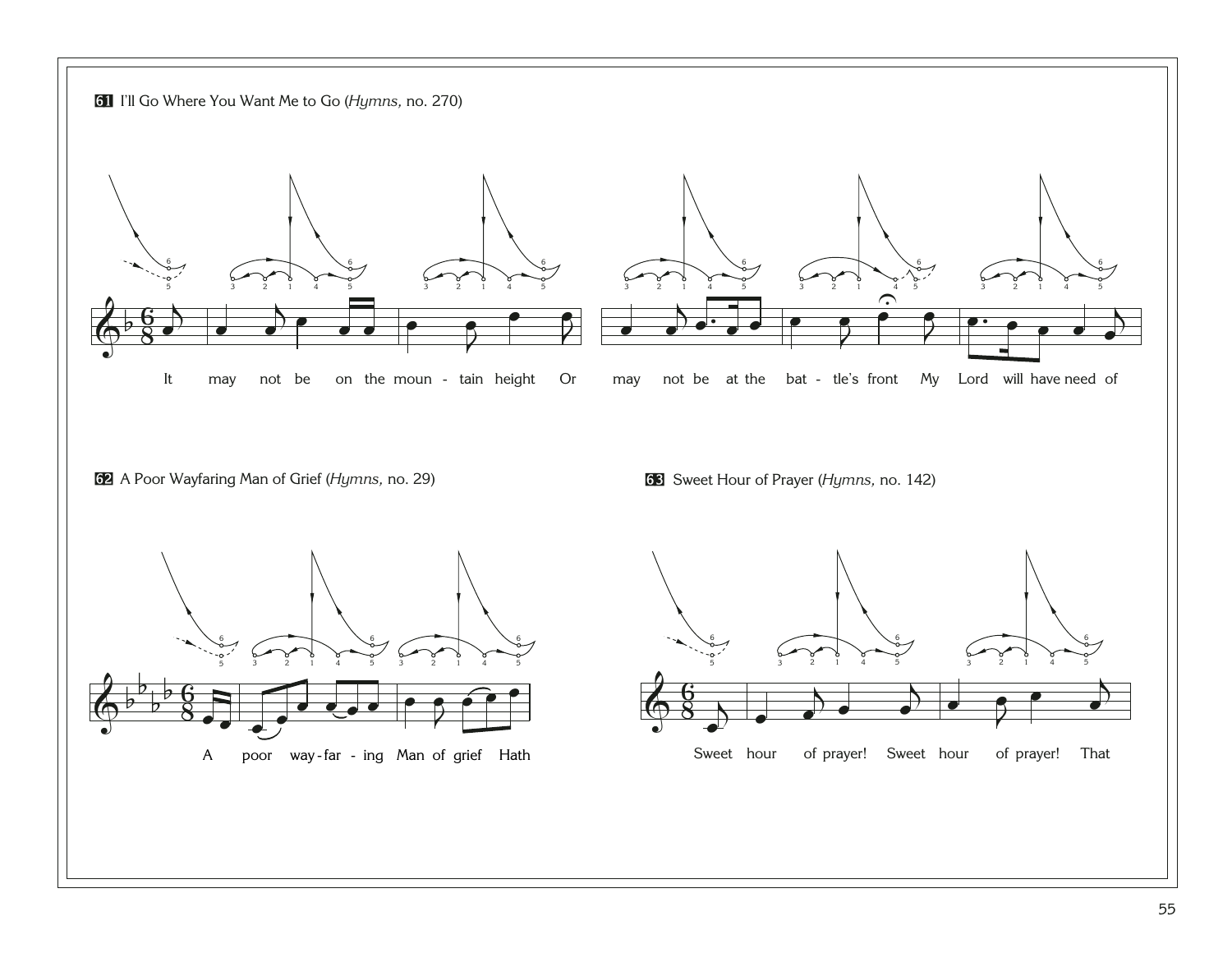<span id="page-59-0"></span>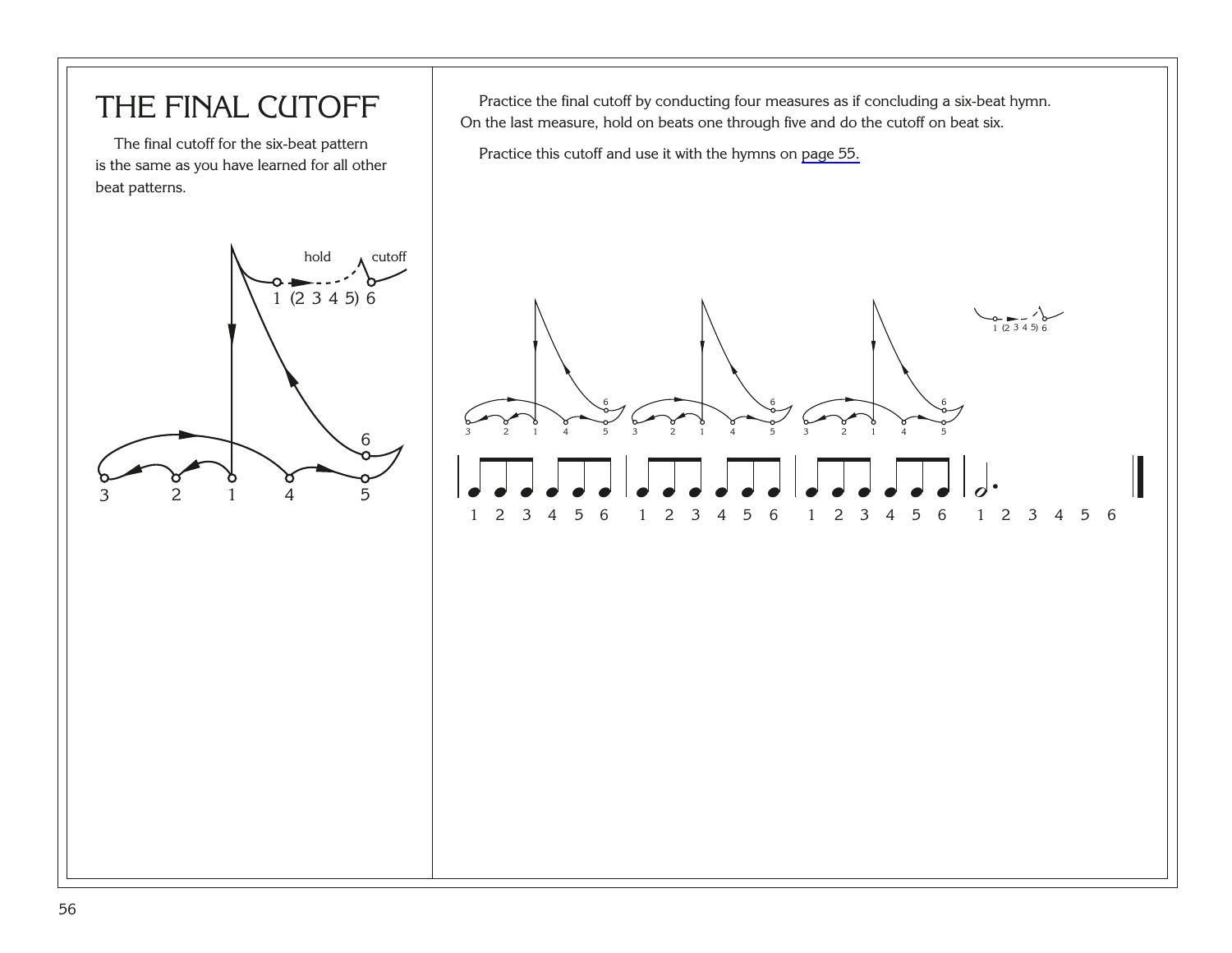#### THE FINAL CUTOFF

The final cutoff for the six-beat pattern is the same as you have learned for all other beat patterns.



Practice the final cutoff by conducting four measures as if concluding a six-beat hymn. On the last measure, hold on beats one through five and do the cutoff on beat six.

Practice this cutoff and use it with the hymns on [page 55.](#page-59-0)

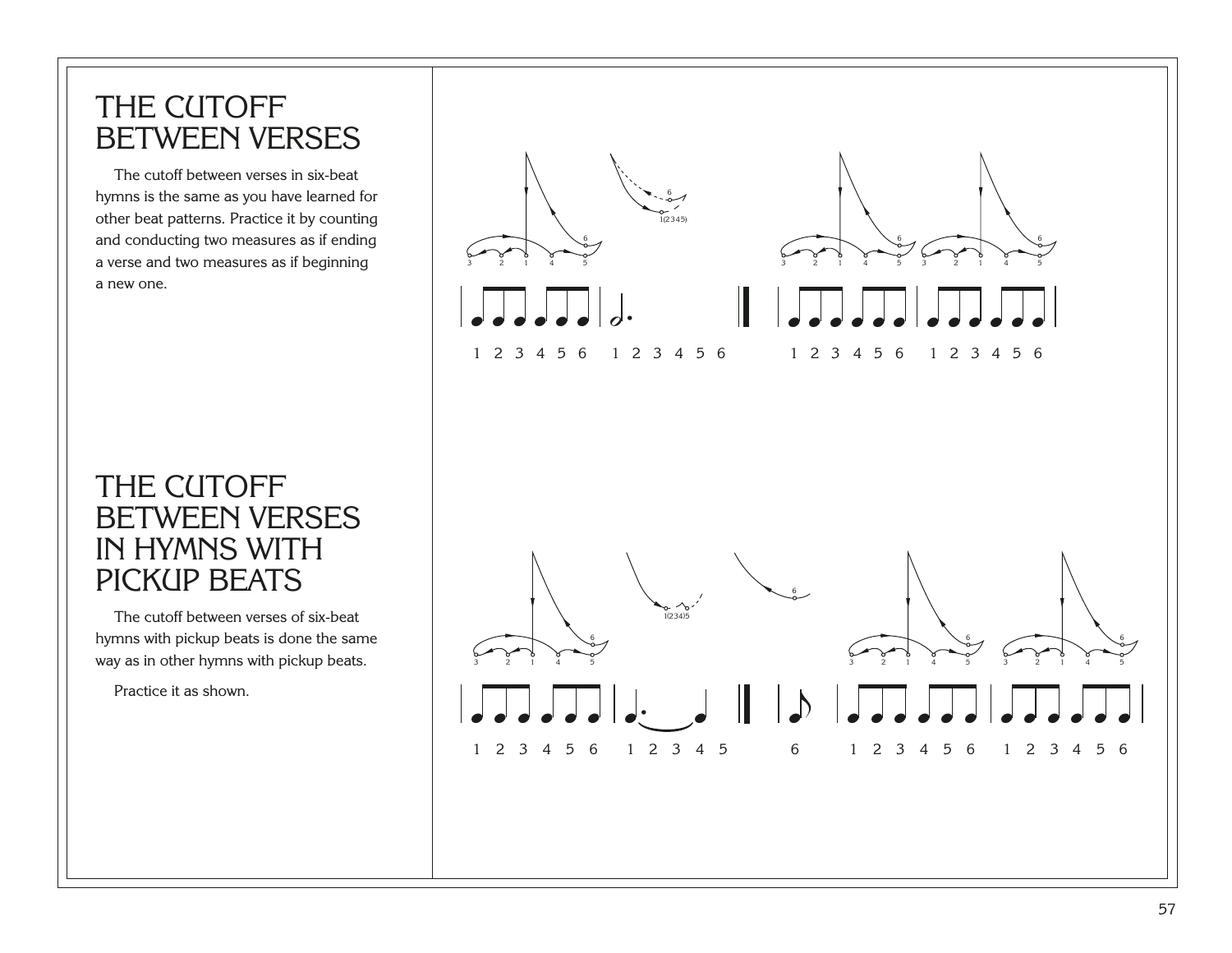#### THE CUTOFF BETWEEN VERSES

The cutoff between verses in six-beat hymns is the same as you have learned for other beat patterns. Practice it by counting and conducting two measures as if ending a verse and two measures as if beginning a new one.

#### THE CUTOFF BETWEEN VERSES IN HYMNS WITH PICKUP BEATS

The cutoff between verses of six-beat hymns with pickup beats is done the same way as in other hymns with pickup beats.

Practice it as shown.

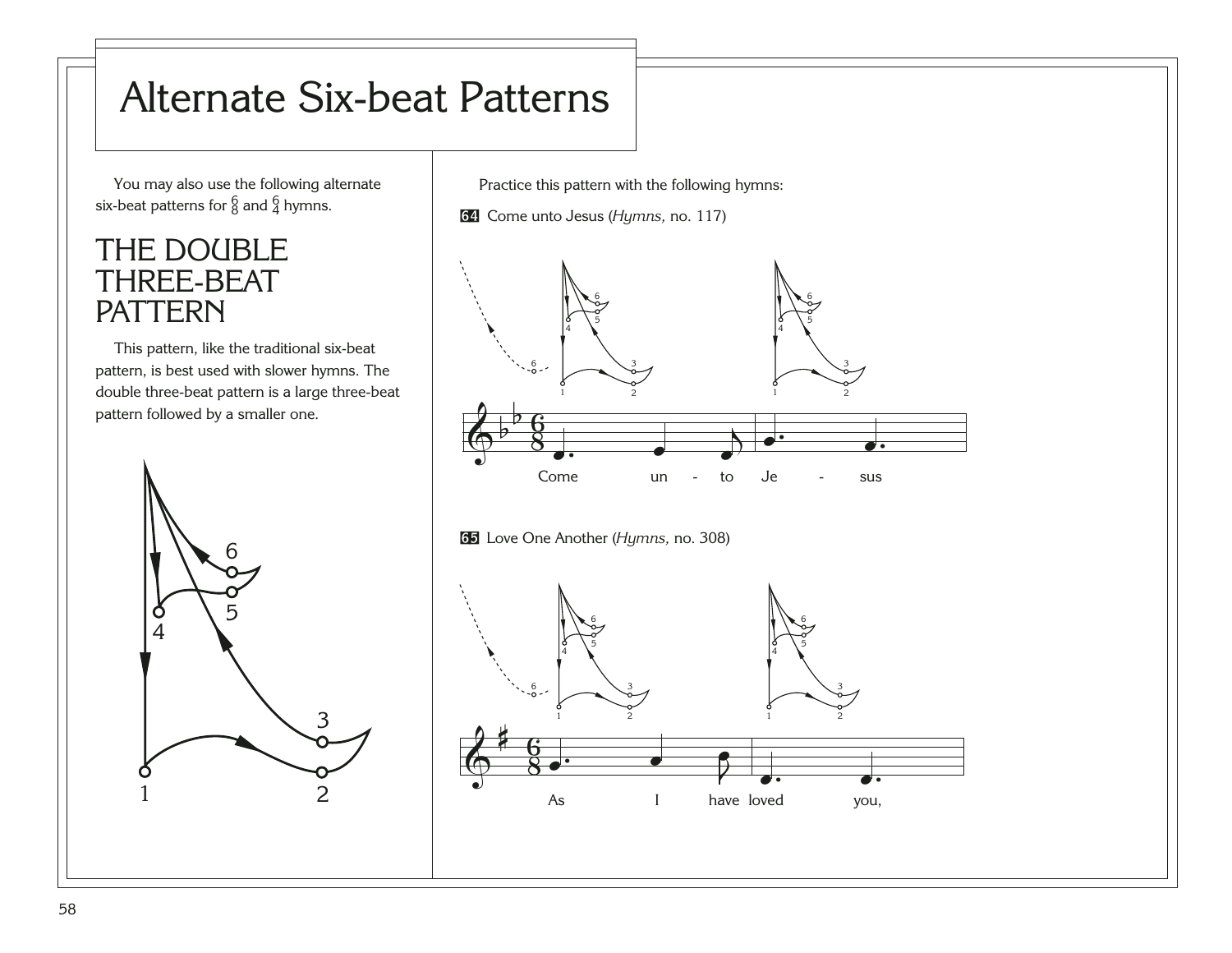# Alternate Six-beat Patterns

You may also use the following alternate six-beat patterns for  $^6_8$  and  $^6_4$  hymns.

#### THE DOUBLE THREE-BEAT PATTERN

This pattern, like the traditional six-beat pattern, is best used with slower hymns. The double three-beat pattern is a large three-beat pattern followed by a smaller one.



Practice this pattern with the following hymns:

[64](http://broadcast.lds.org/churchmusic/MP3/eng/course/Conducting_64_eng.mp3) Come unto Jesus (*Hymns,* no. 117)



[65](http://broadcast.lds.org/churchmusic/MP3/eng/course/Conducting_65_eng.mp3) Love One Another (*Hymns,* no. 308)

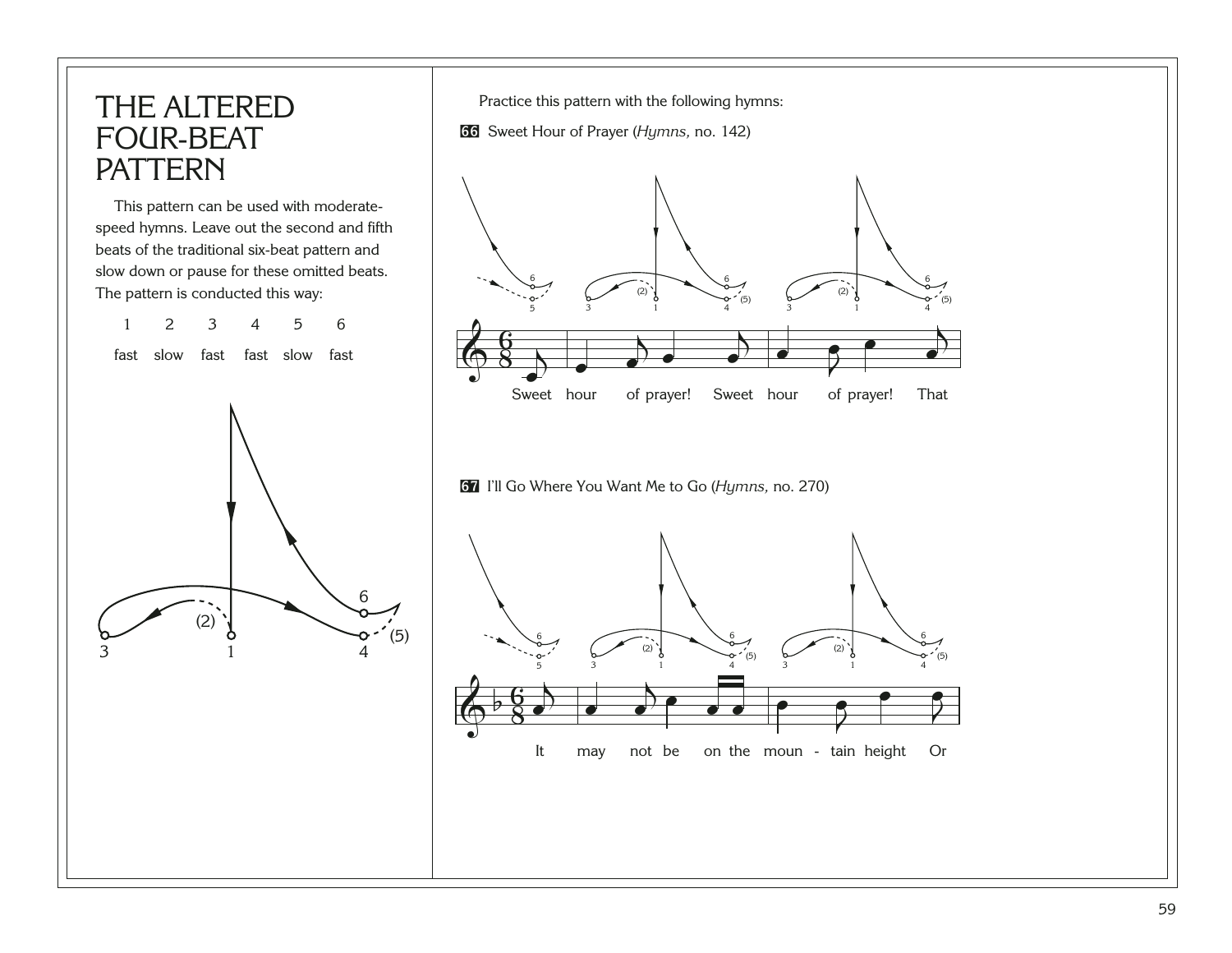#### THE ALTERED FOUR-BEAT PATTERN

This pattern can be used with moderatespeed hymns. Leave out the second and fifth beats of the traditional six-beat pattern and slow down or pause for these omitted beats. The pattern is conducted this way:



Practice this pattern with the following hymns:

[66](http://broadcast.lds.org/churchmusic/MP3/eng/course/Conducting_66_eng.mp3) Sweet Hour of Prayer (*Hymns,* no. 142)



[67](http://broadcast.lds.org/churchmusic/MP3/eng/course/Conducting_67_eng.mp3) I'll Go Where You Want Me to Go (*Hymns,* no. 270)

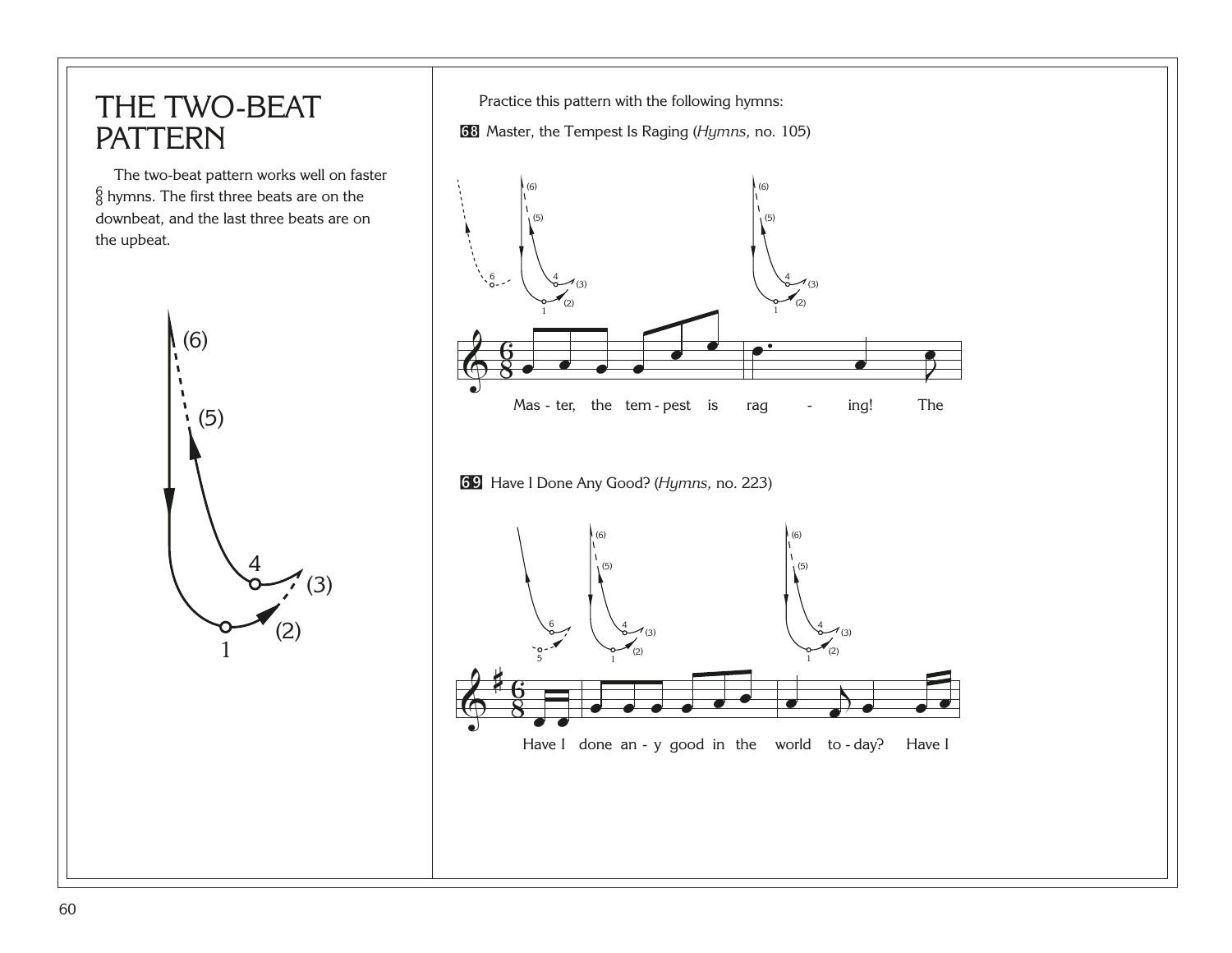#### THE TWO-BEAT PATTERN

The two-beat pattern works well on faster  $^6_8$  hymns. The first three beats are on the downbeat, and the last three beats are on the upbeat.



Practice this pattern with the following hymns:

[68](http://broadcast.lds.org/churchmusic/MP3/eng/course/Conducting_68_eng.mp3) Master, the Tempest Is Raging (*Hymns,* no. 105)

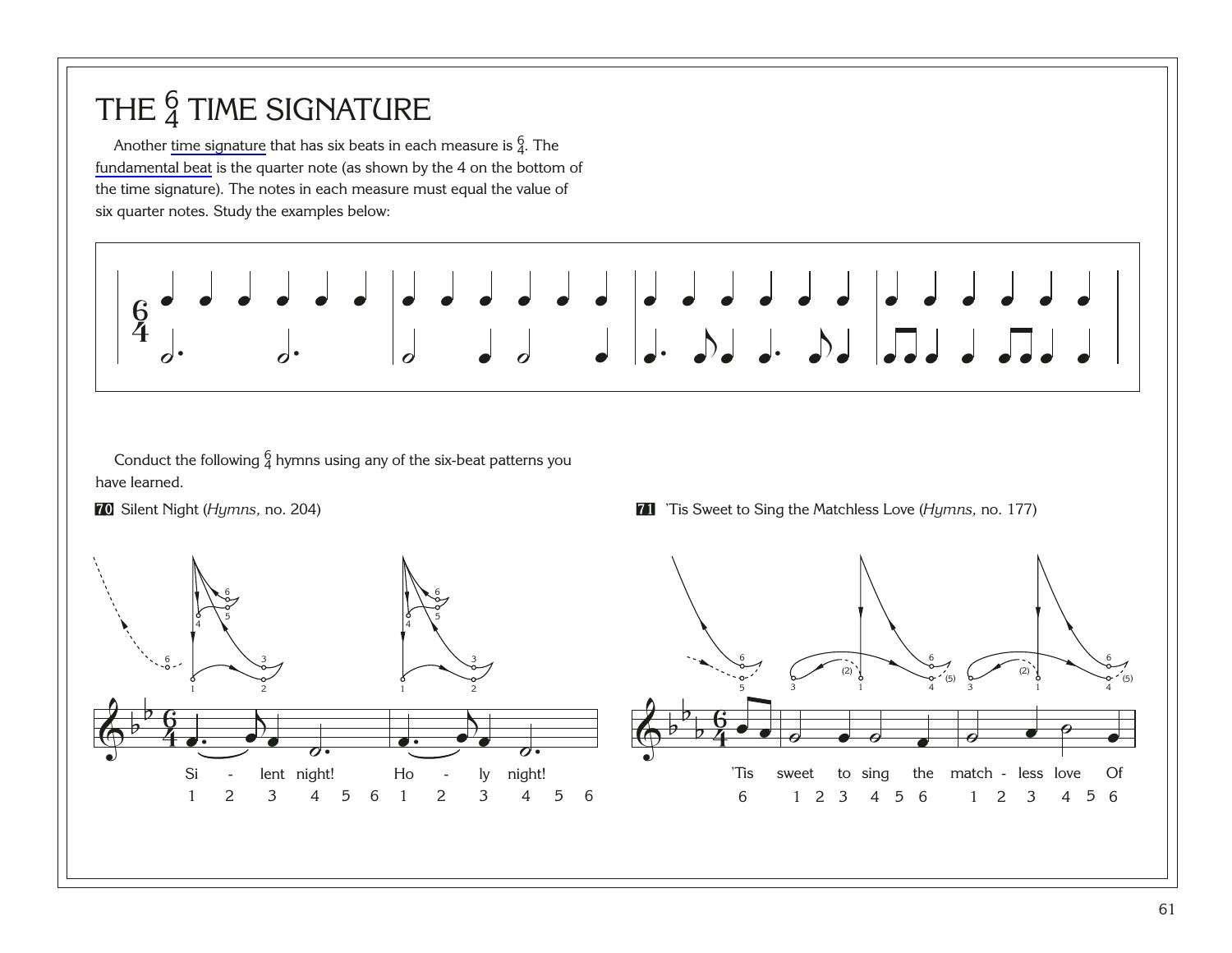## THE  $\frac{6}{4}$  TIME SIGNATURE

Another [time signature](#page-99-0) that has six beats in each measure is  $\frac{6}{4}$ . The [fundamental beat](#page-92-0) is the quarter note (as shown by the 4 on the bottom of the time signature). The notes in each measure must equal the value of six quarter notes. Study the examples below:



Conduct the following  $\frac{6}{4}$  hymns using any of the six-beat patterns you have learned.

**[70](http://broadcast.lds.org/churchmusic/MP3/eng/course/Conducting_70_eng.mp3)** Silent Night (Hymns, no. 204)



**T** 'Tis Sweet to Sing the Matchless Love (*Hymns*, no. 177)

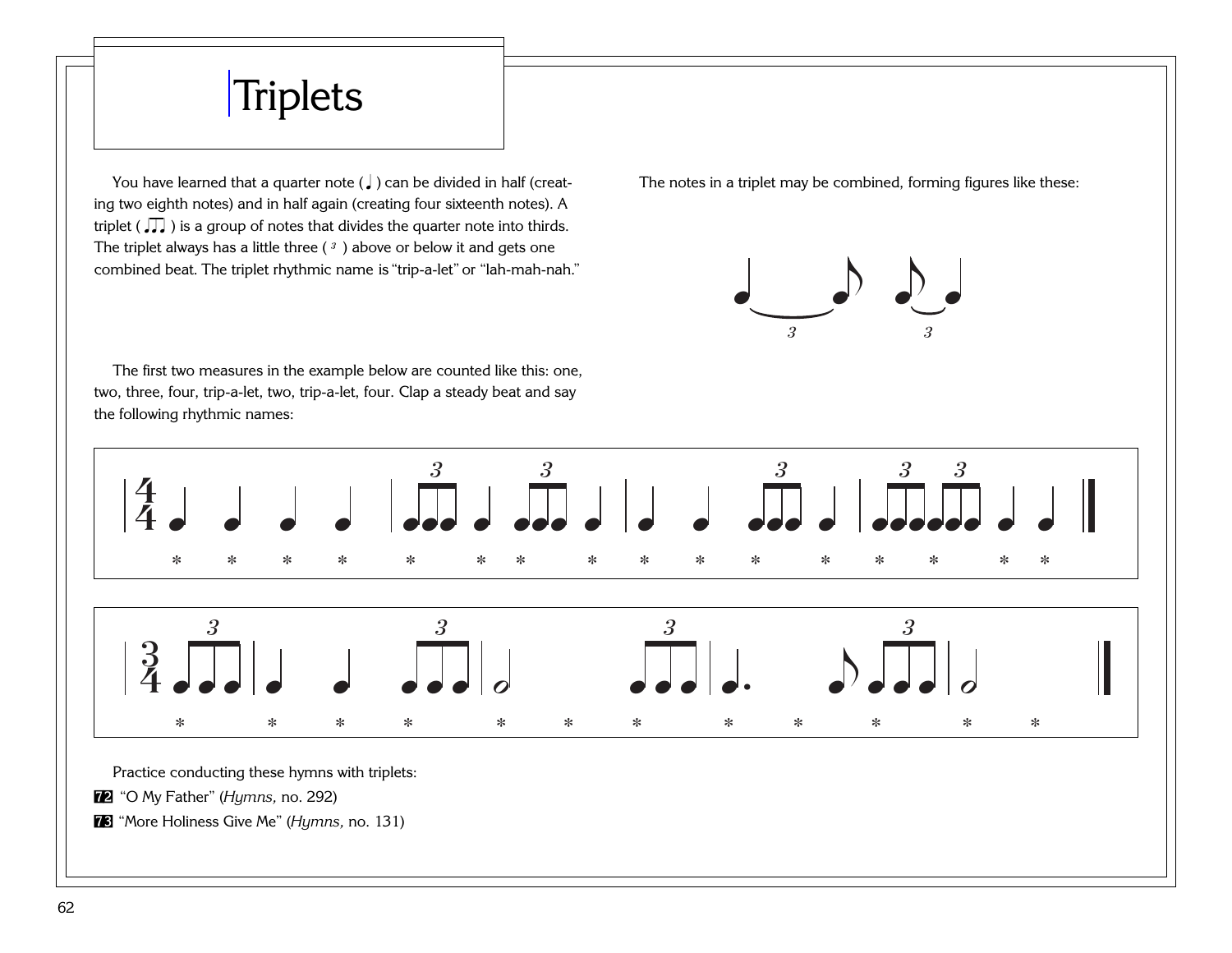# **[Triplets](#page-100-0)**

You have learned that a quarter note ( $\downarrow$ ) can be divided in half (creating two eighth notes) and in half again (creating four sixteenth notes). A triplet ( $\sqrt{ }$ ) is a group of notes that divides the quarter note into thirds. The triplet always has a little three  $(3)$  above or below it and gets one combined beat. The triplet rhythmic name is "trip-a-let" or "lah-mah-nah." The notes in a triplet may be combined, forming figures like these:



The first two measures in the example below are counted like this: one, two, three, four, trip-a-let, two, trip-a-let, four. Clap a steady beat and say the following rhythmic names:



Practice conducting these hymns with triplets:

[72](http://broadcast.lds.org/churchmusic/MP3/eng/course/Conducting_72_eng.mp3) "O My Father" (*Hymns,* no. 292)

[73](http://broadcast.lds.org/churchmusic/MP3/eng/course/Conducting_73_eng.mp3) "More Holiness Give Me" (*Hymns,* no. 131)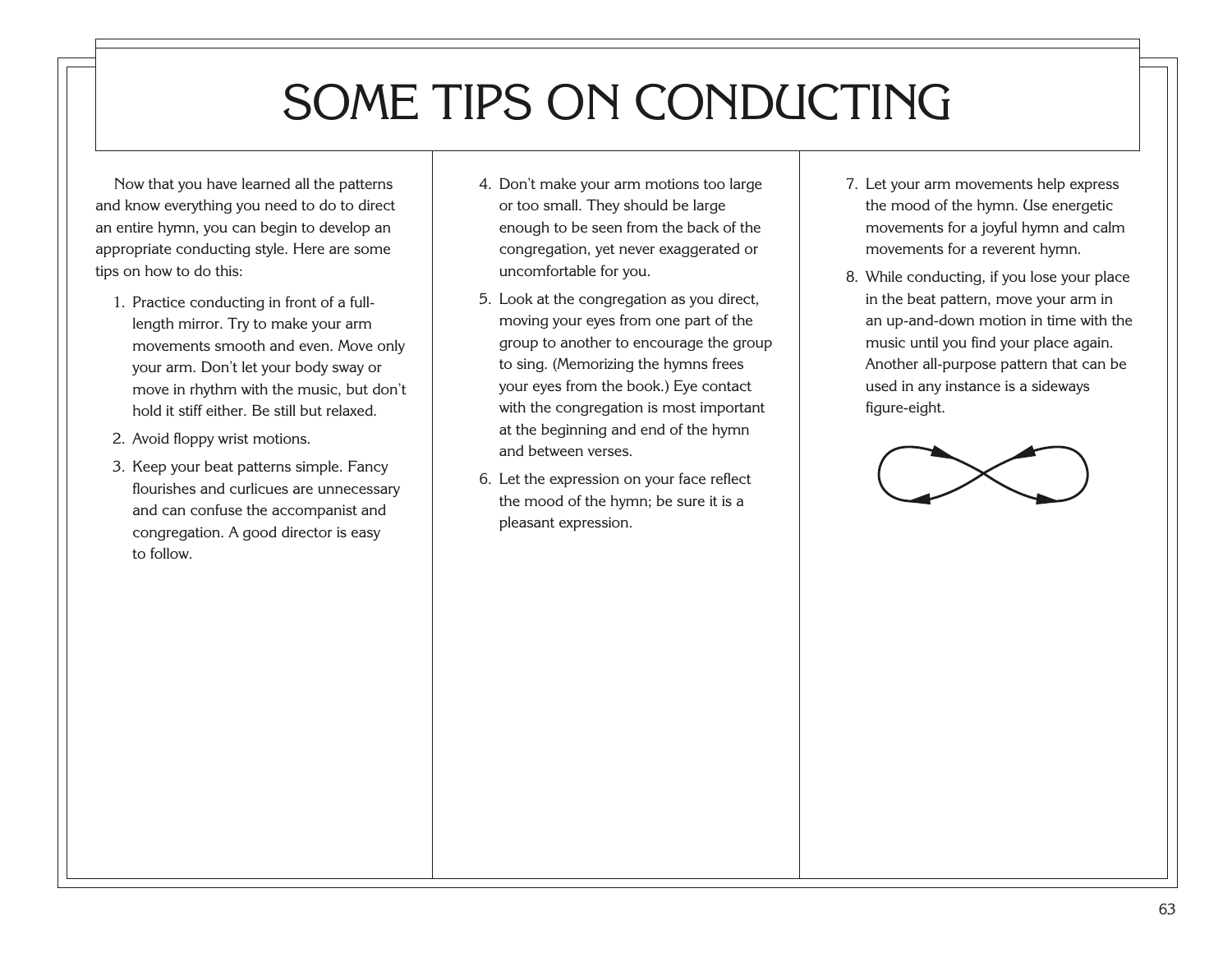# SOME TIPS ON CONDUCTING

Now that you have learned all the patterns and know everything you need to do to direct an entire hymn, you can begin to develop an appropriate conducting style. Here are some tips on how to do this:

- 1. Practice conducting in front of a fulllength mirror. Try to make your arm movements smooth and even. Move only your arm. Don't let your body sway or move in rhythm with the music, but don't hold it stiff either. Be still but relaxed.
- 2. Avoid floppy wrist motions.
- 3. Keep your beat patterns simple. Fancy flourishes and curlicues are unnecessary and can confuse the accompanist and congregation. A good director is easy to follow.
- 4. Don't make your arm motions too large or too small. They should be large enough to be seen from the back of the congregation, yet never exaggerated or uncomfortable for you.
- 5. Look at the congregation as you direct, moving your eyes from one part of the group to another to encourage the group to sing. (Memorizing the hymns frees your eyes from the book.) Eye contact with the congregation is most important at the beginning and end of the hymn and between verses.
- 6. Let the expression on your face reflect the mood of the hymn; be sure it is a pleasant expression.
- 7. Let your arm movements help express the mood of the hymn. Use energetic movements for a joyful hymn and calm movements for a reverent hymn.
- 8. While conducting, if you lose your place in the beat pattern, move your arm in an up-and-down motion in time with the music until you find your place again. Another all-purpose pattern that can be used in any instance is a sideways figure-eight.

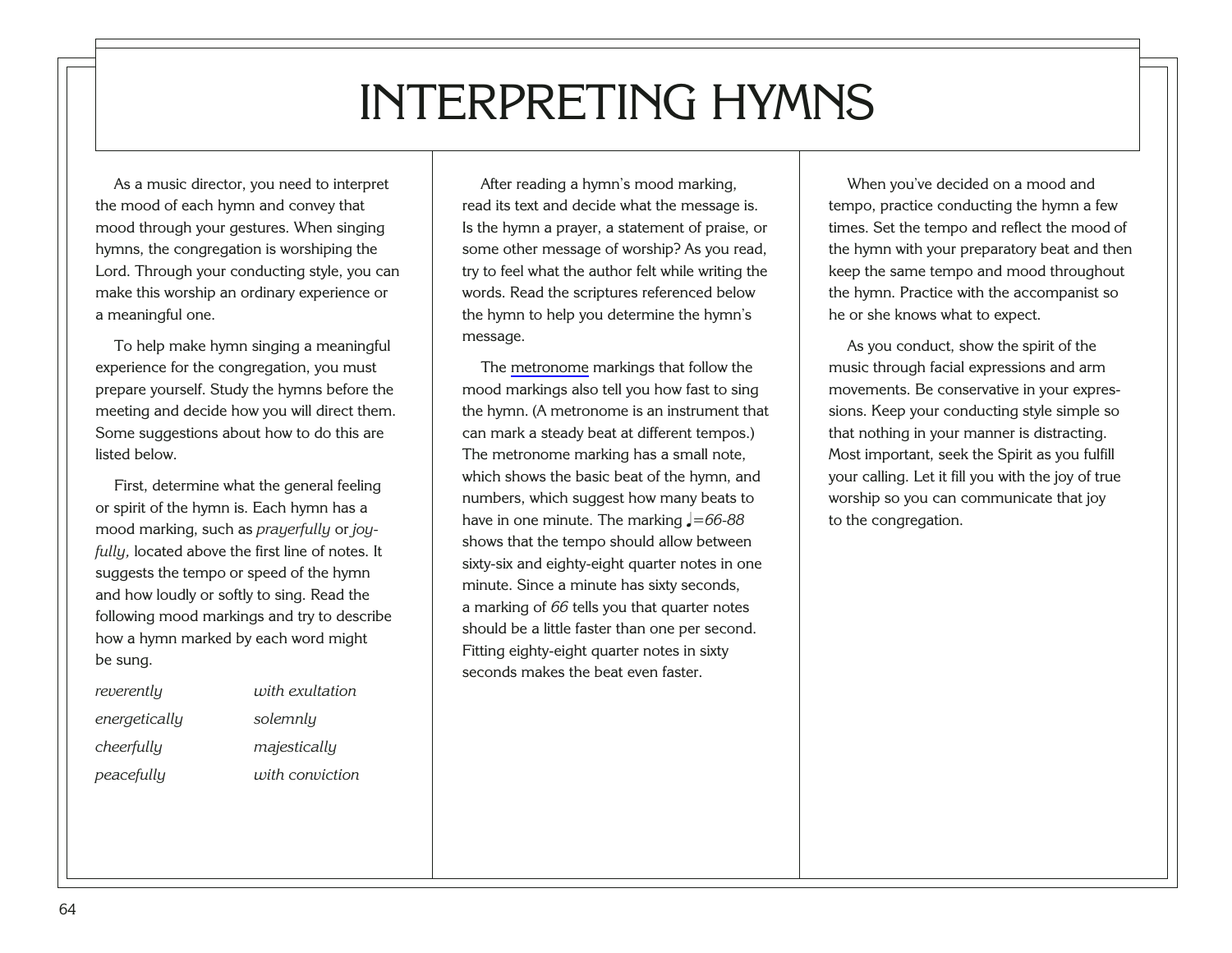# INTERPRETING HYMNS

As a music director, you need to interpret the mood of each hymn and convey that mood through your gestures. When singing hymns, the congregation is worshiping the Lord. Through your conducting style, you can make this worship an ordinary experience or a meaningful one.

To help make hymn singing a meaningful experience for the congregation, you must prepare yourself. Study the hymns before the meeting and decide how you will direct them. Some suggestions about how to do this are listed below.

First, determine what the general feeling or spirit of the hymn is. Each hymn has a mood marking, such as *prayerfully* or *joyfully,* located above the first line of notes. It suggests the tempo or speed of the hymn and how loudly or softly to sing. Read the following mood markings and try to describe how a hymn marked by each word might be sung.

| reverently    | with exultation |
|---------------|-----------------|
| energetically | solemnly        |
| cheerfully    | majesticallu    |
| peacefully    | with conviction |

After reading a hymn's mood marking, read its text and decide what the message is. Is the hymn a prayer, a statement of praise, or some other message of worship? As you read, try to feel what the author felt while writing the words. Read the scriptures referenced below the hymn to help you determine the hymn's message.

The [metronome](#page-95-0) markings that follow the mood markings also tell you how fast to sing the hymn. (A metronome is an instrument that can mark a steady beat at different tempos.) The metronome marking has a small note, which shows the basic beat of the hymn, and numbers, which suggest how many beats to have in one minute. The marking  $\sqrt{\frac{266-88}{5}}$ shows that the tempo should allow between sixty-six and eighty-eight quarter notes in one minute. Since a minute has sixty seconds, a marking of *66* tells you that quarter notes should be a little faster than one per second. Fitting eighty-eight quarter notes in sixty seconds makes the beat even faster.

When you've decided on a mood and tempo, practice conducting the hymn a few times. Set the tempo and reflect the mood of the hymn with your preparatory beat and then keep the same tempo and mood throughout the hymn. Practice with the accompanist so he or she knows what to expect.

As you conduct, show the spirit of the music through facial expressions and arm movements. Be conservative in your expressions. Keep your conducting style simple so that nothing in your manner is distracting. Most important, seek the Spirit as you fulfill your calling. Let it fill you with the joy of true worship so you can communicate that joy to the congregation.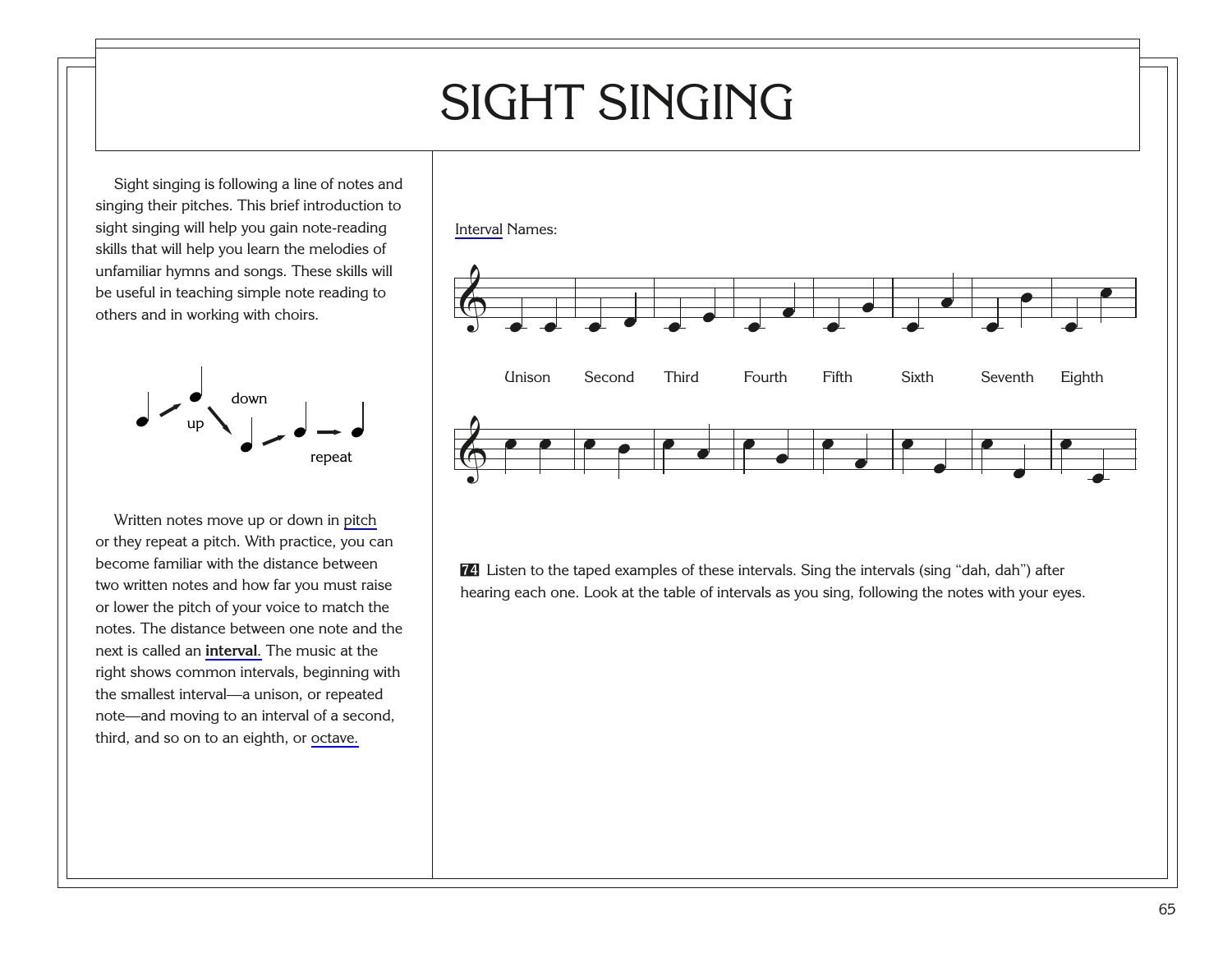# SIGHT SINGING

Sight singing is following a line of notes and singing their pitches. This brief introduction to sight singing will help you gain note-reading skills that will help you learn the melodies of unfamiliar hymns and songs. These skills will be useful in teaching simple note reading to others and in working with choirs.



Written notes move up or down in [pitch](#page-96-0) or they repeat a pitch. With practice, you can become familiar with the distance between two written notes and how far you must raise or lower the pitch of your voice to match the notes. The distance between one note and the next is called an **[interval](#page-93-0)**. The music at the right shows common intervals, beginning with the smallest interval—a unison, or repeated note—and moving to an interval of a second, third, and so on to an eighth, or [octave.](#page-95-0)



[74](http://broadcast.lds.org/churchmusic/MP3/eng/course/Conducting_74_eng.mp3) Listen to the taped examples of these intervals. Sing the intervals (sing "dah, dah") after hearing each one. Look at the table of intervals as you sing, following the notes with your eyes.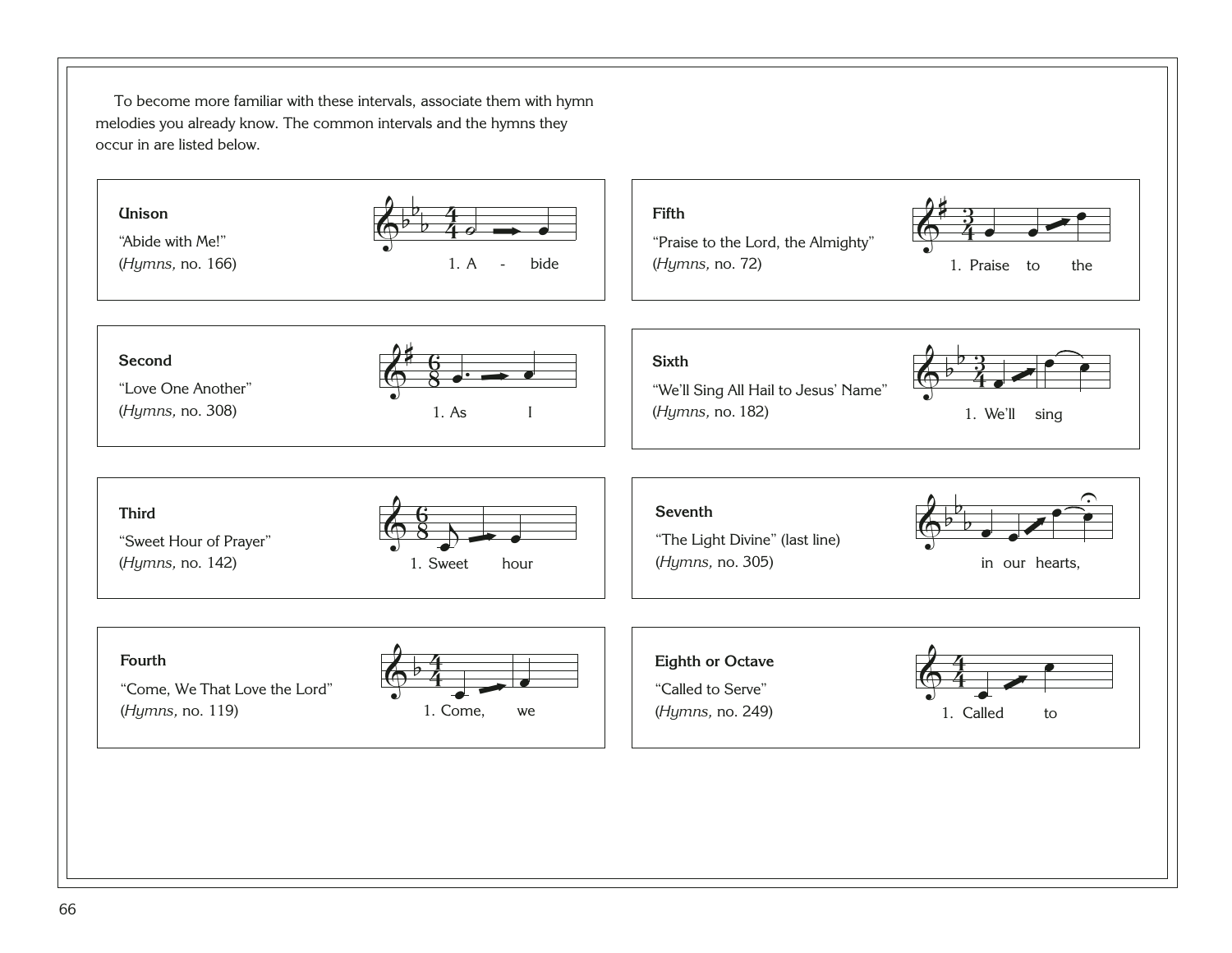To become more familiar with these intervals, associate them with hymn melodies you already know. The common intervals and the hymns they occur in are listed below.

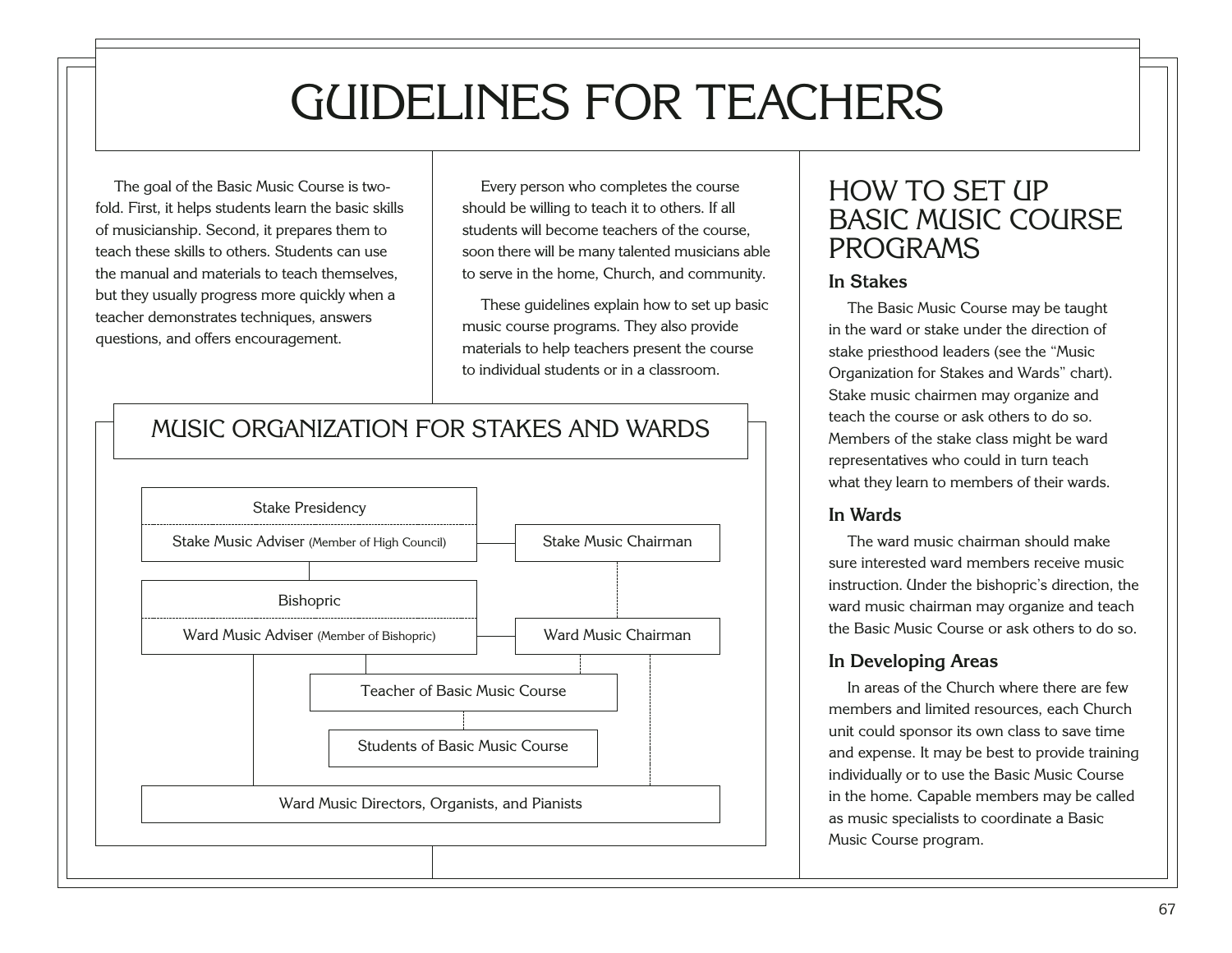# GUIDELINES FOR TEACHERS

The goal of the Basic Music Course is twofold. First, it helps students learn the basic skills of musicianship. Second, it prepares them to teach these skills to others. Students can use the manual and materials to teach themselves, but they usually progress more quickly when a teacher demonstrates techniques, answers questions, and offers encouragement.

Every person who completes the course should be willing to teach it to others. If all students will become teachers of the course, soon there will be many talented musicians able to serve in the home, Church, and community.

These guidelines explain how to set up basic music course programs. They also provide materials to help teachers present the course to individual students or in a classroom.

#### MUSIC ORGANIZATION FOR STAKES AND WARDS



#### HOW TO SET UP BASIC MUSIC COURSE PROGRAMS

#### **In Stakes**

The Basic Music Course may be taught in the ward or stake under the direction of stake priesthood leaders (see the "Music Organization for Stakes and Wards" chart). Stake music chairmen may organize and teach the course or ask others to do so. Members of the stake class might be ward representatives who could in turn teach what they learn to members of their wards.

#### **In Wards**

The ward music chairman should make sure interested ward members receive music instruction. Under the bishopric's direction, the ward music chairman may organize and teach the Basic Music Course or ask others to do so.

#### **In Developing Areas**

In areas of the Church where there are few members and limited resources, each Church unit could sponsor its own class to save time and expense. It may be best to provide training individually or to use the Basic Music Course in the home. Capable members may be called as music specialists to coordinate a Basic Music Course program.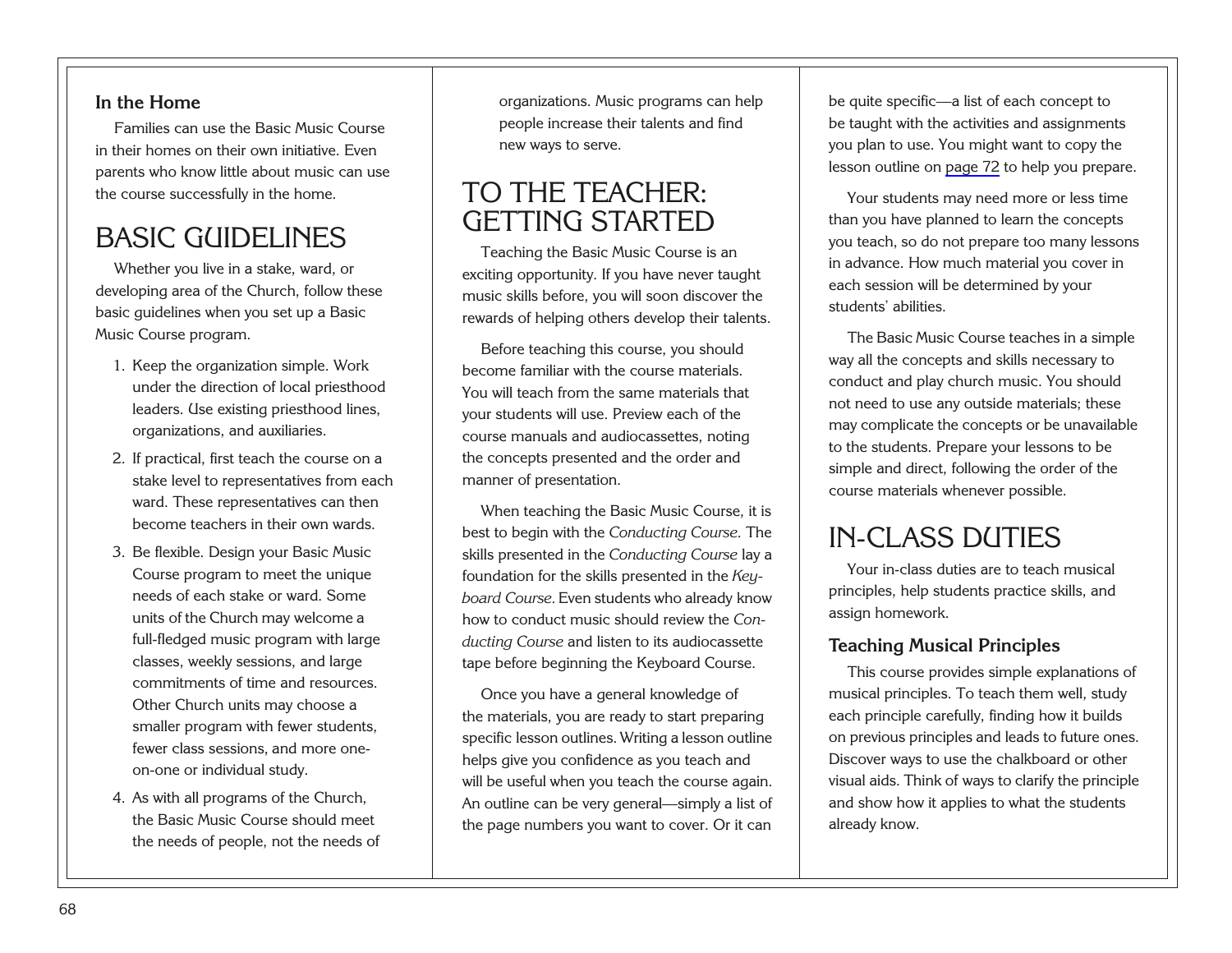#### **In the Home**

Families can use the Basic Music Course in their homes on their own initiative. Even parents who know little about music can use the course successfully in the home.

### BASIC GUIDELINES

Whether you live in a stake, ward, or developing area of the Church, follow these basic guidelines when you set up a Basic Music Course program.

- 1. Keep the organization simple. Work under the direction of local priesthood leaders. Use existing priesthood lines, organizations, and auxiliaries.
- 2. If practical, first teach the course on a stake level to representatives from each ward. These representatives can then become teachers in their own wards.
- 3. Be flexible. Design your Basic Music Course program to meet the unique needs of each stake or ward. Some units of the Church may welcome a full-fledged music program with large classes, weekly sessions, and large commitments of time and resources. Other Church units may choose a smaller program with fewer students, fewer class sessions, and more oneon-one or individual study.
- <span id="page-72-0"></span>4. As with all programs of the Church, the Basic Music Course should meet the needs of people, not the needs of

organizations. Music programs can help people increase their talents and find new ways to serve.

### TO THE TEACHER: GETTING STARTED

Teaching the Basic Music Course is an exciting opportunity. If you have never taught music skills before, you will soon discover the rewards of helping others develop their talents.

Before teaching this course, you should become familiar with the course materials. You will teach from the same materials that your students will use. Preview each of the course manuals and audiocassettes, noting the concepts presented and the order and manner of presentation.

When teaching the Basic Music Course, it is best to begin with the *Conducting Course.* The skills presented in the *Conducting Course* lay a foundation for the skills presented in the *Keyboard Course.* Even students who already know how to conduct music should review the *Conducting Course* and listen to its audiocassette tape before beginning the Keyboard Course.

Once you have a general knowledge of the materials, you are ready to start preparing specific lesson outlines. Writing a lesson outline helps give you confidence as you teach and will be useful when you teach the course again. An outline can be very general—simply a list of the page numbers you want to cover. Or it can

be quite specific—a list of each concept to be taught with the activities and assignments you plan to use. You might want to copy the lesson outline on [page 72](#page-76-0) to help you prepare.

Your students may need more or less time than you have planned to learn the concepts you teach, so do not prepare too many lessons in advance. How much material you cover in each session will be determined by your students' abilities.

The Basic Music Course teaches in a simple way all the concepts and skills necessary to conduct and play church music. You should not need to use any outside materials; these may complicate the concepts or be unavailable to the students. Prepare your lessons to be simple and direct, following the order of the course materials whenever possible.

### IN-CLASS DUTIES

Your in-class duties are to teach musical principles, help students practice skills, and assign homework.

#### **Teaching Musical Principles**

This course provides simple explanations of musical principles. To teach them well, study each principle carefully, finding how it builds on previous principles and leads to future ones. Discover ways to use the chalkboard or other visual aids. Think of ways to clarify the principle and show how it applies to what the students already know.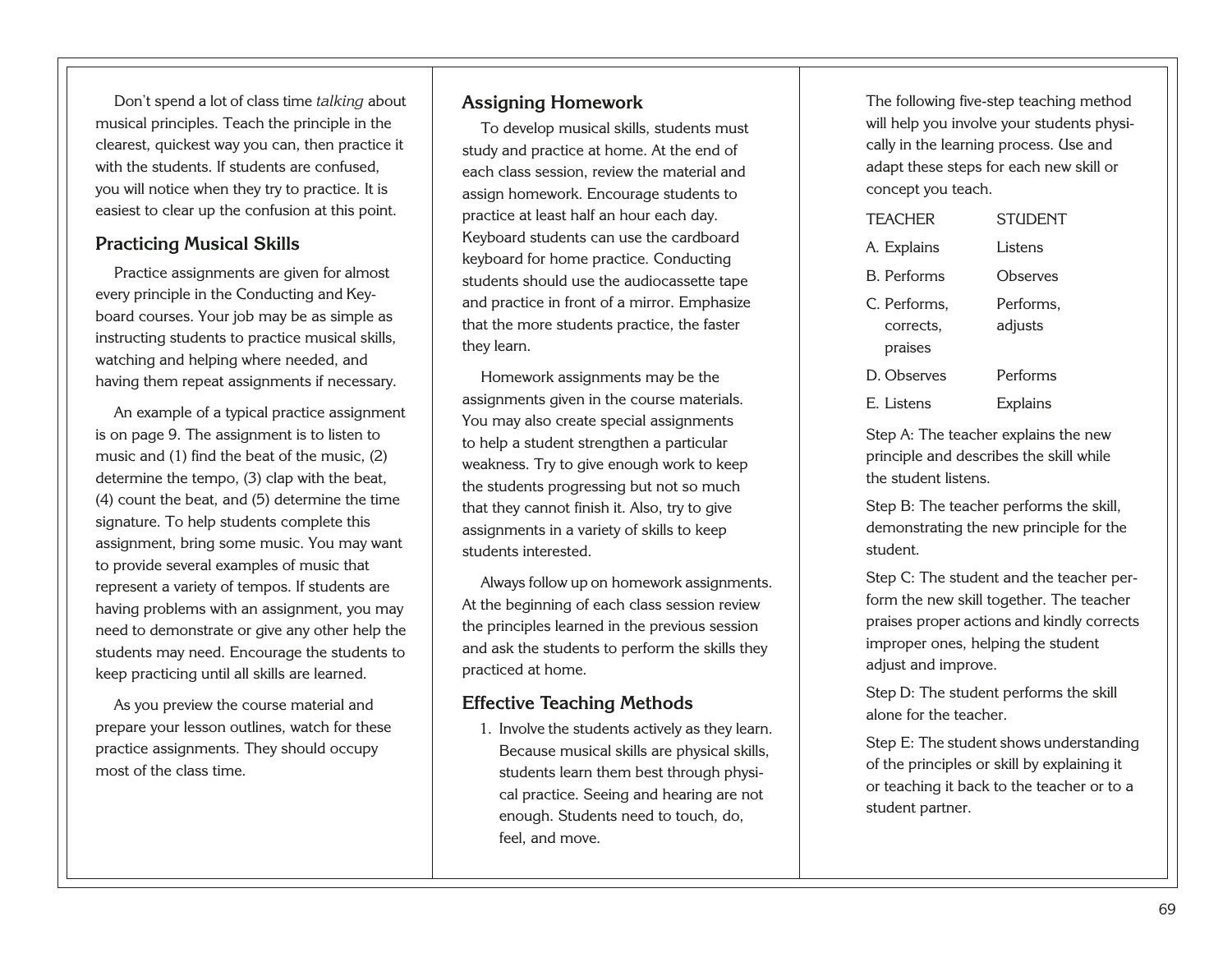Don't spend a lot of class time *talking* about musical principles. Teach the principle in the clearest, quickest way you can, then practice it with the students. If students are confused, you will notice when they try to practice. It is easiest to clear up the confusion at this point.

#### **Practicing Musical Skills**

Practice assignments are given for almost every principle in the Conducting and Keyboard courses. Your job may be as simple as instructing students to practice musical skills, watching and helping where needed, and having them repeat assignments if necessary.

An example of a typical practice assignment is on page 9. The assignment is to listen to music and (1) find the beat of the music, (2) determine the tempo, (3) clap with the beat, (4) count the beat, and (5) determine the time signature. To help students complete this assignment, bring some music. You may want to provide several examples of music that represent a variety of tempos. If students are having problems with an assignment, you may need to demonstrate or give any other help the students may need. Encourage the students to keep practicing until all skills are learned.

<span id="page-73-0"></span>As you preview the course material and prepare your lesson outlines, watch for these practice assignments. They should occupy most of the class time.

#### **Assigning Homework**

To develop musical skills, students must study and practice at home. At the end of each class session, review the material and assign homework. Encourage students to practice at least half an hour each day. Keyboard students can use the cardboard keyboard for home practice. Conducting students should use the audiocassette tape and practice in front of a mirror. Emphasize that the more students practice, the faster they learn.

Homework assignments may be the assignments given in the course materials. You may also create special assignments to help a student strengthen a particular weakness. Try to give enough work to keep the students progressing but not so much that they cannot finish it. Also, try to give assignments in a variety of skills to keep students interested.

Always follow up on homework assignments. At the beginning of each class session review the principles learned in the previous session and ask the students to perform the skills they practiced at home.

#### **Effective Teaching Methods**

1. Involve the students actively as they learn. Because musical skills are physical skills, students learn them best through physical practice. Seeing and hearing are not enough. Students need to touch, do, feel, and move.

The following five-step teaching method will help you involve your students physically in the learning process. Use and adapt these steps for each new skill or concept you teach.

| <b>TFACHER</b>                       | <b>STUDENT</b>       |
|--------------------------------------|----------------------|
| A. Explains                          | Listens              |
| <b>B.</b> Performs                   | Observes             |
| C. Performs,<br>corrects.<br>praises | Performs,<br>adjusts |
| D. Observes                          | Performs             |
| E. Listens                           | <b>Explains</b>      |

Step A: The teacher explains the new principle and describes the skill while the student listens.

Step B: The teacher performs the skill, demonstrating the new principle for the student.

Step C: The student and the teacher perform the new skill together. The teacher praises proper actions and kindly corrects improper ones, helping the student adjust and improve.

Step D: The student performs the skill alone for the teacher.

Step E: The student shows understanding of the principles or skill by explaining it or teaching it back to the teacher or to a student partner.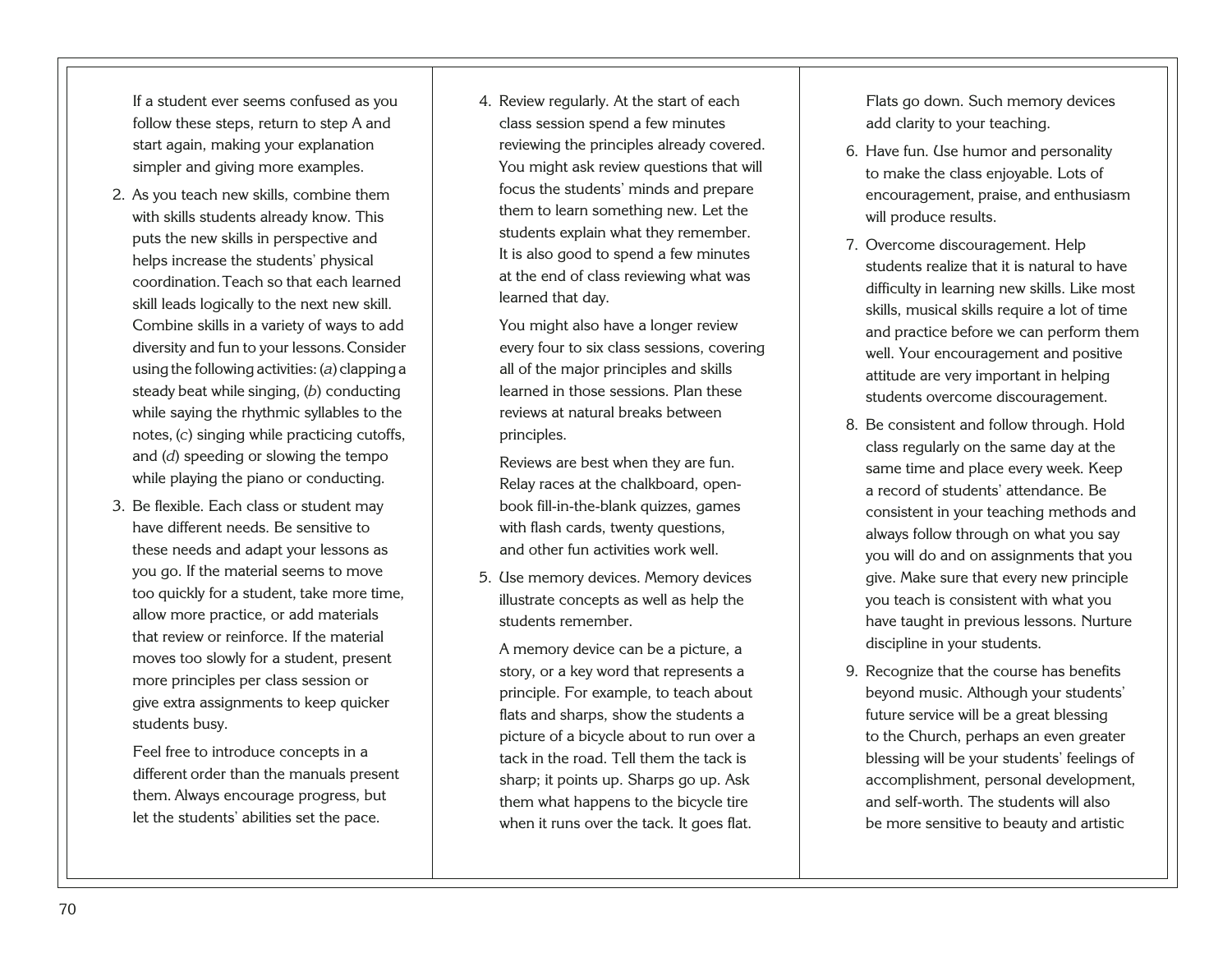If a student ever seems confused as you follow these steps, return to step A and start again, making your explanation simpler and giving more examples.

- 2. As you teach new skills, combine them with skills students already know. This puts the new skills in perspective and helps increase the students' physical coordination.Teach so that each learned skill leads logically to the next new skill. Combine skills in a variety of ways to add diversity and fun to your lessons.Consider using the following activities: (*a*) clapping a steady beat while singing, (*b*) conducting while saying the rhythmic syllables to the notes, (*c*) singing while practicing cutoffs, and (*d*) speeding or slowing the tempo while playing the piano or conducting.
- 3. Be flexible. Each class or student may have different needs. Be sensitive to these needs and adapt your lessons as you go. If the material seems to move too quickly for a student, take more time, allow more practice, or add materials that review or reinforce. If the material moves too slowly for a student, present more principles per class session or give extra assignments to keep quicker students busy.

<span id="page-74-0"></span>Feel free to introduce concepts in a different order than the manuals present them. Always encourage progress, but let the students' abilities set the pace.

4. Review regularly. At the start of each class session spend a few minutes reviewing the principles already covered. You might ask review questions that will focus the students' minds and prepare them to learn something new. Let the students explain what they remember. It is also good to spend a few minutes at the end of class reviewing what was learned that day.

You might also have a longer review every four to six class sessions, covering all of the major principles and skills learned in those sessions. Plan these reviews at natural breaks between principles.

Reviews are best when they are fun. Relay races at the chalkboard, openbook fill-in-the-blank quizzes, games with flash cards, twenty questions, and other fun activities work well.

5. Use memory devices. Memory devices illustrate concepts as well as help the students remember.

A memory device can be a picture, a story, or a key word that represents a principle. For example, to teach about flats and sharps, show the students a picture of a bicycle about to run over a tack in the road. Tell them the tack is sharp; it points up. Sharps go up. Ask them what happens to the bicycle tire when it runs over the tack. It goes flat.

Flats go down. Such memory devices add clarity to your teaching.

- 6. Have fun. Use humor and personality to make the class enjoyable. Lots of encouragement, praise, and enthusiasm will produce results.
- 7. Overcome discouragement. Help students realize that it is natural to have difficulty in learning new skills. Like most skills, musical skills require a lot of time and practice before we can perform them well. Your encouragement and positive attitude are very important in helping students overcome discouragement.
- 8. Be consistent and follow through. Hold class regularly on the same day at the same time and place every week. Keep a record of students' attendance. Be consistent in your teaching methods and always follow through on what you say you will do and on assignments that you give. Make sure that every new principle you teach is consistent with what you have taught in previous lessons. Nurture discipline in your students.
- 9. Recognize that the course has benefits beyond music. Although your students' future service will be a great blessing to the Church, perhaps an even greater blessing will be your students' feelings of accomplishment, personal development, and self-worth. The students will also be more sensitive to beauty and artistic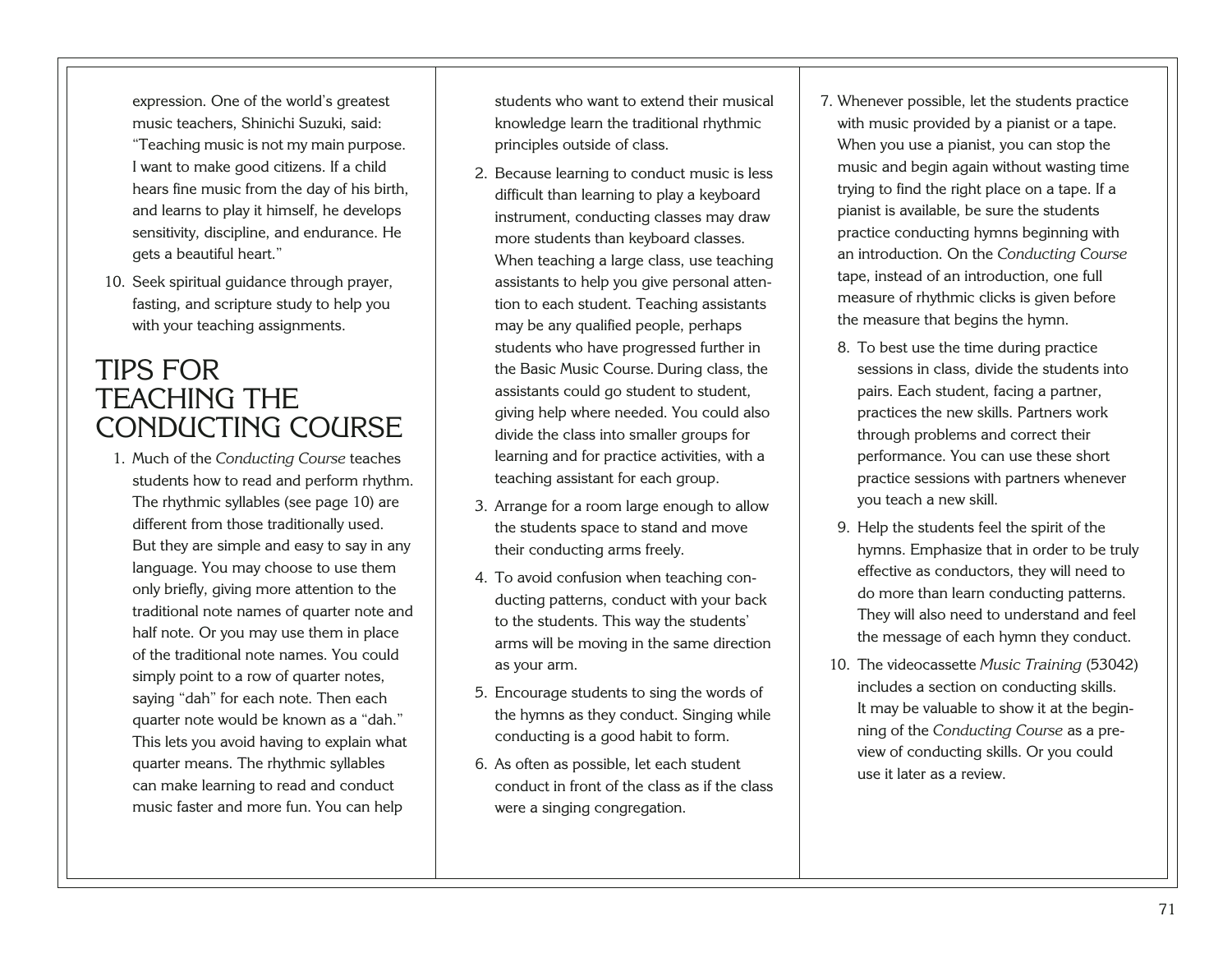expression. One of the world's greatest music teachers, Shinichi Suzuki, said: "Teaching music is not my main purpose. I want to make good citizens. If a child hears fine music from the day of his birth, and learns to play it himself, he develops sensitivity, discipline, and endurance. He gets a beautiful heart."

10. Seek spiritual guidance through prayer, fasting, and scripture study to help you with your teaching assignments.

### TIPS FOR TEACHING THE CONDUCTING COURSE

1. Much of the *Conducting Course* teaches students how to read and perform rhythm. The rhythmic syllables (see page 10) are different from those traditionally used. But they are simple and easy to say in any language. You may choose to use them only briefly, giving more attention to the traditional note names of quarter note and half note. Or you may use them in place of the traditional note names. You could simply point to a row of quarter notes, saying "dah" for each note. Then each quarter note would be known as a "dah." This lets you avoid having to explain what quarter means. The rhythmic syllables can make learning to read and conduct music faster and more fun. You can help

students who want to extend their musical knowledge learn the traditional rhythmic principles outside of class.

- 2. Because learning to conduct music is less difficult than learning to play a keyboard instrument, conducting classes may draw more students than keyboard classes. When teaching a large class, use teaching assistants to help you give personal attention to each student. Teaching assistants may be any qualified people, perhaps students who have progressed further in the Basic Music Course. During class, the assistants could go student to student, giving help where needed. You could also divide the class into smaller groups for learning and for practice activities, with a teaching assistant for each group.
- 3. Arrange for a room large enough to allow the students space to stand and move their conducting arms freely.
- 4. To avoid confusion when teaching conducting patterns, conduct with your back to the students. This way the students' arms will be moving in the same direction as your arm.
- 5. Encourage students to sing the words of the hymns as they conduct. Singing while conducting is a good habit to form.
- <span id="page-75-0"></span>6. As often as possible, let each student conduct in front of the class as if the class were a singing congregation.
- 7. Whenever possible, let the students practice with music provided by a pianist or a tape. When you use a pianist, you can stop the music and begin again without wasting time trying to find the right place on a tape. If a pianist is available, be sure the students practice conducting hymns beginning with an introduction. On the *Conducting Course* tape, instead of an introduction, one full measure of rhythmic clicks is given before the measure that begins the hymn.
	- 8. To best use the time during practice sessions in class, divide the students into pairs. Each student, facing a partner, practices the new skills. Partners work through problems and correct their performance. You can use these short practice sessions with partners whenever you teach a new skill.
	- 9. Help the students feel the spirit of the hymns. Emphasize that in order to be truly effective as conductors, they will need to do more than learn conducting patterns. They will also need to understand and feel the message of each hymn they conduct.
- 10. The videocassette *Music Training* (53042) includes a section on conducting skills. It may be valuable to show it at the beginning of the *Conducting Course* as a preview of conducting skills. Or you could use it later as a review.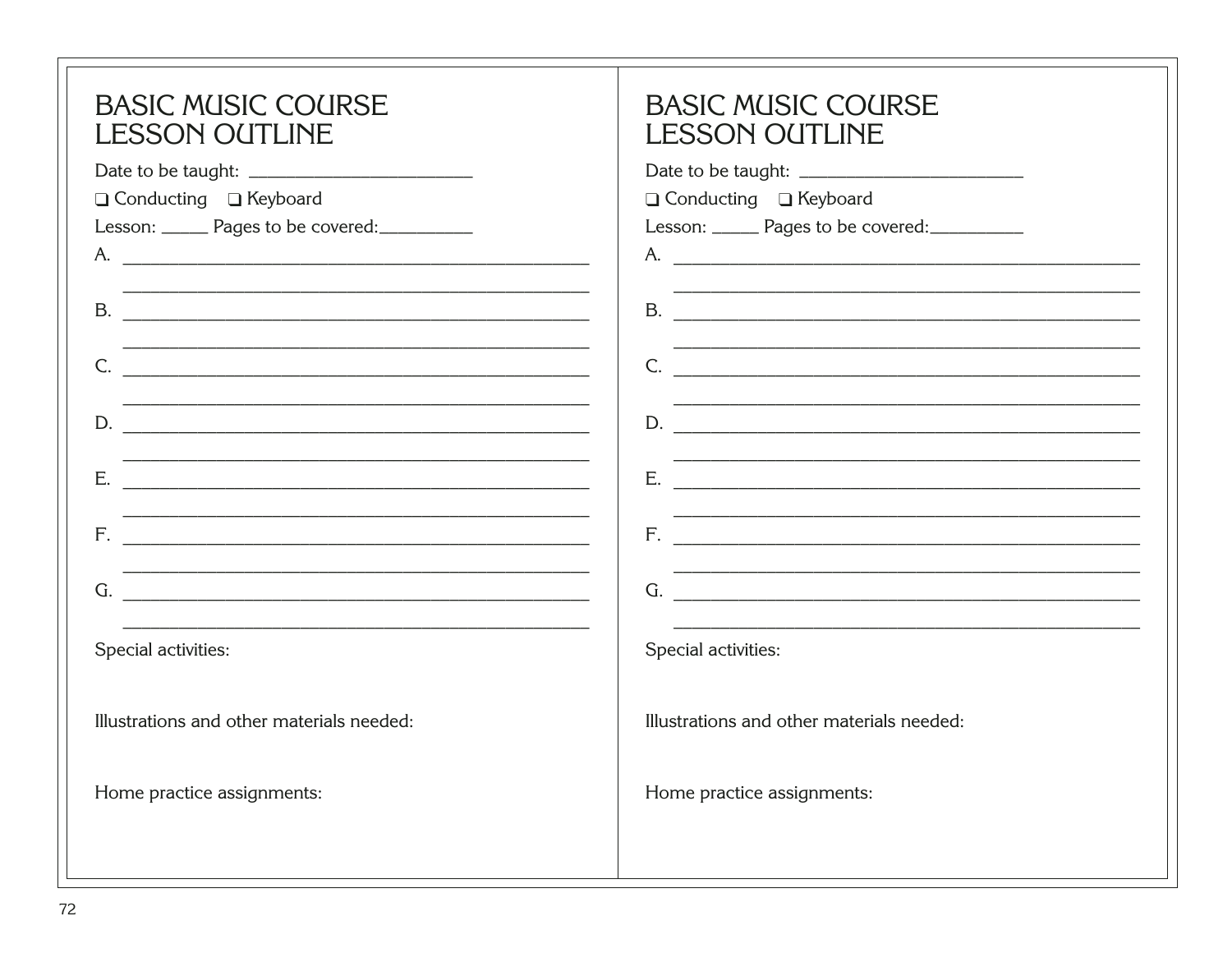<span id="page-76-0"></span>

| <b>BASIC MUSIC COURSE</b><br><b>LESSON OUTLINE</b><br>□ Conducting □ Keyboard<br>Lesson: ______ Pages to be covered: __________<br>B.<br>C.<br>D.<br>Ε.<br><u> 1980 - Jan Barnett, fransk politik (d. 1980)</u><br>G.<br>Special activities: | <b>BASIC MUSIC COURSE</b><br><b>LESSON OUTLINE</b><br>□ Conducting □ Keyboard<br>Lesson: ______ Pages to be covered: __________<br>G. The contract of the contract of the contract of the contract of the contract of the contract of the contract of the contract of the contract of the contract of the contract of the contract of the contract of the contrac<br>Special activities: |
|----------------------------------------------------------------------------------------------------------------------------------------------------------------------------------------------------------------------------------------------|------------------------------------------------------------------------------------------------------------------------------------------------------------------------------------------------------------------------------------------------------------------------------------------------------------------------------------------------------------------------------------------|
| Illustrations and other materials needed:                                                                                                                                                                                                    | Illustrations and other materials needed:                                                                                                                                                                                                                                                                                                                                                |
| Home practice assignments:                                                                                                                                                                                                                   | Home practice assignments:                                                                                                                                                                                                                                                                                                                                                               |
|                                                                                                                                                                                                                                              |                                                                                                                                                                                                                                                                                                                                                                                          |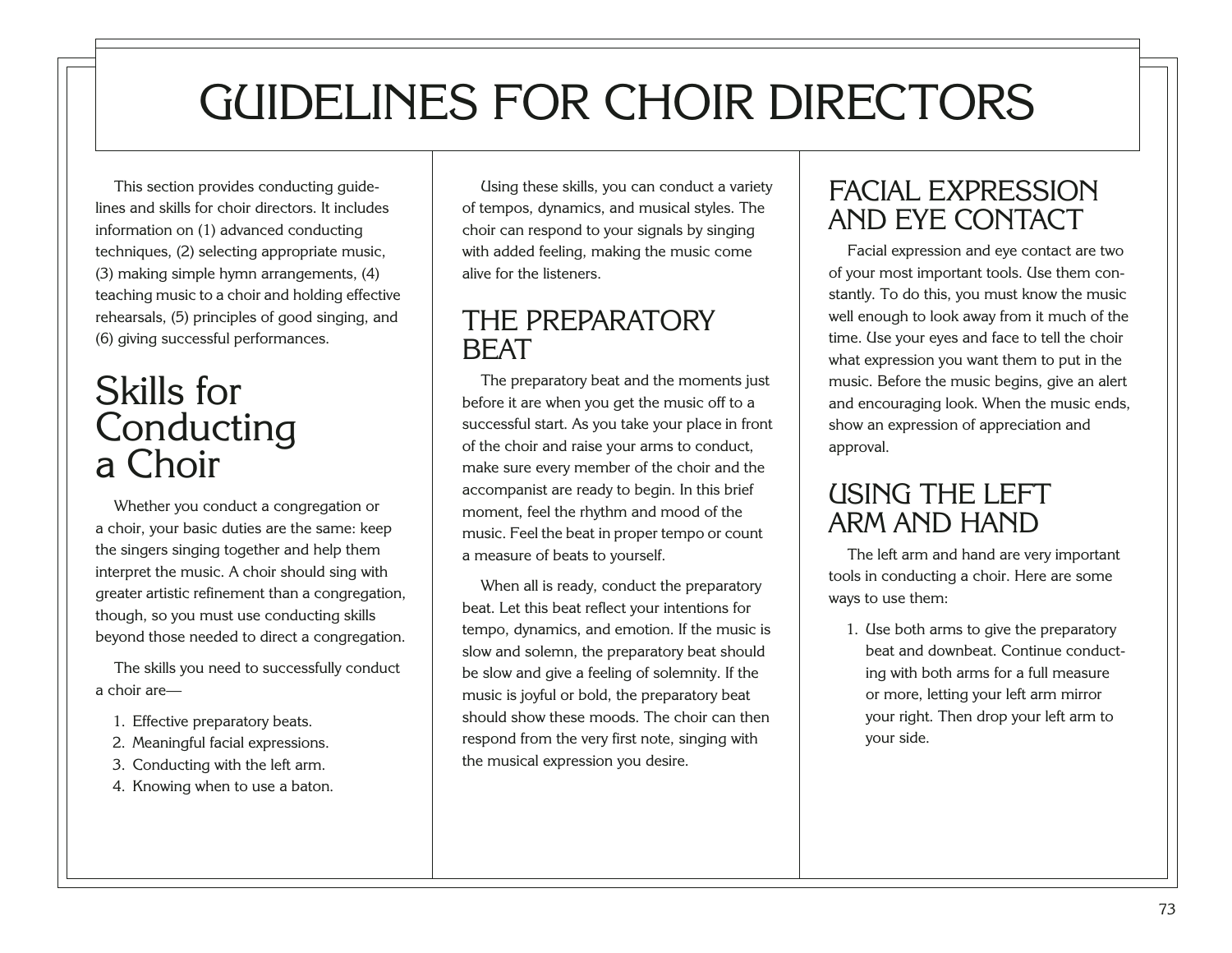# GUIDELINES FOR CHOIR DIRECTORS

This section provides conducting guidelines and skills for choir directors. It includes information on (1) advanced conducting techniques, (2) selecting appropriate music, (3) making simple hymn arrangements, (4) teaching music to a choir and holding effective rehearsals, (5) principles of good singing, and (6) giving successful performances.

## Skills for Conducting a Choir

Whether you conduct a congregation or a choir, your basic duties are the same: keep the singers singing together and help them interpret the music. A choir should sing with greater artistic refinement than a congregation, though, so you must use conducting skills beyond those needed to direct a congregation.

The skills you need to successfully conduct a choir are—

- 1. Effective preparatory beats.
- 2. Meaningful facial expressions.
- 3. Conducting with the left arm.
- <span id="page-77-0"></span>4. Knowing when to use a baton.

Using these skills, you can conduct a variety of tempos, dynamics, and musical styles. The choir can respond to your signals by singing with added feeling, making the music come alive for the listeners.

### THE PREPARATORY BEAT

The preparatory beat and the moments just before it are when you get the music off to a successful start. As you take your place in front of the choir and raise your arms to conduct, make sure every member of the choir and the accompanist are ready to begin. In this brief moment, feel the rhythm and mood of the music. Feel the beat in proper tempo or count a measure of beats to yourself.

When all is ready, conduct the preparatory beat. Let this beat reflect your intentions for tempo, dynamics, and emotion. If the music is slow and solemn, the preparatory beat should be slow and give a feeling of solemnity. If the music is joyful or bold, the preparatory beat should show these moods. The choir can then respond from the very first note, singing with the musical expression you desire.

### FACIAL EXPRESSION AND EYE CONTACT

Facial expression and eye contact are two of your most important tools. Use them constantly. To do this, you must know the music well enough to look away from it much of the time. Use your eyes and face to tell the choir what expression you want them to put in the music. Before the music begins, give an alert and encouraging look. When the music ends, show an expression of appreciation and approval.

### USING THE LEFT ARM AND HAND

The left arm and hand are very important tools in conducting a choir. Here are some ways to use them:

1. Use both arms to give the preparatory beat and downbeat. Continue conducting with both arms for a full measure or more, letting your left arm mirror your right. Then drop your left arm to your side.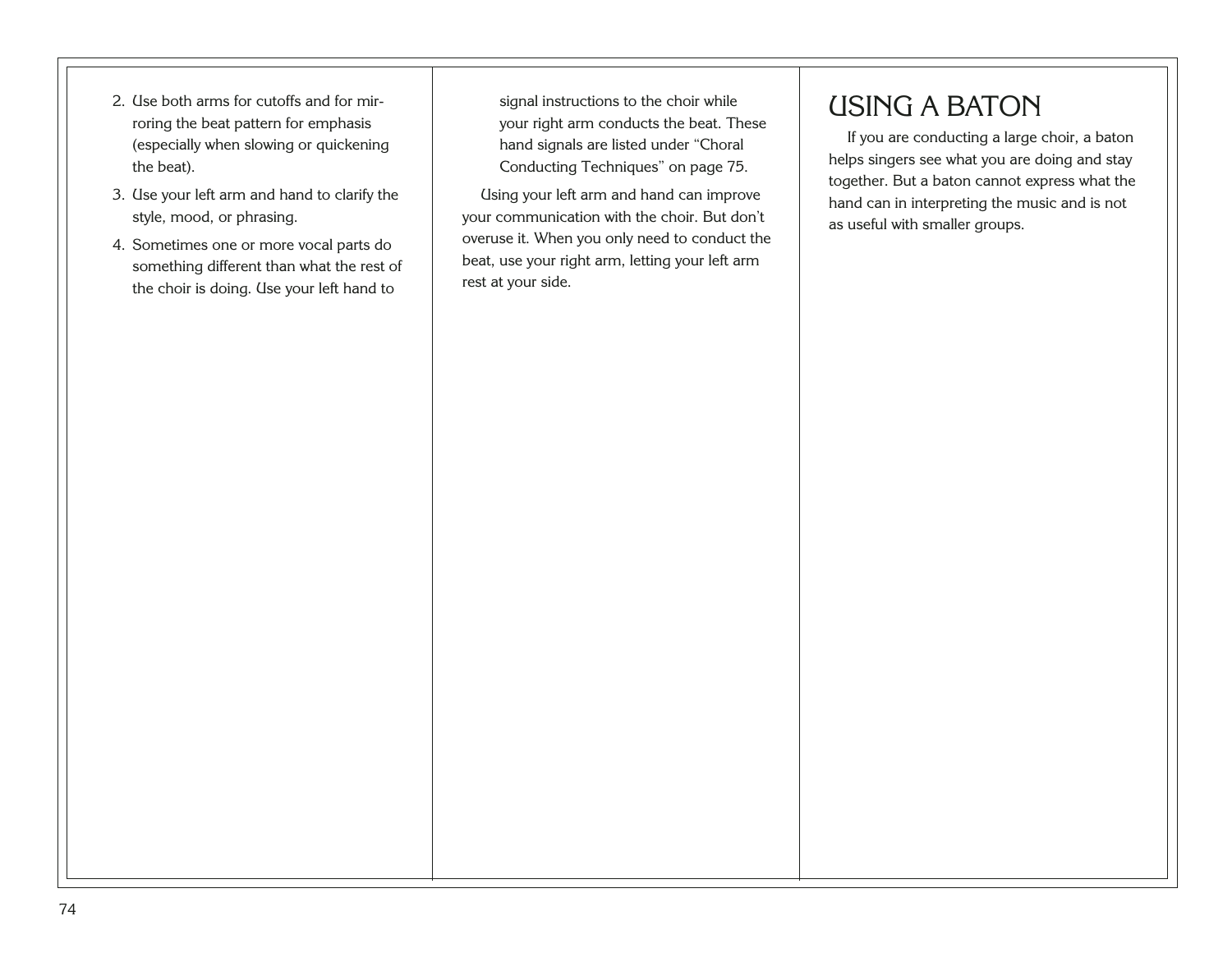- 2. Use both arms for cutoffs and for mirroring the beat pattern for emphasis (especially when slowing or quickening the beat).
- 3. Use your left arm and hand to clarify the style, mood, or phrasing.
- <span id="page-78-0"></span>4. Sometimes one or more vocal parts do something different than what the rest of the choir is doing. Use your left hand to

signal instructions to the choir while your right arm conducts the beat. These hand signals are listed under "Choral Conducting Techniques" on page 75.

Using your left arm and hand can improve your communication with the choir. But don't overuse it. When you only need to conduct the beat, use your right arm, letting your left arm rest at your side.

### USING A BATON

If you are conducting a large choir, a baton helps singers see what you are doing and stay together. But a baton cannot express what the hand can in interpreting the music and is not as useful with smaller groups.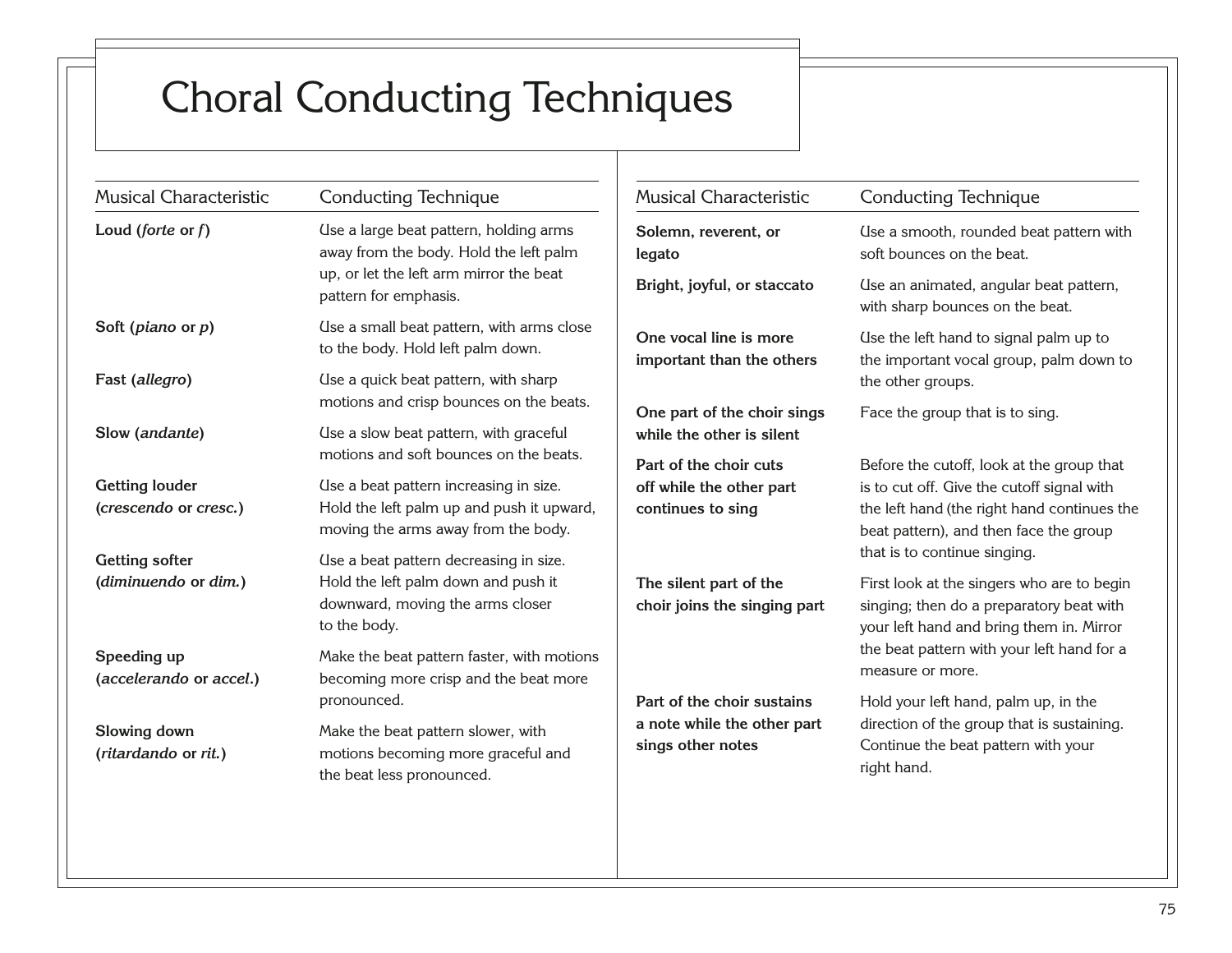## Choral Conducting Techniques

<span id="page-79-0"></span>

| <b>Musical Characteristic</b>                  | <b>Conducting Technique</b>                                                                                                | <b>Musical Characteristic</b>                            | <b>Conducting Technique</b>                                                                                                         |  |
|------------------------------------------------|----------------------------------------------------------------------------------------------------------------------------|----------------------------------------------------------|-------------------------------------------------------------------------------------------------------------------------------------|--|
| Loud (forte or $f$ )                           | Use a large beat pattern, holding arms<br>away from the body. Hold the left palm                                           | Solemn, reverent, or<br>legato                           | Use a smooth, rounded beat pattern with<br>soft bounces on the beat.                                                                |  |
|                                                | up, or let the left arm mirror the beat<br>pattern for emphasis.                                                           | Bright, joyful, or staccato                              | Use an animated, angular beat pattern,<br>with sharp bounces on the beat.                                                           |  |
| Soft (piano or $p$ )                           | Use a small beat pattern, with arms close<br>to the body. Hold left palm down.                                             | One vocal line is more<br>important than the others      | Use the left hand to signal palm up to<br>the important vocal group, palm down to                                                   |  |
| Fast (allegro)                                 | Use a quick beat pattern, with sharp                                                                                       |                                                          | the other groups.                                                                                                                   |  |
| Slow (andante)                                 | motions and crisp bounces on the beats.<br>Use a slow beat pattern, with graceful                                          | One part of the choir sings<br>while the other is silent | Face the group that is to sing.                                                                                                     |  |
|                                                | motions and soft bounces on the beats.                                                                                     | Part of the choir cuts                                   | Before the cutoff, look at the group that                                                                                           |  |
| <b>Getting louder</b><br>(crescendo or cresc.) | Use a beat pattern increasing in size.<br>Hold the left palm up and push it upward,<br>moving the arms away from the body. | off while the other part<br>continues to sing            | is to cut off. Give the cutoff signal with<br>the left hand (the right hand continues the<br>beat pattern), and then face the group |  |
| <b>Getting softer</b>                          | Use a beat pattern decreasing in size.                                                                                     |                                                          | that is to continue singing.                                                                                                        |  |
| (diminuendo or dim.)                           | Hold the left palm down and push it<br>downward, moving the arms closer<br>to the body.                                    | The silent part of the<br>choir joins the singing part   | First look at the singers who are to begin<br>singing; then do a preparatory beat with<br>your left hand and bring them in. Mirror  |  |
| Speeding up<br>(accelerando or accel.)         | Make the beat pattern faster, with motions<br>becoming more crisp and the beat more                                        |                                                          | the beat pattern with your left hand for a<br>measure or more.                                                                      |  |
|                                                | pronounced.                                                                                                                | Part of the choir sustains                               | Hold your left hand, palm up, in the                                                                                                |  |
| Slowing down<br>(ritardando or rit.)           | Make the beat pattern slower, with<br>motions becoming more graceful and<br>the beat less pronounced.                      | a note while the other part<br>sings other notes         | direction of the group that is sustaining.<br>Continue the beat pattern with your<br>right hand.                                    |  |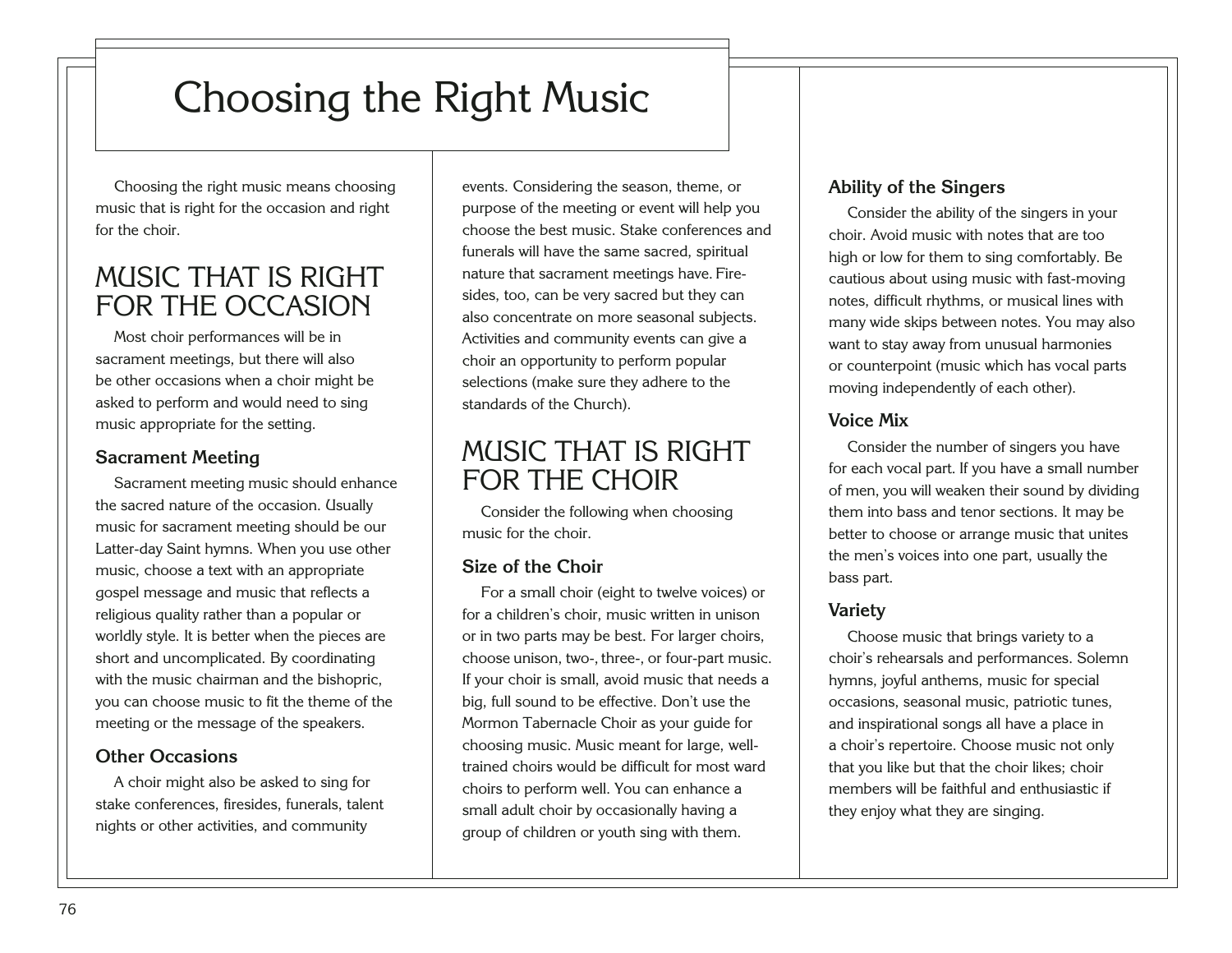## Choosing the Right Music

Choosing the right music means choosing music that is right for the occasion and right for the choir.

### MUSIC THAT IS RIGHT FOR THE OCCASION

Most choir performances will be in sacrament meetings, but there will also be other occasions when a choir might be asked to perform and would need to sing music appropriate for the setting.

#### **Sacrament Meeting**

Sacrament meeting music should enhance the sacred nature of the occasion. Usually music for sacrament meeting should be our Latter-day Saint hymns. When you use other music, choose a text with an appropriate gospel message and music that reflects a religious quality rather than a popular or worldly style. It is better when the pieces are short and uncomplicated. By coordinating with the music chairman and the bishopric, you can choose music to fit the theme of the meeting or the message of the speakers.

#### **Other Occasions**

<span id="page-80-0"></span>A choir might also be asked to sing for stake conferences, firesides, funerals, talent nights or other activities, and community

events. Considering the season, theme, or purpose of the meeting or event will help you choose the best music. Stake conferences and funerals will have the same sacred, spiritual nature that sacrament meetings have. Firesides, too, can be very sacred but they can also concentrate on more seasonal subjects. Activities and community events can give a choir an opportunity to perform popular selections (make sure they adhere to the standards of the Church).

### MUSIC THAT IS RIGHT FOR THE CHOIR

Consider the following when choosing music for the choir.

#### **Size of the Choir**

For a small choir (eight to twelve voices) or for a children's choir, music written in unison or in two parts may be best. For larger choirs, choose unison, two-, three-, or four-part music. If your choir is small, avoid music that needs a big, full sound to be effective. Don't use the Mormon Tabernacle Choir as your guide for choosing music. Music meant for large, welltrained choirs would be difficult for most ward choirs to perform well. You can enhance a small adult choir by occasionally having a group of children or youth sing with them.

#### **Ability of the Singers**

Consider the ability of the singers in your choir. Avoid music with notes that are too high or low for them to sing comfortably. Be cautious about using music with fast-moving notes, difficult rhythms, or musical lines with many wide skips between notes. You may also want to stay away from unusual harmonies or counterpoint (music which has vocal parts moving independently of each other).

#### **Voice Mix**

Consider the number of singers you have for each vocal part. If you have a small number of men, you will weaken their sound by dividing them into bass and tenor sections. It may be better to choose or arrange music that unites the men's voices into one part, usually the bass part.

#### **Variety**

Choose music that brings variety to a choir's rehearsals and performances. Solemn hymns, joyful anthems, music for special occasions, seasonal music, patriotic tunes, and inspirational songs all have a place in a choir's repertoire. Choose music not only that you like but that the choir likes; choir members will be faithful and enthusiastic if they enjoy what they are singing.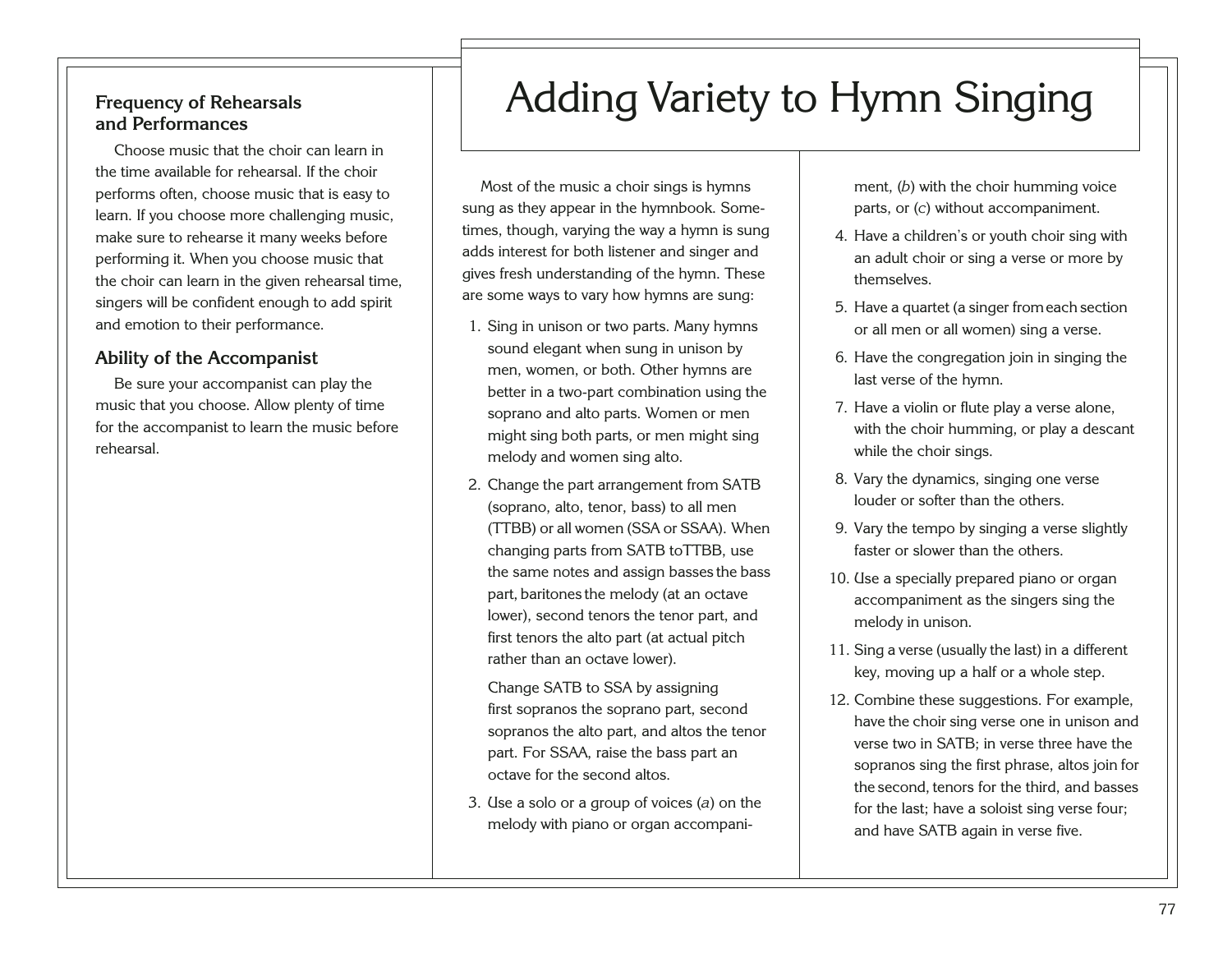#### **Frequency of Rehearsals and Performances**

Choose music that the choir can learn in the time available for rehearsal. If the choir performs often, choose music that is easy to learn. If you choose more challenging music, make sure to rehearse it many weeks before performing it. When you choose music that the choir can learn in the given rehearsal time, singers will be confident enough to add spirit and emotion to their performance.

#### **Ability of the Accompanist**

Be sure your accompanist can play the music that you choose. Allow plenty of time for the accompanist to learn the music before rehearsal.

## Adding Variety to Hymn Singing

Most of the music a choir sings is hymns sung as they appear in the hymnbook. Sometimes, though, varying the way a hymn is sung adds interest for both listener and singer and gives fresh understanding of the hymn. These are some ways to vary how hymns are sung:

- 1. Sing in unison or two parts. Many hymns sound elegant when sung in unison by men, women, or both. Other hymns are better in a two-part combination using the soprano and alto parts. Women or men might sing both parts, or men might sing melody and women sing alto.
- 2. Change the part arrangement from SATB (soprano, alto, tenor, bass) to all men (TTBB) or all women (SSA or SSAA). When changing parts from SATB toTTBB, use the same notes and assign basses the bass part, baritones the melody (at an octave lower), second tenors the tenor part, and first tenors the alto part (at actual pitch rather than an octave lower).

Change SATB to SSA by assigning first sopranos the soprano part, second sopranos the alto part, and altos the tenor part. For SSAA, raise the bass part an octave for the second altos.

<span id="page-81-0"></span>3. Use a solo or a group of voices (*a*) on the melody with piano or organ accompaniment, (*b*) with the choir humming voice parts, or (*c*) without accompaniment.

- 4. Have a children's or youth choir sing with an adult choir or sing a verse or more by themselves.
- 5. Have a quartet (a singer fromeach section or all men or all women) sing a verse.
- 6. Have the congregation join in singing the last verse of the hymn.
- 7. Have a violin or flute play a verse alone, with the choir humming, or play a descant while the choir sings.
- 8. Vary the dynamics, singing one verse louder or softer than the others.
- 9. Vary the tempo by singing a verse slightly faster or slower than the others.
- 10. Use a specially prepared piano or organ accompaniment as the singers sing the melody in unison.
- 11. Sing a verse (usually the last) in a different key, moving up a half or a whole step.
- 12. Combine these suggestions. For example, have the choir sing verse one in unison and verse two in SATB; in verse three have the sopranos sing the first phrase, altos join for the second, tenors for the third, and basses for the last; have a soloist sing verse four; and have SATB again in verse five.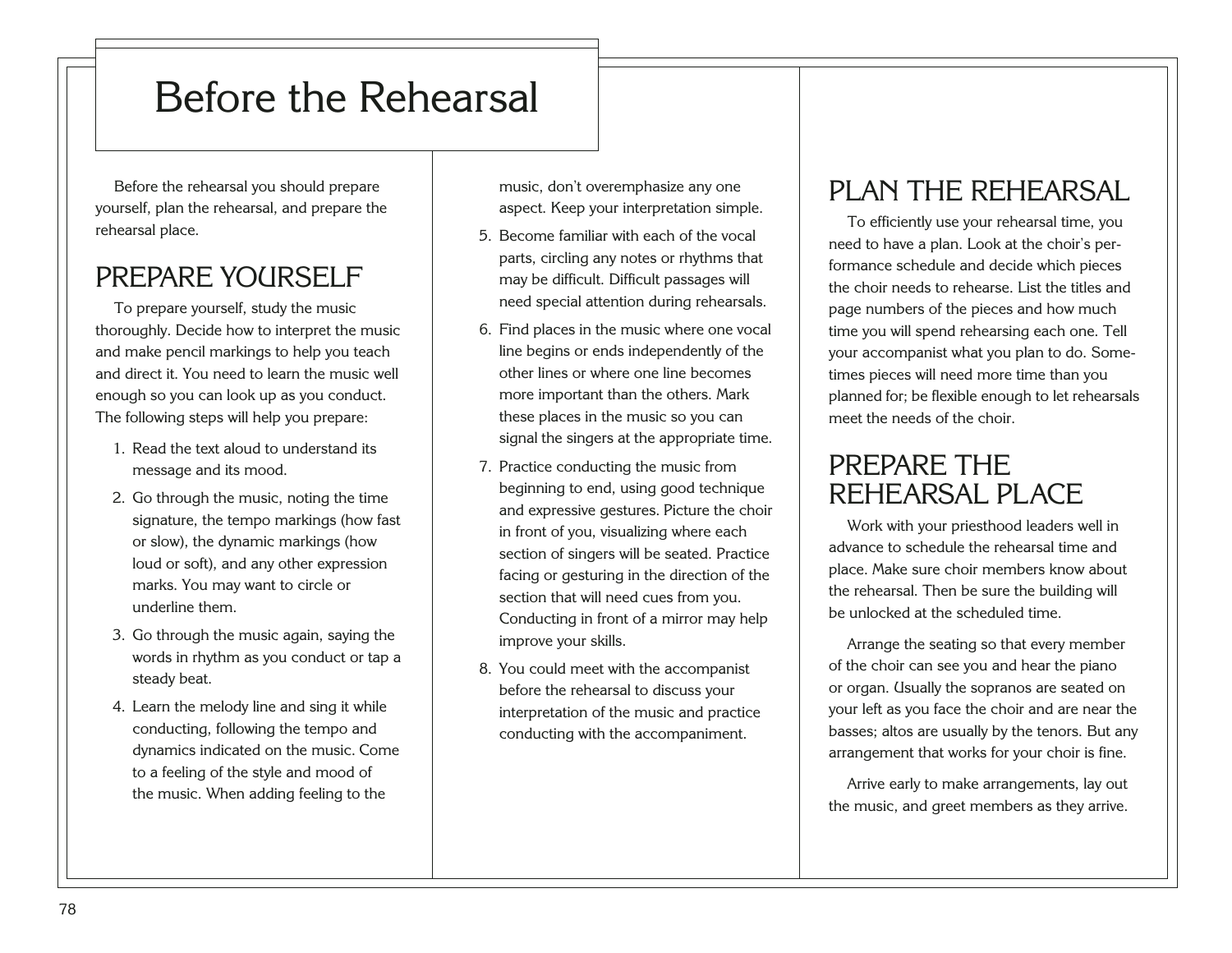## Before the Rehearsal

Before the rehearsal you should prepare yourself, plan the rehearsal, and prepare the rehearsal place.

### PREPARE YOURSELF

To prepare yourself, study the music thoroughly. Decide how to interpret the music and make pencil markings to help you teach and direct it. You need to learn the music well enough so you can look up as you conduct. The following steps will help you prepare:

- 1. Read the text aloud to understand its message and its mood.
- 2. Go through the music, noting the time signature, the tempo markings (how fast or slow), the dynamic markings (how loud or soft), and any other expression marks. You may want to circle or underline them.
- 3. Go through the music again, saying the words in rhythm as you conduct or tap a steady beat.
- <span id="page-82-0"></span>4. Learn the melody line and sing it while conducting, following the tempo and dynamics indicated on the music. Come to a feeling of the style and mood of the music. When adding feeling to the

music, don't overemphasize any one aspect. Keep your interpretation simple.

- 5. Become familiar with each of the vocal parts, circling any notes or rhythms that may be difficult. Difficult passages will need special attention during rehearsals.
- 6. Find places in the music where one vocal line begins or ends independently of the other lines or where one line becomes more important than the others. Mark these places in the music so you can signal the singers at the appropriate time.
- 7. Practice conducting the music from beginning to end, using good technique and expressive gestures. Picture the choir in front of you, visualizing where each section of singers will be seated. Practice facing or gesturing in the direction of the section that will need cues from you. Conducting in front of a mirror may help improve your skills.
- 8. You could meet with the accompanist before the rehearsal to discuss your interpretation of the music and practice conducting with the accompaniment.

### PLAN THE REHEARSAL

To efficiently use your rehearsal time, you need to have a plan. Look at the choir's performance schedule and decide which pieces the choir needs to rehearse. List the titles and page numbers of the pieces and how much time you will spend rehearsing each one. Tell your accompanist what you plan to do. Sometimes pieces will need more time than you planned for; be flexible enough to let rehearsals meet the needs of the choir.

### PREPARE THE REHEARSAL PLACE

Work with your priesthood leaders well in advance to schedule the rehearsal time and place. Make sure choir members know about the rehearsal. Then be sure the building will be unlocked at the scheduled time.

Arrange the seating so that every member of the choir can see you and hear the piano or organ. Usually the sopranos are seated on your left as you face the choir and are near the basses; altos are usually by the tenors. But any arrangement that works for your choir is fine.

Arrive early to make arrangements, lay out the music, and greet members as they arrive.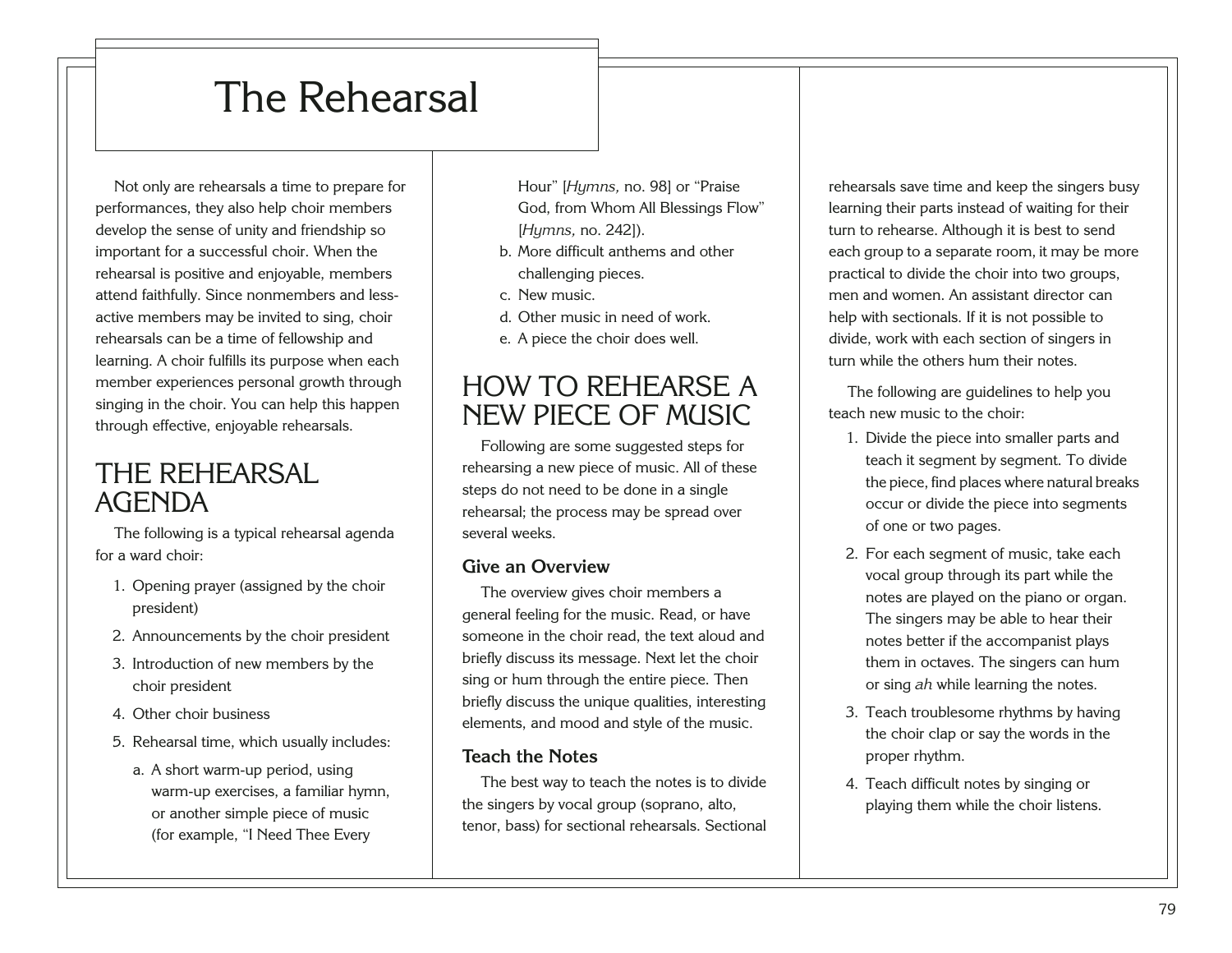## The Rehearsal

Not only are rehearsals a time to prepare for performances, they also help choir members develop the sense of unity and friendship so important for a successful choir. When the rehearsal is positive and enjoyable, members attend faithfully. Since nonmembers and lessactive members may be invited to sing, choir rehearsals can be a time of fellowship and learning. A choir fulfills its purpose when each member experiences personal growth through singing in the choir. You can help this happen through effective, enjoyable rehearsals.

### THE REHEARSAL AGENDA

The following is a typical rehearsal agenda for a ward choir:

- 1. Opening prayer (assigned by the choir president)
- 2. Announcements by the choir president
- 3. Introduction of new members by the choir president
- 4. Other choir business
- <span id="page-83-0"></span>5. Rehearsal time, which usually includes:
	- a. A short warm-up period, using warm-up exercises, a familiar hymn, or another simple piece of music (for example, "I Need Thee Every

Hour" [*Hymns,* no. 98] or "Praise God, from Whom All Blessings Flow" [*Hymns,* no. 242]).

- b. More difficult anthems and other challenging pieces.
- c. New music.
- d. Other music in need of work.
- e. A piece the choir does well.

### HOW TO REHEARSE A NEW PIECE OF MUSIC

Following are some suggested steps for rehearsing a new piece of music. All of these steps do not need to be done in a single rehearsal; the process may be spread over several weeks.

#### **Give an Overview**

The overview gives choir members a general feeling for the music. Read, or have someone in the choir read, the text aloud and briefly discuss its message. Next let the choir sing or hum through the entire piece. Then briefly discuss the unique qualities, interesting elements, and mood and style of the music.

#### **Teach the Notes**

The best way to teach the notes is to divide the singers by vocal group (soprano, alto, tenor, bass) for sectional rehearsals. Sectional rehearsals save time and keep the singers busy learning their parts instead of waiting for their turn to rehearse. Although it is best to send each group to a separate room, it may be more practical to divide the choir into two groups, men and women. An assistant director can help with sectionals. If it is not possible to divide, work with each section of singers in turn while the others hum their notes.

The following are guidelines to help you teach new music to the choir:

- 1. Divide the piece into smaller parts and teach it segment by segment. To divide the piece, find places where natural breaks occur or divide the piece into segments of one or two pages.
- 2. For each segment of music, take each vocal group through its part while the notes are played on the piano or organ. The singers may be able to hear their notes better if the accompanist plays them in octaves. The singers can hum or sing *ah* while learning the notes.
- 3. Teach troublesome rhythms by having the choir clap or say the words in the proper rhythm.
- 4. Teach difficult notes by singing or playing them while the choir listens.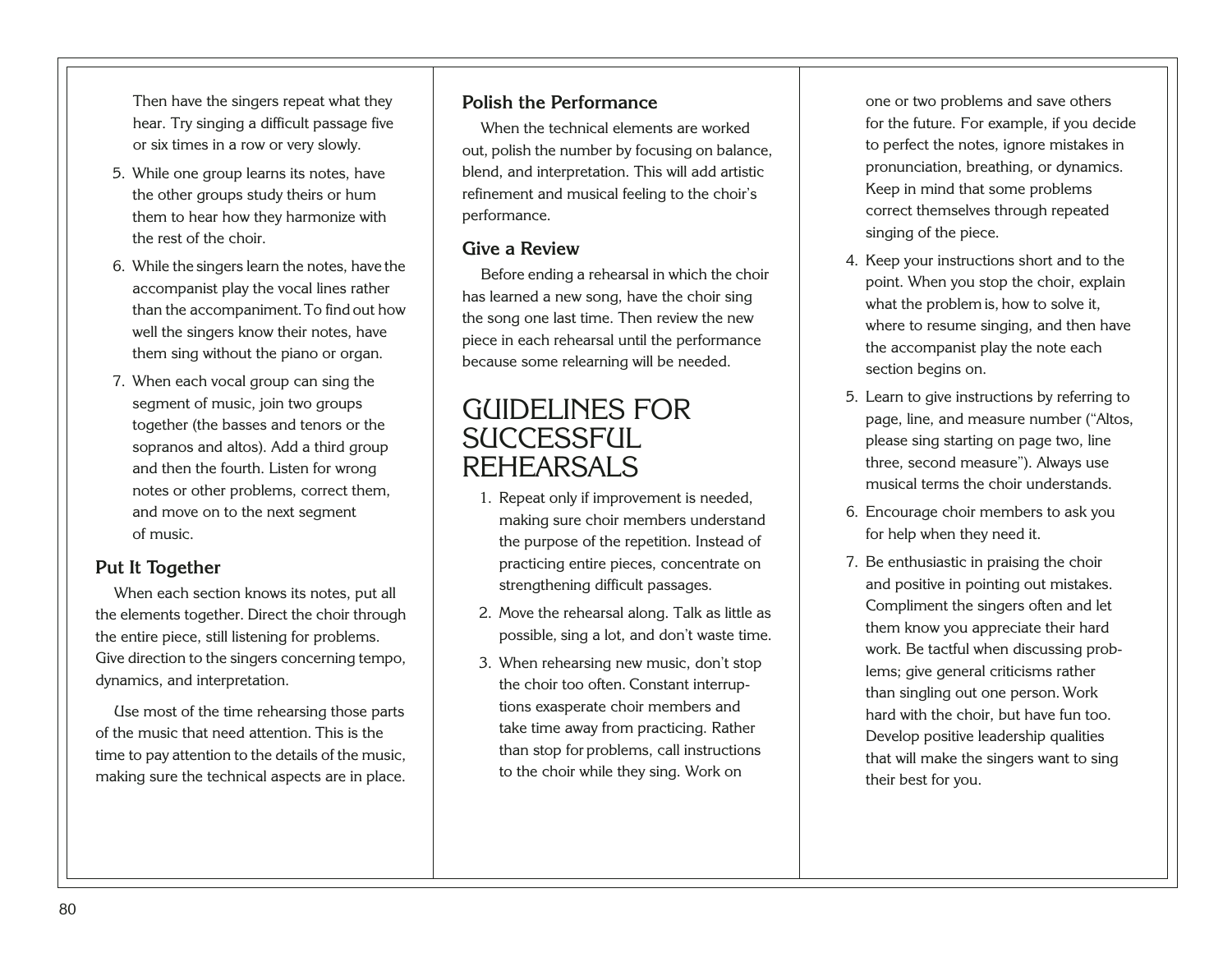Then have the singers repeat what they hear. Try singing a difficult passage five or six times in a row or very slowly.

- 5. While one group learns its notes, have the other groups study theirs or hum them to hear how they harmonize with the rest of the choir.
- 6. While the singers learn the notes, have the accompanist play the vocal lines rather than the accompaniment.To find out how well the singers know their notes, have them sing without the piano or organ.
- 7. When each vocal group can sing the segment of music, join two groups together (the basses and tenors or the sopranos and altos). Add a third group and then the fourth. Listen for wrong notes or other problems, correct them, and move on to the next segment of music.

#### **Put It Together**

When each section knows its notes, put all the elements together. Direct the choir through the entire piece, still listening for problems. Give direction to the singers concerning tempo, dynamics, and interpretation.

<span id="page-84-0"></span>Use most of the time rehearsing those parts of the music that need attention. This is the time to pay attention to the details of the music, making sure the technical aspects are in place.

#### **Polish the Performance**

When the technical elements are worked out, polish the number by focusing on balance, blend, and interpretation. This will add artistic refinement and musical feeling to the choir's performance.

#### **Give a Review**

Before ending a rehearsal in which the choir has learned a new song, have the choir sing the song one last time. Then review the new piece in each rehearsal until the performance because some relearning will be needed.

### GUIDELINES FOR SUCCESSFUL. REHEARSALS

- 1. Repeat only if improvement is needed, making sure choir members understand the purpose of the repetition. Instead of practicing entire pieces, concentrate on strengthening difficult passages.
- 2. Move the rehearsal along. Talk as little as possible, sing a lot, and don't waste time.
- 3. When rehearsing new music, don't stop the choir too often. Constant interruptions exasperate choir members and take time away from practicing. Rather than stop for problems, call instructions to the choir while they sing. Work on

one or two problems and save others for the future. For example, if you decide to perfect the notes, ignore mistakes in pronunciation, breathing, or dynamics. Keep in mind that some problems correct themselves through repeated singing of the piece.

- 4. Keep your instructions short and to the point. When you stop the choir, explain what the problem is, how to solve it, where to resume singing, and then have the accompanist play the note each section begins on.
- 5. Learn to give instructions by referring to page, line, and measure number ("Altos, please sing starting on page two, line three, second measure"). Always use musical terms the choir understands.
- 6. Encourage choir members to ask you for help when they need it.
- 7. Be enthusiastic in praising the choir and positive in pointing out mistakes. Compliment the singers often and let them know you appreciate their hard work. Be tactful when discussing problems; give general criticisms rather than singling out one person. Work hard with the choir, but have fun too. Develop positive leadership qualities that will make the singers want to sing their best for you.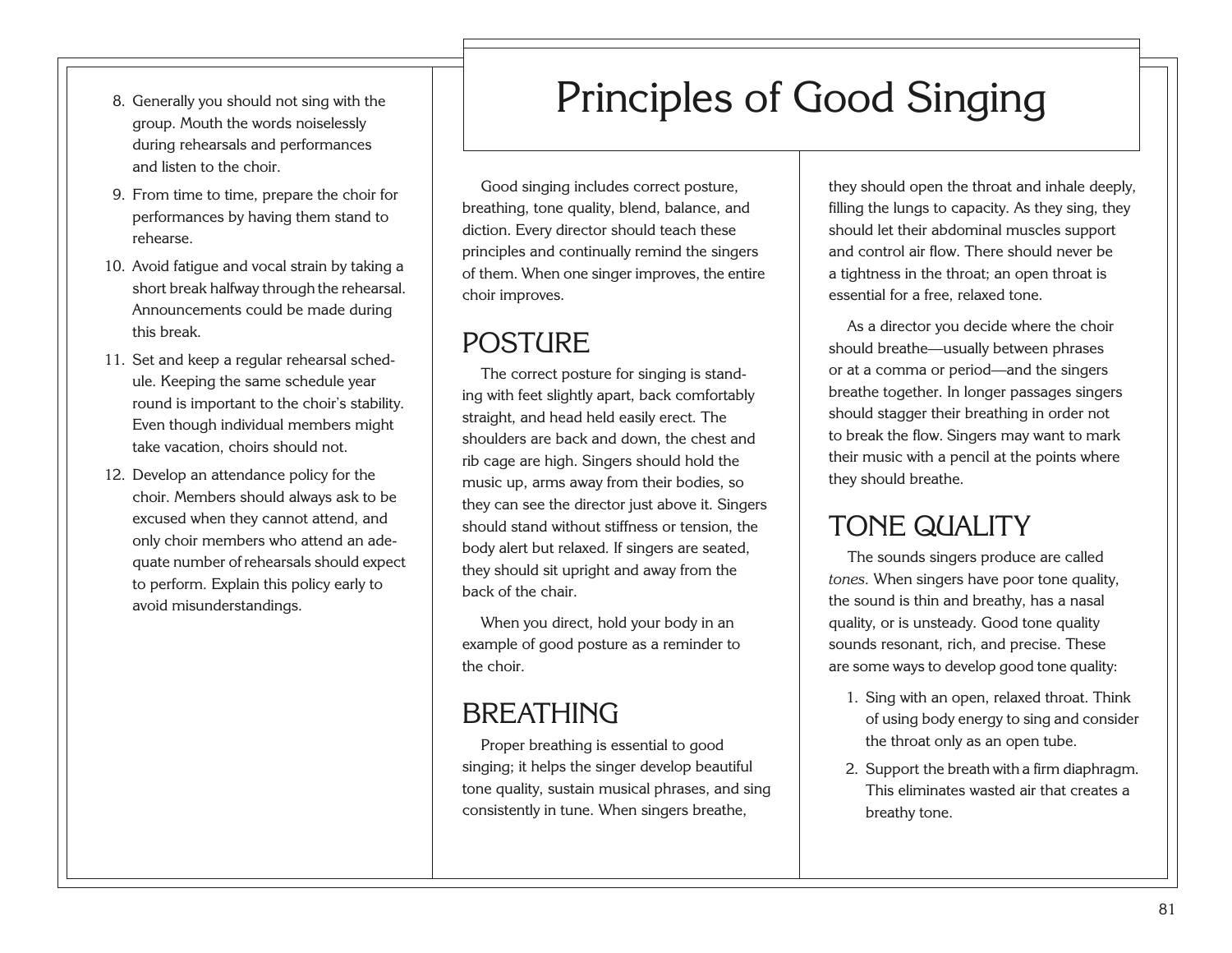81

- 8. Generally you should not sing with the group. Mouth the words noiselessly during rehearsals and performances and listen to the choir.
- 9. From time to time, prepare the choir for performances by having them stand to rehearse.
- 10. Avoid fatigue and vocal strain by taking a short break halfway through the rehearsal. Announcements could be made during this break.
- 11. Set and keep a regular rehearsal schedule. Keeping the same schedule year round is important to the choir's stability. Even though individual members might take vacation, choirs should not.
- <span id="page-85-0"></span>12. Develop an attendance policy for the choir. Members should always ask to be excused when they cannot attend, and only choir members who attend an adequate number of rehearsals should expect to perform. Explain this policy early to avoid misunderstandings.

## Principles of Good Singing

Good singing includes correct posture, breathing, tone quality, blend, balance, and diction. Every director should teach these principles and continually remind the singers of them. When one singer improves, the entire choir improves.

### POST(IRE

The correct posture for singing is standing with feet slightly apart, back comfortably straight, and head held easily erect. The shoulders are back and down, the chest and rib cage are high. Singers should hold the music up, arms away from their bodies, so they can see the director just above it. Singers should stand without stiffness or tension, the body alert but relaxed. If singers are seated, they should sit upright and away from the back of the chair.

When you direct, hold your body in an example of good posture as a reminder to the choir.

### **BREATHING**

Proper breathing is essential to good singing; it helps the singer develop beautiful tone quality, sustain musical phrases, and sing consistently in tune. When singers breathe,

they should open the throat and inhale deeply, filling the lungs to capacity. As they sing, they should let their abdominal muscles support and control air flow. There should never be a tightness in the throat; an open throat is essential for a free, relaxed tone.

As a director you decide where the choir should breathe—usually between phrases or at a comma or period—and the singers breathe together. In longer passages singers should stagger their breathing in order not to break the flow. Singers may want to mark their music with a pencil at the points where they should breathe.

### TONE QUALITY

The sounds singers produce are called *tones.* When singers have poor tone quality, the sound is thin and breathy, has a nasal quality, or is unsteady. Good tone quality sounds resonant, rich, and precise. These are some ways to develop good tone quality:

- 1. Sing with an open, relaxed throat. Think of using body energy to sing and consider the throat only as an open tube.
- 2. Support the breath with a firm diaphragm. This eliminates wasted air that creates a breathy tone.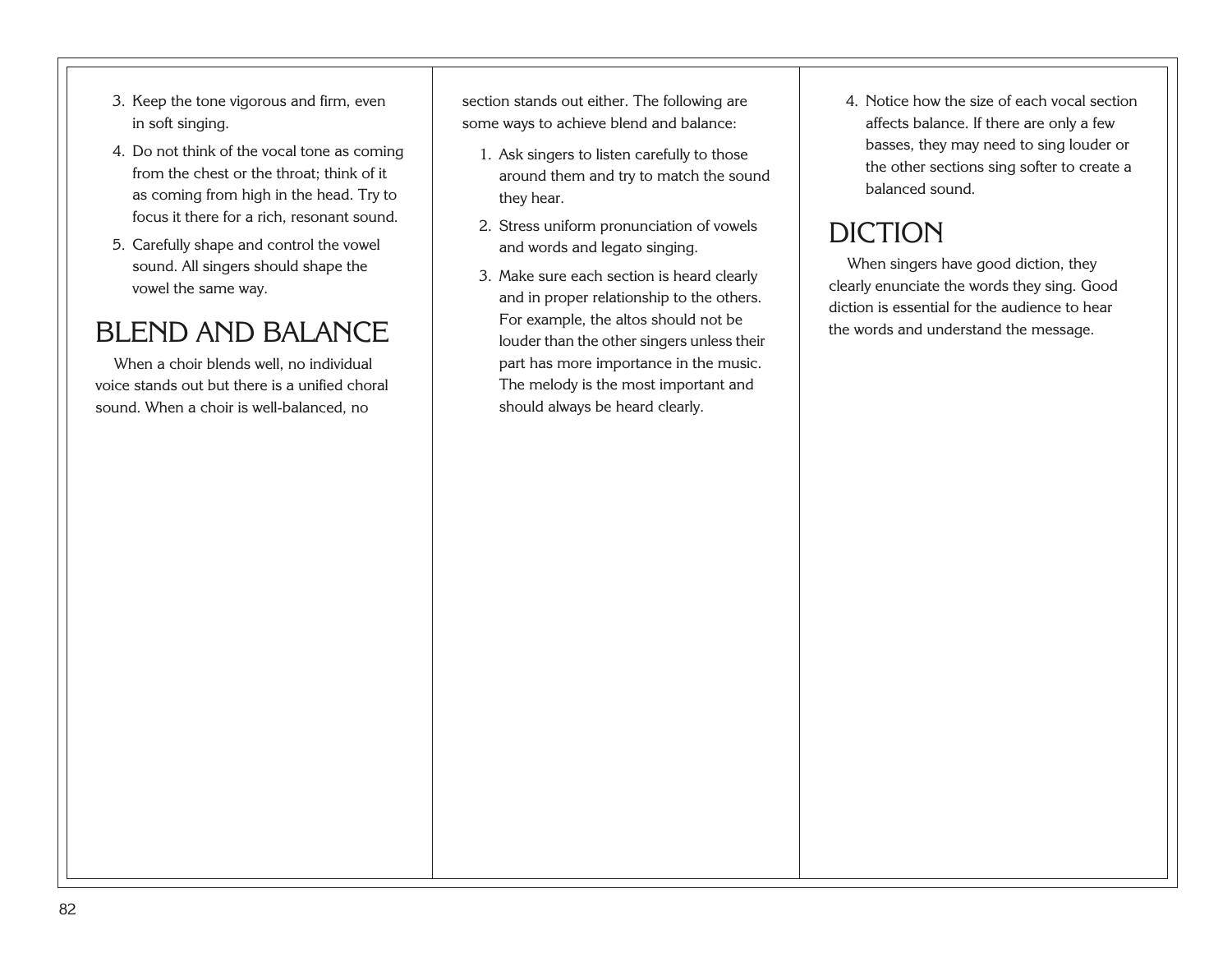- 3. Keep the tone vigorous and firm, even in soft singing.
- 4. Do not think of the vocal tone as coming from the chest or the throat; think of it as coming from high in the head. Try to focus it there for a rich, resonant sound.
- 5. Carefully shape and control the vowel sound. All singers should shape the vowel the same way.

### BLEND AND BALANCE

<span id="page-86-0"></span>When a choir blends well, no individual voice stands out but there is a unified choral sound. When a choir is well-balanced, no

section stands out either. The following are some ways to achieve blend and balance:

- 1. Ask singers to listen carefully to those around them and try to match the sound they hear.
- 2. Stress uniform pronunciation of vowels and words and legato singing.
- 3. Make sure each section is heard clearly and in proper relationship to the others. For example, the altos should not be louder than the other singers unless their part has more importance in the music. The melody is the most important and should always be heard clearly.

4. Notice how the size of each vocal section affects balance. If there are only a few basses, they may need to sing louder or the other sections sing softer to create a balanced sound.

### DICTION

When singers have good diction, they clearly enunciate the words they sing. Good diction is essential for the audience to hear the words and understand the message.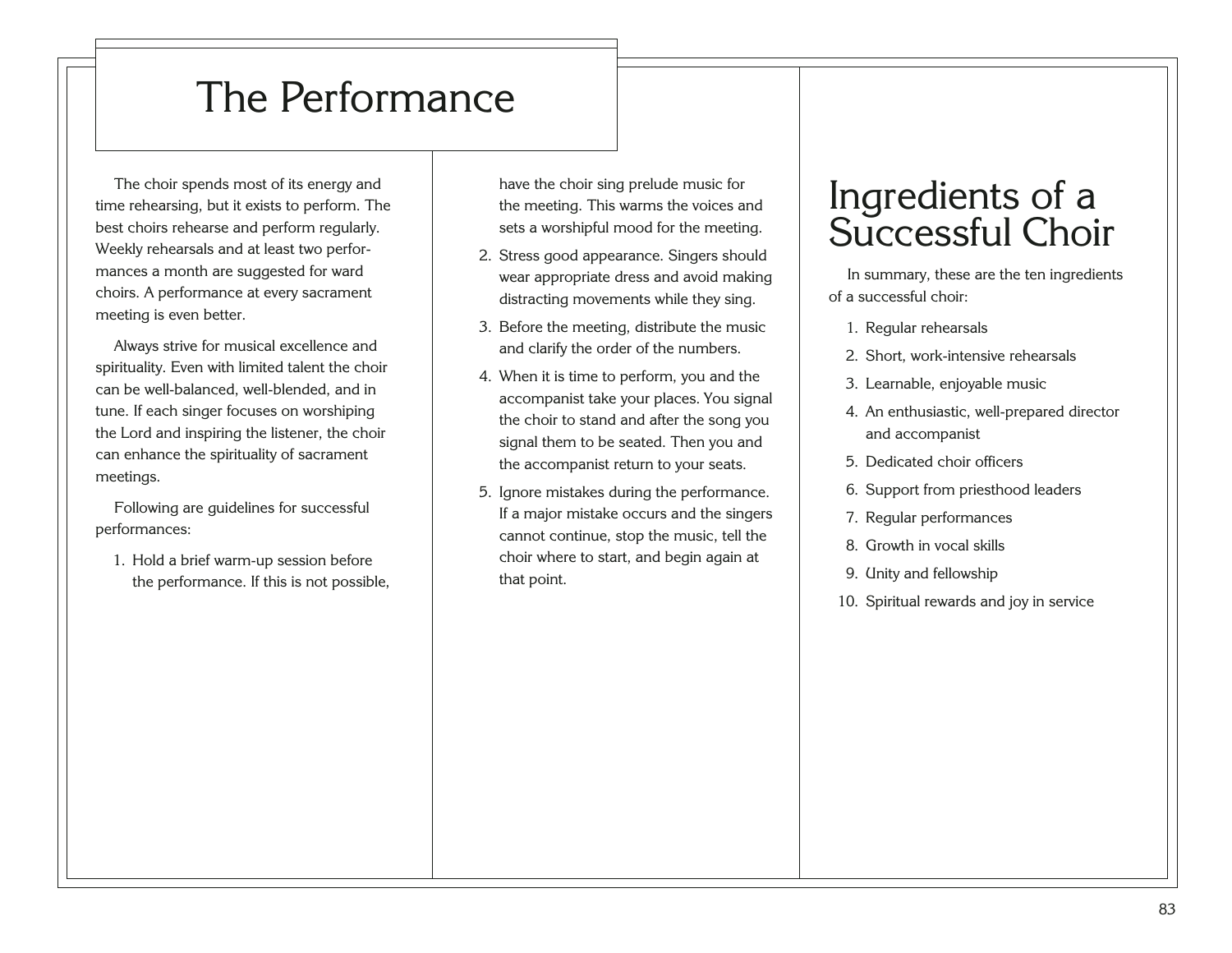## The Performance

The choir spends most of its energy and time rehearsing, but it exists to perform. The best choirs rehearse and perform regularly. Weekly rehearsals and at least two performances a month are suggested for ward choirs. A performance at every sacrament meeting is even better.

Always strive for musical excellence and spirituality. Even with limited talent the choir can be well-balanced, well-blended, and in tune. If each singer focuses on worshiping the Lord and inspiring the listener, the choir can enhance the spirituality of sacrament meetings.

Following are guidelines for successful performances:

<span id="page-87-0"></span>1. Hold a brief warm-up session before the performance. If this is not possible, have the choir sing prelude music for the meeting. This warms the voices and sets a worshipful mood for the meeting.

- 2. Stress good appearance. Singers should wear appropriate dress and avoid making distracting movements while they sing.
- 3. Before the meeting, distribute the music and clarify the order of the numbers.
- 4. When it is time to perform, you and the accompanist take your places. You signal the choir to stand and after the song you signal them to be seated. Then you and the accompanist return to your seats.
- 5. Ignore mistakes during the performance. If a major mistake occurs and the singers cannot continue, stop the music, tell the choir where to start, and begin again at that point.

## Ingredients of a Successful Choir

In summary, these are the ten ingredients of a successful choir:

- 1. Regular rehearsals
- 2. Short, work-intensive rehearsals
- 3. Learnable, enjoyable music
- 4. An enthusiastic, well-prepared director and accompanist
- 5. Dedicated choir officers
- 6. Support from priesthood leaders
- 7. Regular performances
- 8. Growth in vocal skills
- 9. Unity and fellowship
- 10. Spiritual rewards and joy in service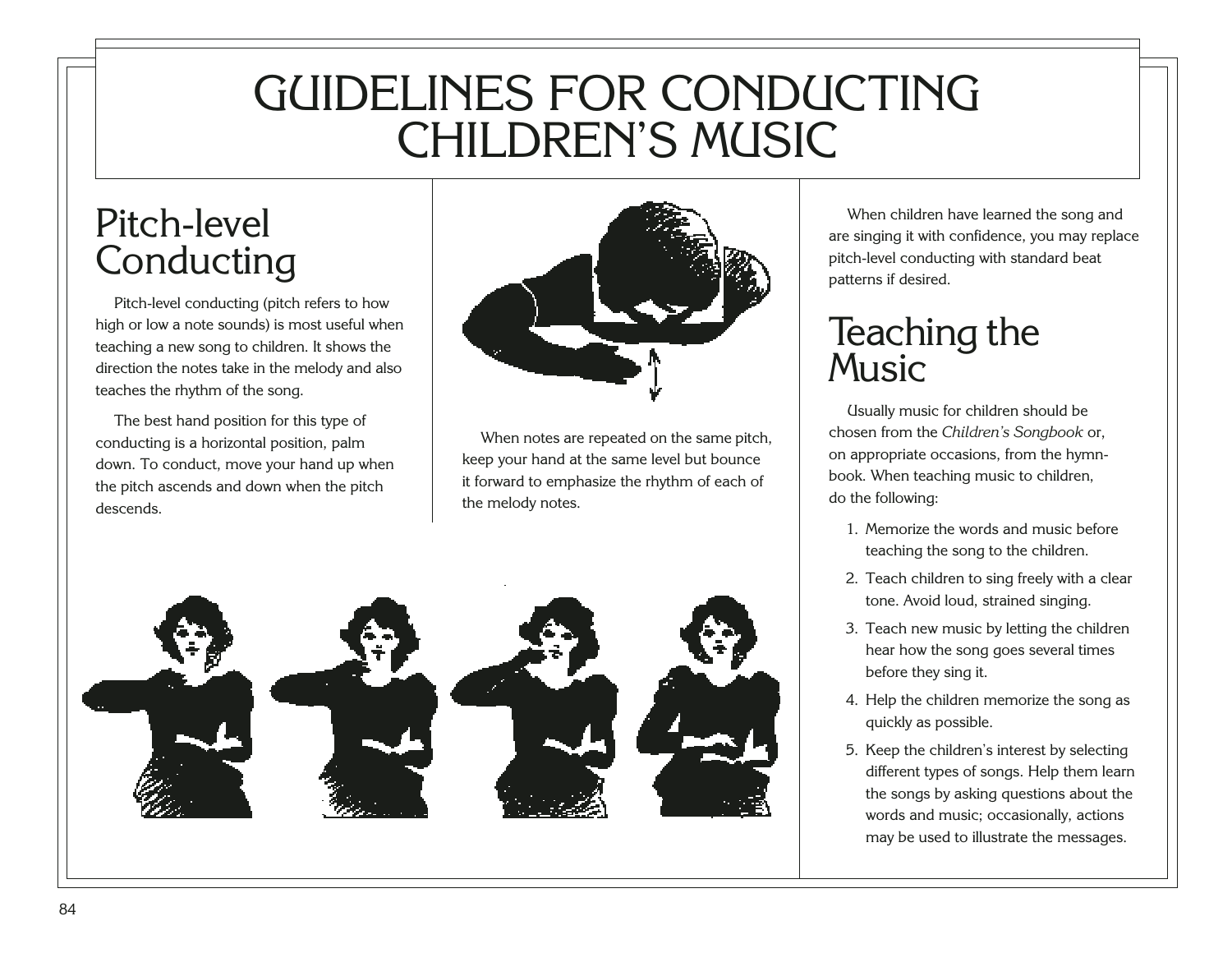## GUIDELINES FOR CONDUCTING CHILDREN'S MUSIC

## Pitch-level Conducting

Pitch-level conducting (pitch refers to how high or low a note sounds) is most useful when teaching a new song to children. It shows the direction the notes take in the melody and also teaches the rhythm of the song.

The best hand position for this type of conducting is a horizontal position, palm down. To conduct, move your hand up when the pitch ascends and down when the pitch descends.



When notes are repeated on the same pitch, keep your hand at the same level but bounce it forward to emphasize the rhythm of each of the melody notes.

<span id="page-88-0"></span>

When children have learned the song and are singing it with confidence, you may replace pitch-level conducting with standard beat patterns if desired.

## Teaching the Music

Usually music for children should be chosen from the *Children's Songbook* or, on appropriate occasions, from the hymnbook. When teaching music to children, do the following:

- 1. Memorize the words and music before teaching the song to the children.
- 2. Teach children to sing freely with a clear tone. Avoid loud, strained singing.
- 3. Teach new music by letting the children hear how the song goes several times before they sing it.
- 4. Help the children memorize the song as quickly as possible.
- 5. Keep the children's interest by selecting different types of songs. Help them learn the songs by asking questions about the words and music; occasionally, actions may be used to illustrate the messages.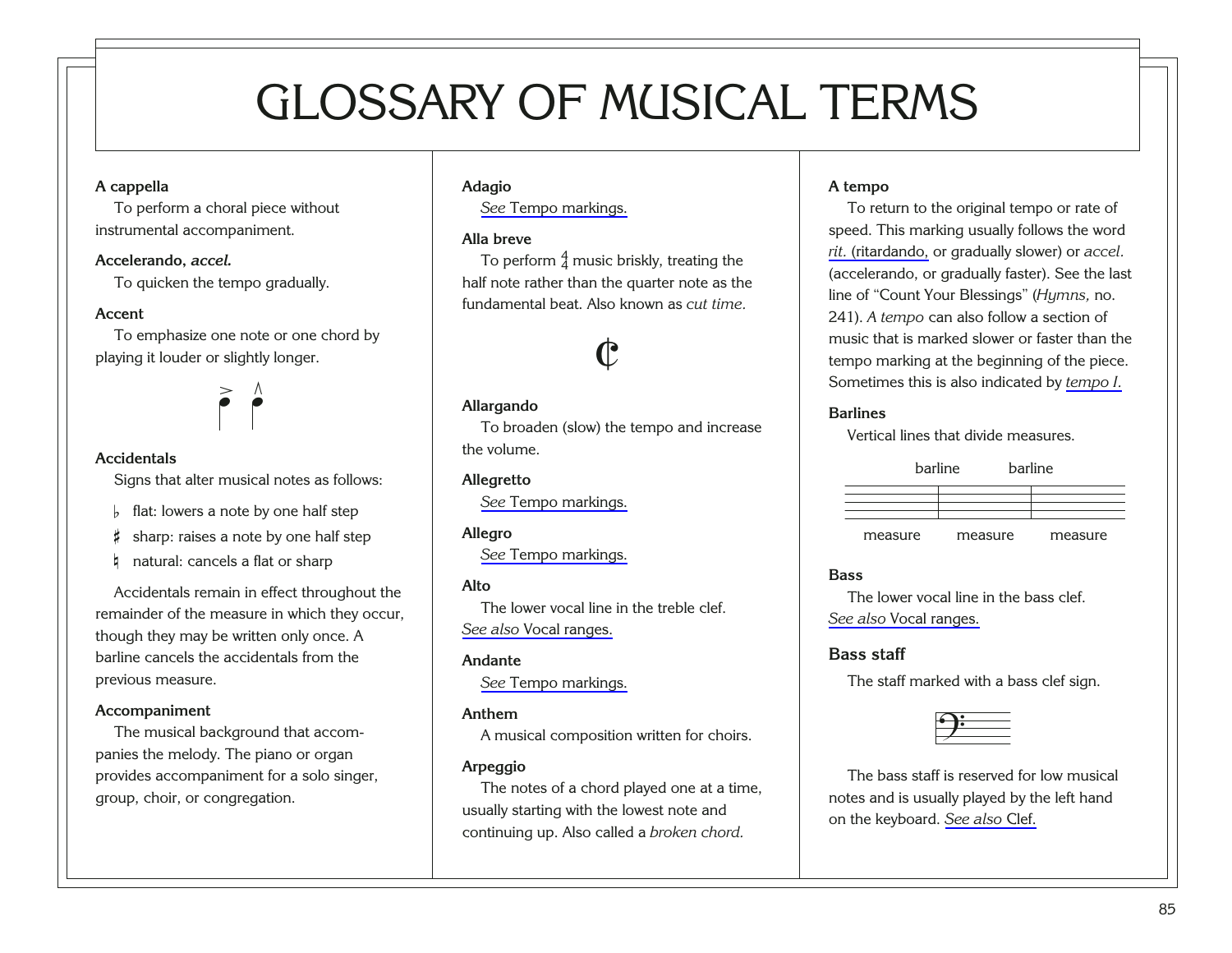# GLOSSARY OF MUSICAL TERMS

#### <span id="page-89-0"></span>**A cappella**

To perform a choral piece without instrumental accompaniment.

#### **Accelerando,** *accel.*

To quicken the tempo gradually.

#### **Accent**

To emphasize one note or one chord by playing it louder or slightly longer.



#### **Accidentals**

Signs that alter musical notes as follows:

- $\frac{1}{2}$  flat: lowers a note by one half step
- # sharp: raises a note by one half step
- **h** natural: cancels a flat or sharp

Accidentals remain in effect throughout the remainder of the measure in which they occur, though they may be written only once. A barline cancels the accidentals from the previous measure.

#### **Accompaniment**

<span id="page-89-1"></span>The musical background that accompanies the melody. The piano or organ provides accompaniment for a solo singer, group, choir, or congregation.

#### **Adagio**

*See* [Tempo markings.](#page-99-0)

#### **Alla breve**

To perform  $\frac{4}{4}$  music briskly, treating the half note rather than the quarter note as the fundamental beat. Also known as *cut time.*

# $\downarrow$

#### **Allargando**

To broaden (slow) the tempo and increase the volume.

#### **Allegretto**

*See* [Tempo markings.](#page-99-0)

#### **Allegro**

*See* [Tempo markings.](#page-99-0)

#### **Alto**

The lower vocal line in the treble clef. *See also* [Vocal ranges.](#page-100-0)

#### **Andante**

*See* [Tempo markings.](#page-99-0)

#### **Anthem**

A musical composition written for choirs.

#### **Arpeggio**

The notes of a chord played one at a time, usually starting with the lowest note and continuing up. Also called a *broken chord.*

#### **A tempo**

To return to the original tempo or rate of speed. This marking usually follows the word *rit.* [\(ritardando,](#page-97-0) or gradually slower) or *accel.* (accelerando, or gradually faster). See the last line of "Count Your Blessings" (*Hymns,* no. 241). *A tempo* can also follow a section of music that is marked slower or faster than the tempo marking at the beginning of the piece. Sometimes this is also indicated by *[tempo I.](#page-99-0)*

#### **Barlines**

Vertical lines that divide measures.

barline

| $\mu$ al III I $\sigma$ | $\mu$ al III I $\sigma$ |  |
|-------------------------|-------------------------|--|
|                         |                         |  |
|                         |                         |  |
|                         |                         |  |
|                         |                         |  |
|                         |                         |  |

barline

measure measure measure

#### **Bass**

The lower vocal line in the bass clef. *See also* [Vocal ranges.](#page-100-0)

#### **Bass staff**

The staff marked with a bass clef sign.

The bass staff is reserved for low musical ? notes and is usually played by the left hand on the keyboard. *[See also](#page-91-0)* Clef.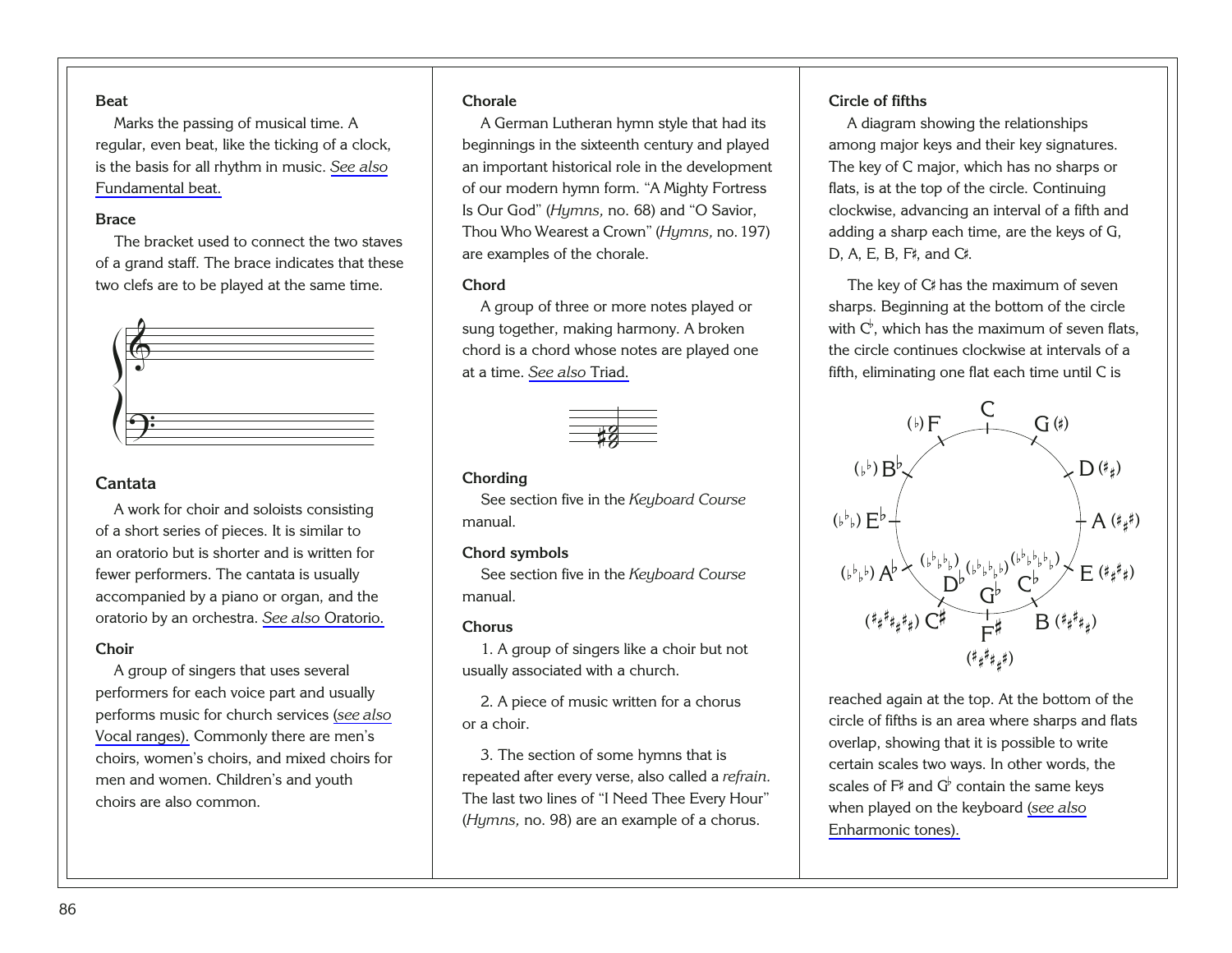#### <span id="page-90-0"></span>**Beat**

Marks the passing of musical time. A regular, even beat, like the ticking of a clock, is the basis for all rhythm in music. *[See also](#page-92-0)* [Fundamental beat.](#page-92-0)

#### **Brace**

The bracket used to connect the two staves of a grand staff. The brace indicates that these two clefs are to be played at the same time.



#### **Cantata**

A work for choir and soloists consisting of a short series of pieces. It is similar to an oratorio but is shorter and is written for fewer performers. The cantata is usually accompanied by a piano or organ, and the oratorio by an orchestra. *[See also](#page-95-0)* Oratorio.

#### **Choir**

<span id="page-90-1"></span>A group of singers that uses several performers for each voice part and usually performs music for church services (*[see also](#page-100-0)* [Vocal ranges\).](#page-100-0) Commonly there are men's choirs, women's choirs, and mixed choirs for men and women. Children's and youth choirs are also common.

#### **Chorale**

A German Lutheran hymn style that had its beginnings in the sixteenth century and played an important historical role in the development of our modern hymn form. "A Mighty Fortress Is Our God" (*Hymns,* no. 68) and "O Savior, Thou Who Wearest a Crown" (*Hymns,* no.197) are examples of the chorale.

#### **Chord**

A group of three or more notes played or sung together, making harmony. A broken chord is a chord whose notes are played one at a time. *[See also](#page-100-0)* Triad.



#### **Chording**

See section five in the *Keyboard Course* manual.

#### **Chord symbols**

See section five in the *Keyboard Course* manual.

#### **Chorus**

1. A group of singers like a choir but not usually associated with a church.

2. A piece of music written for a chorus or a choir.

3. The section of some hymns that is repeated after every verse, also called a *refrain.* The last two lines of "I Need Thee Every Hour" (*Hymns,* no. 98) are an example of a chorus.

#### **Circle of fifths**

A diagram showing the relationships among major keys and their key signatures. The key of C major, which has no sharps or flats, is at the top of the circle. Continuing clockwise, advancing an interval of a fifth and adding a sharp each time, are the keys of G, D, A, E, B, F#, and C#.

The key of C# has the maximum of seven sharps. Beginning at the bottom of the circle with  $C^{\flat}$ , which has the maximum of seven flats, the circle continues clockwise at intervals of a fifth, eliminating one flat each time until C is



reached again at the top. At the bottom of the circle of fifths is an area where sharps and flats overlap, showing that it is possible to write certain scales two ways. In other words, the scales of  $F^*$  and  $G^{\flat}$  contain the same keys when played on the keyboard (*[see also](#page-92-0)* [Enharmonic tones\).](#page-92-0)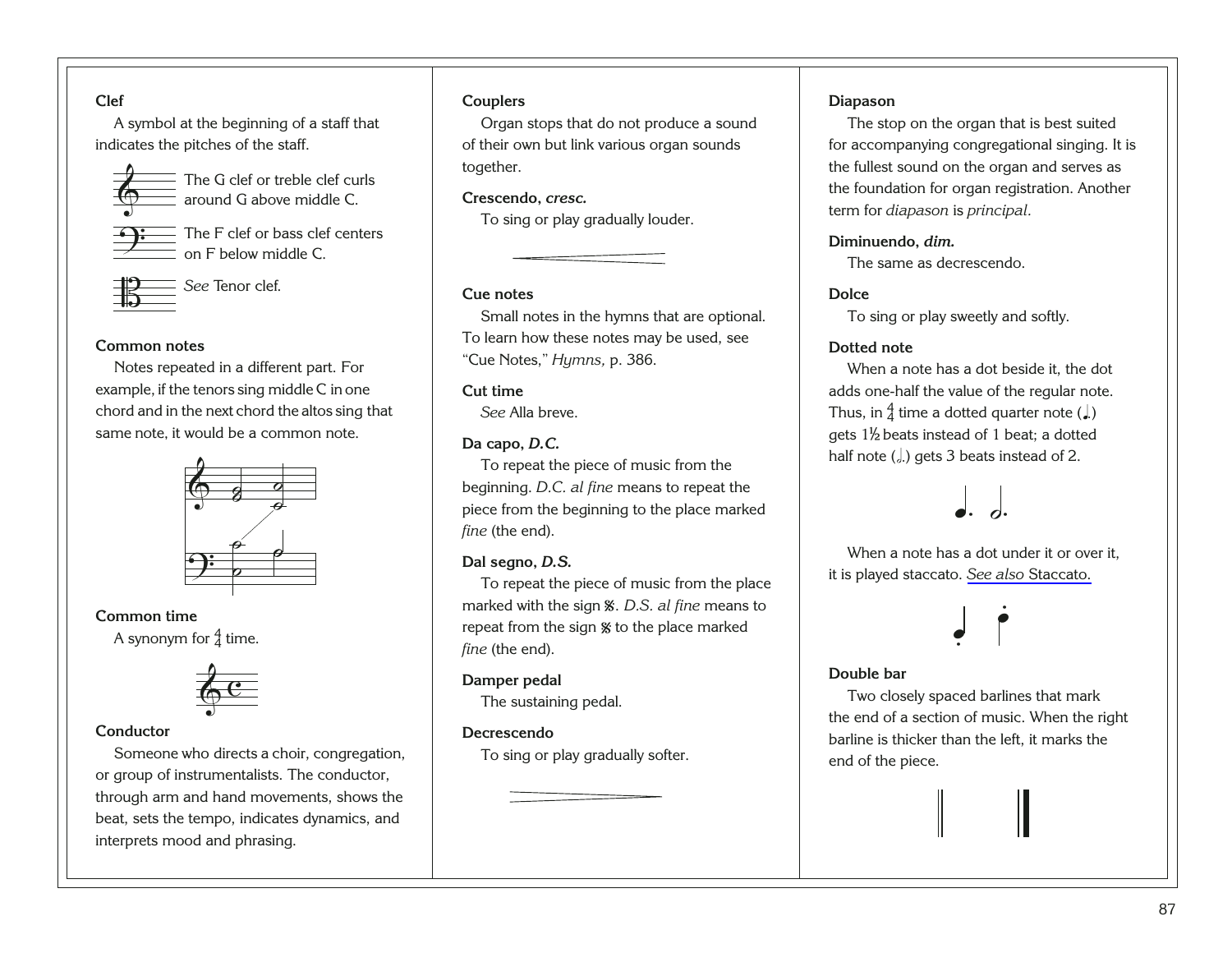#### <span id="page-91-0"></span>**Clef**

A symbol at the beginning of a staff that indicates the pitches of the staff.



The G clef or treble clef curls around G above middle C.

The F clef or bass clef centers on F below middle C.



*See* Tenor clef.

#### **Common notes**

Notes repeated in a different part. For example, if the tenors sing middle C in one chord and in the next chord the altos sing that same note, it would be a common note.



## **Common time** ?

A synonym for  $\frac{4}{4}$  time.



#### **Conductor**

<span id="page-91-1"></span>Someone who directs a choir, congregation, or group of instrumentalists. The conductor, through arm and hand movements, shows the beat, sets the tempo, indicates dynamics, and interprets mood and phrasing.

#### **Couplers**

Organ stops that do not produce a sound of their own but link various organ sounds together.

#### **Crescendo,** *cresc.*

To sing or play gradually louder.

#### **Cue notes**

Small notes in the hymns that are optional. To learn how these notes may be used, see "Cue Notes," *Hymns,* p. 386.

#### **Cut time**

*See* Alla breve.

#### **Da capo,** *D.C.*

To repeat the piece of music from the beginning. *D.C. al fine* means to repeat the piece from the beginning to the place marked *fine* (the end).

#### **Dal segno,** *D.S.*

To repeat the piece of music from the place marked with the sign *%*. *D.S. al fine* means to ritained with the sign *s. D.S. at fine* means<br>repeat from the sign % to the place marked *fine* (the end). %

#### **Damper pedal**

The sustaining pedal.

#### **Decrescendo**

To sing or play gradually softer.

#### **Diapason**

The stop on the organ that is best suited for accompanying congregational singing. It is the fullest sound on the organ and serves as the foundation for organ registration. Another term for *diapason* is *principal.*

#### **Diminuendo,** *dim.*

The same as decrescendo.

#### **Dolce**

To sing or play sweetly and softly.

#### **Dotted note**

When a note has a dot beside it, the dot adds one-half the value of the regular note. Thus, in  $\frac{4}{4}$  time a dotted quarter note (.) gets  $1\frac{1}{2}$  beats instead of 1 beat; a dotted half note  $(\cdot)$ , gets 3 beats instead of 2.

When a note has a dot under it or over it, <sup>œ</sup>. ˙. it is played staccato. *See also* [Staccato.](#page-98-0)



#### **Double bar**

Two closely spaced barlines that mark the end of a section of music. When the right barline is thicker than the left, it marks the end of the piece.

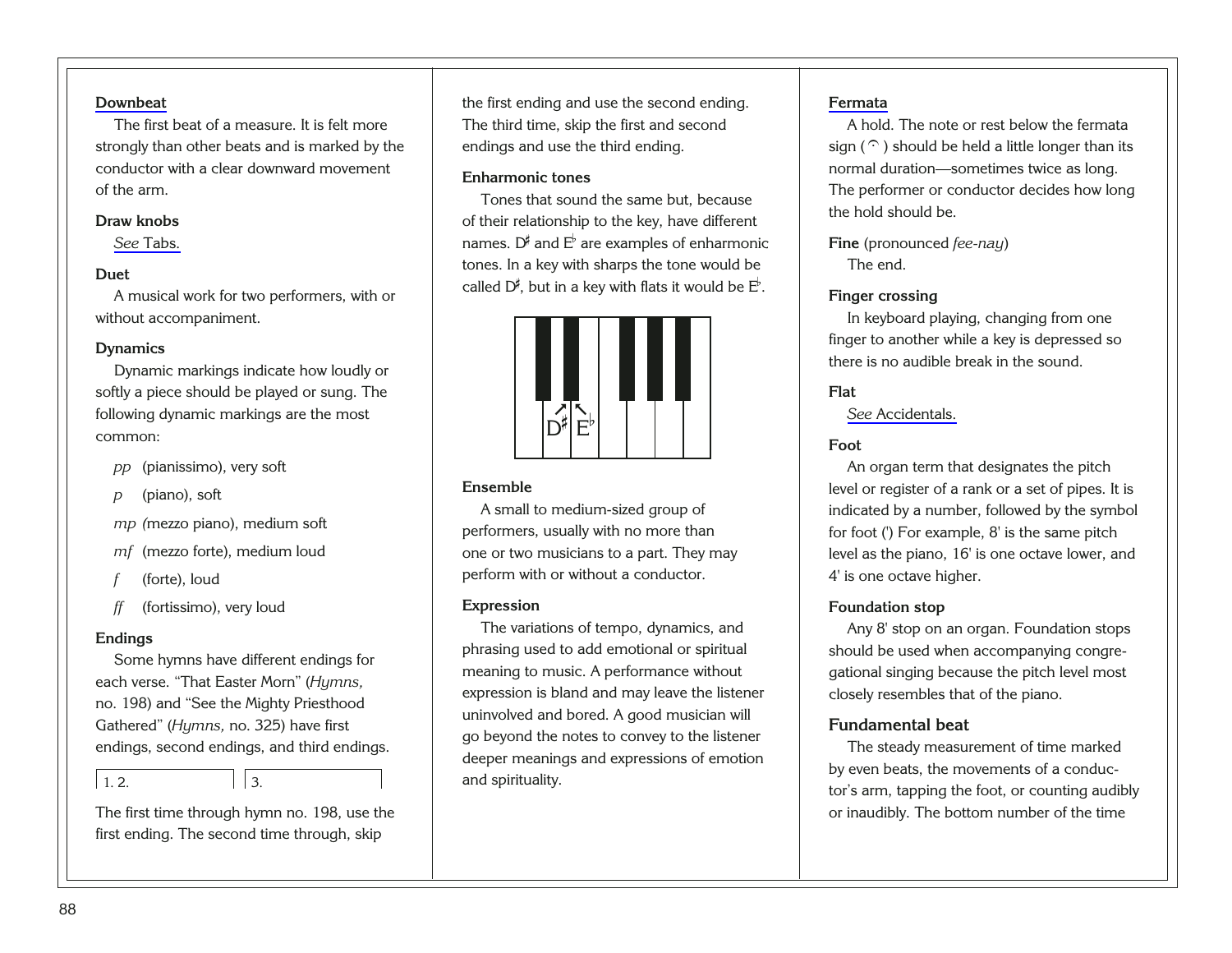#### <span id="page-92-0"></span>**[Downbeat](#page-23-0)**

The first beat of a measure. It is felt more strongly than other beats and is marked by the conductor with a clear downward movement of the arm.

#### **Draw knobs**

*See* [Tabs.](#page-98-0)

#### **Duet**

A musical work for two performers, with or without accompaniment.

#### **Dynamics**

Dynamic markings indicate how loudly or softly a piece should be played or sung. The following dynamic markings are the most common:

- *pp* (pianissimo), very soft
- *p* (piano), soft

*mp (*mezzo piano), medium soft

*mf* (mezzo forte), medium loud

- *f* (forte), loud
- *ff* (fortissimo), very loud

#### **Endings**

Some hymns have different endings for each verse. "That Easter Morn" (*Hymns,* no. 198) and "See the Mighty Priesthood Gathered" (*Hymns,* no. 325) have first endings, second endings, and third endings.

 $12$   $|3$ 

<span id="page-92-1"></span>The first time through hymn no. 198, use the first ending. The second time through, skip

the first ending and use the second ending. The third time, skip the first and second endings and use the third ending.

#### **Enharmonic tones**

Tones that sound the same but, because of their relationship to the key, have different names.  $D^{\sharp}$  and  $E^{\flat}$  are examples of enharmonic tones. In a key with sharps the tone would be called  $D^{\sharp}$ , but in a key with flats it would be  $E^{\flat}$ .



#### **Ensemble**

A small to medium-sized group of performers, usually with no more than one or two musicians to a part. They may perform with or without a conductor.

#### **Expression**

The variations of tempo, dynamics, and phrasing used to add emotional or spiritual meaning to music. A performance without expression is bland and may leave the listener uninvolved and bored. A good musician will go beyond the notes to convey to the listener deeper meanings and expressions of emotion and spirituality.

#### **[Fermata](#page-35-0)**

A hold. The note or rest below the fermata sign ( $\hat{U}$ ) should be held a little longer than its normal duration—sometimes twice as long. The performer or conductor decides how long the hold should be.

**Fine** (pronounced *fee-nay*) The end.

#### **Finger crossing**

In keyboard playing, changing from one finger to another while a key is depressed so there is no audible break in the sound.

#### **Flat**

*See* [Accidentals.](#page-89-0)

#### **Foot**

An organ term that designates the pitch level or register of a rank or a set of pipes. It is indicated by a number, followed by the symbol for foot (') For example, 8' is the same pitch level as the piano, 16' is one octave lower, and 4' is one octave higher.

#### **Foundation stop**

Any 8' stop on an organ. Foundation stops should be used when accompanying congregational singing because the pitch level most closely resembles that of the piano.

#### **Fundamental beat**

The steady measurement of time marked by even beats, the movements of a conductor's arm, tapping the foot, or counting audibly or inaudibly. The bottom number of the time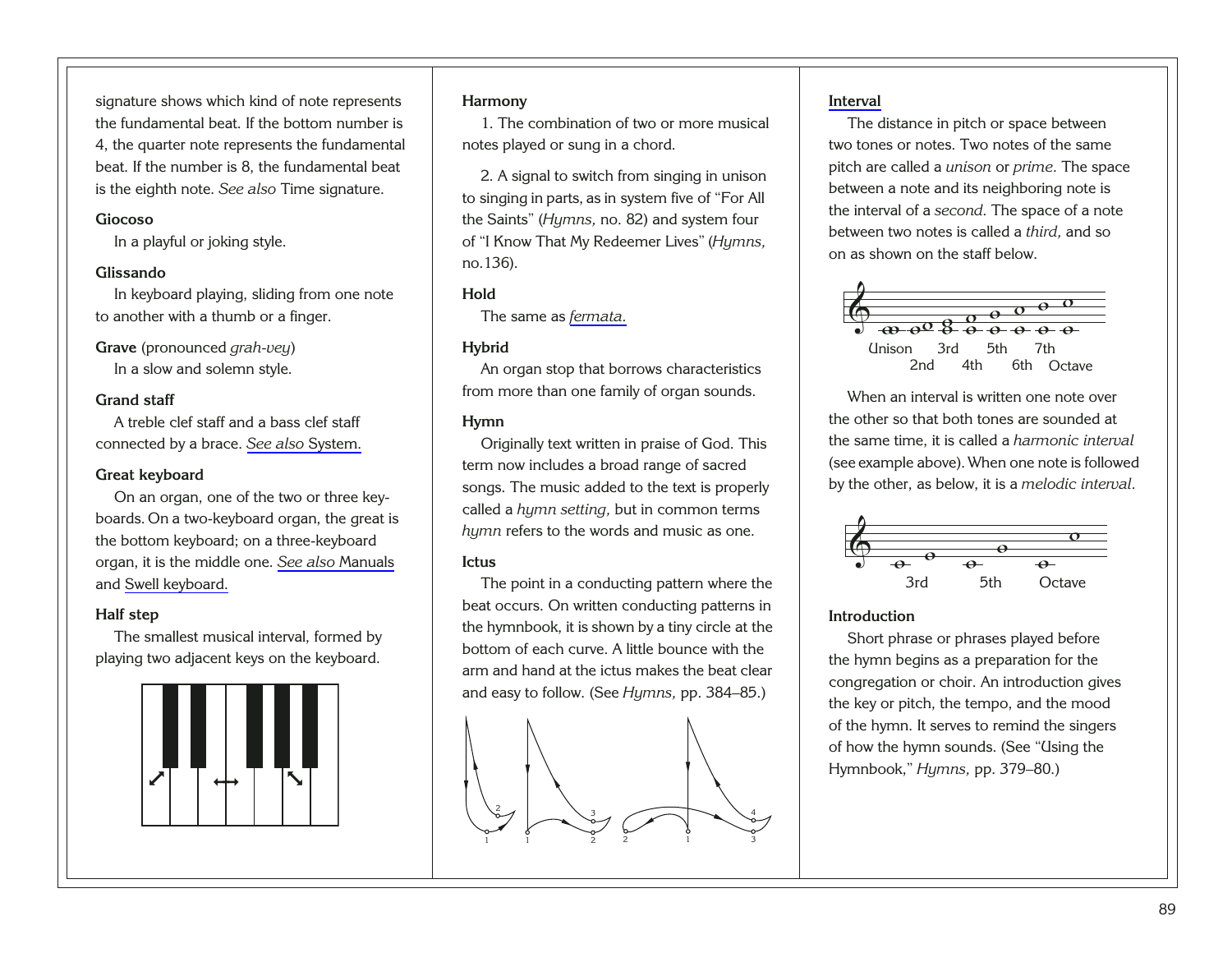<span id="page-93-0"></span>signature shows which kind of note represents the fundamental beat. If the bottom number is 4, the quarter note represents the fundamental beat. If the number is 8, the fundamental beat is the eighth note. *See also* Time signature.

#### **Giocoso**

In a playful or joking style.

#### **Glissando**

In keyboard playing, sliding from one note to another with a thumb or a finger.

**Grave** (pronounced *grah-vey*) In a slow and solemn style.

#### **Grand staff**

A treble clef staff and a bass clef staff connected by a brace. *[See also](#page-98-0)* System.

#### **Great keyboard**

On an organ, one of the two or three keyboards. On a two-keyboard organ, the great is the bottom keyboard; on a three-keyboard organ, it is the middle one. *[See also](#page-94-0)* Manuals and [Swell keyboard.](#page-98-0)

#### **Half step**

The smallest musical interval, formed by playing two adjacent keys on the keyboard.

<span id="page-93-1"></span>

#### **Harmony**

1. The combination of two or more musical notes played or sung in a chord.

2. A signal to switch from singing in unison to singing in parts, as in system five of "For All the Saints" (*Hymns,* no. 82) and system four of "I Know That My Redeemer Lives" (*Hymns,* no.136).

#### **Hold**

The same as *[fermata.](#page-92-0)*

#### **Hybrid**

An organ stop that borrows characteristics from more than one family of organ sounds.

#### **Hymn**

Originally text written in praise of God. This term now includes a broad range of sacred songs. The music added to the text is properly called a *hymn setting,* but in common terms *hymn* refers to the words and music as one.

#### **Ictus**

The point in a conducting pattern where the beat occurs. On written conducting patterns in the hymnbook, it is shown by a tiny circle at the bottom of each curve. A little bounce with the arm and hand at the ictus makes the beat clear and easy to follow. (See *Hymns,* pp. 384–85.)



#### **[Interval](#page-70-0)**

The distance in pitch or space between two tones or notes. Two notes of the same pitch are called a *unison* or *prime.* The space between a note and its neighboring note is the interval of a *second.* The space of a note between two notes is called a *third,* and so on as shown on the staff below.



When an interval is written one note over the other so that both tones are sounded at the same time, it is called a *harmonic interval* (see example above). When one note is followed by the other, as below, it is a *melodic interval.*



#### **Introduction**

Short phrase or phrases played before the hymn begins as a preparation for the congregation or choir. An introduction gives the key or pitch, the tempo, and the mood of the hymn. It serves to remind the singers of how the hymn sounds. (See "Using the Hymnbook," *Hymns,* pp. 379–80.)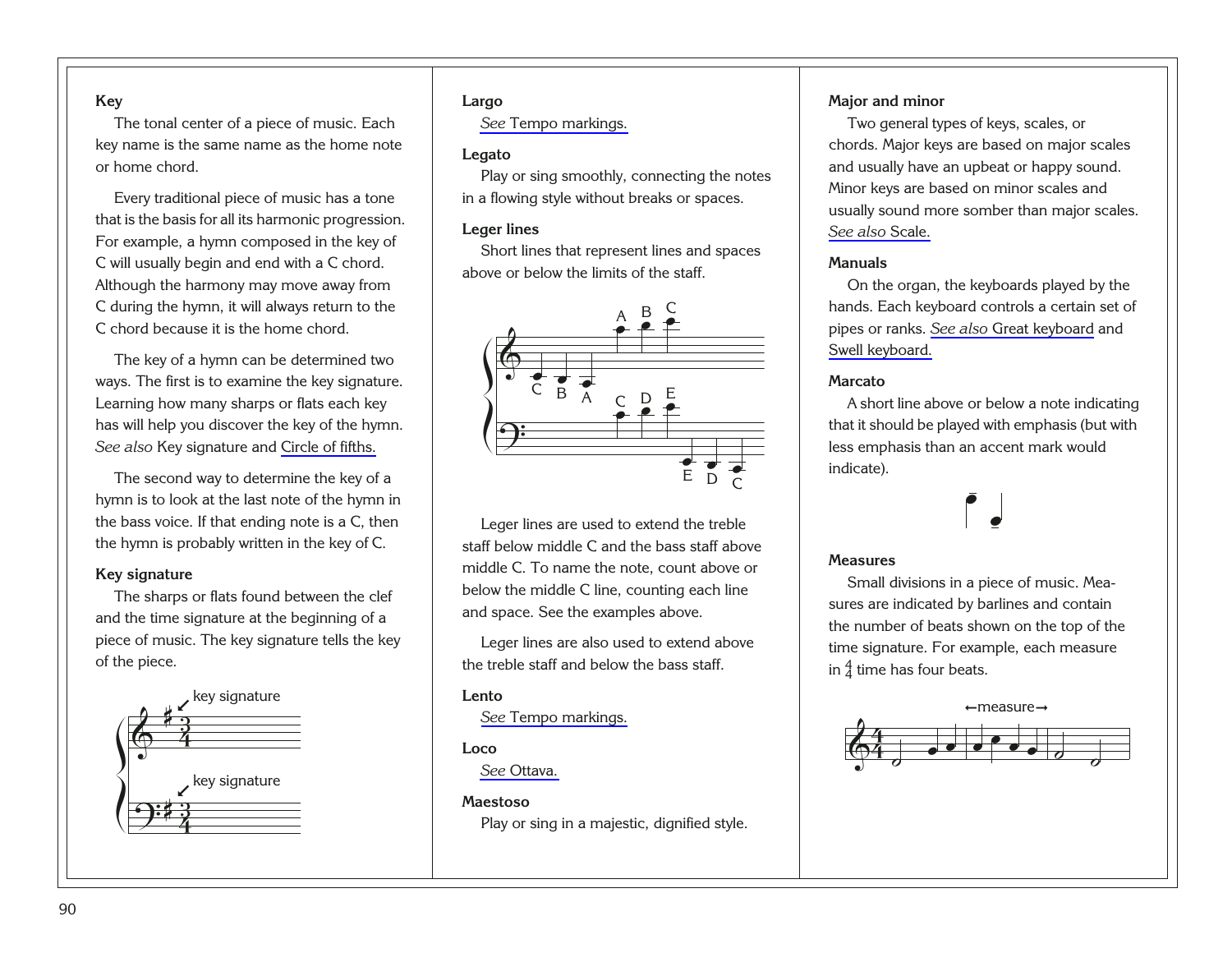#### <span id="page-94-0"></span>**Key**

The tonal center of a piece of music. Each key name is the same name as the home note or home chord.

Every traditional piece of music has a tone that is the basis for all its harmonic progression. For example, a hymn composed in the key of C will usually begin and end with a C chord. Although the harmony may move away from C during the hymn, it will always return to the C chord because it is the home chord.

The key of a hymn can be determined two ways. The first is to examine the key signature. Learning how many sharps or flats each key has will help you discover the key of the hymn. *See also* Key signature and [Circle of fifths.](#page-90-0)

The second way to determine the key of a hymn is to look at the last note of the hymn in the bass voice. If that ending note is a C, then the hymn is probably written in the key of C.

#### **Key signature**

The sharps or flats found between the clef and the time signature at the beginning of a piece of music. The key signature tells the key of the piece.

<span id="page-94-1"></span>

#### **Largo**

*See* [Tempo markings.](#page-99-0)

#### **Legato**

Play or sing smoothly, connecting the notes in a flowing style without breaks or spaces.

#### **Leger lines**

Short lines that represent lines and spaces above or below the limits of the staff.



Leger lines are used to extend the treble staff below middle C and the bass staff above middle C. To name the note, count above or below the middle C line, counting each line and space. See the examples above.

Leger lines are also used to extend above the treble staff and below the bass staff.

#### **Lento**

*See* [Tempo markings.](#page-99-0)

#### **Loco**

*See* [Ottava.](#page-95-0)

#### **Maestoso**

Play or sing in a majestic, dignified style.

#### **Major and minor**

Two general types of keys, scales, or chords. Major keys are based on major scales and usually have an upbeat or happy sound. Minor keys are based on minor scales and usually sound more somber than major scales. *[See also](#page-97-0)* Scale.

#### **Manuals**

On the organ, the keyboards played by the hands. Each keyboard controls a certain set of pipes or ranks. *See also* [Great keyboard](#page-93-0) and [Swell keyboard.](#page-98-0)

#### **Marcato**

A short line above or below a note indicating that it should be played with emphasis (but with less emphasis than an accent mark would indicate).

œ

œ

#### **Measures**

Small divisions in a piece of music. Measures are indicated by barlines and contain the number of beats shown on the top of the time signature. For example, each measure in  $\frac{4}{4}$  time has four beats.

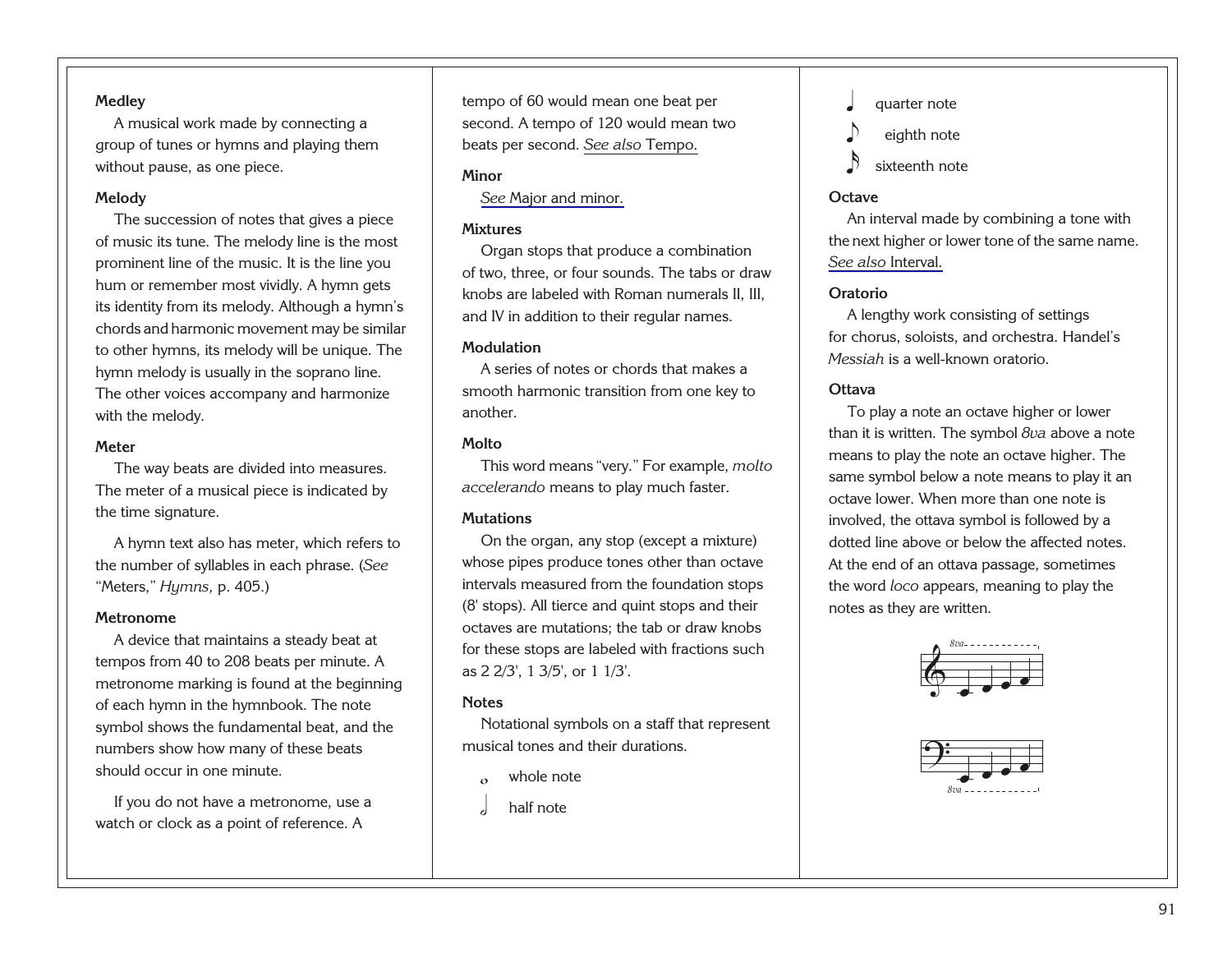#### <span id="page-95-0"></span>**Medley**

A musical work made by connecting a group of tunes or hymns and playing them without pause, as one piece.

#### **Melody**

The succession of notes that gives a piece of music its tune. The melody line is the most prominent line of the music. It is the line you hum or remember most vividly. A hymn gets its identity from its melody. Although a hymn's chords and harmonic movement may be similar to other hymns, its melody will be unique. The hymn melody is usually in the soprano line. The other voices accompany and harmonize with the melody.

#### **Meter**

The way beats are divided into measures. The meter of a musical piece is indicated by the time signature.

A hymn text also has meter, which refers to the number of syllables in each phrase. (*See* "Meters," *Hymns,* p. 405.)

#### **Metronome**

A device that maintains a steady beat at tempos from 40 to 208 beats per minute. A metronome marking is found at the beginning of each hymn in the hymnbook. The note symbol shows the fundamental beat, and the numbers show how many of these beats should occur in one minute.

<span id="page-95-1"></span>If you do not have a metronome, use a watch or clock as a point of reference. A

tempo of 60 would mean one beat per second. A tempo of 120 would mean two beats per second. *[See also](#page-98-0)* Tempo.

#### **Minor**

*See* [Major and minor.](#page-94-0)

#### **Mixtures**

Organ stops that produce a combination of two, three, or four sounds. The tabs or draw knobs are labeled with Roman numerals II, III, and IV in addition to their regular names.

#### **Modulation**

A series of notes or chords that makes a smooth harmonic transition from one key to another.

#### **Molto**

This word means "very." For example, *molto accelerando* means to play much faster.

#### **Mutations**

On the organ, any stop (except a mixture) whose pipes produce tones other than octave intervals measured from the foundation stops (8' stops). All tierce and quint stops and their octaves are mutations; the tab or draw knobs for these stops are labeled with fractions such as 2 2/3', 1 3/5', or 1 1/3'.

#### **Notes**

Notational symbols on a staff that represent musical tones and their durations.

- whole note
- half note
- quarter note
- eighth note
- sixteenth note

#### **Octave**

An interval made by combining a tone with the next higher or lower tone of the same name. *[See also](#page-93-0)* Interval.

#### **Oratorio**

A lengthy work consisting of settings for chorus, soloists, and orchestra. Handel's *Messiah* is a well-known oratorio.

#### **Ottava**

To play a note an octave higher or lower than it is written. The symbol *8va* above a note means to play the note an octave higher. The same symbol below a note means to play it an octave lower. When more than one note is involved, the ottava symbol is followed by a dotted line above or below the affected notes. At the end of an ottava passage, sometimes the word *loco* appears, meaning to play the notes as they are written.



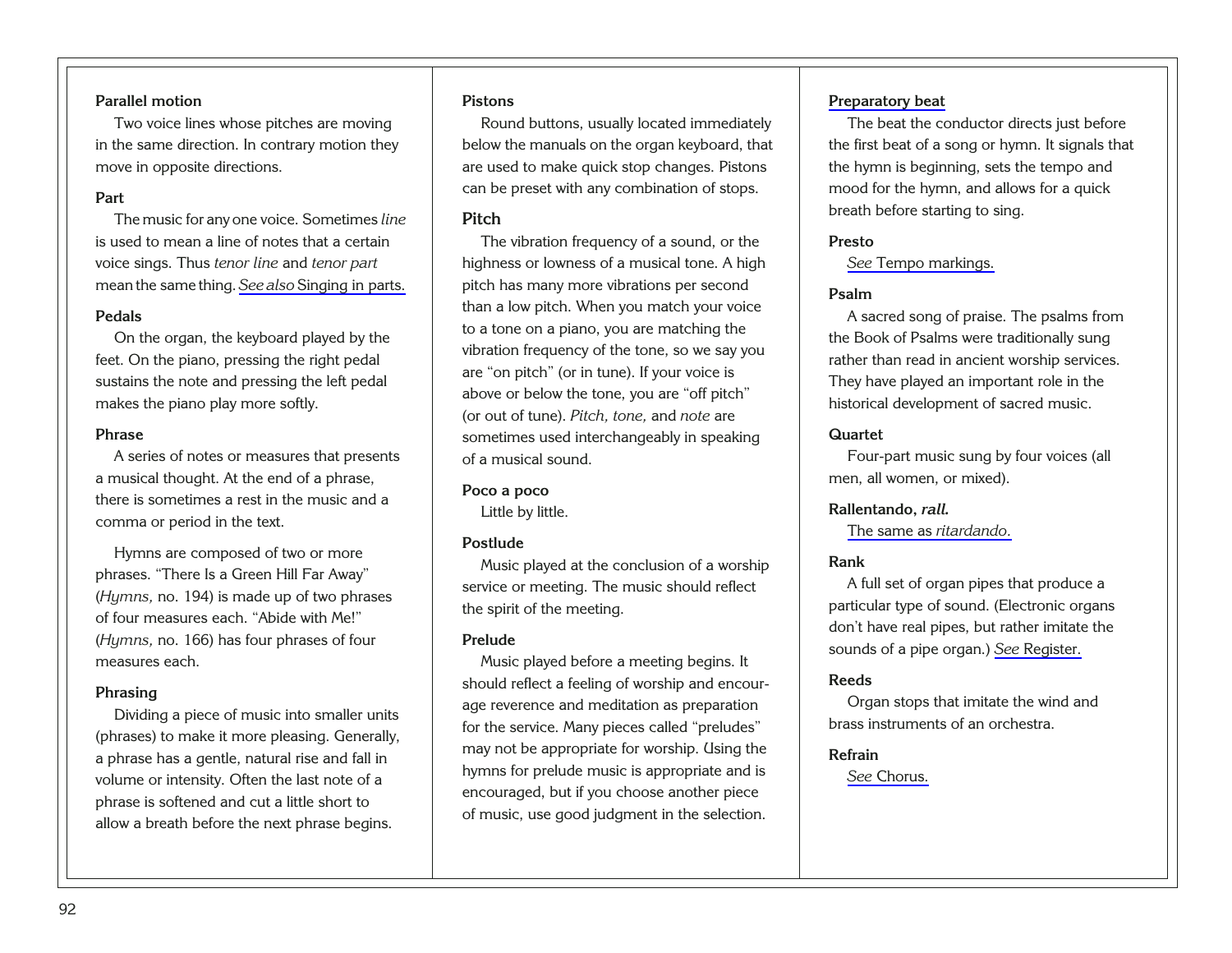#### <span id="page-96-0"></span>**Parallel motion**

Two voice lines whose pitches are moving in the same direction. In contrary motion they move in opposite directions.

#### **Part**

The music for any one voice. Sometimes *line* is used to mean a line of notes that a certain voice sings. Thus *tenor line* and *tenor part* mean the same thing. *See also* [Singing in parts.](#page-97-0)

#### **Pedals**

On the organ, the keyboard played by the feet. On the piano, pressing the right pedal sustains the note and pressing the left pedal makes the piano play more softly.

#### **Phrase**

A series of notes or measures that presents a musical thought. At the end of a phrase, there is sometimes a rest in the music and a comma or period in the text.

Hymns are composed of two or more phrases. "There Is a Green Hill Far Away" (*Hymns,* no. 194) is made up of two phrases of four measures each. "Abide with Me!" (*Hymns,* no. 166) has four phrases of four measures each.

#### **Phrasing**

<span id="page-96-1"></span>Dividing a piece of music into smaller units (phrases) to make it more pleasing. Generally, a phrase has a gentle, natural rise and fall in volume or intensity. Often the last note of a phrase is softened and cut a little short to allow a breath before the next phrase begins.

#### **Pistons**

Round buttons, usually located immediately below the manuals on the organ keyboard, that are used to make quick stop changes. Pistons can be preset with any combination of stops.

#### **Pitch**

The vibration frequency of a sound, or the highness or lowness of a musical tone. A high pitch has many more vibrations per second than a low pitch. When you match your voice to a tone on a piano, you are matching the vibration frequency of the tone, so we say you are "on pitch" (or in tune). If your voice is above or below the tone, you are "off pitch" (or out of tune). *Pitch, tone,* and *note* are sometimes used interchangeably in speaking of a musical sound.

#### **Poco a poco**

Little by little.

#### **Postlude**

Music played at the conclusion of a worship service or meeting. The music should reflect the spirit of the meeting.

#### **Prelude**

Music played before a meeting begins. It should reflect a feeling of worship and encourage reverence and meditation as preparation for the service. Many pieces called "preludes" may not be appropriate for worship. Using the hymns for prelude music is appropriate and is encouraged, but if you choose another piece of music, use good judgment in the selection.

#### **[Preparatory beat](#page-26-0)**

The beat the conductor directs just before the first beat of a song or hymn. It signals that the hymn is beginning, sets the tempo and mood for the hymn, and allows for a quick breath before starting to sing.

#### **Presto**

*See* [Tempo markings.](#page-99-0)

#### **Psalm**

A sacred song of praise. The psalms from the Book of Psalms were traditionally sung rather than read in ancient worship services. They have played an important role in the historical development of sacred music.

#### **Quartet**

Four-part music sung by four voices (all men, all women, or mixed).

#### **Rallentando,** *rall.*

[The same as](#page-97-0) *ritardando.*

#### **Rank**

A full set of organ pipes that produce a particular type of sound. (Electronic organs don't have real pipes, but rather imitate the sounds of a pipe organ.) *See* [Register.](#page-97-0)

#### **Reeds**

Organ stops that imitate the wind and brass instruments of an orchestra.

#### **Refrain**

*See* [Chorus.](#page-90-0)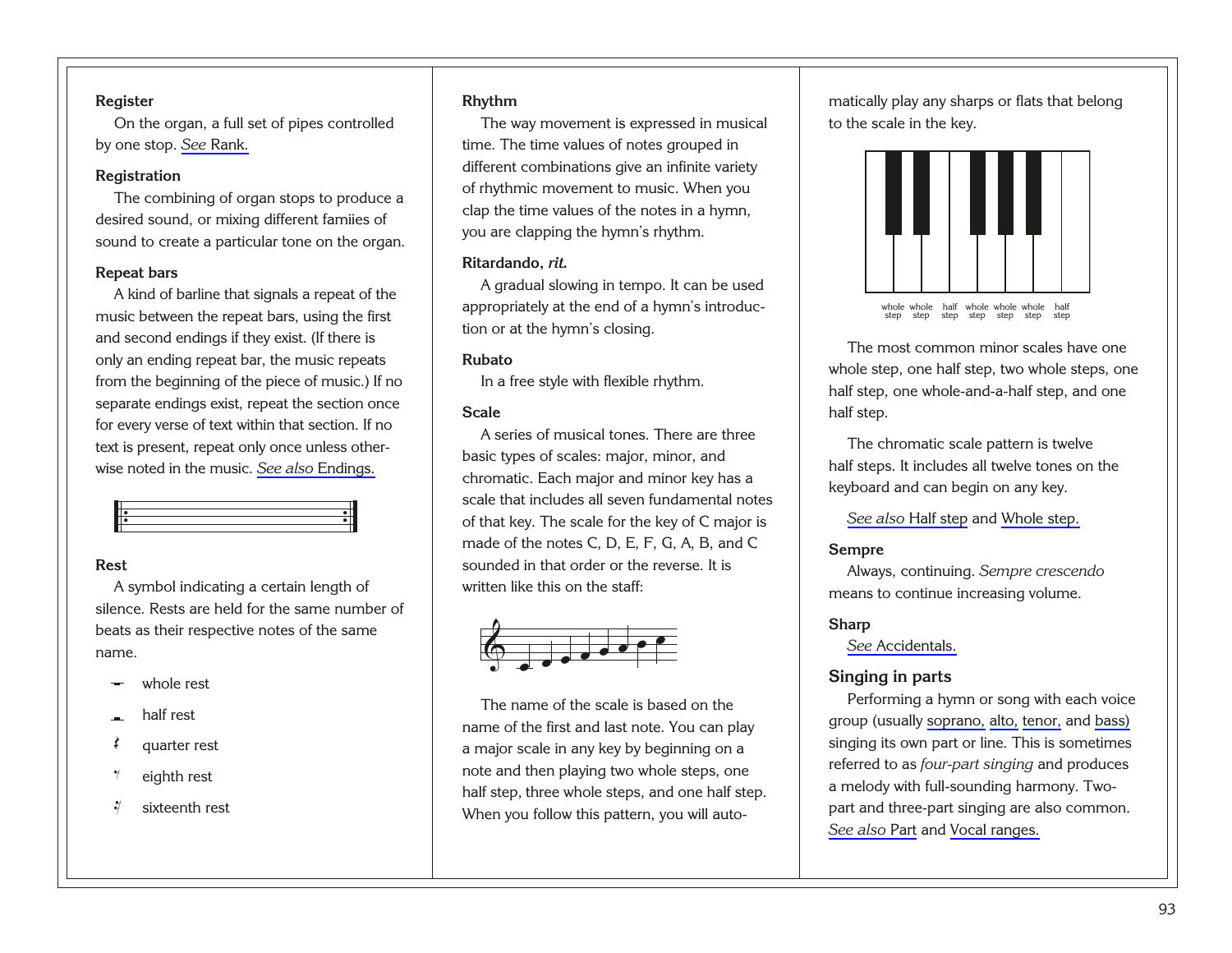#### <span id="page-97-0"></span>**Register**

On the organ, a full set of pipes controlled by one stop. *See* [Rank.](#page-96-0)

#### **Registration**

The combining of organ stops to produce a desired sound, or mixing different famiies of sound to create a particular tone on the organ.

#### **Repeat bars**

A kind of barline that signals a repeat of the music between the repeat bars, using the first and second endings if they exist. (If there is only an ending repeat bar, the music repeats from the beginning of the piece of music.) If no separate endings exist, repeat the section once for every verse of text within that section. If no text is present, repeat only once unless otherwise noted in the music. *See also* [Endings.](#page-92-0)



#### **Rest**

A symbol indicating a certain length of silence. Rests are held for the same number of beats as their respective notes of the same name.

- ∑ whole rest
- half rest
- quarter rest
- eighth rest
- <span id="page-97-1"></span>sixteenth rest

#### **Rhythm**

The way movement is expressed in musical time. The time values of notes grouped in different combinations give an infinite variety of rhythmic movement to music. When you clap the time values of the notes in a hymn, you are clapping the hymn's rhythm.

#### **Ritardando,** *rit.*

A gradual slowing in tempo. It can be used appropriately at the end of a hymn's introduction or at the hymn's closing.

#### **Rubato**

In a free style with flexible rhythm.

#### **Scale**

A series of musical tones. There are three basic types of scales: major, minor, and chromatic. Each major and minor key has a scale that includes all seven fundamental notes of that key. The scale for the key of C major is made of the notes C, D, E, F, G, A, B, and C sounded in that order or the reverse. It is written like this on the staff:



The name of the scale is based on the name of the first and last note. You can play a major scale in any key by beginning on a note and then playing two whole steps, one half step, three whole steps, and one half step. When you follow this pattern, you will automatically play any sharps or flats that belong to the scale in the key.



The most common minor scales have one whole step, one half step, two whole steps, one half step, one whole-and-a-half step, and one half step.

The chromatic scale pattern is twelve half steps. It includes all twelve tones on the keyboard and can begin on any key.

*[See also](#page-93-0)* Half step and [Whole step.](#page-100-0)

#### **Sempre**

Always, continuing. *Sempre crescendo* means to continue increasing volume.

#### **Sharp**

*See* [Accidentals.](#page-89-0)

#### **Singing in parts**

Performing a hymn or song with each voice group (usually [soprano,](#page-98-0) [alto,](#page-89-0) [tenor,](#page-99-0) and [bass\)](#page-89-0) singing its own part or line. This is sometimes referred to as *four-part singing* and produces a melody with full-sounding harmony. Twopart and three-part singing are also common. *[See also](#page-96-0)* Part and [Vocal ranges.](#page-100-0)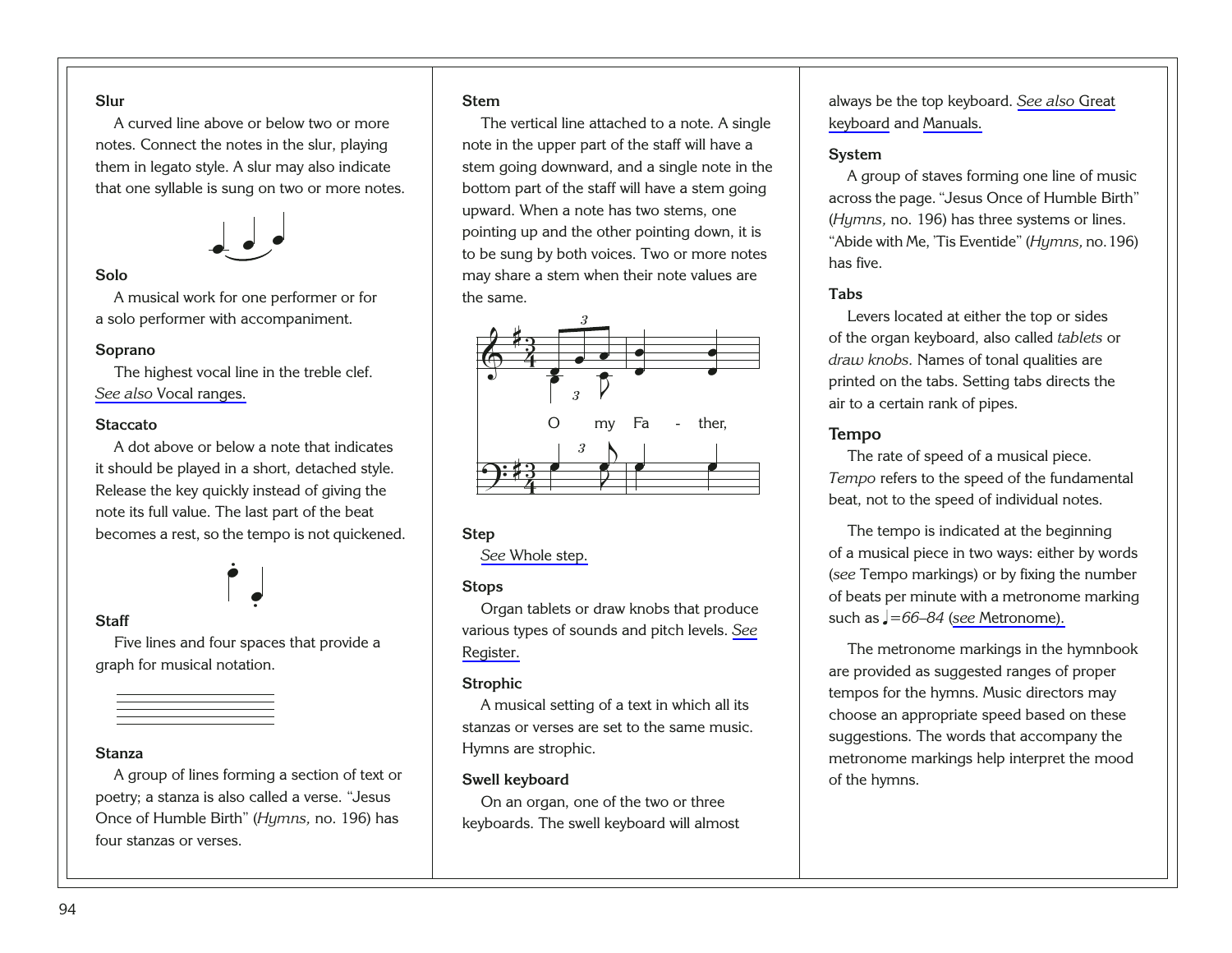#### <span id="page-98-0"></span>**Slur**

A curved line above or below two or more notes. Connect the notes in the slur, playing them in legato style. A slur may also indicate that one syllable is sung on two or more notes.



#### **Solo**

A musical work for one performer or for a solo performer with accompaniment.

#### **Soprano**

The highest vocal line in the treble clef. *See also* [Vocal ranges.](#page-100-0)

#### **Staccato**

A dot above or below a note that indicates it should be played in a short, detached style. Release the key quickly instead of giving the note its full value. The last part of the beat becomes a rest, so the tempo is not quickened.

#### $\overline{a}$ .

#### **Staff**

Five lines and four spaces that provide a graph for musical notation.

œ .

#### **Stanza**

<span id="page-98-1"></span>A group of lines forming a section of text or poetry; a stanza is also called a verse. "Jesus Once of Humble Birth" (*Hymns,* no. 196) has four stanzas or verses.

#### **Stem**

The vertical line attached to a note. A single note in the upper part of the staff will have a stem going downward, and a single note in the bottom part of the staff will have a stem going upward. When a note has two stems, one pointing up and the other pointing down, it is to be sung by both voices. Two or more notes may share a stem when their note values are the same.



#### **Step**

*See* [Whole step.](#page-100-0)

#### **Stops**

Organ tablets or draw knobs that produce various types of sounds and pitch levels. *[See](#page-97-0)* [Register.](#page-97-0)

#### **Strophic**

A musical setting of a text in which all its stanzas or verses are set to the same music. Hymns are strophic.

#### **Swell keyboard**

On an organ, one of the two or three keyboards. The swell keyboard will almost always be the top keyboard. *[See also](#page-93-0)* Great [keyboard](#page-93-0) and [Manuals.](#page-94-0)

#### **System**

A group of staves forming one line of music across the page. "Jesus Once of Humble Birth" (*Hymns,* no. 196) has three systems or lines. "Abide with Me, 'Tis Eventide" (*Hymns,* no.196) has five.

#### **Tabs**

Levers located at either the top or sides of the organ keyboard, also called *tablets* or *draw knobs.* Names of tonal qualities are printed on the tabs. Setting tabs directs the air to a certain rank of pipes.

#### **Tempo**

The rate of speed of a musical piece. *Tempo* refers to the speed of the fundamental beat, not to the speed of individual notes.

The tempo is indicated at the beginning of a musical piece in two ways: either by words (*see* Tempo markings) or by fixing the number of beats per minute with a metronome marking such as q*=66–84* (*see* [Metronome\).](#page-95-0)

The metronome markings in the hymnbook are provided as suggested ranges of proper tempos for the hymns. Music directors may choose an appropriate speed based on these suggestions. The words that accompany the metronome markings help interpret the mood of the hymns.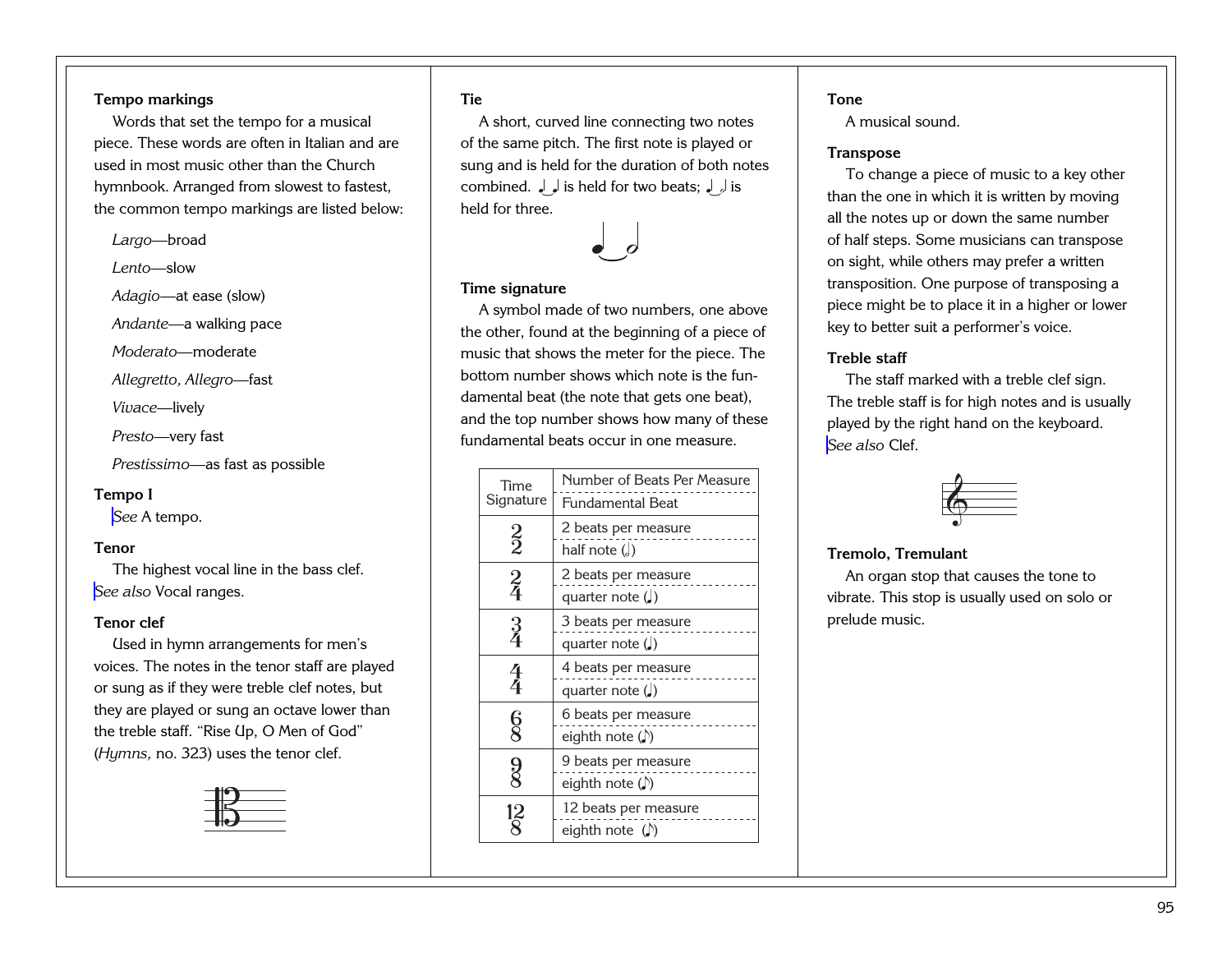#### <span id="page-99-0"></span>**Tempo markings**

Words that set the tempo for a musical piece. These words are often in Italian and are used in most music other than the Churchhymnbook. Arranged from slowest to fastest, the common tempo markings are listed below:

*Largo*—broad

*Lento*—slow

*Adagio*—at ease (slow)

*Andante—*a walking pace

*Moderato—*moderate

*Allegretto, Allegro—*fast

*Vivace*—lively

*Presto*—very fast

*Prestissimo—*as fast as possible

#### **Tempo I**

*See* [A tempo.](#page-89-0)

#### **Tenor**

The highest vocal line in the bass clef. *See also* [Vocal ranges.](#page-100-0)

#### **Tenor clef**

Used in hymn arrangements for men's voices. The notes in the tenor staff are played or sung as if they were treble clef notes, but they are played or sung an octave lower than the treble staff. "Rise Up, O Men of God" (*Hymns,* no. 323) uses the tenor clef.

<span id="page-99-1"></span>

#### **Tie**

A short, curved line connecting two notes of the same pitch. The first note is played or sung and is held for the duration of both notes combined. ﴿ is held for two beats; ﴿ إِنَّ أَنْ مَعْنَ الْمَسْتَقْلَةَ وَإِنَّ الْمَسْتَقْلَةَ وَال held for three.



#### **Time signature**

A symbol made of two numbers, one above the other, found at the beginning of a piece of music that shows the meter for the piece. The bottom number shows which note is the fundamental beat (the note that gets one beat), and the top number shows how many of these fundamental beats occur in one measure.

| Time<br>Signature    | Number of Beats Per Measure<br>Fundamental Beat      |
|----------------------|------------------------------------------------------|
| $\frac{2}{2}$        | 2 beats per measure<br>half note $\binom{1}{q}$      |
| $\frac{2}{4}$        | 2 beats per measure<br>quarter note $\binom{1}{k}$   |
| $\frac{3}{4}$        | 3 beats per measure<br>quarter note $\left(\right)$  |
| $rac{4}{4}$          | 4 beats per measure<br>quarter note $\binom{1}{k}$   |
| <b>§</b>             | 6 beats per measure<br>eighth note $\langle \rangle$ |
| $\frac{9}{8}$        | 9 beats per measure<br>eighth note $\langle \rangle$ |
| $\tilde{\mathbf{z}}$ | 12 beats per measure<br>eighth note $\binom{5}{2}$   |

#### **Tone**

A musical sound.

#### **Transpose**

To change a piece of music to a key other than the one in which it is written by moving all the notes up or down the same number of half steps. Some musicians can transpose on sight, while others may prefer a written transposition. One purpose of transposing a piece might be to place it in a higher or lower key to better suit a performer's voice.

#### **Treble staff**

The staff marked with a treble clef sign. The treble staff is for high notes and is usually played by the right hand on the keyboard. *[See also](#page-91-0)* Clef.



#### **Tremolo, Tremulant**

An organ stop that causes the tone to vibrate. This stop is usually used on solo or prelude music.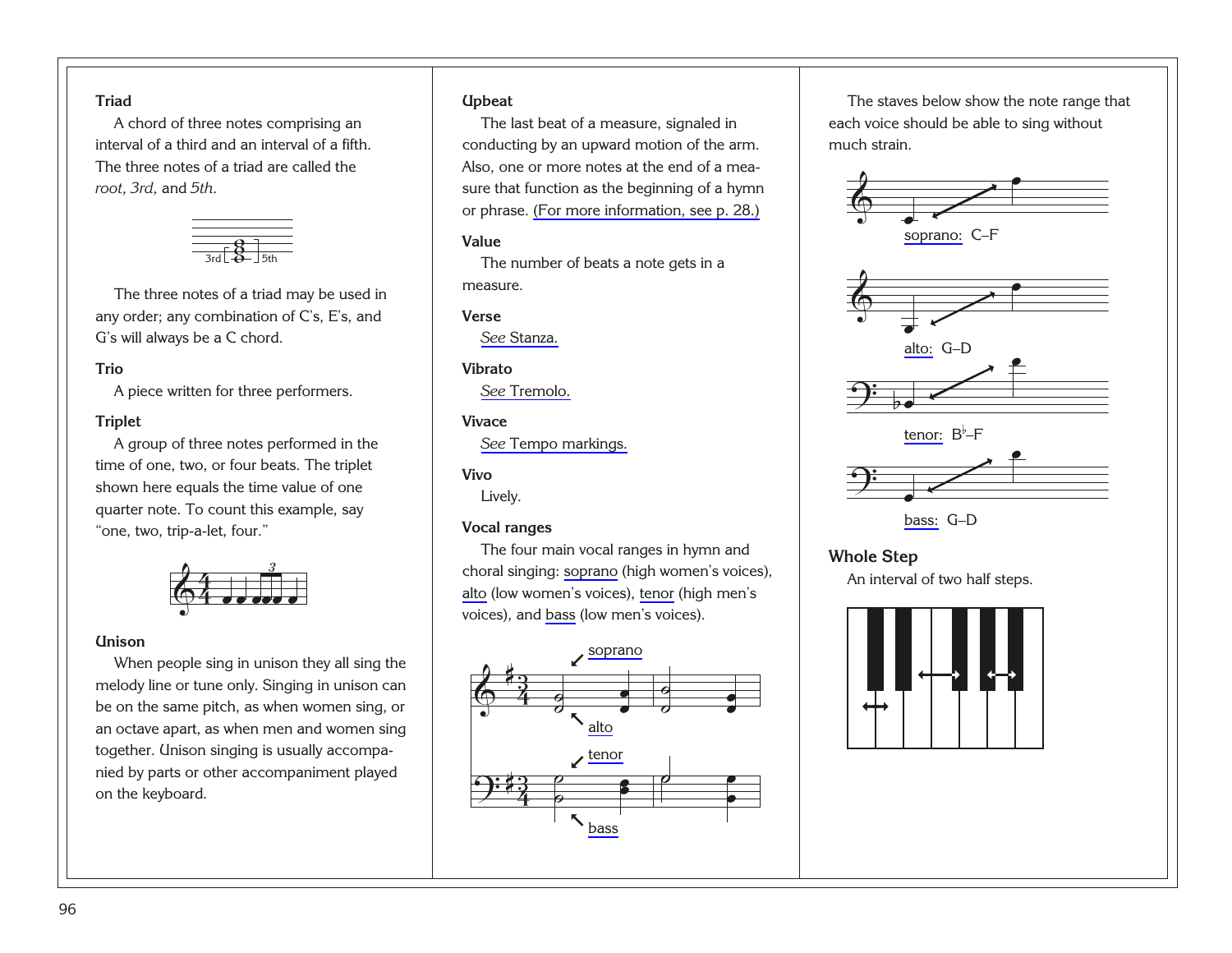#### <span id="page-100-0"></span>**Triad**

A chord of three notes comprising an interval of a third and an interval of a fifth. The three notes of a triad are called the *root, 3rd,* and *5th.*



The three notes of a triad may be used in any order; any combination of C's, E's, and G's will always be a C chord.

#### **Trio**

A piece written for three performers.

#### **Triplet**

A group of three notes performed in the time of one, two, or four beats. The triplet shown here equals the time value of one quarter note. To count this example, say "one, two, trip-a-let, four."



#### **Unison**

<span id="page-100-1"></span>When people sing in unison they all sing the melody line or tune only. Singing in unison can be on the same pitch, as when women sing, or an octave apart, as when men and women sing together. Unison singing is usually accompanied by parts or other accompaniment played on the keyboard.

#### **Upbeat**

The last beat of a measure, signaled in conducting by an upward motion of the arm. Also, one or more notes at the end of a measure that function as the beginning of a hymn or phrase. [\(For more information, see p. 28.\)](#page-32-0)

#### **Value**

The number of beats a note gets in a measure.

#### **Verse**

*See* [Stanza.](#page-98-0)

#### **Vibrato**

*See* [Tremolo.](#page-99-0)

#### **Vivace**

*See* [Tempo markings.](#page-99-0)

#### **Vivo**

Lively.

#### **Vocal ranges**

The four main vocal ranges in hymn and choral singing: [soprano](#page-98-0) (high women's voices), [alto](#page-89-0) (low women's voices), [tenor](#page-99-0) (high men's voices), and [bass](#page-89-0) (low men's voices).



The staves below show the note range that each voice should be able to sing without much strain.





#### **Whole Step**

An interval of two half steps.

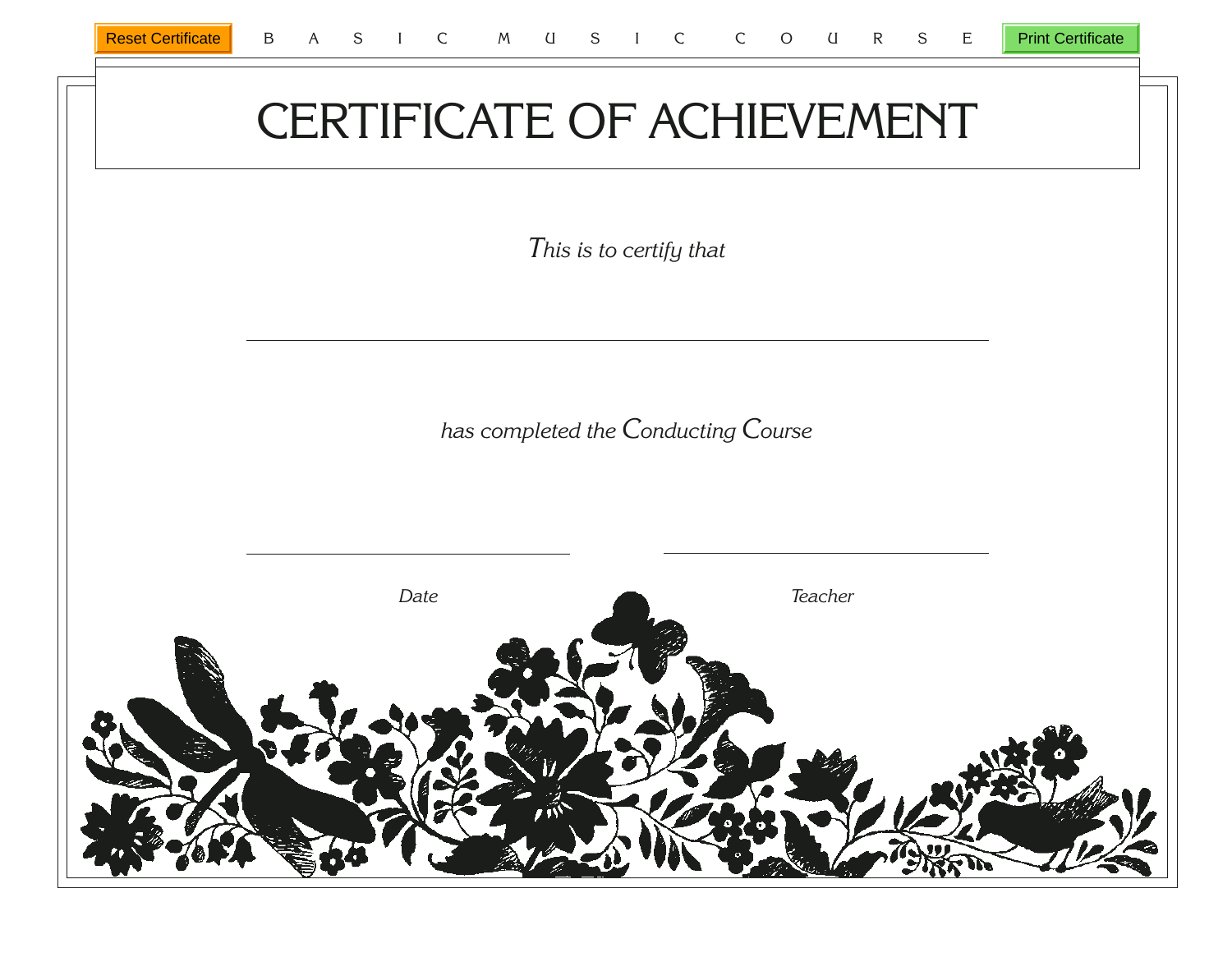Print Certificate

# CERTIFICATE OF ACHIEVEMENT

*This is to certify that*

*has completed the Conducting Course*

<span id="page-101-0"></span>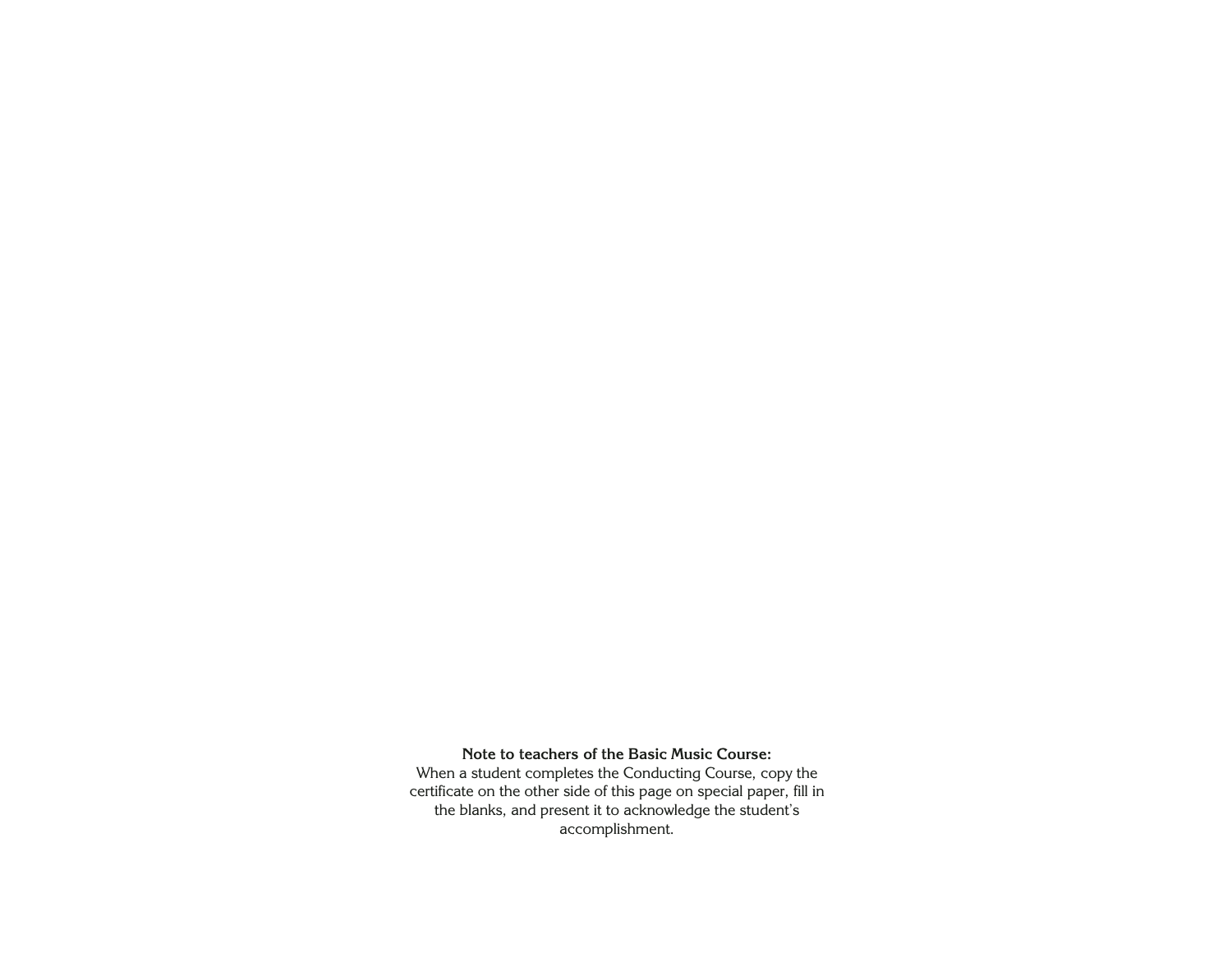#### **Note to teachers of the Basic Music Course:**

When a student completes the Conducting Course, copy the certificate on the other side of this page on special paper, fill in the blanks, and present it to acknowledge the student's accomplishment.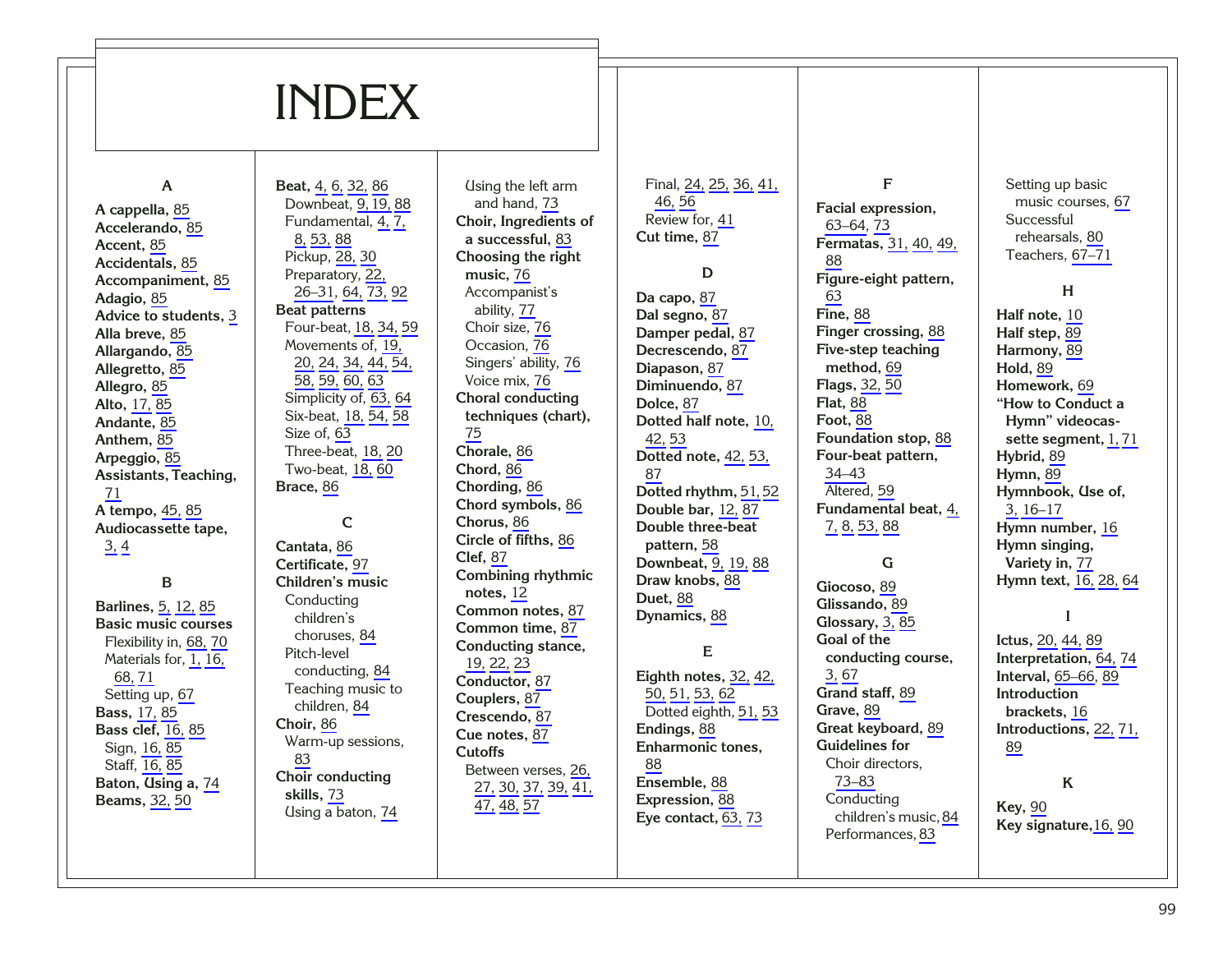## INDEX

#### **A**

**A cappella,** [85](#page-89-1) **Accelerando,** [85](#page-89-1) **Accent,** [85](#page-89-1) **Accidentals,** [85](#page-89-1) **Accompaniment,** [85](#page-89-1) **Adagio,** [85](#page-89-1) **Advice to students,**  [3](#page-7-0) **Alla breve,** [85](#page-89-1) **Allargando,** [85](#page-89-1) **Allegretto,** [85](#page-89-1) **Allegro,** [85](#page-89-1) **Alto,** [17,](#page-21-0) [85](#page-89-1) **Andante,** [85](#page-89-1) **Anthem,** [85](#page-89-1) **Arpeggio,** [85](#page-89-1) **Assistants, Teaching,** [71](#page-75-0) **A tempo,** [45,](#page-49-0) [85](#page-89-1) **Audiocassette tape,** [3,](#page-7-0) [4](#page-8-0)

#### **B**

**Barlines,** [5,](#page-9-0) [12,](#page-16-0) [85](#page-89-1) **Basic music courses** Flexibility in, [68,](#page-72-0) [70](#page-74-0) Materials for, [1,](#page-5-0) [16,](#page-20-0) [68,](#page-72-0) [71](#page-75-0) Setting up, [67](#page-71-0) **Bass,** [17,](#page-21-0) [85](#page-89-1) **Bass clef,** [16,](#page-20-0) [85](#page-89-1) Sign, [16,](#page-20-0) [85](#page-89-1) Staff, [16,](#page-20-0) [85](#page-89-1) **Baton, Using a,** [74](#page-78-0) **Beams,** [32,](#page-36-0) [50](#page-54-0)

**Beat,** [4,](#page-8-0) [6,](#page-10-0) [32,](#page-36-0) [86](#page-90-1) Downbeat, [9,19,](#page-13-0) [88](#page-92-1) Fundamental, [4,](#page-8-0) [7,](#page-11-0) [8,](#page-12-0) [53,](#page-57-0) [88](#page-92-1) Pickup, [28,](#page-32-1) [30](#page-34-0) Preparatory, [22,](#page-26-1) [26–31](#page-30-0), [64,](#page-68-0) [73,](#page-77-0) [92](#page-96-1) **Beat patterns** Four-beat, [18,](#page-22-0) [34,](#page-38-0) [59](#page-63-0) Movements of, [19,](#page-23-1) [20,](#page-24-0) [24,](#page-28-0) [34,](#page-38-0) [44,](#page-48-0) [54,](#page-58-0) [58,](#page-62-0) [59,](#page-63-0) [60,](#page-64-0) [63](#page-67-0) Simplicity of, [63,](#page-67-0) [64](#page-68-0) Six-beat, [18,](#page-22-0) [54,](#page-58-0) [58](#page-62-0) Size of, [63](#page-67-0) Three-beat, [18,](#page-22-0) [20](#page-24-0) Two-beat, [18,](#page-22-0) [60](#page-64-0) **Brace,** [86](#page-90-1) **C Cantata,** [86](#page-90-1) **Certificate,** [97](#page-101-0) **Children's music** Conducting children's choruses, [84](#page-88-0)

Pitch-level conducting, [84](#page-88-0) Teaching music to children, [84](#page-88-0) **Choir,** [86](#page-90-1)

[83](#page-87-0)

Warm-up sessions,

**Choir conducting skills,** [73](#page-77-0)

Using a baton, [74](#page-78-0)

and hand, [73](#page-77-0) **Choir, Ingredients of a successful,** [83](#page-87-0) **Choosing the right music,** [76](#page-80-0) Accompanist's ability, [77](#page-81-0) Choir size, [76](#page-80-0) Occasion, [76](#page-80-0) Singers' ability, [76](#page-80-0) Voice mix, [76](#page-80-0) **Choral conducting techniques (chart),** [75](#page-79-0) **Chorale,** [86](#page-90-1) **Chord,** [86](#page-90-1) **Chording,** [86](#page-90-1) **Chord symbols,** [86](#page-90-1) **Chorus,** [86](#page-90-1) **Circle of fifths,** [86](#page-90-1) **Clef,** [87](#page-91-1) **Combining rhythmic notes,** [12](#page-16-0) **Common notes,** [87](#page-91-1) **Common time,** [87](#page-91-1) **Conducting stance,** [19,](#page-23-1) [22,](#page-26-1) [23](#page-27-0) **Conductor,** [87](#page-91-1) **Couplers,** [87](#page-91-1) **Crescendo,** [87](#page-91-1) **Cue notes,** [87](#page-91-1) **Cutoffs** Between verses, [26,](#page-30-0) [27,](#page-31-0) [30,](#page-34-0) [37,](#page-41-0) [39,](#page-43-0) [41,](#page-45-0) [47,](#page-51-0) [48,](#page-52-0) [57](#page-61-0)

Using the left arm

Final, [24,](#page-28-0) [25,](#page-29-0) [36,](#page-40-0) [41,](#page-45-0) [46,](#page-50-0) [56](#page-60-0) Review for, [41](#page-45-0) **Cut time,** [87](#page-91-1)

**D Da capo,** [87](#page-91-1) **Dal segno,** [87](#page-91-1) **Damper pedal,** [87](#page-91-1) **Decrescendo,** [87](#page-91-1) **Diapason,** [87](#page-91-1) **Diminuendo,** [87](#page-91-1) **Dolce,** [87](#page-91-1) **Dotted half note,** [10,](#page-14-0) [42,](#page-46-0) [53](#page-57-0) **Dotted note,** [42,](#page-46-0) [53,](#page-57-0) [87](#page-91-1) **Dotted rhythm,** [51,](#page-55-0) [52](#page-56-0) **Double bar,** [12,](#page-16-0) [87](#page-91-1) **Double three-beat pattern,** [58](#page-62-0) **Downbeat,** [9,](#page-13-0) [19,](#page-23-1) [88](#page-92-1) **Draw knobs,** [88](#page-92-1) **Duet,** [88](#page-92-1) **Dynamics,** [88](#page-92-1)

#### **E**

**Eighth notes,** [32,](#page-36-0) [42,](#page-46-0) [50,](#page-54-0) [51,](#page-55-0) [53,](#page-57-0) [62](#page-66-0) Dotted eighth, [51,](#page-55-0) [53](#page-57-0) **Endings,** [88](#page-92-1) **Enharmonic tones,** [88](#page-92-1) **Ensemble,** [88](#page-92-1) **Expression,** [88](#page-92-1) **Eye contact,** [63,](#page-67-0) [73](#page-77-0)

**F Facial expression,** [63–64,](#page-67-0) [73](#page-77-0) **Fermatas,** [31,](#page-35-1) [40,](#page-44-0) [49,](#page-53-0) [88](#page-92-1) **Figure-eight pattern,** [63](#page-67-0) **Fine,** [88](#page-92-1) **Finger crossing,** [88](#page-92-1) **Five-step teaching method,** [69](#page-73-0) **Flags,** [32,](#page-36-0) [50](#page-54-0) **Flat,** [88](#page-92-1) **Foot,** [88](#page-92-1) **Foundation stop,** [88](#page-92-1) **Four-beat pattern,** [34–43](#page-38-0) Altered, [59](#page-63-0) **Fundamental beat,** [4,](#page-8-0) [7,](#page-11-0) [8,](#page-12-0) [53,](#page-57-0) [88](#page-92-1)

#### **G**

**Giocoso,** [89](#page-93-1) **Glissando,** [89](#page-93-1) **Glossary,** [3,](#page-7-0) [85](#page-89-1) **Goal of the conducting course,** [3,](#page-7-0) [67](#page-71-0) **Grand staff,** [89](#page-93-1) **Grave,** [89](#page-93-1) **Great keyboard,** [89](#page-93-1) **Guidelines for** Choir directors, [73–83](#page-77-0) Conducting children's music,[84](#page-88-0) Performances, [83](#page-87-0)

Setting up basic music courses, [67](#page-71-0) **Successful** rehearsals, [80](#page-84-0) Teachers, [67–71](#page-71-0)

#### **H**

**Half note,** [10](#page-14-0) **Half step,** [89](#page-93-1) **Harmony,** [89](#page-93-1) **Hold,** [89](#page-93-1) **Homework,** [69](#page-73-0) **"How to Conduct a Hymn" videocassette segment,** [1,](#page-5-0) [71](#page-75-0) **Hybrid,** [89](#page-93-1) **Hymn,** [89](#page-93-1) **Hymnbook, Use of,** [3,](#page-7-0) [16–17](#page-20-0) **Hymn number,** [16](#page-20-0) **Hymn singing, Variety in,** [77](#page-81-0) **Hymn text,** [16,](#page-20-0) [28,](#page-32-1) [64](#page-68-0)

#### **I**

**Ictus,** [20,](#page-24-0) [44,](#page-48-0) [89](#page-93-1) **Interpretation,** [64,](#page-68-0) [74](#page-78-0) **Interval,** [65–66,](#page-69-0) [89](#page-93-1) **Introduction brackets,** [16](#page-20-0) **Introductions,** [22,](#page-26-1) [71,](#page-75-0) [89](#page-93-1)

#### **K**

**Key,** [90](#page-94-1) **Key signature,**[16,](#page-20-0) [90](#page-94-1)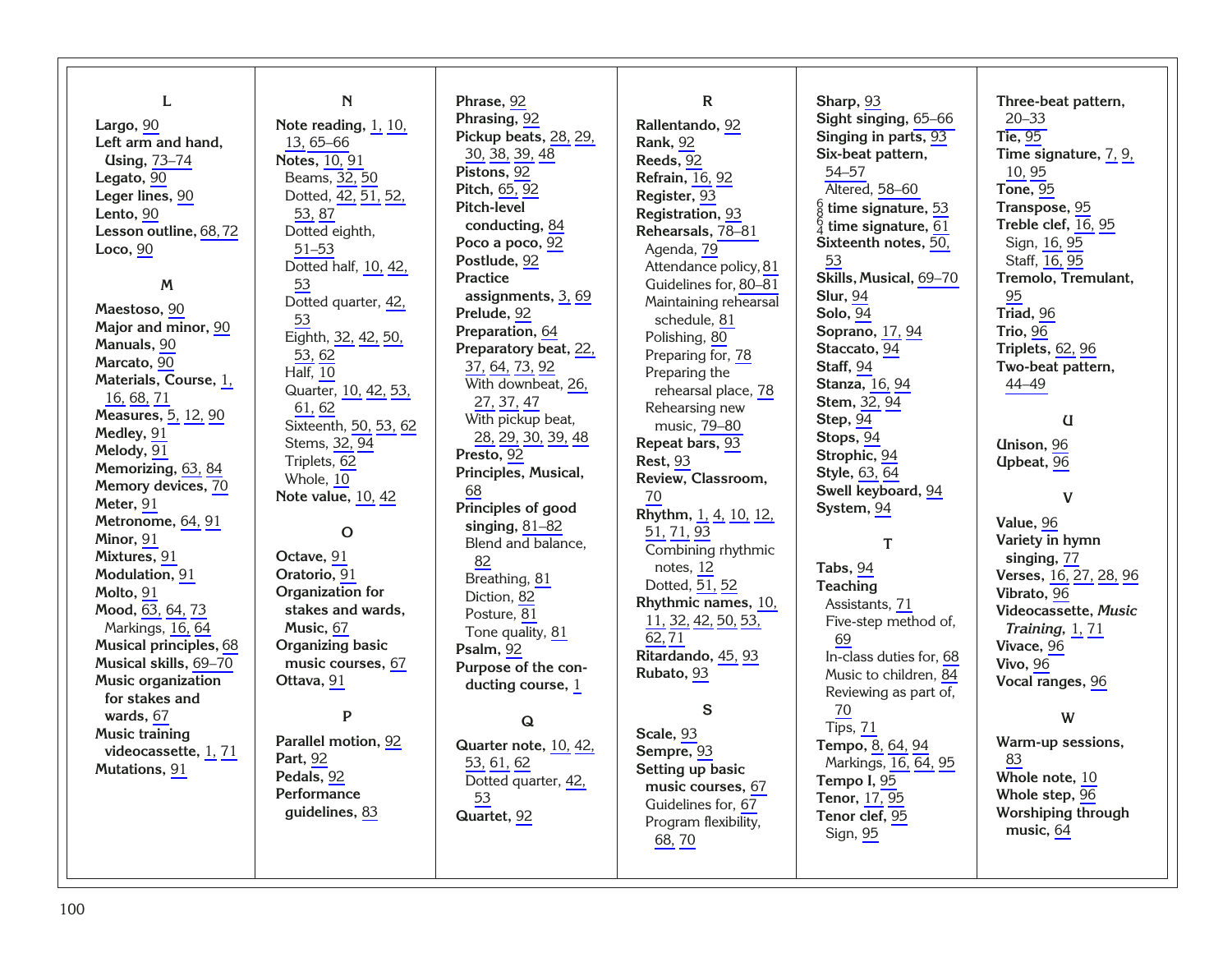| L<br>Largo, 90<br>Left arm and hand,<br><b>Using, 73-74</b><br>Legato, 90<br>Leger lines, 90<br>Lento, 90<br>Lesson outline, 68, 72<br>Loco, 90<br>M<br>Maestoso, 90<br>Major and minor, 90<br>Manuals, 90<br>Marcato, 90<br>Materials, Course, 1,<br>16, 68, 71<br>Measures, 5, 12, 90<br>Medley, 91<br>Melody, 91<br>Memorizing, 63, 84<br>Memory devices, 70<br>Meter, 91<br>Metronome, 64, 91<br>Minor, 91 | ${\bf N}$<br>Note reading, 1, 10,<br>13, 65 - 66<br><b>Notes</b> , 10, 91<br>Beams, 32, 50<br>Dotted, 42, 51, 52,<br>53, 87<br>Dotted eighth,<br>$51 - 53$<br>Dotted half, 10, 42,<br>53<br>Dotted quarter, 42,<br>53<br>Eighth, 32, 42, 50,<br>53, 62<br><b>Half</b> , 10<br>Quarter, 10, 42, 53,<br>61, 62<br>Sixteenth, 50, 53, 62<br>Stems, 32, 94<br>Triplets, 62<br>Whole, 10<br><b>Note value, 10, 42</b><br>$\mathbf O$ | Phrase, 92<br>Phrasing, 92<br>Pickup beats, 28, 29,<br>30, 38, 39, 48<br>Pistons, 92<br>Pitch, 65, 92<br>Pitch-level<br>conducting, 84<br>Poco a poco, 92<br>Postlude, 92<br><b>Practice</b><br>assignments, 3, 69<br>Prelude, 92<br>Preparation, 64<br>Preparatory beat, 22,<br>37, 64, 73, 92<br>With downbeat, 26,<br>27, 37, 47<br>With pickup beat,<br>28, 29, 30, 39, 48<br>Presto, 92<br>Principles, Musical,<br>68<br>Principles of good<br>singing, $81-82$<br>Blend and balance, | $\mathbf R$<br>Rallentando, 92<br><b>Rank</b> , 92<br>Reeds, 92<br><b>Refrain</b> , 16, 92<br>Register, 93<br>Registration, 93<br>Rehearsals, 78-81<br>Agenda, 79<br>Attendance policy, 81<br>Guidelines for, 80-81<br>Maintaining rehearsal<br>schedule, 81<br>Polishing, 80<br>Preparing for, 78<br>Preparing the<br>rehearsal place, 78<br>Rehearsing new<br>music, 79-80<br>Repeat bars, 93<br><b>Rest, 93</b><br>Review, Classroom,<br>70<br>Rhythm, 1, 4, 10, 12,<br>51, 71, 93<br>Combining rhythmic | Sharp, 93<br>Sight singing, 65-66<br>Singing in parts, 93<br>Six-beat pattern,<br>54-57<br>Altered, 58-60<br>$\frac{6}{8}$ time signature, 53<br>$_4^6$ time signature, 61<br>Sixteenth notes, 50,<br>53<br>Skills, Musical, 69-70<br><b>Slur, 94</b><br><b>Solo</b> , 94<br>Soprano, 17, 94<br>Staccato, 94<br>Staff, 94<br><b>Stanza</b> , 16, 94<br>Stem, 32, 94<br>Step, 94<br>Stops, 94<br>Strophic, 94<br><b>Style</b> , 63, 64<br>Swell keyboard, 94<br>System, 94<br>T | Three-beat pattern,<br>$20 - 33$<br><b>Tie</b> , 95<br>Time signature, 7, 9,<br>10, 95<br><b>Tone, 95</b><br>Transpose, 95<br>Treble clef, 16, 95<br>Sign, 16, 95<br>Staff, 16, 95<br>Tremolo, Tremulant,<br>95<br>Triad, 96<br>Trio, 96<br>Triplets, 62, 96<br>Two-beat pattern,<br>44-49<br>U<br><b>Unison</b> , 96<br>Upbeat, 96<br>V<br>Value, 96<br>Variety in hymn |
|----------------------------------------------------------------------------------------------------------------------------------------------------------------------------------------------------------------------------------------------------------------------------------------------------------------------------------------------------------------------------------------------------------------|---------------------------------------------------------------------------------------------------------------------------------------------------------------------------------------------------------------------------------------------------------------------------------------------------------------------------------------------------------------------------------------------------------------------------------|--------------------------------------------------------------------------------------------------------------------------------------------------------------------------------------------------------------------------------------------------------------------------------------------------------------------------------------------------------------------------------------------------------------------------------------------------------------------------------------------|-------------------------------------------------------------------------------------------------------------------------------------------------------------------------------------------------------------------------------------------------------------------------------------------------------------------------------------------------------------------------------------------------------------------------------------------------------------------------------------------------------------|--------------------------------------------------------------------------------------------------------------------------------------------------------------------------------------------------------------------------------------------------------------------------------------------------------------------------------------------------------------------------------------------------------------------------------------------------------------------------------|--------------------------------------------------------------------------------------------------------------------------------------------------------------------------------------------------------------------------------------------------------------------------------------------------------------------------------------------------------------------------|
|                                                                                                                                                                                                                                                                                                                                                                                                                |                                                                                                                                                                                                                                                                                                                                                                                                                                 |                                                                                                                                                                                                                                                                                                                                                                                                                                                                                            |                                                                                                                                                                                                                                                                                                                                                                                                                                                                                                             |                                                                                                                                                                                                                                                                                                                                                                                                                                                                                |                                                                                                                                                                                                                                                                                                                                                                          |
|                                                                                                                                                                                                                                                                                                                                                                                                                |                                                                                                                                                                                                                                                                                                                                                                                                                                 |                                                                                                                                                                                                                                                                                                                                                                                                                                                                                            |                                                                                                                                                                                                                                                                                                                                                                                                                                                                                                             |                                                                                                                                                                                                                                                                                                                                                                                                                                                                                |                                                                                                                                                                                                                                                                                                                                                                          |
|                                                                                                                                                                                                                                                                                                                                                                                                                |                                                                                                                                                                                                                                                                                                                                                                                                                                 |                                                                                                                                                                                                                                                                                                                                                                                                                                                                                            |                                                                                                                                                                                                                                                                                                                                                                                                                                                                                                             |                                                                                                                                                                                                                                                                                                                                                                                                                                                                                |                                                                                                                                                                                                                                                                                                                                                                          |
|                                                                                                                                                                                                                                                                                                                                                                                                                |                                                                                                                                                                                                                                                                                                                                                                                                                                 |                                                                                                                                                                                                                                                                                                                                                                                                                                                                                            |                                                                                                                                                                                                                                                                                                                                                                                                                                                                                                             |                                                                                                                                                                                                                                                                                                                                                                                                                                                                                |                                                                                                                                                                                                                                                                                                                                                                          |
|                                                                                                                                                                                                                                                                                                                                                                                                                |                                                                                                                                                                                                                                                                                                                                                                                                                                 |                                                                                                                                                                                                                                                                                                                                                                                                                                                                                            |                                                                                                                                                                                                                                                                                                                                                                                                                                                                                                             |                                                                                                                                                                                                                                                                                                                                                                                                                                                                                |                                                                                                                                                                                                                                                                                                                                                                          |
|                                                                                                                                                                                                                                                                                                                                                                                                                |                                                                                                                                                                                                                                                                                                                                                                                                                                 |                                                                                                                                                                                                                                                                                                                                                                                                                                                                                            |                                                                                                                                                                                                                                                                                                                                                                                                                                                                                                             |                                                                                                                                                                                                                                                                                                                                                                                                                                                                                |                                                                                                                                                                                                                                                                                                                                                                          |
|                                                                                                                                                                                                                                                                                                                                                                                                                |                                                                                                                                                                                                                                                                                                                                                                                                                                 |                                                                                                                                                                                                                                                                                                                                                                                                                                                                                            |                                                                                                                                                                                                                                                                                                                                                                                                                                                                                                             |                                                                                                                                                                                                                                                                                                                                                                                                                                                                                |                                                                                                                                                                                                                                                                                                                                                                          |
|                                                                                                                                                                                                                                                                                                                                                                                                                |                                                                                                                                                                                                                                                                                                                                                                                                                                 |                                                                                                                                                                                                                                                                                                                                                                                                                                                                                            |                                                                                                                                                                                                                                                                                                                                                                                                                                                                                                             |                                                                                                                                                                                                                                                                                                                                                                                                                                                                                |                                                                                                                                                                                                                                                                                                                                                                          |
|                                                                                                                                                                                                                                                                                                                                                                                                                |                                                                                                                                                                                                                                                                                                                                                                                                                                 |                                                                                                                                                                                                                                                                                                                                                                                                                                                                                            |                                                                                                                                                                                                                                                                                                                                                                                                                                                                                                             |                                                                                                                                                                                                                                                                                                                                                                                                                                                                                |                                                                                                                                                                                                                                                                                                                                                                          |
|                                                                                                                                                                                                                                                                                                                                                                                                                |                                                                                                                                                                                                                                                                                                                                                                                                                                 |                                                                                                                                                                                                                                                                                                                                                                                                                                                                                            |                                                                                                                                                                                                                                                                                                                                                                                                                                                                                                             |                                                                                                                                                                                                                                                                                                                                                                                                                                                                                |                                                                                                                                                                                                                                                                                                                                                                          |
|                                                                                                                                                                                                                                                                                                                                                                                                                |                                                                                                                                                                                                                                                                                                                                                                                                                                 |                                                                                                                                                                                                                                                                                                                                                                                                                                                                                            |                                                                                                                                                                                                                                                                                                                                                                                                                                                                                                             |                                                                                                                                                                                                                                                                                                                                                                                                                                                                                |                                                                                                                                                                                                                                                                                                                                                                          |
|                                                                                                                                                                                                                                                                                                                                                                                                                |                                                                                                                                                                                                                                                                                                                                                                                                                                 |                                                                                                                                                                                                                                                                                                                                                                                                                                                                                            |                                                                                                                                                                                                                                                                                                                                                                                                                                                                                                             |                                                                                                                                                                                                                                                                                                                                                                                                                                                                                |                                                                                                                                                                                                                                                                                                                                                                          |
|                                                                                                                                                                                                                                                                                                                                                                                                                |                                                                                                                                                                                                                                                                                                                                                                                                                                 |                                                                                                                                                                                                                                                                                                                                                                                                                                                                                            |                                                                                                                                                                                                                                                                                                                                                                                                                                                                                                             |                                                                                                                                                                                                                                                                                                                                                                                                                                                                                |                                                                                                                                                                                                                                                                                                                                                                          |
|                                                                                                                                                                                                                                                                                                                                                                                                                |                                                                                                                                                                                                                                                                                                                                                                                                                                 |                                                                                                                                                                                                                                                                                                                                                                                                                                                                                            |                                                                                                                                                                                                                                                                                                                                                                                                                                                                                                             |                                                                                                                                                                                                                                                                                                                                                                                                                                                                                |                                                                                                                                                                                                                                                                                                                                                                          |
|                                                                                                                                                                                                                                                                                                                                                                                                                |                                                                                                                                                                                                                                                                                                                                                                                                                                 |                                                                                                                                                                                                                                                                                                                                                                                                                                                                                            |                                                                                                                                                                                                                                                                                                                                                                                                                                                                                                             |                                                                                                                                                                                                                                                                                                                                                                                                                                                                                |                                                                                                                                                                                                                                                                                                                                                                          |
|                                                                                                                                                                                                                                                                                                                                                                                                                |                                                                                                                                                                                                                                                                                                                                                                                                                                 |                                                                                                                                                                                                                                                                                                                                                                                                                                                                                            |                                                                                                                                                                                                                                                                                                                                                                                                                                                                                                             |                                                                                                                                                                                                                                                                                                                                                                                                                                                                                |                                                                                                                                                                                                                                                                                                                                                                          |
|                                                                                                                                                                                                                                                                                                                                                                                                                |                                                                                                                                                                                                                                                                                                                                                                                                                                 |                                                                                                                                                                                                                                                                                                                                                                                                                                                                                            |                                                                                                                                                                                                                                                                                                                                                                                                                                                                                                             |                                                                                                                                                                                                                                                                                                                                                                                                                                                                                |                                                                                                                                                                                                                                                                                                                                                                          |
|                                                                                                                                                                                                                                                                                                                                                                                                                |                                                                                                                                                                                                                                                                                                                                                                                                                                 |                                                                                                                                                                                                                                                                                                                                                                                                                                                                                            |                                                                                                                                                                                                                                                                                                                                                                                                                                                                                                             |                                                                                                                                                                                                                                                                                                                                                                                                                                                                                |                                                                                                                                                                                                                                                                                                                                                                          |
|                                                                                                                                                                                                                                                                                                                                                                                                                |                                                                                                                                                                                                                                                                                                                                                                                                                                 |                                                                                                                                                                                                                                                                                                                                                                                                                                                                                            |                                                                                                                                                                                                                                                                                                                                                                                                                                                                                                             |                                                                                                                                                                                                                                                                                                                                                                                                                                                                                |                                                                                                                                                                                                                                                                                                                                                                          |
|                                                                                                                                                                                                                                                                                                                                                                                                                |                                                                                                                                                                                                                                                                                                                                                                                                                                 |                                                                                                                                                                                                                                                                                                                                                                                                                                                                                            |                                                                                                                                                                                                                                                                                                                                                                                                                                                                                                             |                                                                                                                                                                                                                                                                                                                                                                                                                                                                                |                                                                                                                                                                                                                                                                                                                                                                          |
|                                                                                                                                                                                                                                                                                                                                                                                                                |                                                                                                                                                                                                                                                                                                                                                                                                                                 |                                                                                                                                                                                                                                                                                                                                                                                                                                                                                            |                                                                                                                                                                                                                                                                                                                                                                                                                                                                                                             |                                                                                                                                                                                                                                                                                                                                                                                                                                                                                |                                                                                                                                                                                                                                                                                                                                                                          |
|                                                                                                                                                                                                                                                                                                                                                                                                                |                                                                                                                                                                                                                                                                                                                                                                                                                                 |                                                                                                                                                                                                                                                                                                                                                                                                                                                                                            |                                                                                                                                                                                                                                                                                                                                                                                                                                                                                                             |                                                                                                                                                                                                                                                                                                                                                                                                                                                                                |                                                                                                                                                                                                                                                                                                                                                                          |
| Mixtures, 91                                                                                                                                                                                                                                                                                                                                                                                                   | Octave, 91                                                                                                                                                                                                                                                                                                                                                                                                                      | 82                                                                                                                                                                                                                                                                                                                                                                                                                                                                                         |                                                                                                                                                                                                                                                                                                                                                                                                                                                                                                             |                                                                                                                                                                                                                                                                                                                                                                                                                                                                                | singing, 77                                                                                                                                                                                                                                                                                                                                                              |
| Modulation, 91                                                                                                                                                                                                                                                                                                                                                                                                 | Oratorio, 91                                                                                                                                                                                                                                                                                                                                                                                                                    | Breathing, 81                                                                                                                                                                                                                                                                                                                                                                                                                                                                              | notes, 12                                                                                                                                                                                                                                                                                                                                                                                                                                                                                                   | Tabs, 94                                                                                                                                                                                                                                                                                                                                                                                                                                                                       | Verses, 16, 27, 28, 96                                                                                                                                                                                                                                                                                                                                                   |
| Molto, 91                                                                                                                                                                                                                                                                                                                                                                                                      | Organization for                                                                                                                                                                                                                                                                                                                                                                                                                | Diction, 82                                                                                                                                                                                                                                                                                                                                                                                                                                                                                | Dotted, 51, 52                                                                                                                                                                                                                                                                                                                                                                                                                                                                                              | Teaching                                                                                                                                                                                                                                                                                                                                                                                                                                                                       | Vibrato, 96                                                                                                                                                                                                                                                                                                                                                              |
| Mood, 63, 64, 73                                                                                                                                                                                                                                                                                                                                                                                               | stakes and wards,                                                                                                                                                                                                                                                                                                                                                                                                               |                                                                                                                                                                                                                                                                                                                                                                                                                                                                                            | Rhythmic names, 10,                                                                                                                                                                                                                                                                                                                                                                                                                                                                                         | Assistants, 71                                                                                                                                                                                                                                                                                                                                                                                                                                                                 | Videocassette, Music                                                                                                                                                                                                                                                                                                                                                     |
| Markings, 16, 64                                                                                                                                                                                                                                                                                                                                                                                               | Music, 67                                                                                                                                                                                                                                                                                                                                                                                                                       | Posture, 81                                                                                                                                                                                                                                                                                                                                                                                                                                                                                | 11, 32, 42, 50, 53,                                                                                                                                                                                                                                                                                                                                                                                                                                                                                         | Five-step method of,                                                                                                                                                                                                                                                                                                                                                                                                                                                           | Training, 1, 71                                                                                                                                                                                                                                                                                                                                                          |
|                                                                                                                                                                                                                                                                                                                                                                                                                |                                                                                                                                                                                                                                                                                                                                                                                                                                 | Tone quality, 81                                                                                                                                                                                                                                                                                                                                                                                                                                                                           | 62,71                                                                                                                                                                                                                                                                                                                                                                                                                                                                                                       | 69                                                                                                                                                                                                                                                                                                                                                                                                                                                                             |                                                                                                                                                                                                                                                                                                                                                                          |
| Musical principles, 68                                                                                                                                                                                                                                                                                                                                                                                         | <b>Organizing basic</b>                                                                                                                                                                                                                                                                                                                                                                                                         | Psalm, 92                                                                                                                                                                                                                                                                                                                                                                                                                                                                                  | Ritardando, 45, 93                                                                                                                                                                                                                                                                                                                                                                                                                                                                                          | In-class duties for, 68                                                                                                                                                                                                                                                                                                                                                                                                                                                        | Vivace, 96                                                                                                                                                                                                                                                                                                                                                               |
| Musical skills, 69-70                                                                                                                                                                                                                                                                                                                                                                                          | music courses, 67                                                                                                                                                                                                                                                                                                                                                                                                               | Purpose of the con-                                                                                                                                                                                                                                                                                                                                                                                                                                                                        | Rubato, 93                                                                                                                                                                                                                                                                                                                                                                                                                                                                                                  | Music to children, 84                                                                                                                                                                                                                                                                                                                                                                                                                                                          | Vivo, 96                                                                                                                                                                                                                                                                                                                                                                 |
| <b>Music organization</b>                                                                                                                                                                                                                                                                                                                                                                                      | Ottava, 91                                                                                                                                                                                                                                                                                                                                                                                                                      | ducting course, 1                                                                                                                                                                                                                                                                                                                                                                                                                                                                          |                                                                                                                                                                                                                                                                                                                                                                                                                                                                                                             | Reviewing as part of,                                                                                                                                                                                                                                                                                                                                                                                                                                                          | Vocal ranges, 96                                                                                                                                                                                                                                                                                                                                                         |
| for stakes and                                                                                                                                                                                                                                                                                                                                                                                                 |                                                                                                                                                                                                                                                                                                                                                                                                                                 |                                                                                                                                                                                                                                                                                                                                                                                                                                                                                            | ${\bf S}$                                                                                                                                                                                                                                                                                                                                                                                                                                                                                                   | 70                                                                                                                                                                                                                                                                                                                                                                                                                                                                             |                                                                                                                                                                                                                                                                                                                                                                          |
| wards, 67                                                                                                                                                                                                                                                                                                                                                                                                      | $\mathbf P$                                                                                                                                                                                                                                                                                                                                                                                                                     | $\bf Q$                                                                                                                                                                                                                                                                                                                                                                                                                                                                                    |                                                                                                                                                                                                                                                                                                                                                                                                                                                                                                             | Tips, 71                                                                                                                                                                                                                                                                                                                                                                                                                                                                       | W                                                                                                                                                                                                                                                                                                                                                                        |
| <b>Music training</b>                                                                                                                                                                                                                                                                                                                                                                                          | Parallel motion, 92                                                                                                                                                                                                                                                                                                                                                                                                             |                                                                                                                                                                                                                                                                                                                                                                                                                                                                                            | Scale, 93                                                                                                                                                                                                                                                                                                                                                                                                                                                                                                   |                                                                                                                                                                                                                                                                                                                                                                                                                                                                                | Warm-up sessions,                                                                                                                                                                                                                                                                                                                                                        |
| videocassette, 1, 71                                                                                                                                                                                                                                                                                                                                                                                           |                                                                                                                                                                                                                                                                                                                                                                                                                                 | Quarter note, 10, 42,                                                                                                                                                                                                                                                                                                                                                                                                                                                                      | Sempre, 93                                                                                                                                                                                                                                                                                                                                                                                                                                                                                                  | Tempo, 8, 64, 94                                                                                                                                                                                                                                                                                                                                                                                                                                                               |                                                                                                                                                                                                                                                                                                                                                                          |
| Mutations, 91                                                                                                                                                                                                                                                                                                                                                                                                  | Part, 92                                                                                                                                                                                                                                                                                                                                                                                                                        | 53, 61, 62                                                                                                                                                                                                                                                                                                                                                                                                                                                                                 | Setting up basic                                                                                                                                                                                                                                                                                                                                                                                                                                                                                            | Markings, 16, 64, 95                                                                                                                                                                                                                                                                                                                                                                                                                                                           | 83                                                                                                                                                                                                                                                                                                                                                                       |
|                                                                                                                                                                                                                                                                                                                                                                                                                | Pedals, 92                                                                                                                                                                                                                                                                                                                                                                                                                      | Dotted quarter, 42,                                                                                                                                                                                                                                                                                                                                                                                                                                                                        |                                                                                                                                                                                                                                                                                                                                                                                                                                                                                                             | Tempo I, 95                                                                                                                                                                                                                                                                                                                                                                                                                                                                    | Whole note, 10                                                                                                                                                                                                                                                                                                                                                           |
|                                                                                                                                                                                                                                                                                                                                                                                                                | Performance                                                                                                                                                                                                                                                                                                                                                                                                                     | 53                                                                                                                                                                                                                                                                                                                                                                                                                                                                                         | music courses, 67                                                                                                                                                                                                                                                                                                                                                                                                                                                                                           | Tenor, 17, 95                                                                                                                                                                                                                                                                                                                                                                                                                                                                  | Whole step, 96                                                                                                                                                                                                                                                                                                                                                           |
|                                                                                                                                                                                                                                                                                                                                                                                                                | guidelines, 83                                                                                                                                                                                                                                                                                                                                                                                                                  |                                                                                                                                                                                                                                                                                                                                                                                                                                                                                            | Guidelines for, 67                                                                                                                                                                                                                                                                                                                                                                                                                                                                                          |                                                                                                                                                                                                                                                                                                                                                                                                                                                                                |                                                                                                                                                                                                                                                                                                                                                                          |
|                                                                                                                                                                                                                                                                                                                                                                                                                |                                                                                                                                                                                                                                                                                                                                                                                                                                 | Quartet, 92                                                                                                                                                                                                                                                                                                                                                                                                                                                                                | Program flexibility,                                                                                                                                                                                                                                                                                                                                                                                                                                                                                        | Tenor clef, 95                                                                                                                                                                                                                                                                                                                                                                                                                                                                 | Worshiping through                                                                                                                                                                                                                                                                                                                                                       |
|                                                                                                                                                                                                                                                                                                                                                                                                                |                                                                                                                                                                                                                                                                                                                                                                                                                                 |                                                                                                                                                                                                                                                                                                                                                                                                                                                                                            | 68,70                                                                                                                                                                                                                                                                                                                                                                                                                                                                                                       | Sign, 95                                                                                                                                                                                                                                                                                                                                                                                                                                                                       | music, 64                                                                                                                                                                                                                                                                                                                                                                |
|                                                                                                                                                                                                                                                                                                                                                                                                                |                                                                                                                                                                                                                                                                                                                                                                                                                                 |                                                                                                                                                                                                                                                                                                                                                                                                                                                                                            |                                                                                                                                                                                                                                                                                                                                                                                                                                                                                                             |                                                                                                                                                                                                                                                                                                                                                                                                                                                                                |                                                                                                                                                                                                                                                                                                                                                                          |
|                                                                                                                                                                                                                                                                                                                                                                                                                |                                                                                                                                                                                                                                                                                                                                                                                                                                 |                                                                                                                                                                                                                                                                                                                                                                                                                                                                                            |                                                                                                                                                                                                                                                                                                                                                                                                                                                                                                             |                                                                                                                                                                                                                                                                                                                                                                                                                                                                                |                                                                                                                                                                                                                                                                                                                                                                          |
|                                                                                                                                                                                                                                                                                                                                                                                                                |                                                                                                                                                                                                                                                                                                                                                                                                                                 |                                                                                                                                                                                                                                                                                                                                                                                                                                                                                            |                                                                                                                                                                                                                                                                                                                                                                                                                                                                                                             |                                                                                                                                                                                                                                                                                                                                                                                                                                                                                |                                                                                                                                                                                                                                                                                                                                                                          |